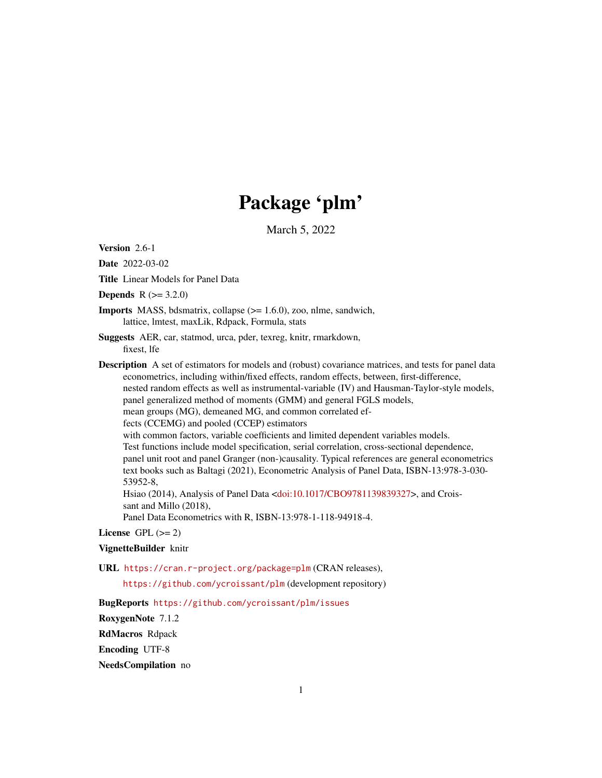# Package 'plm'

March 5, 2022

<span id="page-0-0"></span>Version 2.6-1

Date 2022-03-02

Title Linear Models for Panel Data

**Depends**  $R (= 3.2.0)$ 

**Imports** MASS, bdsmatrix, collapse  $(>= 1.6.0)$ , zoo, nlme, sandwich, lattice, lmtest, maxLik, Rdpack, Formula, stats

Suggests AER, car, statmod, urca, pder, texreg, knitr, rmarkdown, fixest, lfe

Description A set of estimators for models and (robust) covariance matrices, and tests for panel data econometrics, including within/fixed effects, random effects, between, first-difference, nested random effects as well as instrumental-variable (IV) and Hausman-Taylor-style models,

panel generalized method of moments (GMM) and general FGLS models,

mean groups (MG), demeaned MG, and common correlated ef-

fects (CCEMG) and pooled (CCEP) estimators

with common factors, variable coefficients and limited dependent variables models. Test functions include model specification, serial correlation, cross-sectional dependence, panel unit root and panel Granger (non-)causality. Typical references are general econometrics text books such as Baltagi (2021), Econometric Analysis of Panel Data, ISBN-13:978-3-030- 53952-8,

Hsiao (2014), Analysis of Panel Data [<doi:10.1017/CBO9781139839327>](https://doi.org/10.1017/CBO9781139839327), and Croissant and Millo (2018),

Panel Data Econometrics with R, ISBN-13:978-1-118-94918-4.

## License GPL  $(>= 2)$

## VignetteBuilder knitr

URL <https://cran.r-project.org/package=plm> (CRAN releases),

<https://github.com/ycroissant/plm> (development repository)

BugReports <https://github.com/ycroissant/plm/issues>

RoxygenNote 7.1.2

RdMacros Rdpack

Encoding UTF-8

NeedsCompilation no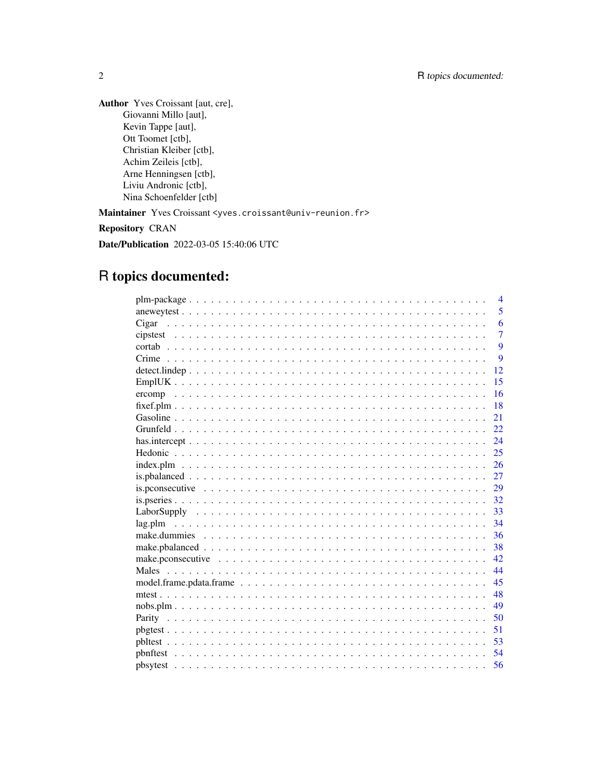Author Yves Croissant [aut, cre], Giovanni Millo [aut], Kevin Tappe [aut], Ott Toomet [ctb], Christian Kleiber [ctb], Achim Zeileis [ctb], Arne Henningsen [ctb], Liviu Andronic [ctb], Nina Schoenfelder [ctb] Maintainer Yves Croissant <yves.croissant@univ-reunion.fr>

Repository CRAN

Date/Publication 2022-03-05 15:40:06 UTC

## R topics documented:

| $\overline{4}$                                                                                                          |
|-------------------------------------------------------------------------------------------------------------------------|
| 5                                                                                                                       |
| 6<br>Cigar                                                                                                              |
| $\overline{7}$                                                                                                          |
| 9                                                                                                                       |
| $\mathbf Q$                                                                                                             |
| 12                                                                                                                      |
| 15                                                                                                                      |
| 16                                                                                                                      |
| 18                                                                                                                      |
| 21                                                                                                                      |
| 22                                                                                                                      |
| 24                                                                                                                      |
| 25                                                                                                                      |
| $index.plm \dots \dots \dots \dots \dots \dots \dots \dots \dots \dots \dots \dots \dots \dots \dots \dots \dots$<br>26 |
| 27                                                                                                                      |
| 29                                                                                                                      |
| 32                                                                                                                      |
| 33                                                                                                                      |
| 34                                                                                                                      |
| 36                                                                                                                      |
| 38                                                                                                                      |
| 42.                                                                                                                     |
| 44                                                                                                                      |
| 45                                                                                                                      |
| 48                                                                                                                      |
| 49                                                                                                                      |
| 50                                                                                                                      |
| 51                                                                                                                      |
| 53                                                                                                                      |
| 54                                                                                                                      |
| 56                                                                                                                      |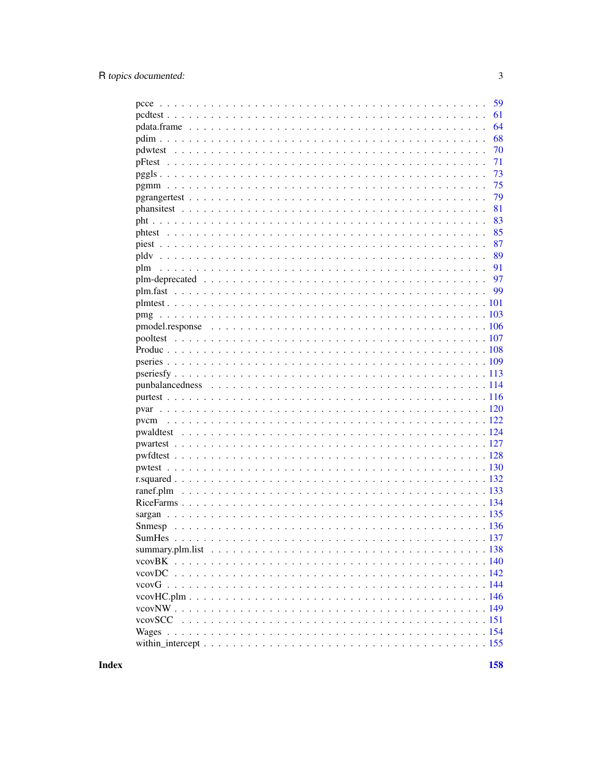|           | 59 |
|-----------|----|
|           | 61 |
|           | 64 |
|           | 68 |
|           | 70 |
|           | 71 |
|           | 73 |
|           | 75 |
|           | 79 |
|           | 81 |
|           | 83 |
|           | 85 |
|           | 87 |
|           | 89 |
|           | 91 |
|           | 97 |
|           | 99 |
|           |    |
|           |    |
|           |    |
|           |    |
|           |    |
|           |    |
|           |    |
|           |    |
|           |    |
|           |    |
| pvcm      |    |
|           |    |
|           |    |
|           |    |
|           |    |
|           |    |
| ranef.plm |    |
|           |    |
|           |    |
|           |    |
|           |    |
|           |    |
|           |    |
|           |    |
|           |    |
|           |    |
|           |    |
|           |    |
|           |    |
|           |    |
|           |    |

**Index**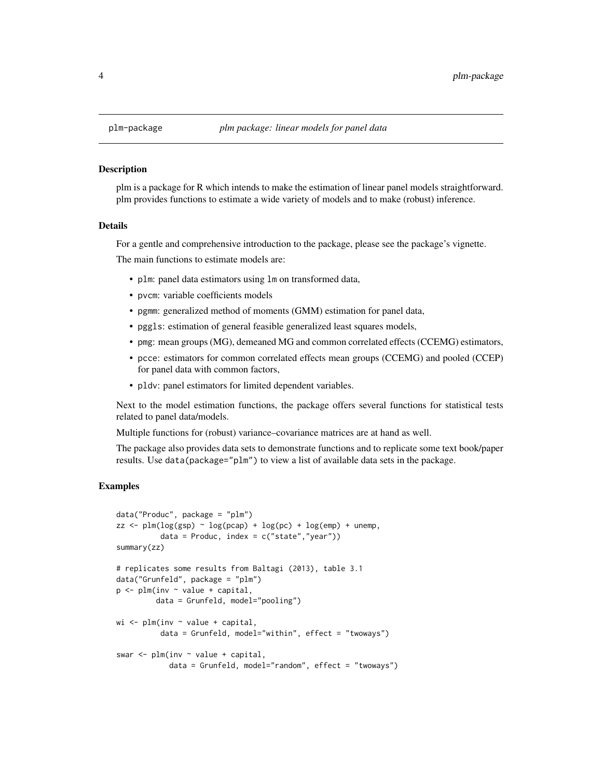#### **Description**

plm is a package for R which intends to make the estimation of linear panel models straightforward. plm provides functions to estimate a wide variety of models and to make (robust) inference.

## Details

For a gentle and comprehensive introduction to the package, please see the package's vignette.

The main functions to estimate models are:

- plm: panel data estimators using lm on transformed data,
- pvcm: variable coefficients models
- pgmm: generalized method of moments (GMM) estimation for panel data,
- pggls: estimation of general feasible generalized least squares models,
- pmg: mean groups (MG), demeaned MG and common correlated effects (CCEMG) estimators,
- pcce: estimators for common correlated effects mean groups (CCEMG) and pooled (CCEP) for panel data with common factors,
- pldv: panel estimators for limited dependent variables.

Next to the model estimation functions, the package offers several functions for statistical tests related to panel data/models.

Multiple functions for (robust) variance–covariance matrices are at hand as well.

The package also provides data sets to demonstrate functions and to replicate some text book/paper results. Use data(package="plm") to view a list of available data sets in the package.

## Examples

```
data("Produc", package = "plm")
zz \le -\text{plm}(\log(\text{gsp}) \sim \log(\text{pcap}) + \log(\text{pc}) + \log(\text{emp}) + \text{unemp},data = Produc, index = c("state", "year"))summary(zz)
# replicates some results from Baltagi (2013), table 3.1
data("Grunfeld", package = "plm")
p \leftarrow plm(inv \sim value + capital,data = Grunfeld, model="pooling")
wi \leq plm(inv \sim value + capital,
           data = Grunfeld, model="within", effect = "twoways")
swar \leq plm(inv \sim value + capital,
             data = Grunfeld, model="random", effect = "twoways")
```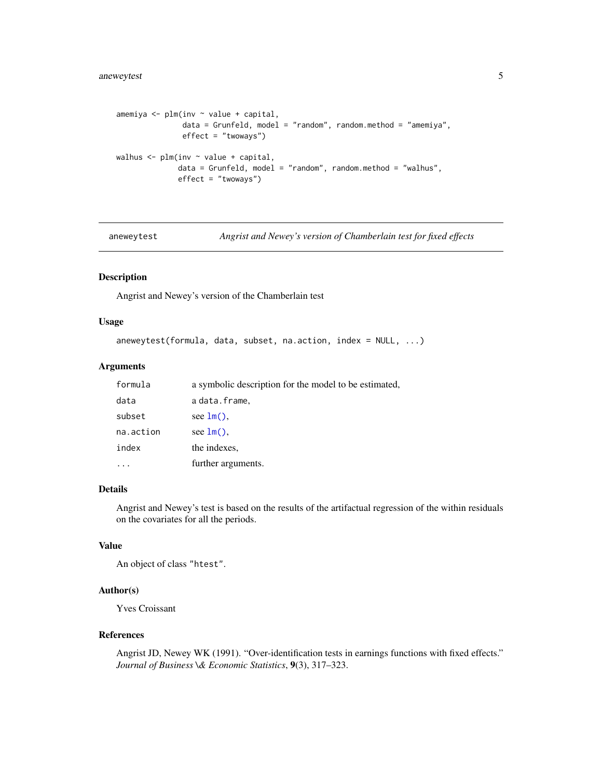```
amemiya <- plm(inv ~ value + capital,
              data = Grunfeld, model = "random", random.method = "amemiya",
              effect = "twoways")
walhus <- plm(inv ~ value + capital,
             data = Grunfeld, model = "random", random.method = "wallus",effect = "twoways")
```
aneweytest *Angrist and Newey's version of Chamberlain test for fixed effects*

## Description

Angrist and Newey's version of the Chamberlain test

#### Usage

```
aneweytest(formula, data, subset, na.action, index = NULL, ...)
```
## Arguments

| formula   | a symbolic description for the model to be estimated, |
|-----------|-------------------------------------------------------|
| data      | a data.frame,                                         |
| subset    | see $lm()$ ,                                          |
| na.action | see $lm()$ .                                          |
| index     | the indexes.                                          |
|           | further arguments.                                    |

#### Details

Angrist and Newey's test is based on the results of the artifactual regression of the within residuals on the covariates for all the periods.

## Value

An object of class "htest".

#### Author(s)

Yves Croissant

#### References

Angrist JD, Newey WK (1991). "Over-identification tests in earnings functions with fixed effects." *Journal of Business \& Economic Statistics*, 9(3), 317–323.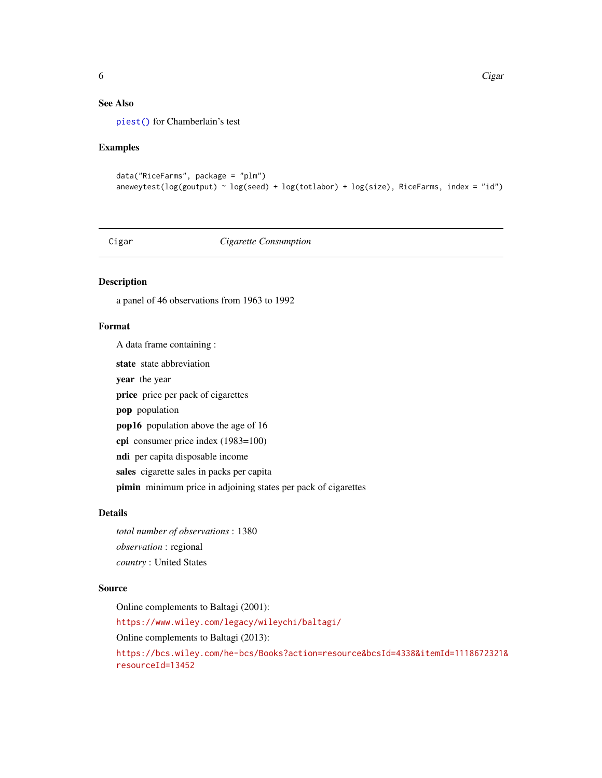## See Also

[piest\(\)](#page-86-1) for Chamberlain's test

#### Examples

```
data("RiceFarms", package = "plm")
aneweytest(log(goutput) \sim log(seed) + log(totlabor) + log(size), RiceFarms, index = "id")
```
## Cigar *Cigarette Consumption*

## Description

a panel of 46 observations from 1963 to 1992

#### Format

A data frame containing :

state state abbreviation

year the year

price price per pack of cigarettes

pop population

pop16 population above the age of 16

cpi consumer price index (1983=100)

ndi per capita disposable income

sales cigarette sales in packs per capita

pimin minimum price in adjoining states per pack of cigarettes

## Details

*total number of observations* : 1380 *observation* : regional *country* : United States

## Source

Online complements to Baltagi (2001): <https://www.wiley.com/legacy/wileychi/baltagi/> Online complements to Baltagi (2013): [https://bcs.wiley.com/he-bcs/Books?action=resource&bcsId=4338&itemId=1118672321&](https://bcs.wiley.com/he-bcs/Books?action=resource&bcsId=4338&itemId=1118672321&resourceId=13452) [resourceId=13452](https://bcs.wiley.com/he-bcs/Books?action=resource&bcsId=4338&itemId=1118672321&resourceId=13452)

<span id="page-5-0"></span>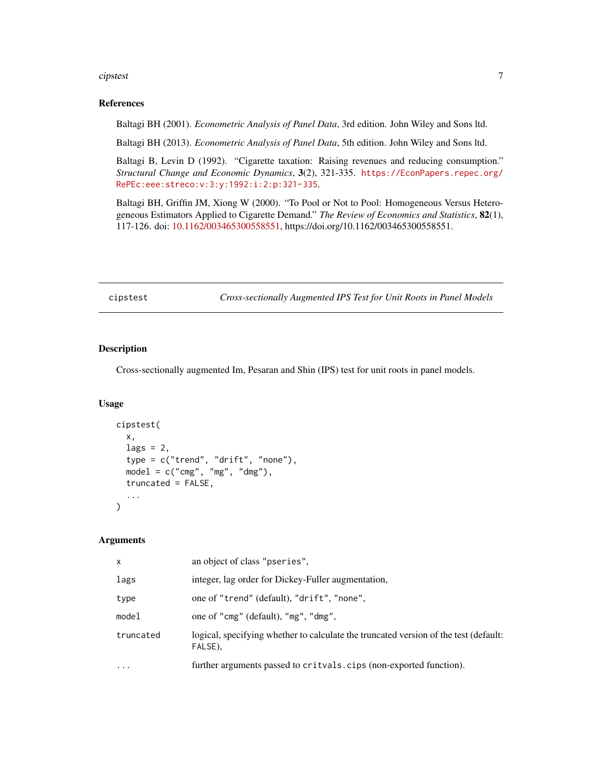#### <span id="page-6-0"></span>cipstest 7

## References

Baltagi BH (2001). *Econometric Analysis of Panel Data*, 3rd edition. John Wiley and Sons ltd.

Baltagi BH (2013). *Econometric Analysis of Panel Data*, 5th edition. John Wiley and Sons ltd.

Baltagi B, Levin D (1992). "Cigarette taxation: Raising revenues and reducing consumption." *Structural Change and Economic Dynamics*, 3(2), 321-335. [https://EconPapers.repec.org/](https://EconPapers.repec.org/RePEc:eee:streco:v:3:y:1992:i:2:p:321-335) [RePEc:eee:streco:v:3:y:1992:i:2:p:321-335](https://EconPapers.repec.org/RePEc:eee:streco:v:3:y:1992:i:2:p:321-335).

Baltagi BH, Griffin JM, Xiong W (2000). "To Pool or Not to Pool: Homogeneous Versus Heterogeneous Estimators Applied to Cigarette Demand." *The Review of Economics and Statistics*, 82(1), 117-126. doi: [10.1162/003465300558551,](https://doi.org/10.1162/003465300558551) https://doi.org/10.1162/003465300558551.

cipstest *Cross-sectionally Augmented IPS Test for Unit Roots in Panel Models*

#### Description

Cross-sectionally augmented Im, Pesaran and Shin (IPS) test for unit roots in panel models.

#### Usage

```
cipstest(
  x,
  lags = 2,type = c("trend", "drift", "none"),
 model = c("cmg", "mg", "dmg"),truncated = FALSE,
  ...
)
```
## Arguments

| X                 | an object of class "pseries".                                                                   |
|-------------------|-------------------------------------------------------------------------------------------------|
| lags              | integer, lag order for Dickey-Fuller augmentation,                                              |
| type              | one of "trend" (default), "drift", "none",                                                      |
| model             | one of "cmg" (default), "mg", "dmg",                                                            |
| truncated         | logical, specifying whether to calculate the truncated version of the test (default:<br>FALSE), |
| $\cdot\cdot\cdot$ | further arguments passed to critvals.cips (non-exported function).                              |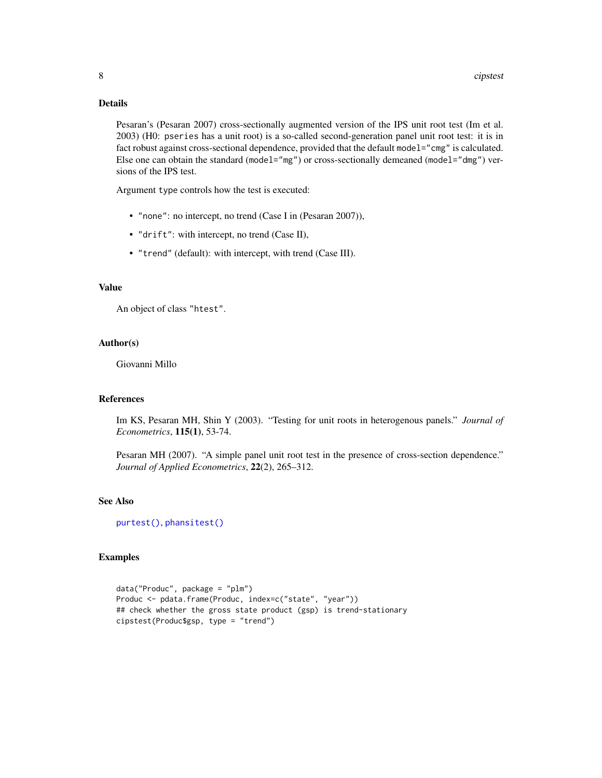## Details

Pesaran's (Pesaran 2007) cross-sectionally augmented version of the IPS unit root test (Im et al. 2003) (H0: pseries has a unit root) is a so-called second-generation panel unit root test: it is in fact robust against cross-sectional dependence, provided that the default model="cmg" is calculated. Else one can obtain the standard (model="mg") or cross-sectionally demeaned (model="dmg") versions of the IPS test.

Argument type controls how the test is executed:

- "none": no intercept, no trend (Case I in (Pesaran 2007)),
- "drift": with intercept, no trend (Case II),
- "trend" (default): with intercept, with trend (Case III).

#### Value

An object of class "htest".

#### Author(s)

Giovanni Millo

## References

Im KS, Pesaran MH, Shin Y (2003). "Testing for unit roots in heterogenous panels." *Journal of Econometrics*, 115(1), 53-74.

Pesaran MH (2007). "A simple panel unit root test in the presence of cross-section dependence." *Journal of Applied Econometrics*, 22(2), 265–312.

## See Also

[purtest\(\)](#page-115-1), [phansitest\(\)](#page-80-1)

## Examples

```
data("Produc", package = "plm")
Produc <- pdata.frame(Produc, index=c("state", "year"))
## check whether the gross state product (gsp) is trend-stationary
cipstest(Produc$gsp, type = "trend")
```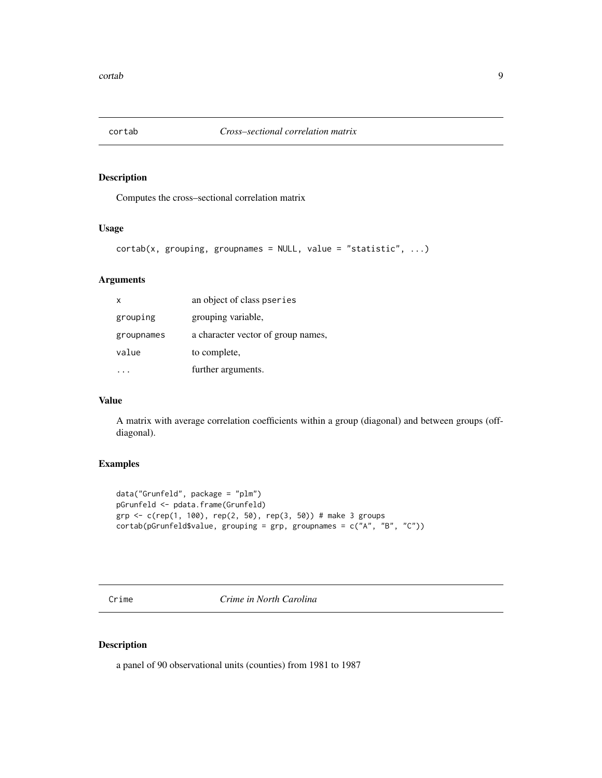<span id="page-8-0"></span>

## Description

Computes the cross–sectional correlation matrix

## Usage

```
cortab(x, grouping, groupnames = NULL, value = "statistic", ...)
```
#### Arguments

| x          | an object of class pseries         |
|------------|------------------------------------|
| grouping   | grouping variable,                 |
| groupnames | a character vector of group names, |
| value      | to complete,                       |
|            | further arguments.                 |

## Value

A matrix with average correlation coefficients within a group (diagonal) and between groups (offdiagonal).

## Examples

```
data("Grunfeld", package = "plm")
pGrunfeld <- pdata.frame(Grunfeld)
grp \leq c(rep(1, 100), rep(2, 50), rep(3, 50)) # make 3 groups
cortab(pGrunfeld$value, grouping = grp, groupnames = c("A", "B", "C"))
```
Crime *Crime in North Carolina*

## Description

a panel of 90 observational units (counties) from 1981 to 1987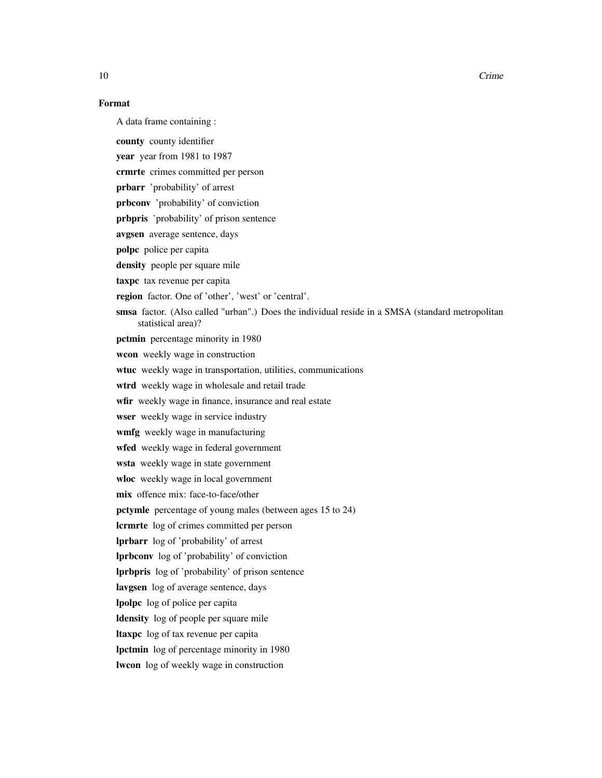10 Crime Contact 10 Crime Contact 10 Crime Contact 10 Crime Contact 10 Crime Contact 10 Crime Contact 10 Oct 1

## Format

A data frame containing :

county county identifier

year year from 1981 to 1987

crmrte crimes committed per person

prbarr 'probability' of arrest

prbconv 'probability' of conviction

prbpris 'probability' of prison sentence

avgsen average sentence, days

polpc police per capita

density people per square mile

taxpe tax revenue per capita

region factor. One of 'other', 'west' or 'central'.

smsa factor. (Also called "urban".) Does the individual reside in a SMSA (standard metropolitan statistical area)?

pctmin percentage minority in 1980

wcon weekly wage in construction

wtuc weekly wage in transportation, utilities, communications

wtrd weekly wage in wholesale and retail trade

wfir weekly wage in finance, insurance and real estate

wser weekly wage in service industry

wmfg weekly wage in manufacturing

wfed weekly wage in federal government

wsta weekly wage in state government

wloc weekly wage in local government

mix offence mix: face-to-face/other

pctymle percentage of young males (between ages 15 to 24)

lcrmrte log of crimes committed per person

lprbarr log of 'probability' of arrest

lprbconv log of 'probability' of conviction

lprbpris log of 'probability' of prison sentence

lavgsen log of average sentence, days

lpolpc log of police per capita

ldensity log of people per square mile

ltaxpc log of tax revenue per capita

lpctmin log of percentage minority in 1980

lwcon log of weekly wage in construction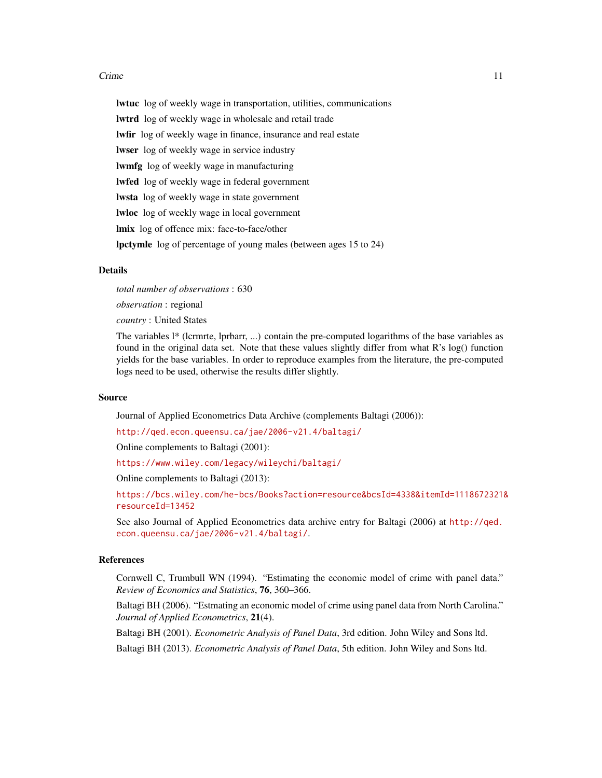#### Crime 2012 11 2013 11 2014 12:30 12:30 12:30 12:30 12:30 12:30 12:30 12:30 12:30 12:30 12:30 12:30 12:30 12:30

lwtuc log of weekly wage in transportation, utilities, communications lwtrd log of weekly wage in wholesale and retail trade lwfir log of weekly wage in finance, insurance and real estate lwser log of weekly wage in service industry lwmfg log of weekly wage in manufacturing lwfed log of weekly wage in federal government lwsta log of weekly wage in state government lwloc log of weekly wage in local government lmix log of offence mix: face-to-face/other lpctymle log of percentage of young males (between ages 15 to 24)

## Details

*total number of observations* : 630 *observation* : regional

*country* : United States

The variables l\* (lcrmrte, lprbarr, ...) contain the pre-computed logarithms of the base variables as found in the original data set. Note that these values slightly differ from what R's log() function yields for the base variables. In order to reproduce examples from the literature, the pre-computed logs need to be used, otherwise the results differ slightly.

#### Source

Journal of Applied Econometrics Data Archive (complements Baltagi (2006)):

<http://qed.econ.queensu.ca/jae/2006-v21.4/baltagi/>

Online complements to Baltagi (2001):

<https://www.wiley.com/legacy/wileychi/baltagi/>

Online complements to Baltagi (2013):

[https://bcs.wiley.com/he-bcs/Books?action=resource&bcsId=4338&itemId=1118672321&](https://bcs.wiley.com/he-bcs/Books?action=resource&bcsId=4338&itemId=1118672321&resourceId=13452) [resourceId=13452](https://bcs.wiley.com/he-bcs/Books?action=resource&bcsId=4338&itemId=1118672321&resourceId=13452)

See also Journal of Applied Econometrics data archive entry for Baltagi (2006) at [http://qed.](http://qed.econ.queensu.ca/jae/2006-v21.4/baltagi/) [econ.queensu.ca/jae/2006-v21.4/baltagi/](http://qed.econ.queensu.ca/jae/2006-v21.4/baltagi/).

#### References

Cornwell C, Trumbull WN (1994). "Estimating the economic model of crime with panel data." *Review of Economics and Statistics*, 76, 360–366.

Baltagi BH (2006). "Estmating an economic model of crime using panel data from North Carolina." *Journal of Applied Econometrics*, 21(4).

Baltagi BH (2001). *Econometric Analysis of Panel Data*, 3rd edition. John Wiley and Sons ltd.

Baltagi BH (2013). *Econometric Analysis of Panel Data*, 5th edition. John Wiley and Sons ltd.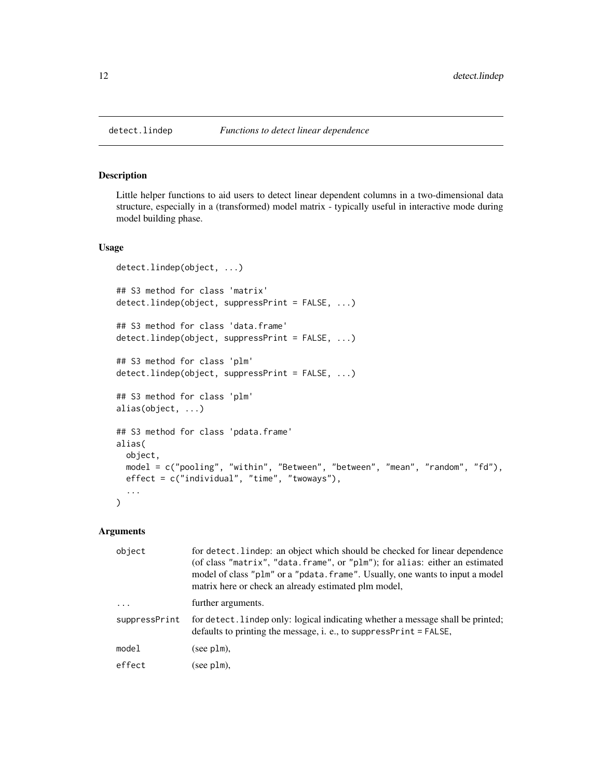#### Description

Little helper functions to aid users to detect linear dependent columns in a two-dimensional data structure, especially in a (transformed) model matrix - typically useful in interactive mode during model building phase.

## Usage

```
detect.lindep(object, ...)
## S3 method for class 'matrix'
detect.lindep(object, suppressPrint = FALSE, ...)
## S3 method for class 'data.frame'
detect.lindep(object, suppressPrint = FALSE, ...)
## S3 method for class 'plm'
detect.lindep(object, suppressPrint = FALSE, ...)
## S3 method for class 'plm'
alias(object, ...)
## S3 method for class 'pdata.frame'
alias(
 object,
 model = c("pooling", "within", "Between", "between", "mean", "random", "fd"),
 effect = c("individual", "time", "twoways"),
  ...
\mathcal{L}
```
#### Arguments

| object        | for detect. lindep: an object which should be checked for linear dependence<br>(of class "matrix", "data. frame", or "plm"); for alias: either an estimated<br>model of class "plm" or a "pdata. frame". Usually, one wants to input a model<br>matrix here or check an already estimated plm model, |
|---------------|------------------------------------------------------------------------------------------------------------------------------------------------------------------------------------------------------------------------------------------------------------------------------------------------------|
| $\cdot$       | further arguments.                                                                                                                                                                                                                                                                                   |
| suppressPrint | for detect. lindep only: logical indicating whether a message shall be printed;<br>defaults to printing the message, i. e., to suppress $Print = FALSE$ ,                                                                                                                                            |
| model         | (see plm),                                                                                                                                                                                                                                                                                           |
| effect        | (see plm),                                                                                                                                                                                                                                                                                           |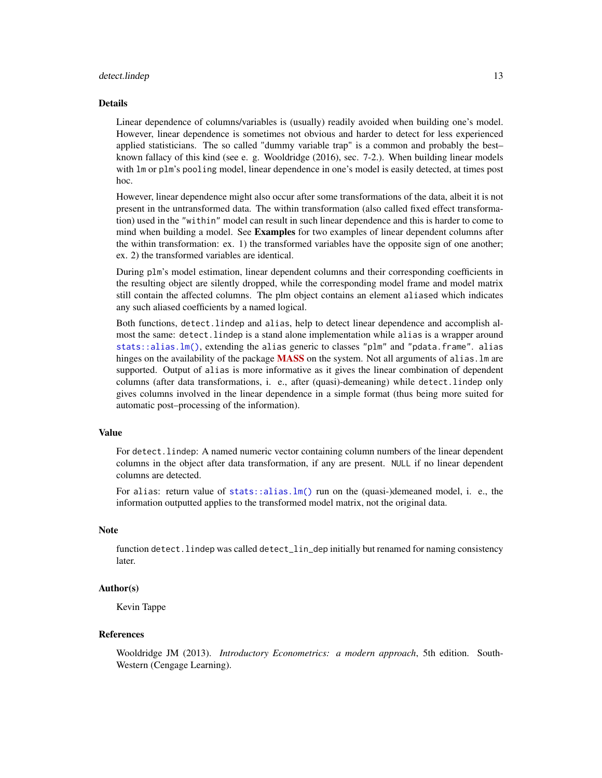#### detect.lindep 13

#### Details

Linear dependence of columns/variables is (usually) readily avoided when building one's model. However, linear dependence is sometimes not obvious and harder to detect for less experienced applied statisticians. The so called "dummy variable trap" is a common and probably the best– known fallacy of this kind (see e. g. Wooldridge (2016), sec. 7-2.). When building linear models with lm or plm's pooling model, linear dependence in one's model is easily detected, at times post hoc.

However, linear dependence might also occur after some transformations of the data, albeit it is not present in the untransformed data. The within transformation (also called fixed effect transformation) used in the "within" model can result in such linear dependence and this is harder to come to mind when building a model. See Examples for two examples of linear dependent columns after the within transformation: ex. 1) the transformed variables have the opposite sign of one another; ex. 2) the transformed variables are identical.

During plm's model estimation, linear dependent columns and their corresponding coefficients in the resulting object are silently dropped, while the corresponding model frame and model matrix still contain the affected columns. The plm object contains an element aliased which indicates any such aliased coefficients by a named logical.

Both functions, detect.lindep and alias, help to detect linear dependence and accomplish almost the same: detect.lindep is a stand alone implementation while alias is a wrapper around [stats::alias.lm\(\)](#page-0-0), extending the alias generic to classes "plm" and "pdata.frame". alias hinges on the availability of the package [MASS](https://CRAN.R-project.org/package=MASS) on the system. Not all arguments of alias. Im are supported. Output of alias is more informative as it gives the linear combination of dependent columns (after data transformations, i. e., after (quasi)-demeaning) while detect.lindep only gives columns involved in the linear dependence in a simple format (thus being more suited for automatic post–processing of the information).

## Value

For detect.lindep: A named numeric vector containing column numbers of the linear dependent columns in the object after data transformation, if any are present. NULL if no linear dependent columns are detected.

For alias: return value of [stats::alias.lm\(\)](#page-0-0) run on the (quasi-)demeaned model, i. e., the information outputted applies to the transformed model matrix, not the original data.

#### Note

function detect. lindep was called detect\_lin\_dep initially but renamed for naming consistency later.

## Author(s)

Kevin Tappe

#### References

Wooldridge JM (2013). *Introductory Econometrics: a modern approach*, 5th edition. South-Western (Cengage Learning).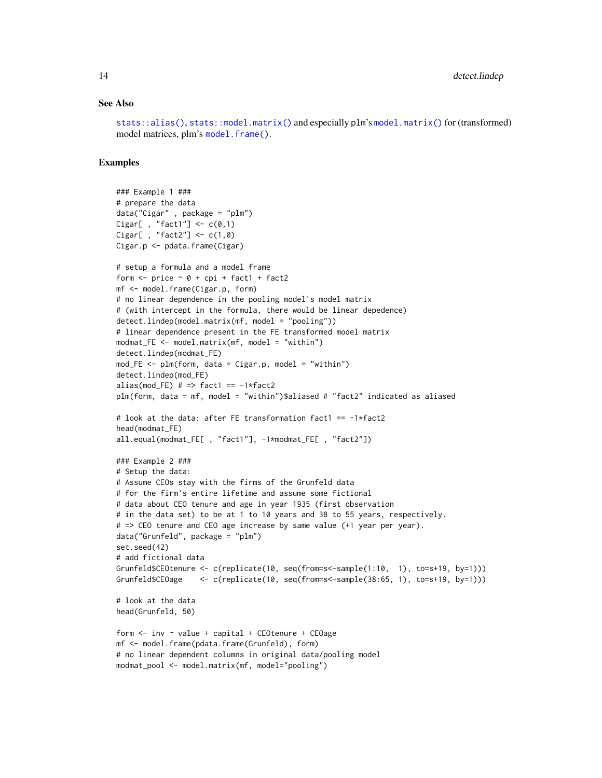#### See Also

[stats::alias\(\)](#page-0-0), [stats::model.matrix\(\)](#page-0-0) and especially plm's [model.matrix\(\)](#page-0-0) for (transformed) model matrices, plm's [model.frame\(\)](#page-0-0).

#### Examples

```
### Example 1 ###
# prepare the data
data("Cigar" , package = "plm")
Cigar[ , "fact1"] \leftarrow c(0,1)
Cigar[, "fact2"] <- c(1,0)Cigar.p <- pdata.frame(Cigar)
# setup a formula and a model frame
form \le- price \sim 0 + cpi + fact1 + fact2
mf <- model.frame(Cigar.p, form)
# no linear dependence in the pooling model's model matrix
# (with intercept in the formula, there would be linear depedence)
detect.lindep(model.matrix(mf, model = "pooling"))
# linear dependence present in the FE transformed model matrix
modmat_FE <- model.matrix(mf, model = "within")
detect.lindep(modmat_FE)
mod\_FE \leq plm-form, data = Cigar.p, model = "within")detect.lindep(mod_FE)
alias(mod_FE) # \Rightarrow fact1 == -1*fact2
plm(form, data = mf, model = "within")$aliased # "fact2" indicated as aliased
# look at the data: after FE transformation fact1 == -1*fact2
head(modmat_FE)
all.equal(modmat_FE[ , "fact1"], -1*modmat_FE[ , "fact2"])
### Example 2 ###
# Setup the data:
# Assume CEOs stay with the firms of the Grunfeld data
# for the firm's entire lifetime and assume some fictional
# data about CEO tenure and age in year 1935 (first observation
# in the data set) to be at 1 to 10 years and 38 to 55 years, respectively.
# => CEO tenure and CEO age increase by same value (+1 year per year).
data("Grunfeld", package = "plm")
set.seed(42)
# add fictional data
Grunfeld$CEOtenure <- c(replicate(10, seq(from=s<-sample(1:10, 1), to=s+19, by=1)))
Grunfeld$CEOage <- c(replicate(10, seq(from=s<-sample(38:65, 1), to=s+19, by=1)))
# look at the data
head(Grunfeld, 50)
form \le inv \sim value + capital + CEOtenure + CEOage
mf <- model.frame(pdata.frame(Grunfeld), form)
# no linear dependent columns in original data/pooling model
modmat_pool <- model.matrix(mf, model="pooling")
```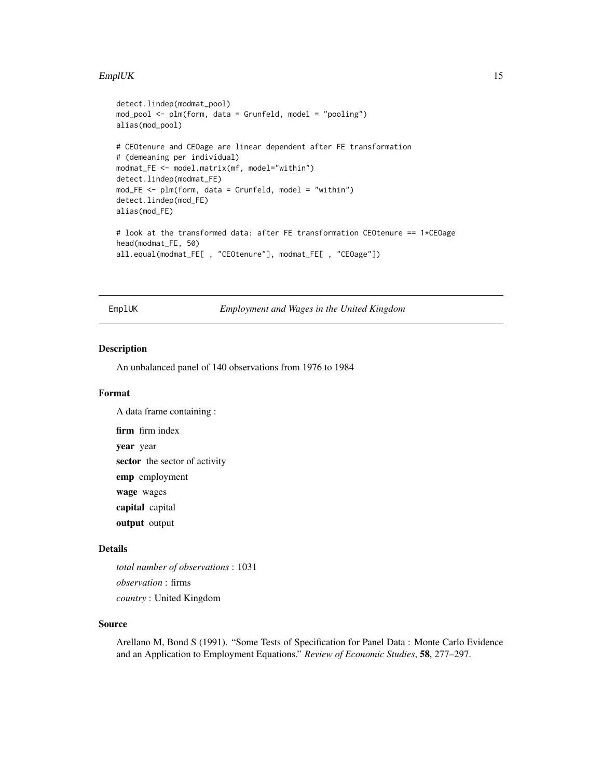#### <span id="page-14-0"></span> $EmpIUK$  15

```
detect.lindep(modmat_pool)
mod_pool <- plm(form, data = Grunfeld, model = "pooling")
alias(mod_pool)
# CEOtenure and CEOage are linear dependent after FE transformation
# (demeaning per individual)
modmat_FE <- model.matrix(mf, model="within")
detect.lindep(modmat_FE)
mod\_FE \leq plm(from, data = Grunfeld, model = "within")detect.lindep(mod_FE)
alias(mod_FE)
# look at the transformed data: after FE transformation CEOtenure == 1*CEOage
head(modmat_FE, 50)
all.equal(modmat_FE[ , "CEOtenure"], modmat_FE[ , "CEOage"])
```
EmplUK *Employment and Wages in the United Kingdom*

#### Description

An unbalanced panel of 140 observations from 1976 to 1984

#### Format

A data frame containing :

firm firm index year year sector the sector of activity emp employment wage wages capital capital

output output

## Details

*total number of observations* : 1031 *observation* : firms *country* : United Kingdom

#### Source

Arellano M, Bond S (1991). "Some Tests of Specification for Panel Data : Monte Carlo Evidence and an Application to Employment Equations." *Review of Economic Studies*, 58, 277–297.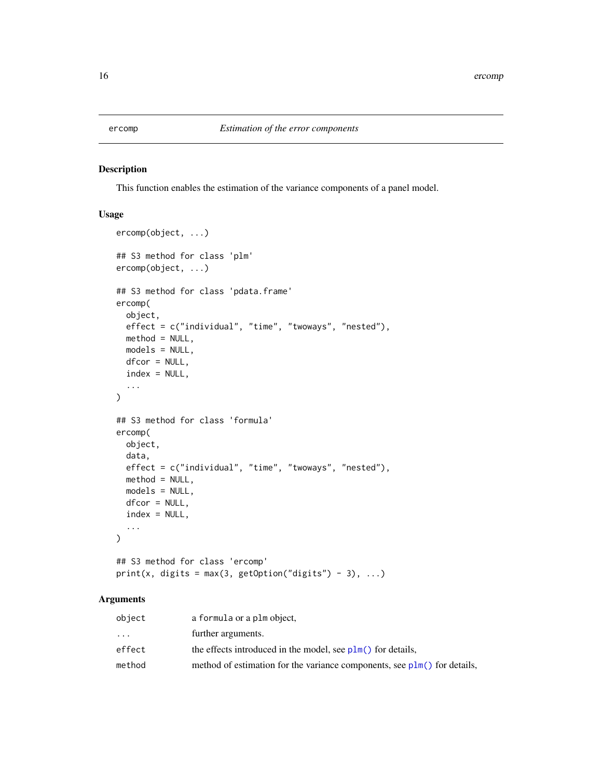<span id="page-15-0"></span>

## Description

This function enables the estimation of the variance components of a panel model.

## Usage

```
ercomp(object, ...)
## S3 method for class 'plm'
ercomp(object, ...)
## S3 method for class 'pdata.frame'
ercomp(
 object,
 effect = c("individual", "time", "twoways", "nested"),
 method = NULL,models = NULL,
 dfcor = NULL,
  index = NULL,
  ...
)
## S3 method for class 'formula'
ercomp(
 object,
  data,
 effect = c("individual", "time", "twoways", "nested"),
 method = NULL,models = NULL,
 dfcor = NULL,
  index = NULL,...
\mathcal{L}## S3 method for class 'ercomp'
```
print(x, digits = max(3, getOption("digits") - 3), ...)

## Arguments

| object    | a formula or a plm object,                                                 |
|-----------|----------------------------------------------------------------------------|
| $\ddotsc$ | further arguments.                                                         |
| effect    | the effects introduced in the model, see $plm()$ for details,              |
| method    | method of estimation for the variance components, see $plm()$ for details, |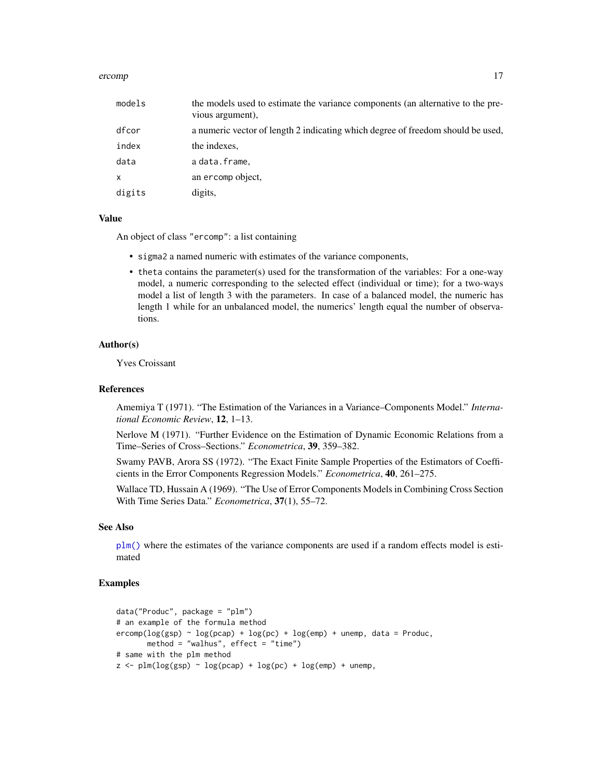#### ercomp and the second state of the second state of the second state of the second state of the second state of the second state of the second state of the second state of the second state of the second state of the second

| models | the models used to estimate the variance components (an alternative to the pre-<br>vious argument), |
|--------|-----------------------------------------------------------------------------------------------------|
| dfcor  | a numeric vector of length 2 indicating which degree of freedom should be used,                     |
| index  | the indexes.                                                                                        |
| data   | a data.frame,                                                                                       |
| x      | an ercomp object,                                                                                   |
| digits | digits,                                                                                             |

## Value

An object of class "ercomp": a list containing

- sigma2 a named numeric with estimates of the variance components,
- theta contains the parameter(s) used for the transformation of the variables: For a one-way model, a numeric corresponding to the selected effect (individual or time); for a two-ways model a list of length 3 with the parameters. In case of a balanced model, the numeric has length 1 while for an unbalanced model, the numerics' length equal the number of observations.

#### Author(s)

Yves Croissant

#### References

Amemiya T (1971). "The Estimation of the Variances in a Variance–Components Model." *International Economic Review*, 12, 1–13.

Nerlove M (1971). "Further Evidence on the Estimation of Dynamic Economic Relations from a Time–Series of Cross–Sections." *Econometrica*, 39, 359–382.

Swamy PAVB, Arora SS (1972). "The Exact Finite Sample Properties of the Estimators of Coefficients in the Error Components Regression Models." *Econometrica*, 40, 261–275.

Wallace TD, Hussain A (1969). "The Use of Error Components Models in Combining Cross Section With Time Series Data." *Econometrica*, 37(1), 55–72.

#### See Also

[plm\(\)](#page-90-1) where the estimates of the variance components are used if a random effects model is estimated

## Examples

```
data("Produc", package = "plm")
# an example of the formula method
ercomp(log(sp) ~ log(pcap) + log(pc) + log(emp) + unemp, data = Product,method = "walhus", effect = "time")# same with the plm method
z \le plm(log(gsp) \sim log(pcap) + log(pc) + log(emp) + unemp,
```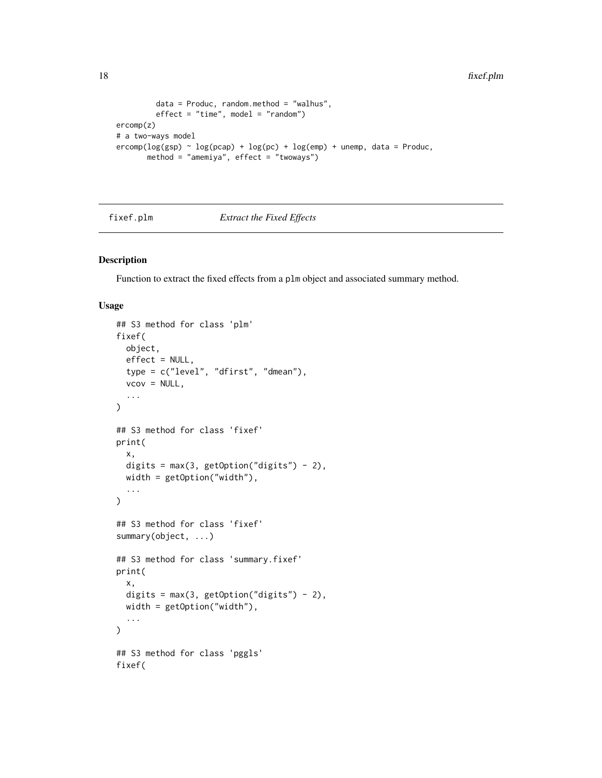```
data = Produc, random.method = "walhus",
           effect = "time", model = "random")ercomp(z)
# a two-ways model
\text{ercomp}(\log(\text{gsp}) \sim \log(\text{pcap}) + \log(\text{pc}) + \log(\text{emp}) + \text{unemp}, \text{data} = \text{Produc},method = "amemiya", effect = "twoways")
```
fixef.plm *Extract the Fixed Effects*

## Description

Function to extract the fixed effects from a plm object and associated summary method.

## Usage

```
## S3 method for class 'plm'
fixef(
 object,
 effect = NULL,
  type = c("level", "dfirst", "dmean"),
  vcov = NULL,...
\lambda## S3 method for class 'fixef'
print(
 x,
 digits = max(3, getOption("digits") - 2),width = getOption("width"),
  ...
\mathcal{L}## S3 method for class 'fixef'
summary(object, ...)
## S3 method for class 'summary.fixef'
print(
  x,
 digits = max(3, getOption("digits") - 2),
 width = getOption("width"),
  ...
\lambda## S3 method for class 'pggls'
fixef(
```
<span id="page-17-0"></span>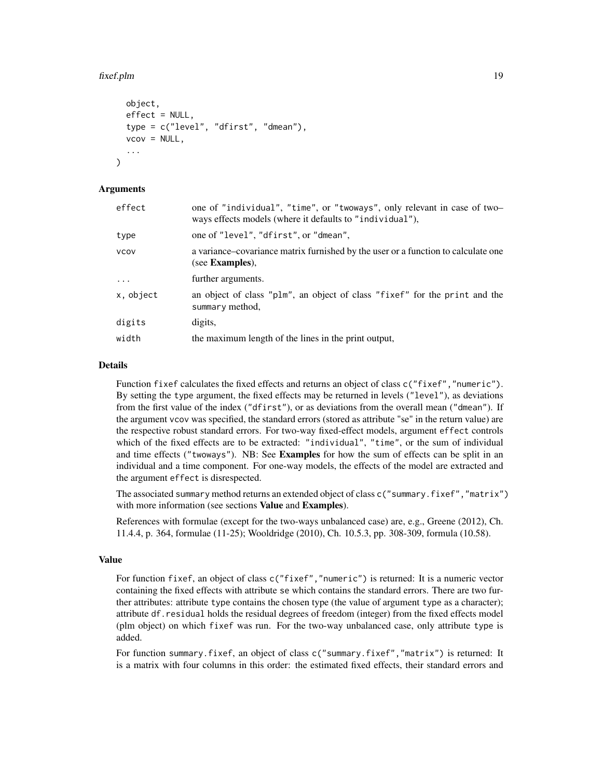#### fixef.plm 19

```
object,
  effect = NULL,type = c("level", "dfirst", "dmean"),
  vcov = NULL,...
)
```
## Arguments

| effect    | one of "individual", "time", or "twoways", only relevant in case of two-<br>ways effects models (where it defaults to "individual"), |
|-----------|--------------------------------------------------------------------------------------------------------------------------------------|
| type      | one of "level", "dfirst", or "dmean",                                                                                                |
| VCOV      | a variance-covariance matrix furnished by the user or a function to calculate one<br>(see <b>Examples</b> ),                         |
| $\cdots$  | further arguments.                                                                                                                   |
| x, object | an object of class "plm", an object of class "fixef" for the print and the<br>summary method,                                        |
| digits    | digits,                                                                                                                              |
| width     | the maximum length of the lines in the print output,                                                                                 |

#### Details

Function fixef calculates the fixed effects and returns an object of class  $c("fixef", "numeric")$ . By setting the type argument, the fixed effects may be returned in levels ("level"), as deviations from the first value of the index ("dfirst"), or as deviations from the overall mean ("dmean"). If the argument vcov was specified, the standard errors (stored as attribute "se" in the return value) are the respective robust standard errors. For two-way fixed-effect models, argument effect controls which of the fixed effects are to be extracted: "individual", "time", or the sum of individual and time effects ("twoways"). NB: See Examples for how the sum of effects can be split in an individual and a time component. For one-way models, the effects of the model are extracted and the argument effect is disrespected.

The associated summary method returns an extended object of class c("summary.fixef","matrix") with more information (see sections **Value** and **Examples**).

References with formulae (except for the two-ways unbalanced case) are, e.g., Greene (2012), Ch. 11.4.4, p. 364, formulae (11-25); Wooldridge (2010), Ch. 10.5.3, pp. 308-309, formula (10.58).

#### Value

For function fixef, an object of class c("fixef","numeric") is returned: It is a numeric vector containing the fixed effects with attribute se which contains the standard errors. There are two further attributes: attribute type contains the chosen type (the value of argument type as a character); attribute df.residual holds the residual degrees of freedom (integer) from the fixed effects model (plm object) on which fixef was run. For the two-way unbalanced case, only attribute type is added.

For function summary.fixef, an object of class c("summary.fixef","matrix") is returned: It is a matrix with four columns in this order: the estimated fixed effects, their standard errors and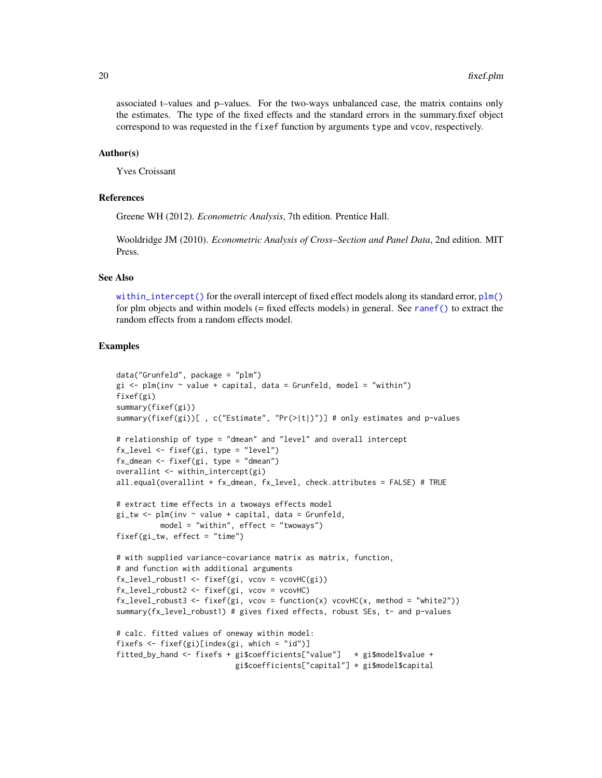associated t–values and p–values. For the two-ways unbalanced case, the matrix contains only the estimates. The type of the fixed effects and the standard errors in the summary.fixef object correspond to was requested in the fixef function by arguments type and vcov, respectively.

#### Author(s)

Yves Croissant

## References

Greene WH (2012). *Econometric Analysis*, 7th edition. Prentice Hall.

Wooldridge JM (2010). *Econometric Analysis of Cross–Section and Panel Data*, 2nd edition. MIT Press.

#### See Also

[within\\_intercept\(\)](#page-154-1) for the overall intercept of fixed effect models along its standard error, [plm\(\)](#page-90-1) for plm objects and within models (= fixed effects models) in general. See [ranef\(\)](#page-132-1) to extract the random effects from a random effects model.

## Examples

```
data("Grunfeld", package = "plm")
gi \leq plm(inv \sim value + capital, data = Grunfeld, model = "within")fixef(gi)
summary(fixef(gi))
summary(fixef(gi))[ , c("Estimate", "Pr(>|t|)")] # only estimates and p-values
# relationship of type = "dmean" and "level" and overall intercept
fx_level <- fixef(gi, type = "level")
fx_dmean <- fixef(gi, type = "dmean")
overallint <- within_intercept(gi)
all.equal(overallint + fx_dmean, fx_level, check.attributes = FALSE) # TRUE
# extract time effects in a twoways effects model
gi_tw <- plm(inv ~ value + capital, data = Grunfeld,
          model = "within", effect = "twoways")fixed(gi_t, effect = "time")# with supplied variance-covariance matrix as matrix, function,
# and function with additional arguments
fx_level_robust1 <- fixef(gi, vcov = vcovHC(gi))
fx_level_robust2 <- fixef(gi, vcov = vcovHC)
fx_{\text{level\_robust3}} \leftarrow fix\text{e}f(gi, \text{vcov} = function(x) \text{vcovHC}(x, \text{method} = "white2"))summary(fx_level_robust1) # gives fixed effects, robust SEs, t- and p-values
# calc. fitted values of oneway within model:
fixefs <- fixef(gi)[index(gi, which = "id")]
fitted_by_hand <- fixefs + gi$coefficients["value"] * gi$model$value +
                            gi$coefficients["capital"] * gi$model$capital
```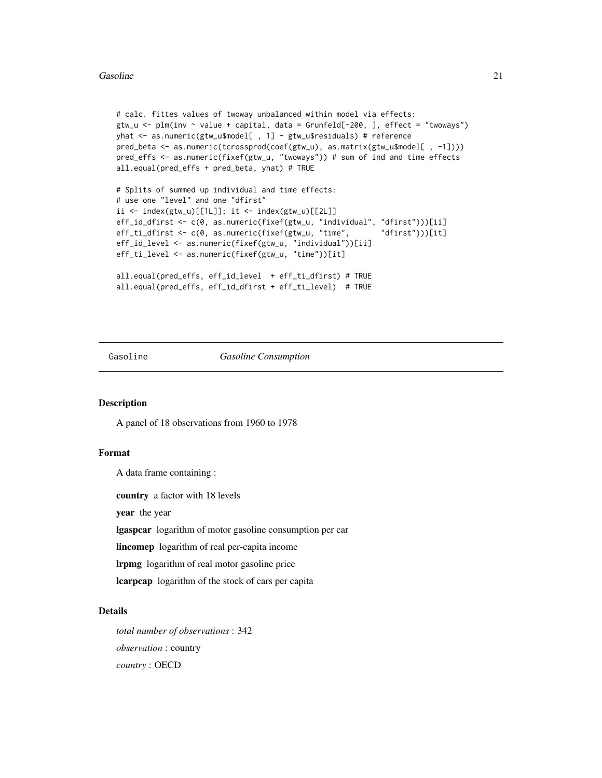#### <span id="page-20-0"></span>Gasoline 21

```
# calc. fittes values of twoway unbalanced within model via effects:
gtw_u <- plm(inv ~ value + capital, data = Grunfeld[-200, ], effect = "twoways")
yhat <- as.numeric(gtw_u$model[ , 1] - gtw_u$residuals) # reference
pred_beta <- as.numeric(tcrossprod(coef(gtw_u), as.matrix(gtw_u$model[ , -1])))
pred_effs <- as.numeric(fixef(gtw_u, "twoways")) # sum of ind and time effects
all.equal(pred_effs + pred_beta, yhat) # TRUE
```

```
# Splits of summed up individual and time effects:
# use one "level" and one "dfirst"
ii <- index(gtw_u)[[1L]]; it <- index(gtw_u)[[2L]]
eff_id_dfirst <- c(0, as.numeric(fixef(gtw_u, "individual", "dfirst")))[ii]
eff_ti_dfirst <- c(0, as.numeric(fixef(gtw_u, "time", "dfirst")))[it]
eff_id_level <- as.numeric(fixef(gtw_u, "individual"))[ii]
eff_ti_level <- as.numeric(fixef(gtw_u, "time"))[it]
all.equal(pred_effs, eff_id_level + eff_ti_dfirst) # TRUE
```

```
all.equal(pred_effs, eff_id_dfirst + eff_ti_level) # TRUE
```
#### Gasoline *Gasoline Consumption*

## Description

A panel of 18 observations from 1960 to 1978

## Format

A data frame containing :

country a factor with 18 levels

year the year

lgaspcar logarithm of motor gasoline consumption per car

lincomep logarithm of real per-capita income

lrpmg logarithm of real motor gasoline price

lcarpcap logarithm of the stock of cars per capita

## Details

*total number of observations* : 342 *observation* : country *country* : OECD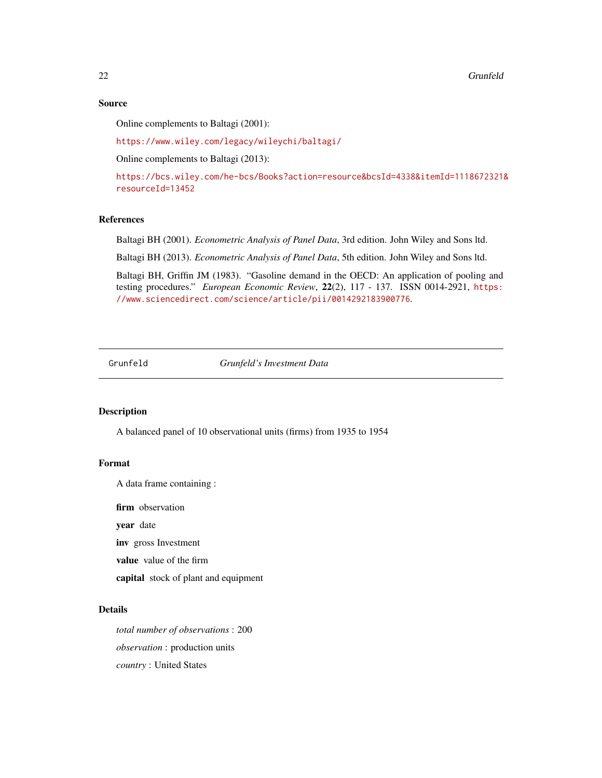#### <span id="page-21-0"></span>Source

Online complements to Baltagi (2001):

<https://www.wiley.com/legacy/wileychi/baltagi/>

Online complements to Baltagi (2013):

[https://bcs.wiley.com/he-bcs/Books?action=resource&bcsId=4338&itemId=1118672321&](https://bcs.wiley.com/he-bcs/Books?action=resource&bcsId=4338&itemId=1118672321&resourceId=13452) [resourceId=13452](https://bcs.wiley.com/he-bcs/Books?action=resource&bcsId=4338&itemId=1118672321&resourceId=13452)

#### References

Baltagi BH (2001). *Econometric Analysis of Panel Data*, 3rd edition. John Wiley and Sons ltd.

Baltagi BH (2013). *Econometric Analysis of Panel Data*, 5th edition. John Wiley and Sons ltd.

Baltagi BH, Griffin JM (1983). "Gasoline demand in the OECD: An application of pooling and testing procedures." *European Economic Review*, 22(2), 117 - 137. ISSN 0014-2921, [https:](https://www.sciencedirect.com/science/article/pii/0014292183900776) [//www.sciencedirect.com/science/article/pii/0014292183900776](https://www.sciencedirect.com/science/article/pii/0014292183900776).

Grunfeld *Grunfeld's Investment Data*

## Description

A balanced panel of 10 observational units (firms) from 1935 to 1954

#### Format

A data frame containing :

firm observation

year date

inv gross Investment

value value of the firm

capital stock of plant and equipment

## Details

*total number of observations* : 200 *observation* : production units *country* : United States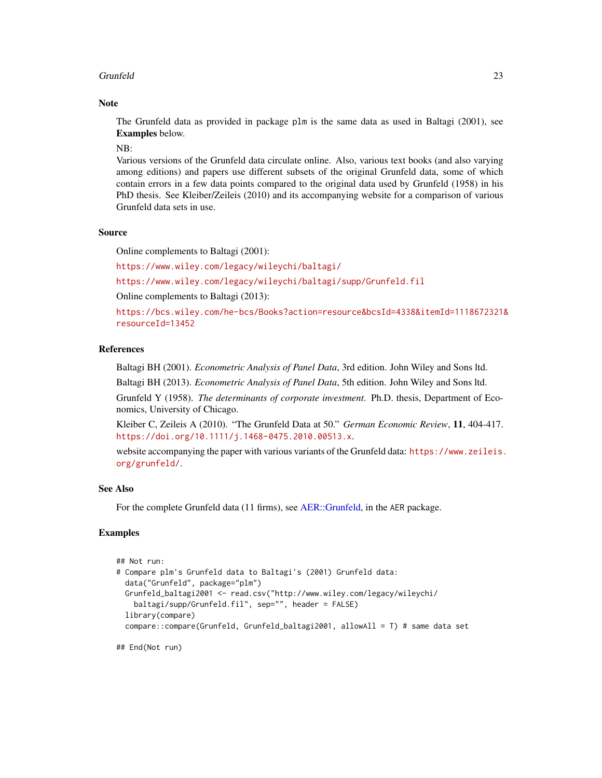## Grunfeld 23

## **Note**

The Grunfeld data as provided in package plm is the same data as used in Baltagi (2001), see Examples below.

NB:

Various versions of the Grunfeld data circulate online. Also, various text books (and also varying among editions) and papers use different subsets of the original Grunfeld data, some of which contain errors in a few data points compared to the original data used by Grunfeld (1958) in his PhD thesis. See Kleiber/Zeileis (2010) and its accompanying website for a comparison of various Grunfeld data sets in use.

## Source

Online complements to Baltagi (2001):

<https://www.wiley.com/legacy/wileychi/baltagi/>

<https://www.wiley.com/legacy/wileychi/baltagi/supp/Grunfeld.fil>

Online complements to Baltagi (2013):

[https://bcs.wiley.com/he-bcs/Books?action=resource&bcsId=4338&itemId=1118672321&](https://bcs.wiley.com/he-bcs/Books?action=resource&bcsId=4338&itemId=1118672321&resourceId=13452) [resourceId=13452](https://bcs.wiley.com/he-bcs/Books?action=resource&bcsId=4338&itemId=1118672321&resourceId=13452)

## References

Baltagi BH (2001). *Econometric Analysis of Panel Data*, 3rd edition. John Wiley and Sons ltd.

Baltagi BH (2013). *Econometric Analysis of Panel Data*, 5th edition. John Wiley and Sons ltd.

Grunfeld Y (1958). *The determinants of corporate investment*. Ph.D. thesis, Department of Economics, University of Chicago.

Kleiber C, Zeileis A (2010). "The Grunfeld Data at 50." *German Economic Review*, 11, 404-417. <https://doi.org/10.1111/j.1468-0475.2010.00513.x>.

website accompanying the paper with various variants of the Grunfeld data: [https://www.zeileis.](https://www.zeileis.org/grunfeld/) [org/grunfeld/](https://www.zeileis.org/grunfeld/).

#### See Also

For the complete Grunfeld data (11 firms), see [AER::Grunfeld,](#page-0-0) in the AER package.

## Examples

```
## Not run:
# Compare plm's Grunfeld data to Baltagi's (2001) Grunfeld data:
 data("Grunfeld", package="plm")
 Grunfeld_baltagi2001 <- read.csv("http://www.wiley.com/legacy/wileychi/
   baltagi/supp/Grunfeld.fil", sep="", header = FALSE)
 library(compare)
 compare::compare(Grunfeld, Grunfeld_baltagi2001, allowAll = T) # same data set
```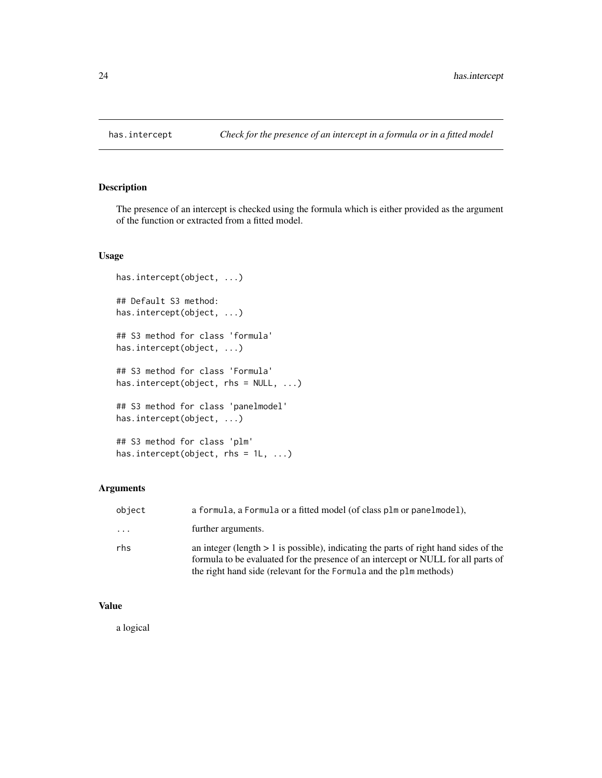<span id="page-23-0"></span>

## Description

The presence of an intercept is checked using the formula which is either provided as the argument of the function or extracted from a fitted model.

## Usage

```
has.intercept(object, ...)
## Default S3 method:
has.intercept(object, ...)
## S3 method for class 'formula'
has.intercept(object, ...)
## S3 method for class 'Formula'
has.intercept(object, rhs = NULL, ...)
## S3 method for class 'panelmodel'
has.intercept(object, ...)
## S3 method for class 'plm'
has.intercept(object, rhs = 1L, ...)
```
## Arguments

| object | a formula, a Formula or a fitted model (of class plm or panelmodel),                                                                                                                                                                              |
|--------|---------------------------------------------------------------------------------------------------------------------------------------------------------------------------------------------------------------------------------------------------|
| .      | further arguments.                                                                                                                                                                                                                                |
| rhs    | an integer (length $> 1$ is possible), indicating the parts of right hand sides of the<br>formula to be evaluated for the presence of an intercept or NULL for all parts of<br>the right hand side (relevant for the Formula and the plm methods) |

## Value

a logical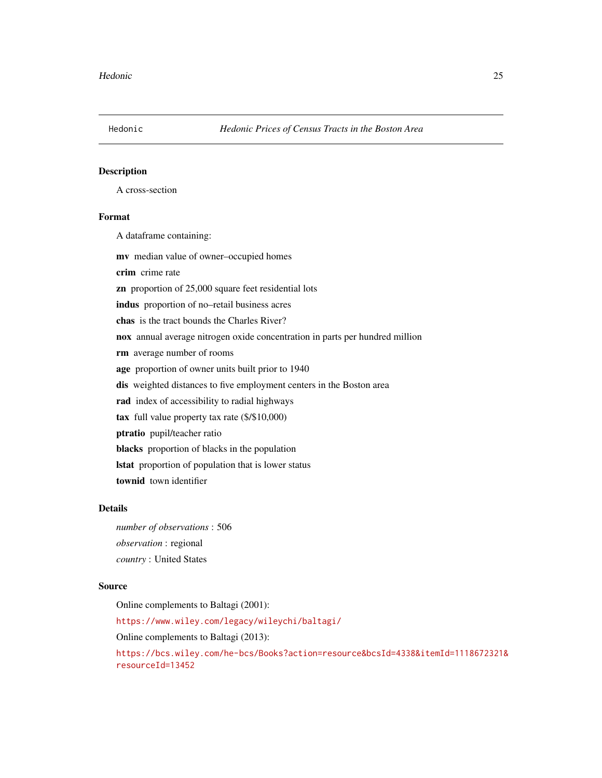<span id="page-24-0"></span>

## Description

A cross-section

## Format

A dataframe containing:

mv median value of owner–occupied homes

crim crime rate

zn proportion of 25,000 square feet residential lots

indus proportion of no–retail business acres

chas is the tract bounds the Charles River?

nox annual average nitrogen oxide concentration in parts per hundred million

rm average number of rooms

age proportion of owner units built prior to 1940

dis weighted distances to five employment centers in the Boston area

rad index of accessibility to radial highways

tax full value property tax rate (\$/\$10,000)

ptratio pupil/teacher ratio

blacks proportion of blacks in the population

lstat proportion of population that is lower status

townid town identifier

## Details

*number of observations* : 506 *observation* : regional *country* : United States

#### Source

Online complements to Baltagi (2001):

<https://www.wiley.com/legacy/wileychi/baltagi/>

Online complements to Baltagi (2013):

[https://bcs.wiley.com/he-bcs/Books?action=resource&bcsId=4338&itemId=1118672321&](https://bcs.wiley.com/he-bcs/Books?action=resource&bcsId=4338&itemId=1118672321&resourceId=13452) [resourceId=13452](https://bcs.wiley.com/he-bcs/Books?action=resource&bcsId=4338&itemId=1118672321&resourceId=13452)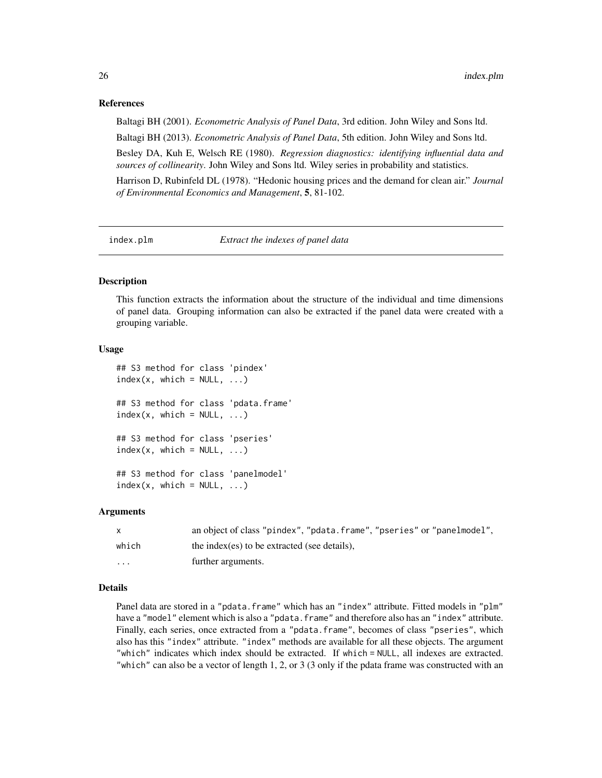## References

Baltagi BH (2001). *Econometric Analysis of Panel Data*, 3rd edition. John Wiley and Sons ltd.

Baltagi BH (2013). *Econometric Analysis of Panel Data*, 5th edition. John Wiley and Sons ltd.

Besley DA, Kuh E, Welsch RE (1980). *Regression diagnostics: identifying influential data and sources of collinearity*. John Wiley and Sons ltd. Wiley series in probability and statistics.

Harrison D, Rubinfeld DL (1978). "Hedonic housing prices and the demand for clean air." *Journal of Environmental Economics and Management*, 5, 81-102.

index.plm *Extract the indexes of panel data*

## Description

This function extracts the information about the structure of the individual and time dimensions of panel data. Grouping information can also be extracted if the panel data were created with a grouping variable.

## Usage

```
## S3 method for class 'pindex'
index(x, which = NULL, ...)## S3 method for class 'pdata.frame'
index(x, which = NULL, ...)## S3 method for class 'pseries'
index(x, which = NULL, ...)## S3 method for class 'panelmodel'
index(x, which = NULL, ...)
```
#### Arguments

|                         | an object of class "pindex", "pdata.frame", "pseries" or "panelmodel", |
|-------------------------|------------------------------------------------------------------------|
| which                   | the index (es) to be extracted (see details).                          |
| $\cdot$ $\cdot$ $\cdot$ | further arguments.                                                     |

#### Details

Panel data are stored in a "pdata.frame" which has an "index" attribute. Fitted models in "plm" have a "model" element which is also a "pdata.frame" and therefore also has an "index" attribute. Finally, each series, once extracted from a "pdata.frame", becomes of class "pseries", which also has this "index" attribute. "index" methods are available for all these objects. The argument "which" indicates which index should be extracted. If which = NULL, all indexes are extracted. "which" can also be a vector of length 1, 2, or 3 (3 only if the pdata frame was constructed with an

<span id="page-25-0"></span>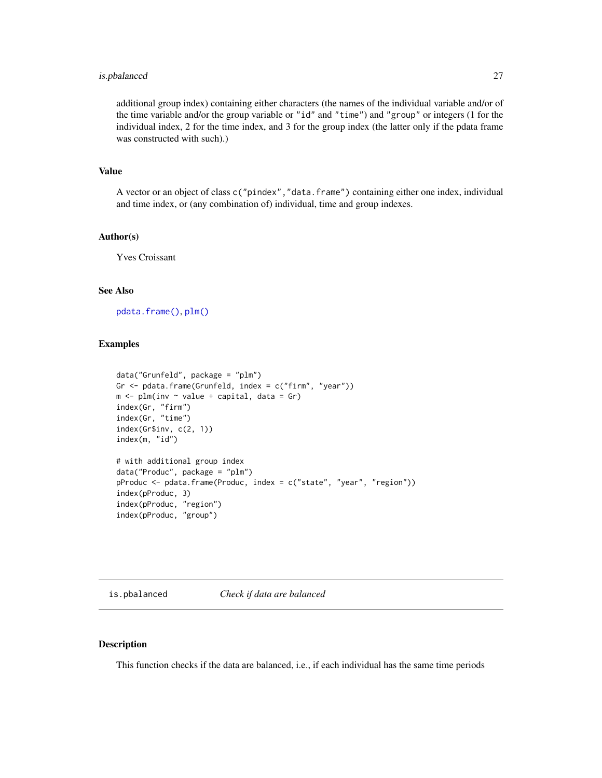## <span id="page-26-0"></span>is.pbalanced 27

additional group index) containing either characters (the names of the individual variable and/or of the time variable and/or the group variable or "id" and "time") and "group" or integers (1 for the individual index, 2 for the time index, and 3 for the group index (the latter only if the pdata frame was constructed with such).)

#### Value

A vector or an object of class c("pindex","data.frame") containing either one index, individual and time index, or (any combination of) individual, time and group indexes.

## Author(s)

Yves Croissant

## See Also

[pdata.frame\(\)](#page-63-1), [plm\(\)](#page-90-1)

## Examples

```
data("Grunfeld", package = "plm")
Gr \leq pdata.frame(Grunfeld, index = c("firm", "year"))
m \le -\text{plm}(inv \sim value + \text{capital}, \text{ data} = \text{Gr})index(Gr, "firm")
index(Gr, "time")
index(Gr$inv, c(2, 1))
index(m, "id")
# with additional group index
data("Produc", package = "plm")
pProduc <- pdata.frame(Produc, index = c("state", "year", "region"))
index(pProduc, 3)
index(pProduc, "region")
index(pProduc, "group")
```
is.pbalanced *Check if data are balanced*

## Description

This function checks if the data are balanced, i.e., if each individual has the same time periods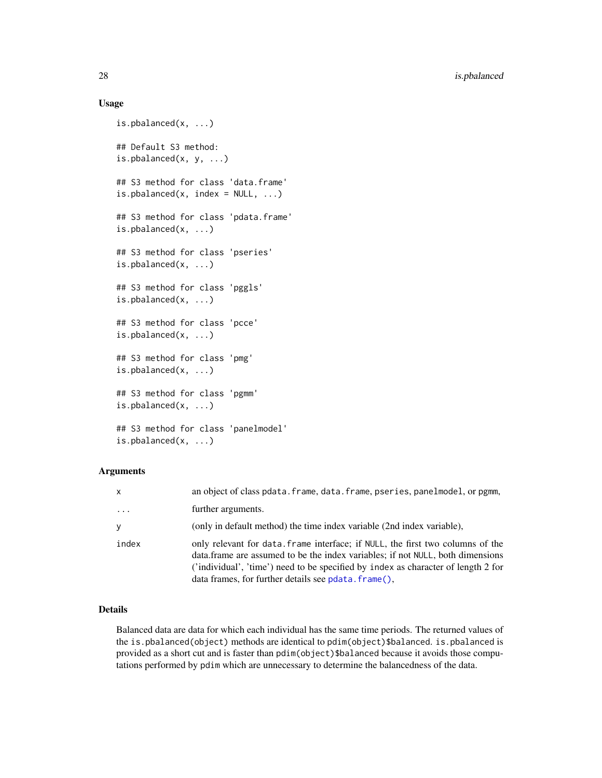## Usage

```
is.pbalanced(x, ...)
## Default S3 method:
is.pbalanced(x, y, \ldots)## S3 method for class 'data.frame'
is.pbalanced(x, index = NULL, ...)## S3 method for class 'pdata.frame'
is.pbalanced(x, ...)
## S3 method for class 'pseries'
is.pbalanced(x, ...)
## S3 method for class 'pggls'
is.pbalanced(x, ...)
## S3 method for class 'pcce'
is.pbalanced(x, ...)
## S3 method for class 'pmg'
is.pbalanced(x, ...)
## S3 method for class 'pgmm'
is.pbalanced(x, ...)
## S3 method for class 'panelmodel'
is.pbalanced(x, ...)
```
## Arguments

| $\mathsf{x}$ | an object of class pdata. frame, data. frame, pseries, panelmodel, or pgmm,                                                                                                                                                                                                                                   |
|--------------|---------------------------------------------------------------------------------------------------------------------------------------------------------------------------------------------------------------------------------------------------------------------------------------------------------------|
| .            | further arguments.                                                                                                                                                                                                                                                                                            |
| y            | (only in default method) the time index variable (2nd index variable),                                                                                                                                                                                                                                        |
| index        | only relevant for data. Frame interface; if NULL, the first two columns of the<br>data frame are assumed to be the index variables; if not NULL, both dimensions<br>('individual', 'time') need to be specified by index as character of length 2 for<br>data frames, for further details see pdata. frame(), |

## Details

Balanced data are data for which each individual has the same time periods. The returned values of the is.pbalanced(object) methods are identical to pdim(object)\$balanced. is.pbalanced is provided as a short cut and is faster than pdim(object)\$balanced because it avoids those computations performed by pdim which are unnecessary to determine the balancedness of the data.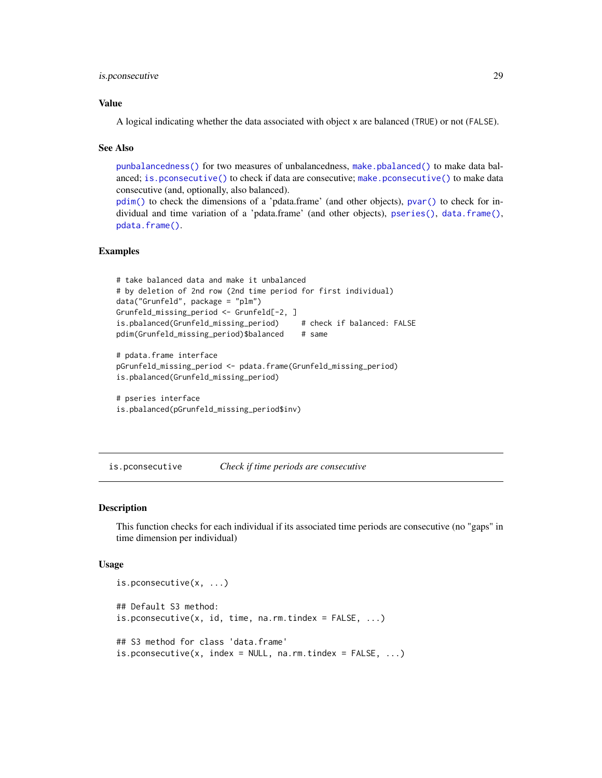## <span id="page-28-0"></span>is.pconsecutive 29

## Value

A logical indicating whether the data associated with object x are balanced (TRUE) or not (FALSE).

#### See Also

[punbalancedness\(\)](#page-113-1) for two measures of unbalancedness, [make.pbalanced\(\)](#page-37-1) to make data balanced; [is.pconsecutive\(\)](#page-28-1) to check if data are consecutive; [make.pconsecutive\(\)](#page-41-1) to make data consecutive (and, optionally, also balanced).

[pdim\(\)](#page-67-1) to check the dimensions of a 'pdata.frame' (and other objects), [pvar\(\)](#page-119-1) to check for individual and time variation of a 'pdata.frame' (and other objects), [pseries\(\)](#page-108-1), [data.frame\(\)](#page-0-0), [pdata.frame\(\)](#page-63-1).

## Examples

```
# take balanced data and make it unbalanced
# by deletion of 2nd row (2nd time period for first individual)
data("Grunfeld", package = "plm")
Grunfeld_missing_period <- Grunfeld[-2, ]
is.pbalanced(Grunfeld_missing_period) # check if balanced: FALSE
pdim(Grunfeld_missing_period)$balanced # same
# pdata.frame interface
pGrunfeld_missing_period <- pdata.frame(Grunfeld_missing_period)
is.pbalanced(Grunfeld_missing_period)
```

```
# pseries interface
is.pbalanced(pGrunfeld_missing_period$inv)
```
<span id="page-28-1"></span>is.pconsecutive *Check if time periods are consecutive*

#### Description

This function checks for each individual if its associated time periods are consecutive (no "gaps" in time dimension per individual)

#### Usage

```
is.pconsecutive(x, ...)
## Default S3 method:
is.pconsecutive(x, id, time, na.rm.tindex = FALSE, ...)
## S3 method for class 'data.frame'
is.pconsecutive(x, index = NULL, na.rm.tindex = FALSE, ...)
```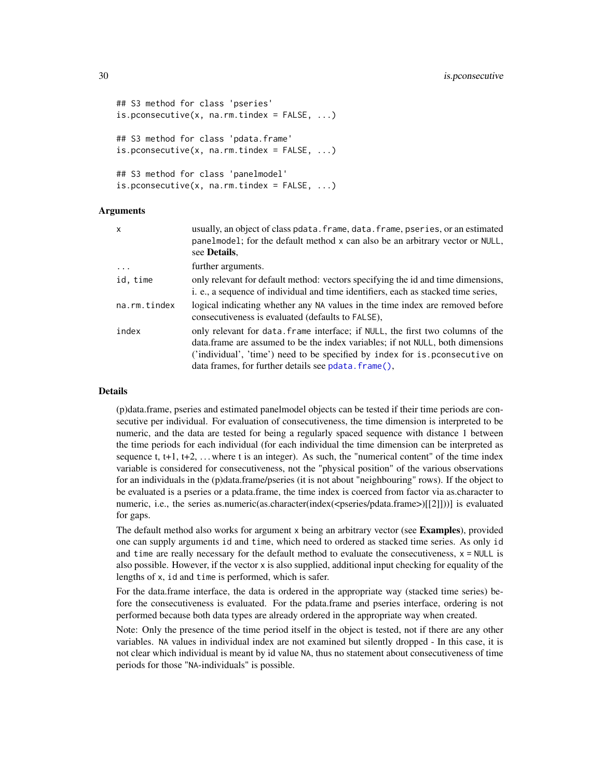```
## S3 method for class 'pseries'
is.pconsecutive(x, na.rm.tindex = FALSE, ...)
## S3 method for class 'pdata.frame'
is.pconsecutive(x, na.rm.tindex = FALSE, ...)
## S3 method for class 'panelmodel'
is.pconsecutive(x, na.rm.tindex = FALSE, ...)
```
## Arguments

| x            | usually, an object of class pdata. frame, data. frame, pseries, or an estimated<br>panelmodel; for the default method x can also be an arbitrary vector or NULL,<br>see Details.                                                                                                                         |
|--------------|----------------------------------------------------------------------------------------------------------------------------------------------------------------------------------------------------------------------------------------------------------------------------------------------------------|
| $\ddots$     | further arguments.                                                                                                                                                                                                                                                                                       |
| id, time     | only relevant for default method: vectors specifying the id and time dimensions,<br>i. e., a sequence of individual and time identifiers, each as stacked time series,                                                                                                                                   |
| na.rm.tindex | logical indicating whether any NA values in the time index are removed before<br>consecutiveness is evaluated (defaults to FALSE),                                                                                                                                                                       |
| index        | only relevant for data. frame interface; if NULL, the first two columns of the<br>data. frame are assumed to be the index variables; if not NULL, both dimensions<br>('individual', 'time') need to be specified by index for is pronsecutive on<br>data frames, for further details see pdata. frame(), |

#### Details

(p)data.frame, pseries and estimated panelmodel objects can be tested if their time periods are consecutive per individual. For evaluation of consecutiveness, the time dimension is interpreted to be numeric, and the data are tested for being a regularly spaced sequence with distance 1 between the time periods for each individual (for each individual the time dimension can be interpreted as sequence t,  $t+1$ ,  $t+2$ , ... where t is an integer). As such, the "numerical content" of the time index variable is considered for consecutiveness, not the "physical position" of the various observations for an individuals in the (p)data.frame/pseries (it is not about "neighbouring" rows). If the object to be evaluated is a pseries or a pdata.frame, the time index is coerced from factor via as.character to numeric, i.e., the series as.numeric(as.character(index(<pseries/pdata.frame>)[[2]]))] is evaluated for gaps.

The default method also works for argument x being an arbitrary vector (see Examples), provided one can supply arguments id and time, which need to ordered as stacked time series. As only id and time are really necessary for the default method to evaluate the consecutiveness,  $x = NULL$  is also possible. However, if the vector x is also supplied, additional input checking for equality of the lengths of x, id and time is performed, which is safer.

For the data.frame interface, the data is ordered in the appropriate way (stacked time series) before the consecutiveness is evaluated. For the pdata.frame and pseries interface, ordering is not performed because both data types are already ordered in the appropriate way when created.

Note: Only the presence of the time period itself in the object is tested, not if there are any other variables. NA values in individual index are not examined but silently dropped - In this case, it is not clear which individual is meant by id value NA, thus no statement about consecutiveness of time periods for those "NA-individuals" is possible.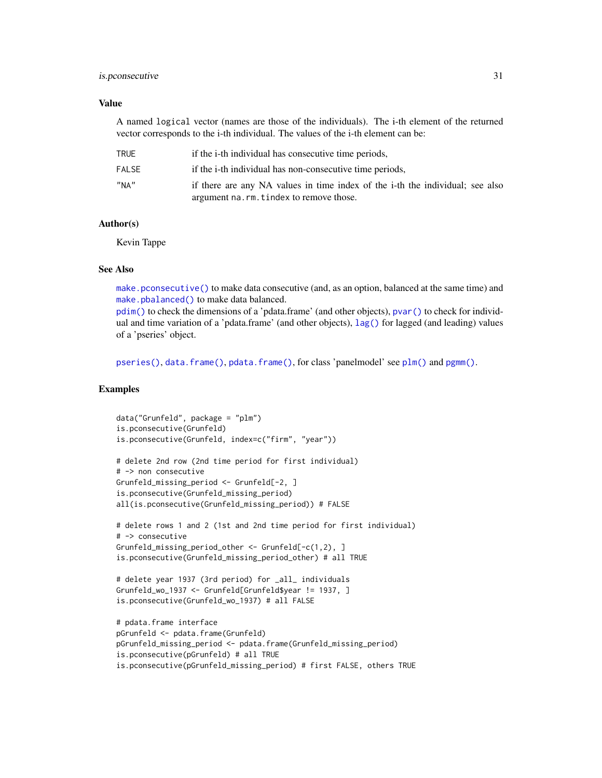#### is.pconsecutive 31

## Value

A named logical vector (names are those of the individuals). The i-th element of the returned vector corresponds to the i-th individual. The values of the i-th element can be:

| TRUE   | if the i-th individual has consecutive time periods,                                                                    |
|--------|-------------------------------------------------------------------------------------------------------------------------|
| FAI SF | if the i-th individual has non-consecutive time periods,                                                                |
| "NA"   | if there are any NA values in time index of the i-th the individual; see also<br>argument na.rm.tindex to remove those. |

## Author(s)

Kevin Tappe

## See Also

[make.pconsecutive\(\)](#page-41-1) to make data consecutive (and, as an option, balanced at the same time) and [make.pbalanced\(\)](#page-37-1) to make data balanced.

[pdim\(\)](#page-67-1) to check the dimensions of a 'pdata.frame' (and other objects), [pvar\(\)](#page-119-1) to check for individual and time variation of a 'pdata.frame' (and other objects), [lag\(\)](#page-33-1) for lagged (and leading) values of a 'pseries' object.

[pseries\(\)](#page-108-1), [data.frame\(\)](#page-0-0), [pdata.frame\(\)](#page-63-1), for class 'panelmodel' see [plm\(\)](#page-90-1) and [pgmm\(\)](#page-74-1).

## Examples

```
data("Grunfeld", package = "plm")
is.pconsecutive(Grunfeld)
is.pconsecutive(Grunfeld, index=c("firm", "year"))
# delete 2nd row (2nd time period for first individual)
# -> non consecutive
Grunfeld_missing_period <- Grunfeld[-2, ]
is.pconsecutive(Grunfeld_missing_period)
all(is.pconsecutive(Grunfeld_missing_period)) # FALSE
# delete rows 1 and 2 (1st and 2nd time period for first individual)
# -> consecutive
Grunfeld_missing_period_other <- Grunfeld[-c(1,2), ]
is.pconsecutive(Grunfeld_missing_period_other) # all TRUE
# delete year 1937 (3rd period) for _all_ individuals
Grunfeld_wo_1937 <- Grunfeld[Grunfeld$year != 1937, ]
is.pconsecutive(Grunfeld_wo_1937) # all FALSE
# pdata.frame interface
pGrunfeld <- pdata.frame(Grunfeld)
pGrunfeld_missing_period <- pdata.frame(Grunfeld_missing_period)
is.pconsecutive(pGrunfeld) # all TRUE
is.pconsecutive(pGrunfeld_missing_period) # first FALSE, others TRUE
```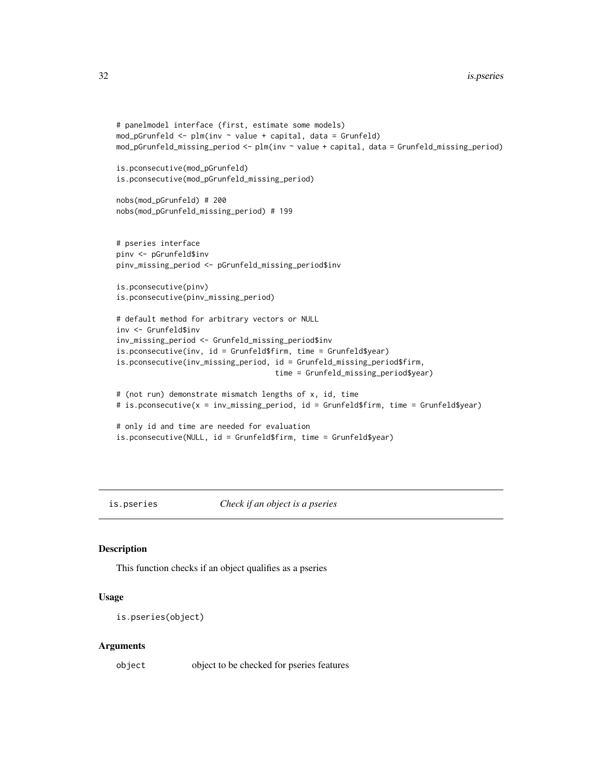```
# panelmodel interface (first, estimate some models)
mod\_pGrunfeld \leftarrow plm(inv \sim value + capital, data = Grunfeld)mod_pGrunfeld_missing_period <- plm(inv ~ value + capital, data = Grunfeld_missing_period)
is.pconsecutive(mod_pGrunfeld)
is.pconsecutive(mod_pGrunfeld_missing_period)
nobs(mod_pGrunfeld) # 200
nobs(mod_pGrunfeld_missing_period) # 199
# pseries interface
pinv <- pGrunfeld$inv
pinv_missing_period <- pGrunfeld_missing_period$inv
is.pconsecutive(pinv)
is.pconsecutive(pinv_missing_period)
# default method for arbitrary vectors or NULL
inv <- Grunfeld$inv
inv_missing_period <- Grunfeld_missing_period$inv
is.pconsecutive(inv, id = Grunfeld$firm, time = Grunfeld$year)
is.pconsecutive(inv_missing_period, id = Grunfeld_missing_period$firm,
                                    time = Grunfeld_missing_period$year)
# (not run) demonstrate mismatch lengths of x, id, time
# is.pconsecutive(x = inv_missing_period, id = Grunfeld$firm, time = Grunfeld$year)
# only id and time are needed for evaluation
is.pconsecutive(NULL, id = Grunfeld$firm, time = Grunfeld$year)
```
is.pseries *Check if an object is a pseries*

#### Description

This function checks if an object qualifies as a pseries

#### Usage

```
is.pseries(object)
```
#### Arguments

object object to be checked for pseries features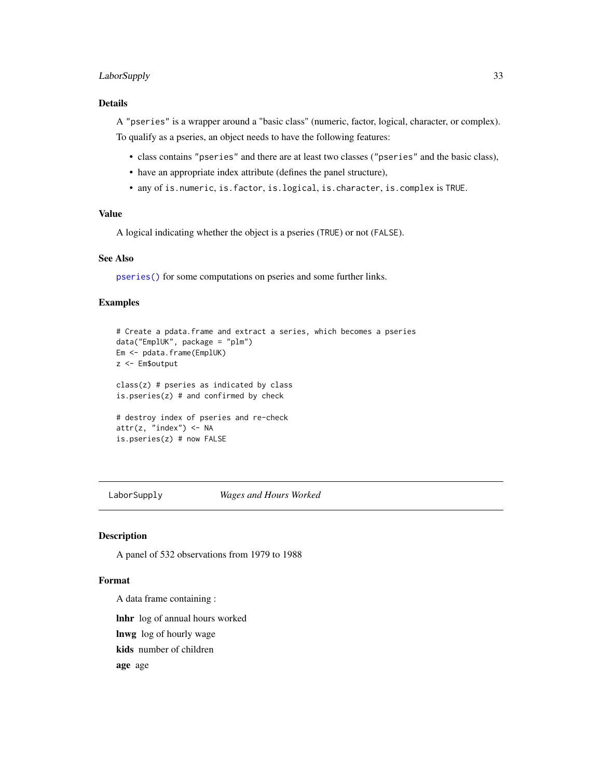## <span id="page-32-0"></span>LaborSupply 33

## Details

A "pseries" is a wrapper around a "basic class" (numeric, factor, logical, character, or complex). To qualify as a pseries, an object needs to have the following features:

- class contains "pseries" and there are at least two classes ("pseries" and the basic class),
- have an appropriate index attribute (defines the panel structure),
- any of is.numeric, is.factor, is.logical, is.character, is.complex is TRUE.

## Value

A logical indicating whether the object is a pseries (TRUE) or not (FALSE).

## See Also

[pseries\(\)](#page-108-1) for some computations on pseries and some further links.

## Examples

```
# Create a pdata.frame and extract a series, which becomes a pseries
data("EmplUK", package = "plm")
Em <- pdata.frame(EmplUK)
z <- Em$output
class(z) # pseries as indicated by class
is.pseries(z) # and confirmed by check
# destroy index of pseries and re-check
attr(z, "index") <- NA
is.pseries(z) # now FALSE
```
LaborSupply *Wages and Hours Worked*

#### Description

A panel of 532 observations from 1979 to 1988

## Format

A data frame containing :

lnhr log of annual hours worked

lnwg log of hourly wage

kids number of children

age age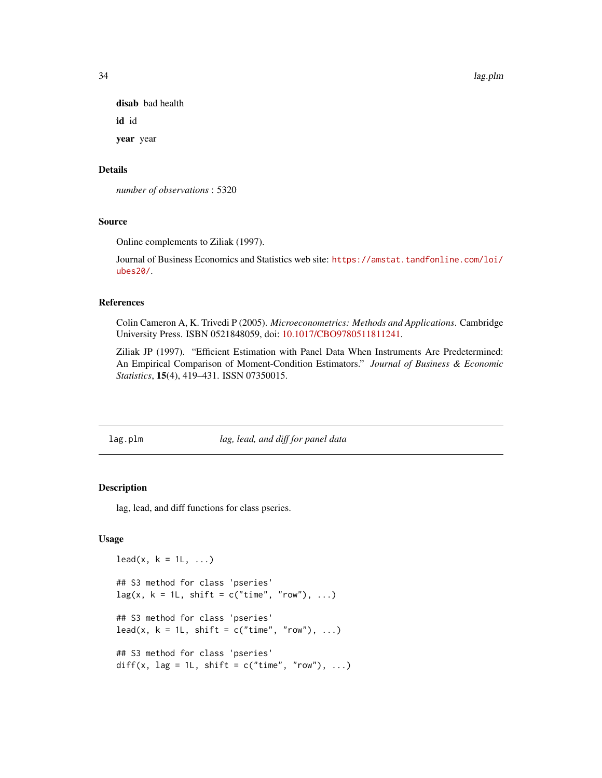<span id="page-33-0"></span>disab bad health

id id

year year

## Details

*number of observations* : 5320

## Source

Online complements to Ziliak (1997).

Journal of Business Economics and Statistics web site: [https://amstat.tandfonline.com/loi/](https://amstat.tandfonline.com/loi/ubes20/) [ubes20/](https://amstat.tandfonline.com/loi/ubes20/).

#### References

Colin Cameron A, K. Trivedi P (2005). *Microeconometrics: Methods and Applications*. Cambridge University Press. ISBN 0521848059, doi: [10.1017/CBO9780511811241.](https://doi.org/10.1017/CBO9780511811241)

Ziliak JP (1997). "Efficient Estimation with Panel Data When Instruments Are Predetermined: An Empirical Comparison of Moment-Condition Estimators." *Journal of Business & Economic Statistics*, 15(4), 419–431. ISSN 07350015.

lag.plm *lag, lead, and diff for panel data*

#### <span id="page-33-1"></span>Description

lag, lead, and diff functions for class pseries.

## Usage

```
lead(x, k = 1L, ...)## S3 method for class 'pseries'
lag(x, k = 1L, shift = c("time", "row"), ...)## S3 method for class 'pseries'
lead(x, k = 1L, shift = c("time", "row"), ...)## S3 method for class 'pseries'
diff(x, lag = 1L, shift = c("time", "row"), ...)
```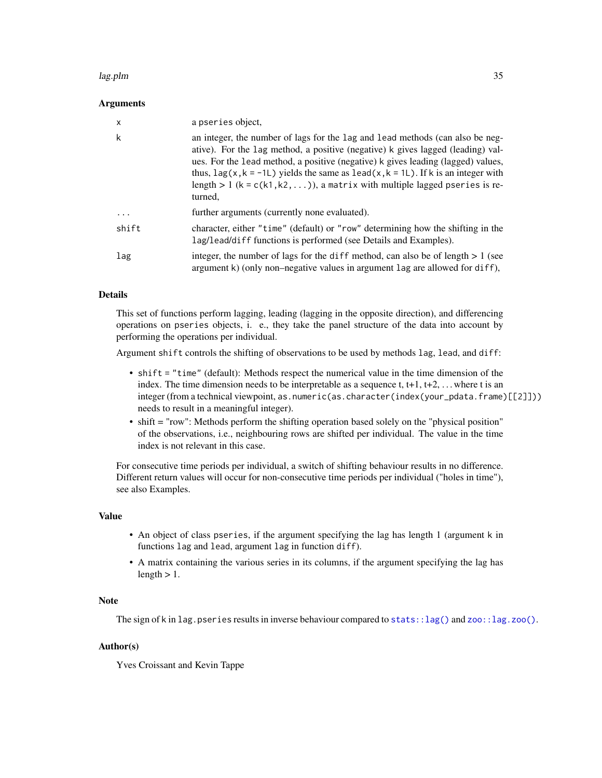#### lag.plm 35

#### Arguments

| X     | a pseries object.                                                                                                                                                                                                                                                                                                                                                                                                                                         |
|-------|-----------------------------------------------------------------------------------------------------------------------------------------------------------------------------------------------------------------------------------------------------------------------------------------------------------------------------------------------------------------------------------------------------------------------------------------------------------|
| k     | an integer, the number of lags for the lag and lead methods (can also be neg-<br>ative). For the lag method, a positive (negative) k gives lagged (leading) val-<br>ues. For the lead method, a positive (negative) k gives leading (lagged) values,<br>thus, $\text{lag}(x, k = -1L)$ yields the same as $\text{lead}(x, k = 1L)$ . If k is an integer with<br>length > 1 ( $k = c(k1, k2, )$ ), a matrix with multiple lagged pseries is re-<br>turned. |
| .     | further arguments (currently none evaluated).                                                                                                                                                                                                                                                                                                                                                                                                             |
| shift | character, either "time" (default) or "row" determining how the shifting in the<br>lag/lead/diff functions is performed (see Details and Examples).                                                                                                                                                                                                                                                                                                       |
| lag   | integer, the number of lags for the diff method, can also be of length $> 1$ (see<br>argument k) (only non-negative values in argument lag are allowed for diff),                                                                                                                                                                                                                                                                                         |

## Details

This set of functions perform lagging, leading (lagging in the opposite direction), and differencing operations on pseries objects, i. e., they take the panel structure of the data into account by performing the operations per individual.

Argument shift controls the shifting of observations to be used by methods lag, lead, and diff:

- shift = "time" (default): Methods respect the numerical value in the time dimension of the index. The time dimension needs to be interpretable as a sequence t,  $t+1$ ,  $t+2$ , ... where t is an integer (from a technical viewpoint, as.numeric(as.character(index(your\_pdata.frame)[[2]])) needs to result in a meaningful integer).
- shift = "row": Methods perform the shifting operation based solely on the "physical position" of the observations, i.e., neighbouring rows are shifted per individual. The value in the time index is not relevant in this case.

For consecutive time periods per individual, a switch of shifting behaviour results in no difference. Different return values will occur for non-consecutive time periods per individual ("holes in time"), see also Examples.

#### Value

- An object of class pseries, if the argument specifying the lag has length 1 (argument k in functions lag and lead, argument lag in function diff).
- A matrix containing the various series in its columns, if the argument specifying the lag has length  $> 1$ .

## Note

The sign of k in lag.pseries results in inverse behaviour compared to stats:: $lag()$  and  $zoo::lag.zoo()$ .

#### Author(s)

Yves Croissant and Kevin Tappe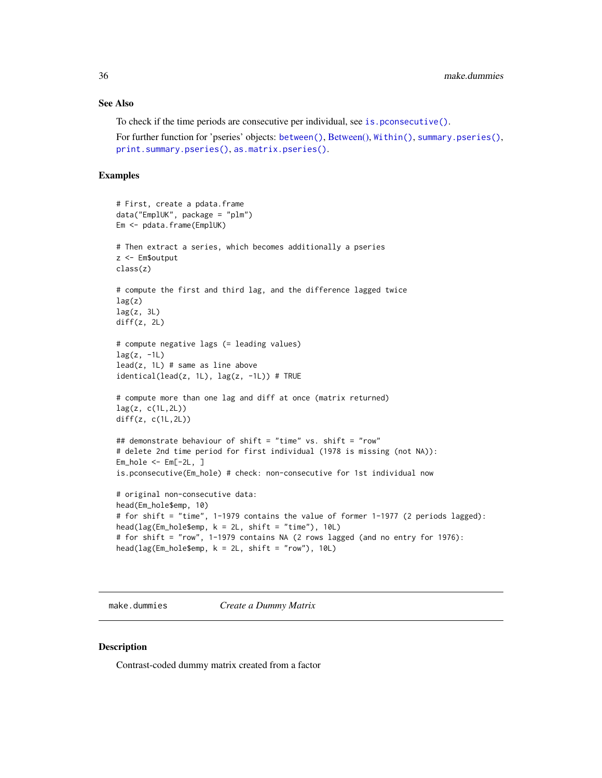## <span id="page-35-0"></span>See Also

To check if the time periods are consecutive per individual, see is, pconsecutive().

For further function for 'pseries' objects: [between\(\)](#page-108-2), [Between\(\),](#page-108-2) [Within\(\)](#page-108-2), [summary.pseries\(\)](#page-108-2), [print.summary.pseries\(\)](#page-108-2), [as.matrix.pseries\(\)](#page-108-2).

#### Examples

```
# First, create a pdata.frame
data("EmplUK", package = "plm")
Em <- pdata.frame(EmplUK)
# Then extract a series, which becomes additionally a pseries
z <- Em$output
class(z)
# compute the first and third lag, and the difference lagged twice
lag(z)lag(z, 3L)
diff(z, 2L)
# compute negative lags (= leading values)
lag(z, -1L)lead(z, 1L) # same as line above
identical(lead(z, 1L), lag(z, -1L)) # TRUE
# compute more than one lag and diff at once (matrix returned)
lag(z, c(1L, 2L))diff(z, c(1L,2L))
## demonstrate behaviour of shift = "time" vs. shift = "row"
# delete 2nd time period for first individual (1978 is missing (not NA)):
Em_hole <- Em[-2L, ]
is.pconsecutive(Em_hole) # check: non-consecutive for 1st individual now
# original non-consecutive data:
head(Em_hole$emp, 10)
# for shift = "time", 1-1979 contains the value of former 1-1977 (2 periods lagged):
head(lag(Em\_hole\{temp}, k = 2L, shift = "time"), 10L)
# for shift = "row", 1-1979 contains NA (2 rows lagged (and no entry for 1976):
head(lag(Em_hole$emp, k = 2L, shift = "row"), 10L)
```
make.dummies *Create a Dummy Matrix*

#### Description

Contrast-coded dummy matrix created from a factor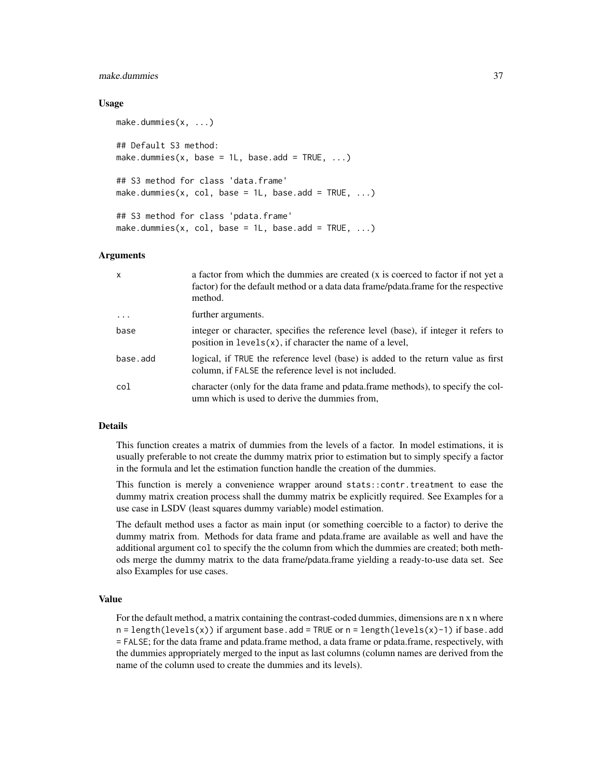### make.dummies 37

### Usage

```
make.dummies(x, ...)
## Default S3 method:
make.dummies(x, base = 1L, base.add = TRUE, ...)
## S3 method for class 'data.frame'
make.dummies(x, col, base = 1L, base.add = TRUE, \ldots)
## S3 method for class 'pdata.frame'
make.dummies(x, col, base = 1L, base.add = TRUE, \ldots)
```
#### Arguments

| $\mathsf{x}$ | a factor from which the dummies are created (x is coerced to factor if not yet a<br>factor) for the default method or a data data frame/pdata.frame for the respective<br>method. |
|--------------|-----------------------------------------------------------------------------------------------------------------------------------------------------------------------------------|
| $\cdot$      | further arguments.                                                                                                                                                                |
| base         | integer or character, specifies the reference level (base), if integer it refers to<br>position in $levels(x)$ , if character the name of a level,                                |
| base.add     | logical, if TRUE the reference level (base) is added to the return value as first<br>column, if FALSE the reference level is not included.                                        |
| col          | character (only for the data frame and pdata.frame methods), to specify the col-<br>umn which is used to derive the dummies from.                                                 |

## Details

This function creates a matrix of dummies from the levels of a factor. In model estimations, it is usually preferable to not create the dummy matrix prior to estimation but to simply specify a factor in the formula and let the estimation function handle the creation of the dummies.

This function is merely a convenience wrapper around stats::contr.treatment to ease the dummy matrix creation process shall the dummy matrix be explicitly required. See Examples for a use case in LSDV (least squares dummy variable) model estimation.

The default method uses a factor as main input (or something coercible to a factor) to derive the dummy matrix from. Methods for data frame and pdata.frame are available as well and have the additional argument col to specify the the column from which the dummies are created; both methods merge the dummy matrix to the data frame/pdata.frame yielding a ready-to-use data set. See also Examples for use cases.

## Value

For the default method, a matrix containing the contrast-coded dummies, dimensions are n x n where  $n = length(levels(x))$  if argument base.add = TRUE or  $n = length(levels(x)-1)$  if base.add = FALSE; for the data frame and pdata.frame method, a data frame or pdata.frame, respectively, with the dummies appropriately merged to the input as last columns (column names are derived from the name of the column used to create the dummies and its levels).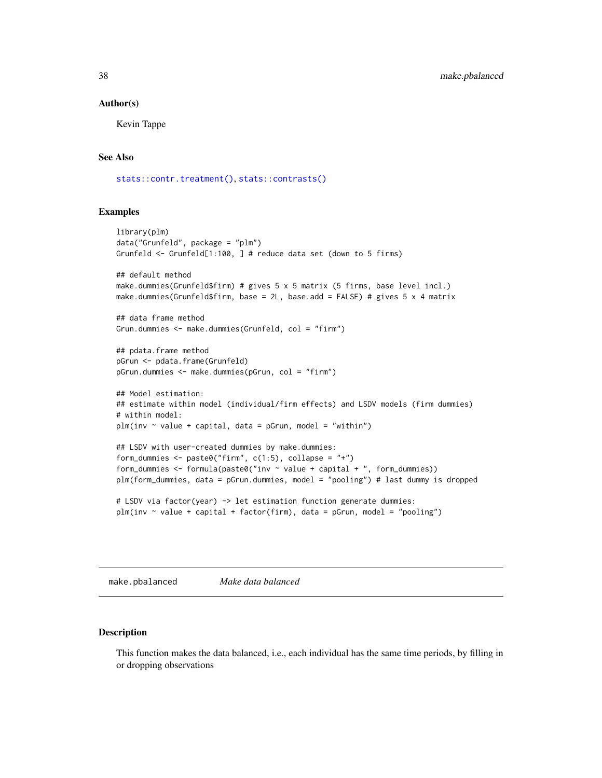#### Author(s)

Kevin Tappe

#### See Also

[stats::contr.treatment\(\)](#page-0-0), [stats::contrasts\(\)](#page-0-0)

### Examples

```
library(plm)
data("Grunfeld", package = "plm")
Grunfeld <- Grunfeld[1:100, ] # reduce data set (down to 5 firms)
## default method
make.dummies(Grunfeld$firm) # gives 5 x 5 matrix (5 firms, base level incl.)
make.dummies(Grunfeld$firm, base = 2L, base.add = FALSE) # gives 5 x 4 matrix
## data frame method
Grun.dummies <- make.dummies(Grunfeld, col = "firm")
## pdata.frame method
pGrun <- pdata.frame(Grunfeld)
pGrun.dummies <- make.dummies(pGrun, col = "firm")
## Model estimation:
## estimate within model (individual/firm effects) and LSDV models (firm dummies)
# within model:
plm(inv \sim value + capital, data = pGrun, model = "within")## LSDV with user-created dummies by make.dummies:
form_dummies <- paste0("firm", c(1:5), collapse = "+")
form_dummies \leq formula(paste0("inv \sim value + capital + ", form_dummies))
plm(form_dummies, data = pGrun.dummies, model = "pooling") # last dummy is dropped
# LSDV via factor(year) -> let estimation function generate dummies:
plm(inv ~ value + capital + factor(firm), data = pGrun, model = "pooling")
```
<span id="page-37-0"></span>make.pbalanced *Make data balanced*

### Description

This function makes the data balanced, i.e., each individual has the same time periods, by filling in or dropping observations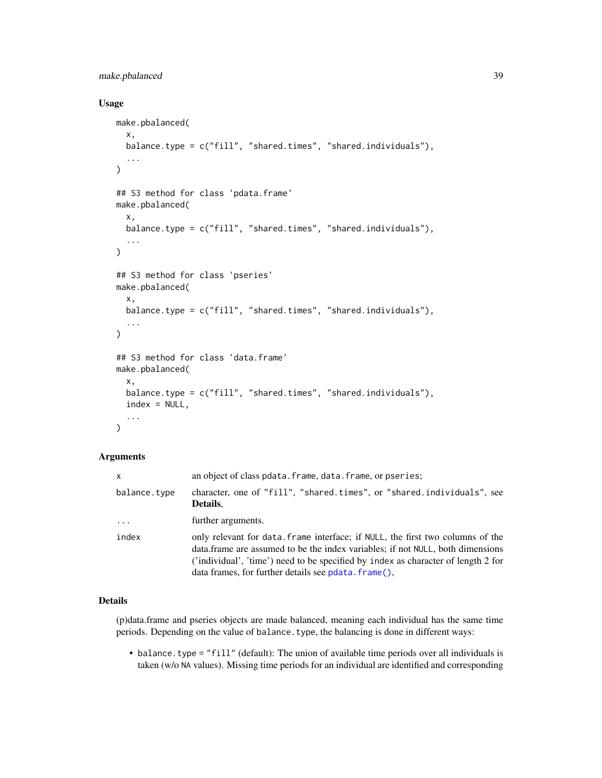# make.pbalanced 39

### Usage

```
make.pbalanced(
  x,
 balance.type = c("fill", "shared.times", "shared.individuals"),
  ...
\lambda## S3 method for class 'pdata.frame'
make.pbalanced(
  x,
 balance.type = c("fill", "shared.times", "shared.individuals"),
  ...
\mathcal{L}## S3 method for class 'pseries'
make.pbalanced(
  x,
 balance.type = c("fill", "shared.times", "shared.individuals"),
  ...
\mathcal{L}## S3 method for class 'data.frame'
make.pbalanced(
  x,
 balance.type = c("fill", "shared.times", "shared.individuals"),
  index = NULL,
  ...
\mathcal{L}
```
## Arguments

| x            | an object of class pdata. frame, data. frame, or pseries;                                                                                                                                                                                                                                                     |  |
|--------------|---------------------------------------------------------------------------------------------------------------------------------------------------------------------------------------------------------------------------------------------------------------------------------------------------------------|--|
| balance.type | character, one of "fill", "shared.times", or "shared.individuals", see<br>Details.                                                                                                                                                                                                                            |  |
| $\cdots$     | further arguments.                                                                                                                                                                                                                                                                                            |  |
| index        | only relevant for data. Frame interface; if NULL, the first two columns of the<br>data.frame are assumed to be the index variables; if not NULL, both dimensions<br>('individual', 'time') need to be specified by index as character of length 2 for<br>data frames, for further details see pdata. frame(), |  |

## Details

(p)data.frame and pseries objects are made balanced, meaning each individual has the same time periods. Depending on the value of balance.type, the balancing is done in different ways:

• balance.type = "fill" (default): The union of available time periods over all individuals is taken (w/o NA values). Missing time periods for an individual are identified and corresponding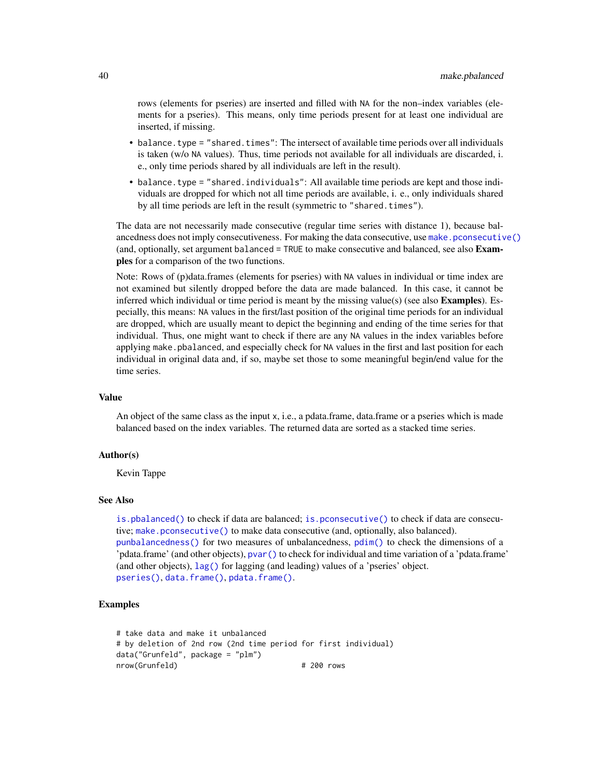rows (elements for pseries) are inserted and filled with NA for the non–index variables (elements for a pseries). This means, only time periods present for at least one individual are inserted, if missing.

- balance. type = "shared. times": The intersect of available time periods over all individuals is taken (w/o NA values). Thus, time periods not available for all individuals are discarded, i. e., only time periods shared by all individuals are left in the result).
- balance.type = "shared.individuals": All available time periods are kept and those individuals are dropped for which not all time periods are available, i. e., only individuals shared by all time periods are left in the result (symmetric to "shared.times").

The data are not necessarily made consecutive (regular time series with distance 1), because balancedness does not imply consecutiveness. For making the data consecutive, use [make.pconsecutive\(\)](#page-41-0) (and, optionally, set argument balanced = TRUE to make consecutive and balanced, see also **Exam**ples for a comparison of the two functions.

Note: Rows of (p)data.frames (elements for pseries) with NA values in individual or time index are not examined but silently dropped before the data are made balanced. In this case, it cannot be inferred which individual or time period is meant by the missing value(s) (see also **Examples**). Especially, this means: NA values in the first/last position of the original time periods for an individual are dropped, which are usually meant to depict the beginning and ending of the time series for that individual. Thus, one might want to check if there are any NA values in the index variables before applying make. pbalanced, and especially check for NA values in the first and last position for each individual in original data and, if so, maybe set those to some meaningful begin/end value for the time series.

#### Value

An object of the same class as the input x, i.e., a pdata.frame, data.frame or a pseries which is made balanced based on the index variables. The returned data are sorted as a stacked time series.

### Author(s)

Kevin Tappe

#### See Also

[is.pbalanced\(\)](#page-26-0) to check if data are balanced; [is.pconsecutive\(\)](#page-28-0) to check if data are consecutive; [make.pconsecutive\(\)](#page-41-0) to make data consecutive (and, optionally, also balanced). [punbalancedness\(\)](#page-113-0) for two measures of unbalancedness, [pdim\(\)](#page-67-0) to check the dimensions of a 'pdata.frame' (and other objects), [pvar\(\)](#page-119-0) to check for individual and time variation of a 'pdata.frame' (and other objects), [lag\(\)](#page-33-0) for lagging (and leading) values of a 'pseries' object. [pseries\(\)](#page-108-0), [data.frame\(\)](#page-0-0), [pdata.frame\(\)](#page-63-0).

# Examples

```
# take data and make it unbalanced
# by deletion of 2nd row (2nd time period for first individual)
data("Grunfeld", package = "plm")
nrow(Grunfeld) # 200 rows
```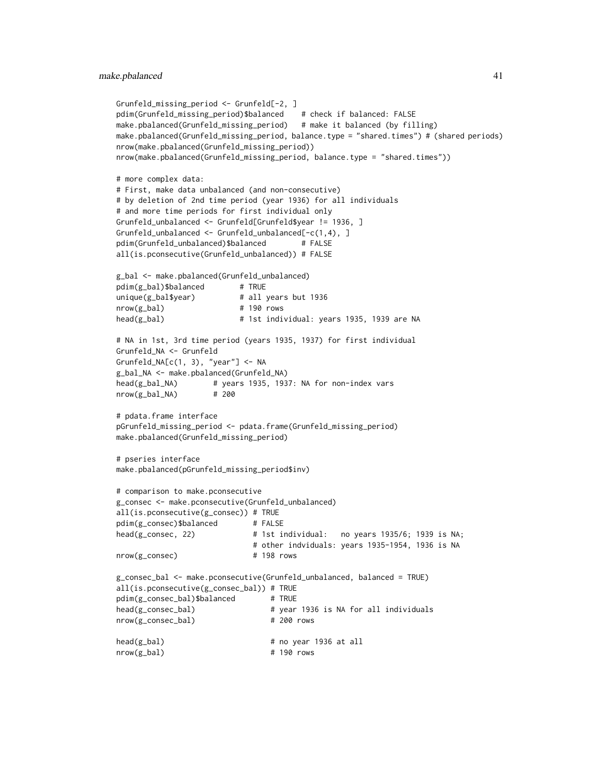#### make.pbalanced 41

```
Grunfeld_missing_period <- Grunfeld[-2, ]
pdim(Grunfeld_missing_period)$balanced
make.pbalanced(Grunfeld_missing_period) # make it balanced (by filling)
make.pbalanced(Grunfeld_missing_period, balance.type = "shared.times") # (shared periods)
nrow(make.pbalanced(Grunfeld_missing_period))
nrow(make.pbalanced(Grunfeld_missing_period, balance.type = "shared.times"))
# more complex data:
# First, make data unbalanced (and non-consecutive)
# by deletion of 2nd time period (year 1936) for all individuals
# and more time periods for first individual only
Grunfeld_unbalanced <- Grunfeld[Grunfeld$year != 1936, ]
Grunfeld_unbalanced <- Grunfeld_unbalanced[-c(1,4), ]
pdim(Grunfeld_unbalanced)$balanced # FALSE
all(is.pconsecutive(Grunfeld_unbalanced)) # FALSE
g_bal <- make.pbalanced(Grunfeld_unbalanced)
pdim(g_bal)$balanced # TRUE
unique(g_bal$year) # all years but 1936
nrow(g_bal) # 190 rows
head(g_bal) # 1st individual: years 1935, 1939 are NA
# NA in 1st, 3rd time period (years 1935, 1937) for first individual
Grunfeld_NA <- Grunfeld
Grunfeld_NA[c(1, 3), "year"] <- NA
g_bal_NA <- make.pbalanced(Grunfeld_NA)
head(g_bal_NA) # years 1935, 1937: NA for non-index vars
nrow(g_bal_NA) # 200
# pdata.frame interface
pGrunfeld_missing_period <- pdata.frame(Grunfeld_missing_period)
make.pbalanced(Grunfeld_missing_period)
# pseries interface
make.pbalanced(pGrunfeld_missing_period$inv)
# comparison to make.pconsecutive
g_consec <- make.pconsecutive(Grunfeld_unbalanced)
all(is.pconsecutive(g_consec)) # TRUE
pdim(g_consec)$balanced # FALSE
head(g_consec, 22) \qquad \qquad \qquad \qquad # 1st individual: no years 1935/6; 1939 is NA;
                            # other indviduals: years 1935-1954, 1936 is NA
nrow(g_consec) # 198 rows
g_consec_bal <- make.pconsecutive(Grunfeld_unbalanced, balanced = TRUE)
all(is.pconsecutive(g_consec_bal)) # TRUE
pdim(g_consec_bal)$balanced # TRUE
head(g_consec_bal) # year 1936 is NA for all individuals
nrow(g_consec_bal) # 200 rows
head(g_bal) # no year 1936 at all
nrow(g_bal) # 190 rows
```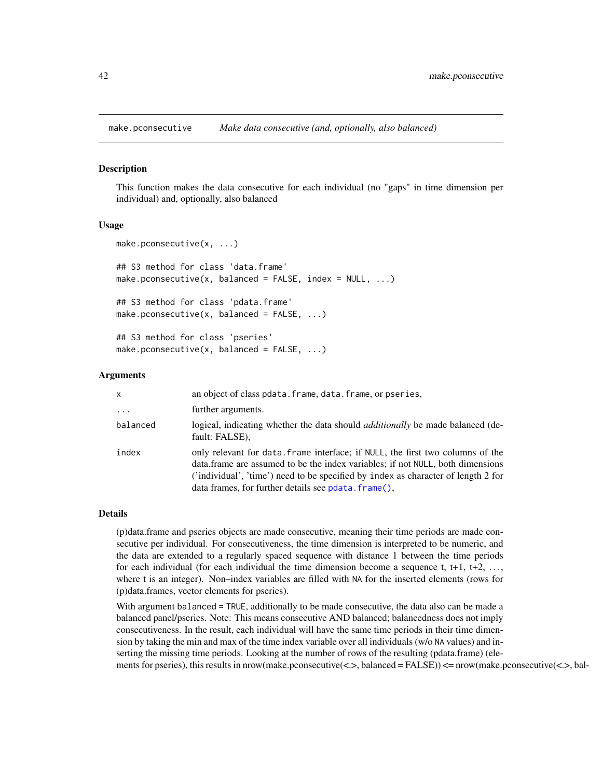<span id="page-41-0"></span>

## Description

This function makes the data consecutive for each individual (no "gaps" in time dimension per individual) and, optionally, also balanced

## Usage

```
make.pconsecutive(x, ...)
## S3 method for class 'data.frame'
make.pconsecutive(x, balanced = FALSE, index = NULL, ...)## S3 method for class 'pdata.frame'
make.pconsecutive(x, balanced = FALSE, ...)## S3 method for class 'pseries'
make.pconsecutive(x, balanced = FALSE, ...)
```
#### Arguments

| $\mathsf{x}$ | an object of class pdata. frame, data. frame, or pseries,                                                                                                                                                                                                                                                      |
|--------------|----------------------------------------------------------------------------------------------------------------------------------------------------------------------------------------------------------------------------------------------------------------------------------------------------------------|
| $\cdots$     | further arguments.                                                                                                                                                                                                                                                                                             |
| balanced     | logical, indicating whether the data should <i>additionally</i> be made balanced (de-<br>fault: FALSE),                                                                                                                                                                                                        |
| index        | only relevant for data. frame interface; if NULL, the first two columns of the<br>data frame are assumed to be the index variables; if not NULL, both dimensions<br>('individual', 'time') need to be specified by index as character of length 2 for<br>data frames, for further details see polata. frame(), |

#### Details

(p)data.frame and pseries objects are made consecutive, meaning their time periods are made consecutive per individual. For consecutiveness, the time dimension is interpreted to be numeric, and the data are extended to a regularly spaced sequence with distance 1 between the time periods for each individual (for each individual the time dimension become a sequence t, t+1, t+2,  $\dots$ , where t is an integer). Non–index variables are filled with NA for the inserted elements (rows for (p)data.frames, vector elements for pseries).

With argument balanced = TRUE, additionally to be made consecutive, the data also can be made a balanced panel/pseries. Note: This means consecutive AND balanced; balancedness does not imply consecutiveness. In the result, each individual will have the same time periods in their time dimension by taking the min and max of the time index variable over all individuals (w/o NA values) and inserting the missing time periods. Looking at the number of rows of the resulting (pdata.frame) (elements for pseries), this results in nrow(make.pconsecutive(<.>, balanced = FALSE)) <= nrow(make.pconsecutive(<.>, bal-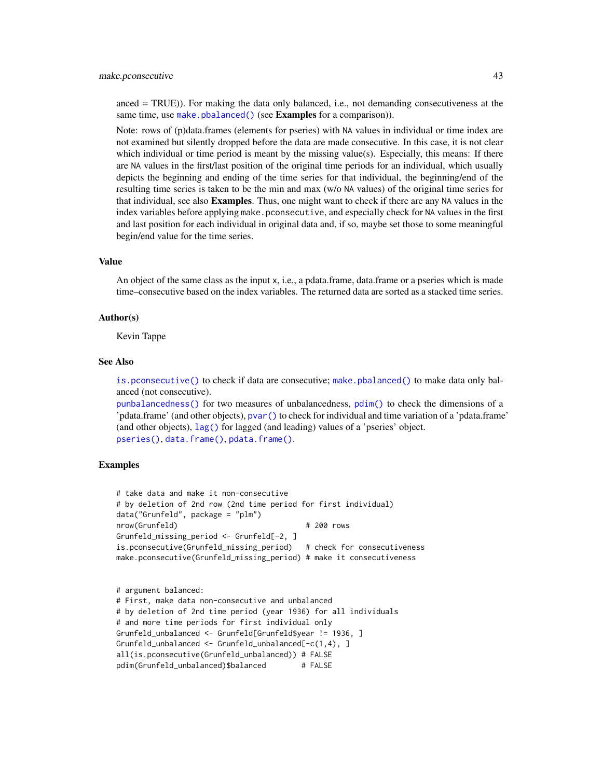#### make.pconsecutive 43

anced = TRUE)). For making the data only balanced, i.e., not demanding consecutiveness at the same time, use [make.pbalanced\(\)](#page-37-0) (see **Examples** for a comparison)).

Note: rows of (p)data.frames (elements for pseries) with NA values in individual or time index are not examined but silently dropped before the data are made consecutive. In this case, it is not clear which individual or time period is meant by the missing value(s). Especially, this means: If there are NA values in the first/last position of the original time periods for an individual, which usually depicts the beginning and ending of the time series for that individual, the beginning/end of the resulting time series is taken to be the min and max (w/o NA values) of the original time series for that individual, see also Examples. Thus, one might want to check if there are any NA values in the index variables before applying make.pconsecutive, and especially check for NA values in the first and last position for each individual in original data and, if so, maybe set those to some meaningful begin/end value for the time series.

### Value

An object of the same class as the input x, i.e., a pdata.frame, data.frame or a pseries which is made time–consecutive based on the index variables. The returned data are sorted as a stacked time series.

### Author(s)

Kevin Tappe

## See Also

[is.pconsecutive\(\)](#page-28-0) to check if data are consecutive; [make.pbalanced\(\)](#page-37-0) to make data only balanced (not consecutive).

[punbalancedness\(\)](#page-113-0) for two measures of unbalancedness, [pdim\(\)](#page-67-0) to check the dimensions of a 'pdata.frame' (and other objects), [pvar\(\)](#page-119-0) to check for individual and time variation of a 'pdata.frame' (and other objects), [lag\(\)](#page-33-0) for lagged (and leading) values of a 'pseries' object. [pseries\(\)](#page-108-0), [data.frame\(\)](#page-0-0), [pdata.frame\(\)](#page-63-0).

## Examples

```
# take data and make it non-consecutive
# by deletion of 2nd row (2nd time period for first individual)
data("Grunfeld", package = "plm")
nrow(Grunfeld) # 200 rows
Grunfeld_missing_period <- Grunfeld[-2, ]
is.pconsecutive(Grunfeld_missing_period) # check for consecutiveness
make.pconsecutive(Grunfeld_missing_period) # make it consecutiveness
```

```
# argument balanced:
# First, make data non-consecutive and unbalanced
# by deletion of 2nd time period (year 1936) for all individuals
# and more time periods for first individual only
Grunfeld_unbalanced <- Grunfeld[Grunfeld$year != 1936, ]
Grunfeld_unbalanced <- Grunfeld_unbalanced[-c(1,4), ]
all(is.pconsecutive(Grunfeld_unbalanced)) # FALSE
pdim(Grunfeld_unbalanced)$balanced # FALSE
```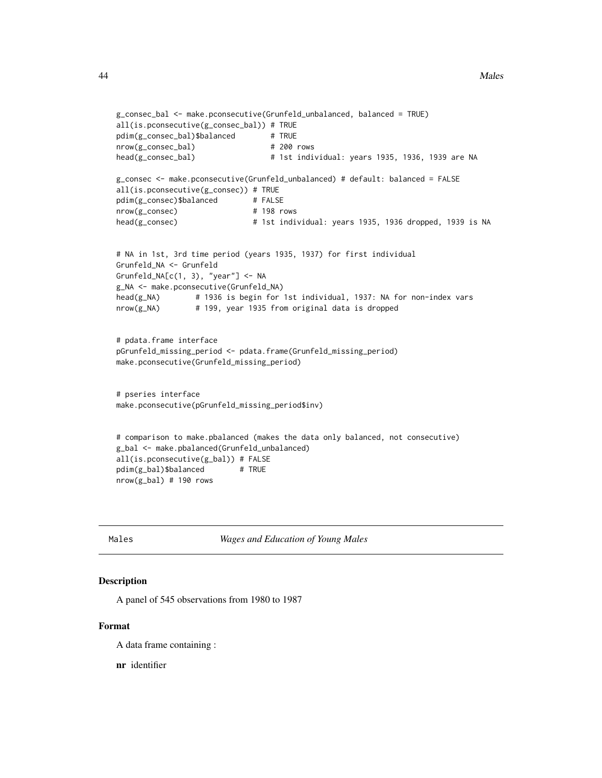```
g_consec_bal <- make.pconsecutive(Grunfeld_unbalanced, balanced = TRUE)
all(is.pconsecutive(g_consec_bal)) # TRUE
pdim(g_consec_bal)$balanced # TRUE
nrow(g_consec_bal) # 200 rows
head(g_consec_bal) # 1st individual: years 1935, 1936, 1939 are NA
g_consec <- make.pconsecutive(Grunfeld_unbalanced) # default: balanced = FALSE
all(is.pconsecutive(g_consec)) # TRUE
pdim(g_consec)$balanced # FALSE
nrow(g_consec) # 198 rows
head(g_consec) # 1st individual: years 1935, 1936 dropped, 1939 is NA
# NA in 1st, 3rd time period (years 1935, 1937) for first individual
Grunfeld_NA <- Grunfeld
Grunfeld_NA[c(1, 3), "year"] <- NA
g_NA <- make.pconsecutive(Grunfeld_NA)
head(g_NA) # 1936 is begin for 1st individual, 1937: NA for non-index vars
nrow(g_NA) # 199, year 1935 from original data is dropped
# pdata.frame interface
pGrunfeld_missing_period <- pdata.frame(Grunfeld_missing_period)
make.pconsecutive(Grunfeld_missing_period)
# pseries interface
make.pconsecutive(pGrunfeld_missing_period$inv)
# comparison to make.pbalanced (makes the data only balanced, not consecutive)
g_bal <- make.pbalanced(Grunfeld_unbalanced)
all(is.pconsecutive(g_bal)) # FALSE
pdim(g_bal)$balanced # TRUE
nrow(g_bal) # 190 rows
```
Males *Wages and Education of Young Males*

#### Description

A panel of 545 observations from 1980 to 1987

### Format

A data frame containing :

nr identifier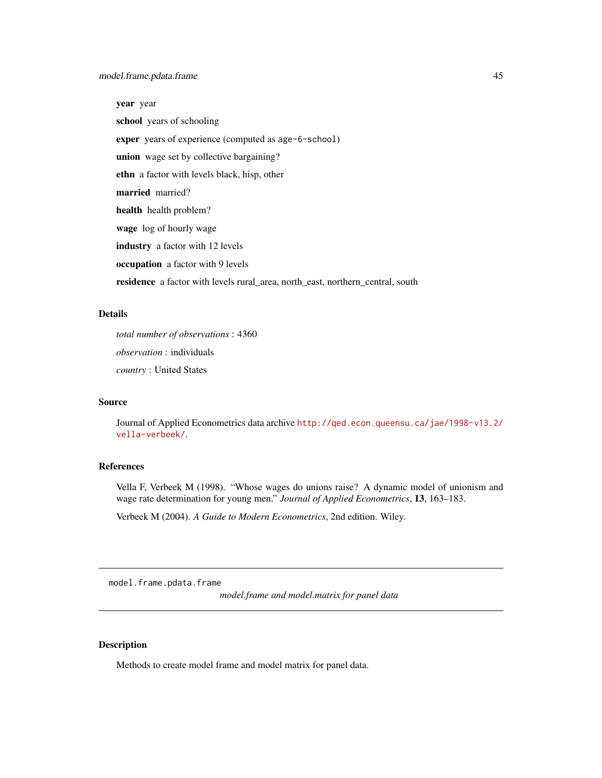year year school years of schooling exper years of experience (computed as age-6-school) union wage set by collective bargaining? ethn a factor with levels black, hisp, other married married? health health problem? wage log of hourly wage industry a factor with 12 levels occupation a factor with 9 levels residence a factor with levels rural\_area, north\_east, northern\_central, south

## Details

*total number of observations* : 4360 *observation* : individuals *country* : United States

## Source

Journal of Applied Econometrics data archive [http://qed.econ.queensu.ca/jae/1998-v13.2/](http://qed.econ.queensu.ca/jae/1998-v13.2/vella-verbeek/) [vella-verbeek/](http://qed.econ.queensu.ca/jae/1998-v13.2/vella-verbeek/).

### References

Vella F, Verbeek M (1998). "Whose wages do unions raise? A dynamic model of unionism and wage rate determination for young men." *Journal of Applied Econometrics*, 13, 163–183.

Verbeek M (2004). *A Guide to Modern Econometrics*, 2nd edition. Wiley.

model.frame.pdata.frame

*model.frame and model.matrix for panel data*

## Description

Methods to create model frame and model matrix for panel data.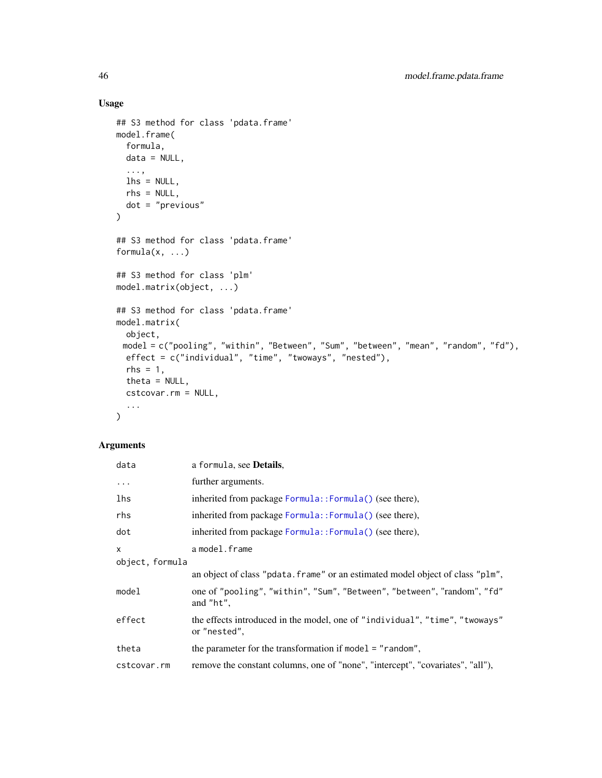# Usage

```
## S3 method for class 'pdata.frame'
model.frame(
 formula,
 data = NULL,
  ...,
 lhs = NULL,rhs = NULL,
 dot = "previous"
\mathcal{L}## S3 method for class 'pdata.frame'
formula(x, \ldots)## S3 method for class 'plm'
model.matrix(object, ...)
## S3 method for class 'pdata.frame'
model.matrix(
 object,
 model = c("pooling", "within", "Between", "Sum", "between", "mean", "random", "fd"),
 effect = c("individual", "time", "twoways", "nested"),
 rhs = 1,
 theta = NULL,
 cstcovar.rm = NULL,
  ...
\mathcal{L}
```
## Arguments

| data                            | a formula, see Details,                                                                     |  |
|---------------------------------|---------------------------------------------------------------------------------------------|--|
| $\cdots$                        | further arguments.                                                                          |  |
| lhs                             | inherited from package Formula:: Formula() (see there),                                     |  |
| rhs                             | inherited from package Formula:: Formula() (see there),                                     |  |
| dot                             | inherited from package Formula:: Formula() (see there),                                     |  |
| $\mathsf{x}$<br>object, formula | a model.frame                                                                               |  |
|                                 | an object of class "pdata. frame" or an estimated model object of class "plm",              |  |
| model                           | one of "pooling", "within", "Sum", "Between", "between", "random", "fd"<br>and "ht",        |  |
| effect                          | the effects introduced in the model, one of "individual", "time", "twoways"<br>or "nested", |  |
| theta                           | the parameter for the transformation if $model = "random",$                                 |  |
| cstcovar.rm                     | remove the constant columns, one of "none", "intercept", "covariates", "all"),              |  |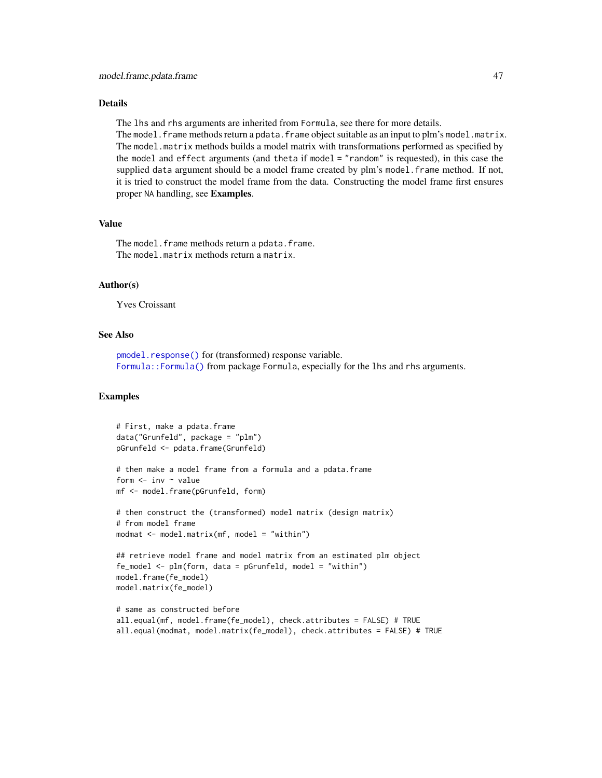#### Details

The lhs and rhs arguments are inherited from Formula, see there for more details. The model.frame methods return a pdata.frame object suitable as an input to plm's model.matrix. The model.matrix methods builds a model matrix with transformations performed as specified by the model and effect arguments (and theta if model = "random" is requested), in this case the supplied data argument should be a model frame created by plm's model. frame method. If not, it is tried to construct the model frame from the data. Constructing the model frame first ensures proper NA handling, see Examples.

## Value

The model.frame methods return a pdata.frame. The model.matrix methods return a matrix.

### Author(s)

Yves Croissant

## See Also

[pmodel.response\(\)](#page-105-0) for (transformed) response variable. [Formula::Formula\(\)](#page-0-0) from package Formula, especially for the lhs and rhs arguments.

### Examples

```
# First, make a pdata.frame
data("Grunfeld", package = "plm")
pGrunfeld <- pdata.frame(Grunfeld)
# then make a model frame from a formula and a pdata.frame
form \leq inv \sim value
mf <- model.frame(pGrunfeld, form)
# then construct the (transformed) model matrix (design matrix)
# from model frame
modmat <- model.matrix(mf, model = "within")
## retrieve model frame and model matrix from an estimated plm object
fe_model <- plm(form, data = pGrunfeld, model = "within")
model.frame(fe_model)
model.matrix(fe_model)
# same as constructed before
all.equal(mf, model.frame(fe_model), check.attributes = FALSE) # TRUE
all.equal(modmat, model.matrix(fe_model), check.attributes = FALSE) # TRUE
```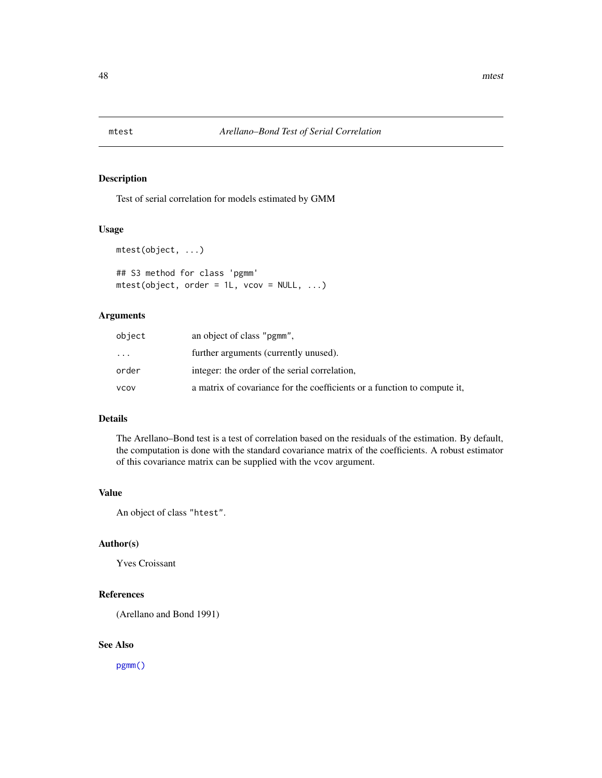## Description

Test of serial correlation for models estimated by GMM

#### Usage

```
mtest(object, ...)
## S3 method for class 'pgmm'
mtest(object, order = 1L, vcov = NULL, ...)
```
### Arguments

| object    | an object of class "pgmm".                                               |
|-----------|--------------------------------------------------------------------------|
| $\ddotsc$ | further arguments (currently unused).                                    |
| order     | integer: the order of the serial correlation,                            |
| vcov      | a matrix of covariance for the coefficients or a function to compute it, |

## Details

The Arellano–Bond test is a test of correlation based on the residuals of the estimation. By default, the computation is done with the standard covariance matrix of the coefficients. A robust estimator of this covariance matrix can be supplied with the vcov argument.

## Value

An object of class "htest".

## Author(s)

Yves Croissant

## References

(Arellano and Bond 1991)

## See Also

[pgmm\(\)](#page-74-0)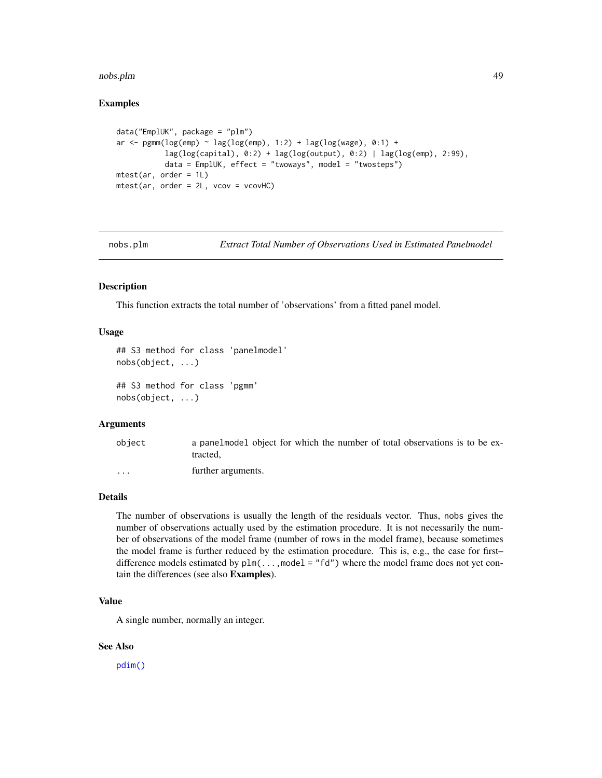#### nobs.plm and the contract of the contract of the contract of the contract of the contract of the contract of the contract of the contract of the contract of the contract of the contract of the contract of the contract of t

## Examples

```
data("EmplUK", package = "plm")
ar \leq pgmm(log(emp) \sim lag(log(emp), 1:2) + lag(log(wage), 0:1) +
           lag(log(capital), 0:2) + lag(log(output), 0:2) | lag(log(emp), 2:99),
           data = EmplUK, effect = "twoways", model = "twosteps")
mtest(ar, order = 1L)
mtest(ar, order = 2L, vcov = vcovHC)
```
nobs.plm *Extract Total Number of Observations Used in Estimated Panelmodel*

## <span id="page-48-0"></span>Description

This function extracts the total number of 'observations' from a fitted panel model.

## Usage

```
## S3 method for class 'panelmodel'
nobs(object, ...)
## S3 method for class 'pgmm'
nobs(object, ...)
```
#### Arguments

| object               | a panelmodel object for which the number of total observations is to be ex-<br>tracted. |
|----------------------|-----------------------------------------------------------------------------------------|
| $\ddot{\phantom{0}}$ | further arguments.                                                                      |

## Details

The number of observations is usually the length of the residuals vector. Thus, nobs gives the number of observations actually used by the estimation procedure. It is not necessarily the number of observations of the model frame (number of rows in the model frame), because sometimes the model frame is further reduced by the estimation procedure. This is, e.g., the case for first– difference models estimated by  $plm(\ldots,model = "fd")$  where the model frame does not yet contain the differences (see also Examples).

## Value

A single number, normally an integer.

#### See Also

[pdim\(\)](#page-67-0)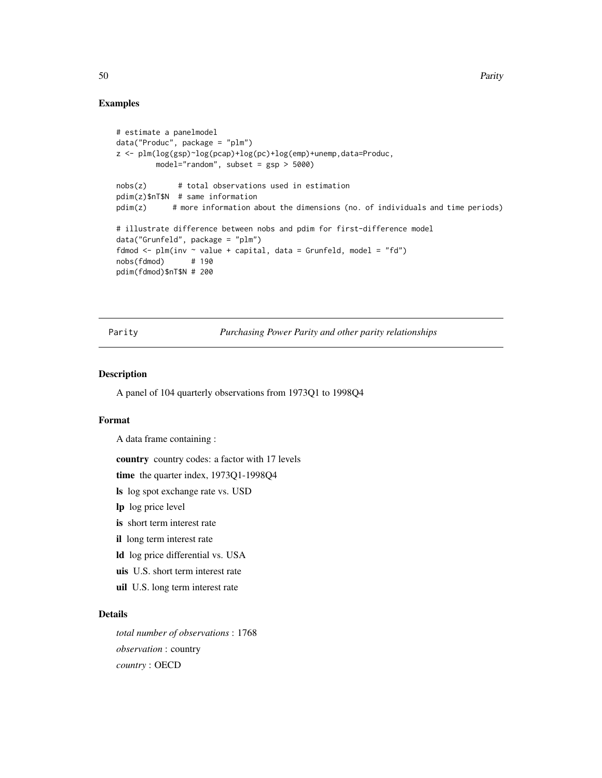## Examples

```
# estimate a panelmodel
data("Produc", package = "plm")
z <- plm(log(gsp)~log(pcap)+log(pc)+log(emp)+unemp,data=Produc,
        model="random", subset = gsp > 5000)
nobs(z) # total observations used in estimation
pdim(z)$nT$N # same information
pdim(z) # more information about the dimensions (no. of individuals and time periods)
# illustrate difference between nobs and pdim for first-difference model
data("Grunfeld", package = "plm")
fdmod \leq plm(inv \sim value + capital, data = Grunfeld, model = "fd")
nobs(fdmod) # 190
pdim(fdmod)$nT$N # 200
```
Parity *Purchasing Power Parity and other parity relationships*

## Description

A panel of 104 quarterly observations from 1973Q1 to 1998Q4

### Format

A data frame containing :

country country codes: a factor with 17 levels

time the quarter index, 1973Q1-1998Q4

ls log spot exchange rate vs. USD

lp log price level

is short term interest rate

il long term interest rate

ld log price differential vs. USA

uis U.S. short term interest rate

uil U.S. long term interest rate

#### Details

*total number of observations* : 1768 *observation* : country *country* : OECD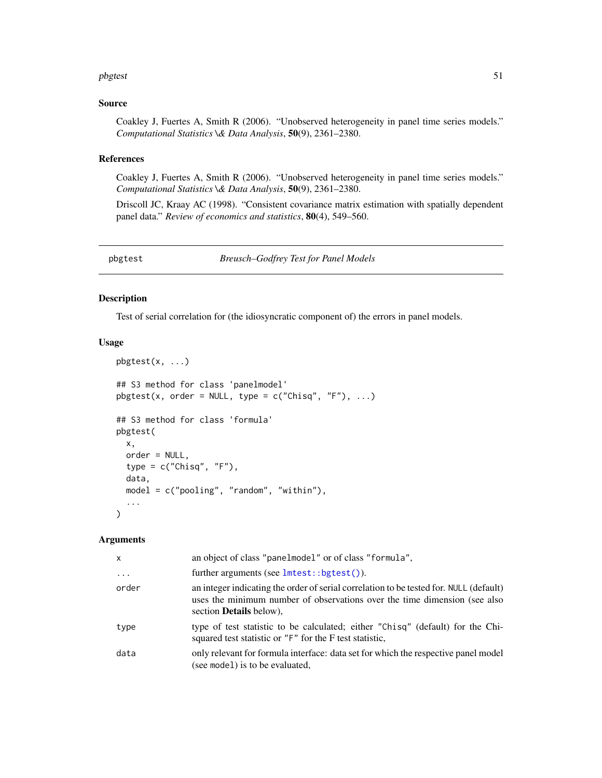#### pbgtest 51

#### Source

Coakley J, Fuertes A, Smith R (2006). "Unobserved heterogeneity in panel time series models." *Computational Statistics \& Data Analysis*, 50(9), 2361–2380.

## References

Coakley J, Fuertes A, Smith R (2006). "Unobserved heterogeneity in panel time series models." *Computational Statistics \& Data Analysis*, 50(9), 2361–2380.

Driscoll JC, Kraay AC (1998). "Consistent covariance matrix estimation with spatially dependent panel data." *Review of economics and statistics*, 80(4), 549–560.

<span id="page-50-0"></span>pbgtest *Breusch–Godfrey Test for Panel Models*

## Description

Test of serial correlation for (the idiosyncratic component of) the errors in panel models.

### Usage

```
pbgtest(x, ...)
## S3 method for class 'panelmodel'
pbgtest(x, order = NULL, type = c("Chisq", "F"), ...)## S3 method for class 'formula'
pbgtest(
 x,
  order = NULL,
  type = c("Chisq", "F"),
  data,
  model = c("pooling", "random", "within"),
  ...
\mathcal{L}
```
#### Arguments

| X        | an object of class "panelmodel" or of class "formula",                                                                                                                                                |
|----------|-------------------------------------------------------------------------------------------------------------------------------------------------------------------------------------------------------|
| $\ddots$ | further arguments (see $l$ mtest::bgtest()).                                                                                                                                                          |
| order    | an integer indicating the order of serial correlation to be tested for. NULL (default)<br>uses the minimum number of observations over the time dimension (see also<br>section <b>Details</b> below), |
| type     | type of test statistic to be calculated; either "Chisq" (default) for the Chi-<br>squared test statistic or "F" for the F test statistic,                                                             |
| data     | only relevant for formula interface: data set for which the respective panel model<br>(see model) is to be evaluated,                                                                                 |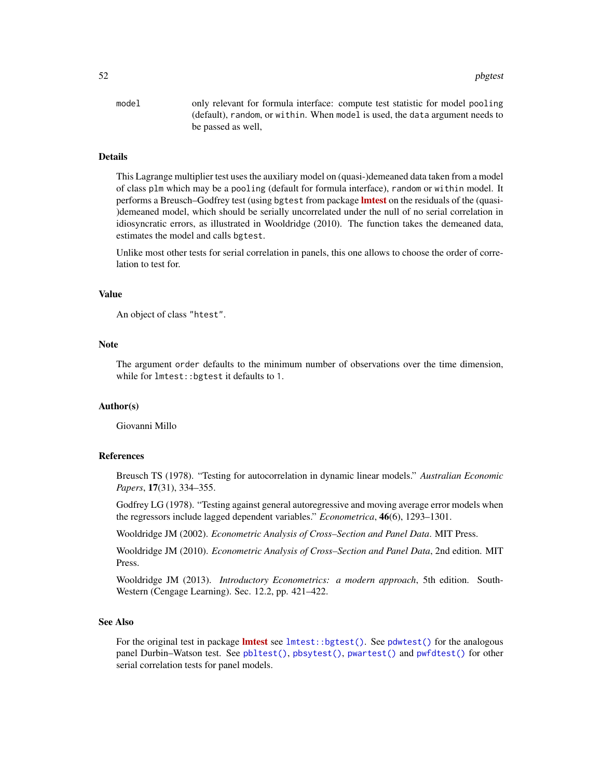52 pbgtest and the control of the control of the control of the control of the control of the control of the control of the control of the control of the control of the control of the control of the control of the control

model only relevant for formula interface: compute test statistic for model pooling (default), random, or within. When model is used, the data argument needs to be passed as well,

## Details

This Lagrange multiplier test uses the auxiliary model on (quasi-)demeaned data taken from a model of class plm which may be a pooling (default for formula interface), random or within model. It performs a Breusch–Godfrey test (using bgtest from package **Imtest** on the residuals of the (quasi-)demeaned model, which should be serially uncorrelated under the null of no serial correlation in idiosyncratic errors, as illustrated in Wooldridge (2010). The function takes the demeaned data, estimates the model and calls bgtest.

Unlike most other tests for serial correlation in panels, this one allows to choose the order of correlation to test for.

#### Value

An object of class "htest".

### **Note**

The argument order defaults to the minimum number of observations over the time dimension, while for lmtest:: bgtest it defaults to 1.

#### Author(s)

Giovanni Millo

### References

Breusch TS (1978). "Testing for autocorrelation in dynamic linear models." *Australian Economic Papers*, 17(31), 334–355.

Godfrey LG (1978). "Testing against general autoregressive and moving average error models when the regressors include lagged dependent variables." *Econometrica*, 46(6), 1293–1301.

Wooldridge JM (2002). *Econometric Analysis of Cross–Section and Panel Data*. MIT Press.

Wooldridge JM (2010). *Econometric Analysis of Cross–Section and Panel Data*, 2nd edition. MIT Press.

Wooldridge JM (2013). *Introductory Econometrics: a modern approach*, 5th edition. South-Western (Cengage Learning). Sec. 12.2, pp. 421–422.

### See Also

For the original test in package **[lmtest](https://CRAN.R-project.org/package=lmtest)** see [lmtest::bgtest\(\)](#page-0-0). See [pdwtest\(\)](#page-69-0) for the analogous panel Durbin–Watson test. See [pbltest\(\)](#page-52-0), [pbsytest\(\)](#page-55-0), [pwartest\(\)](#page-126-0) and [pwfdtest\(\)](#page-127-0) for other serial correlation tests for panel models.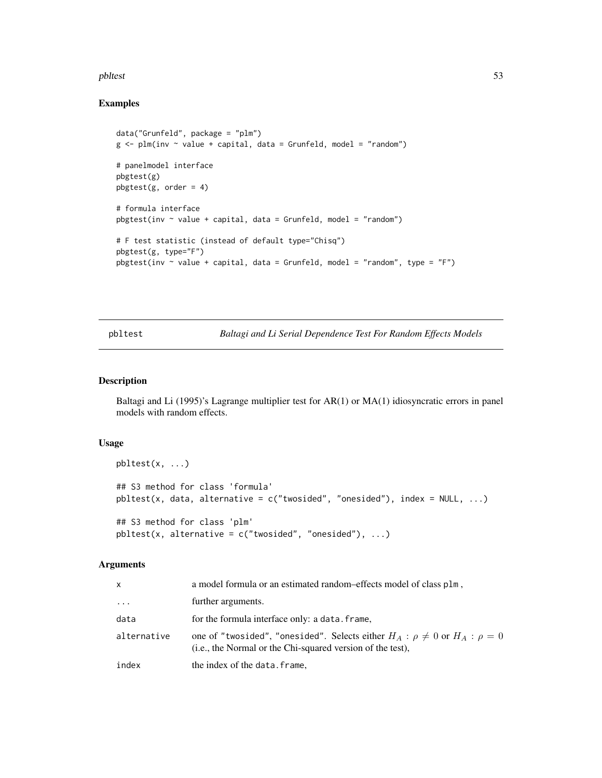#### pbltest 53

## Examples

```
data("Grunfeld", package = "plm")
g \leq plm(nv \sim value + capital, data = Grunfeld, model = "random")# panelmodel interface
pbgtest(g)
pbgtest(g, order = 4)
# formula interface
p^{best}(inv \sim value + capital, data = Grunfeld, model = "random")# F test statistic (instead of default type="Chisq")
pbgtest(g, type="F")
p^{best}(inv \sim value + capital, data = Grunfeld, model = "random", type = "F")
```
<span id="page-52-0"></span>pbltest *Baltagi and Li Serial Dependence Test For Random Effects Models*

### Description

Baltagi and Li (1995)'s Lagrange multiplier test for AR(1) or MA(1) idiosyncratic errors in panel models with random effects.

## Usage

```
phlets(x, \ldots)## S3 method for class 'formula'
pltest(x, data, alternative = c("twosided", "onesided"), index = NULL, ...)## S3 method for class 'plm'
pltest(x, alternative = c("twosided", "onesided"), ...)
```
#### Arguments

| X           | a model formula or an estimated random-effects model of class plm,                                                                                |
|-------------|---------------------------------------------------------------------------------------------------------------------------------------------------|
| $\cdots$    | further arguments.                                                                                                                                |
| data        | for the formula interface only: a data. frame,                                                                                                    |
| alternative | one of "twosided", "onesided". Selects either $H_A: \rho \neq 0$ or $H_A: \rho = 0$<br>(i.e., the Normal or the Chi-squared version of the test), |
| index       | the index of the data. frame,                                                                                                                     |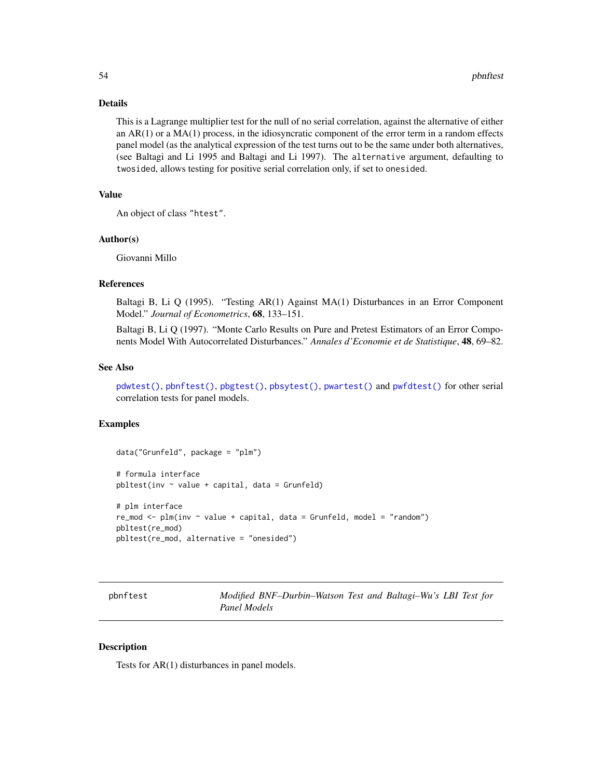### Details

This is a Lagrange multiplier test for the null of no serial correlation, against the alternative of either an  $AR(1)$  or a  $MA(1)$  process, in the idiosyncratic component of the error term in a random effects panel model (as the analytical expression of the test turns out to be the same under both alternatives, (see Baltagi and Li 1995 and Baltagi and Li 1997). The alternative argument, defaulting to twosided, allows testing for positive serial correlation only, if set to onesided.

# Value

An object of class "htest".

### Author(s)

Giovanni Millo

## References

Baltagi B, Li Q (1995). "Testing AR(1) Against MA(1) Disturbances in an Error Component Model." *Journal of Econometrics*, 68, 133–151.

Baltagi B, Li Q (1997). "Monte Carlo Results on Pure and Pretest Estimators of an Error Components Model With Autocorrelated Disturbances." *Annales d'Economie et de Statistique*, 48, 69–82.

#### See Also

[pdwtest\(\)](#page-69-0), [pbnftest\(\)](#page-53-0), [pbgtest\(\)](#page-50-0), [pbsytest\(\)](#page-55-0), [pwartest\(\)](#page-126-0) and [pwfdtest\(\)](#page-127-0) for other serial correlation tests for panel models.

## Examples

```
data("Grunfeld", package = "plm")
# formula interface
pbltest(inv ~ value + capital, data = Grunfeld)# plm interface
re_mod <- plm(inv ~ value + capital, data = Grunfeld, model = "random")
pbltest(re_mod)
pbltest(re_mod, alternative = "onesided")
```
<span id="page-53-0"></span>pbnftest *Modified BNF–Durbin–Watson Test and Baltagi–Wu's LBI Test for Panel Models*

### Description

Tests for AR(1) disturbances in panel models.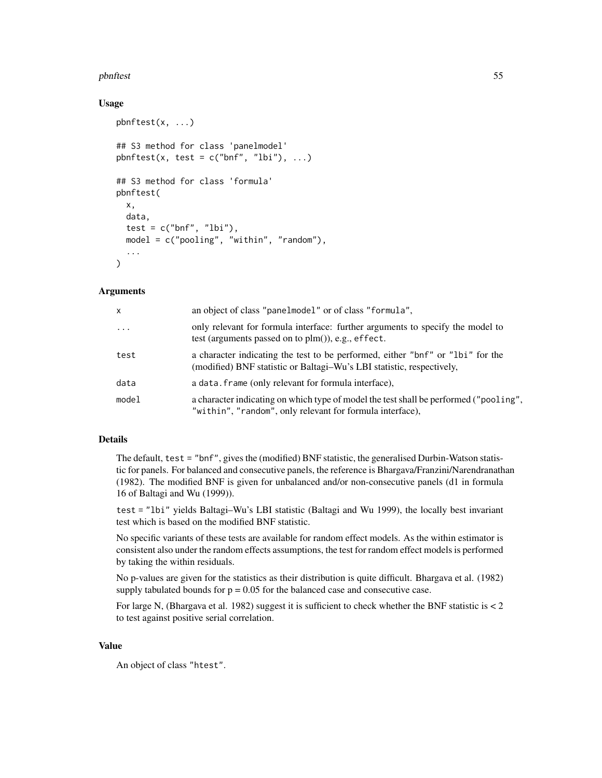#### pbnftest 55

## Usage

```
pbnftest(x, ...)
## S3 method for class 'panelmodel'
pbnftest(x, test = c("bnf", "lbi"), ...)
## S3 method for class 'formula'
pbnftest(
  x,
  data,
  test = c("bnf", "lbi"),model = c("pooling", "within", "random"),
  ...
)
```
## Arguments

| $\mathsf{x}$ | an object of class "panelmodel" or of class "formula",                                                                                                  |
|--------------|---------------------------------------------------------------------------------------------------------------------------------------------------------|
| $\cdots$     | only relevant for formula interface: further arguments to specify the model to<br>test (arguments passed on to $plm()$ ), e.g., effect.                 |
| test         | a character indicating the test to be performed, either "bnf" or "lbi" for the<br>(modified) BNF statistic or Baltagi-Wu's LBI statistic, respectively, |
| data         | a data. frame (only relevant for formula interface),                                                                                                    |
| model        | a character indicating on which type of model the test shall be performed ("pooling",<br>"within", "random", only relevant for formula interface),      |

# Details

The default, test = "bnf", gives the (modified) BNF statistic, the generalised Durbin-Watson statistic for panels. For balanced and consecutive panels, the reference is Bhargava/Franzini/Narendranathan (1982). The modified BNF is given for unbalanced and/or non-consecutive panels (d1 in formula 16 of Baltagi and Wu (1999)).

test = "lbi" yields Baltagi–Wu's LBI statistic (Baltagi and Wu 1999), the locally best invariant test which is based on the modified BNF statistic.

No specific variants of these tests are available for random effect models. As the within estimator is consistent also under the random effects assumptions, the test for random effect models is performed by taking the within residuals.

No p-values are given for the statistics as their distribution is quite difficult. Bhargava et al. (1982) supply tabulated bounds for  $p = 0.05$  for the balanced case and consecutive case.

For large N, (Bhargava et al. 1982) suggest it is sufficient to check whether the BNF statistic is  $< 2$ to test against positive serial correlation.

### Value

An object of class "htest".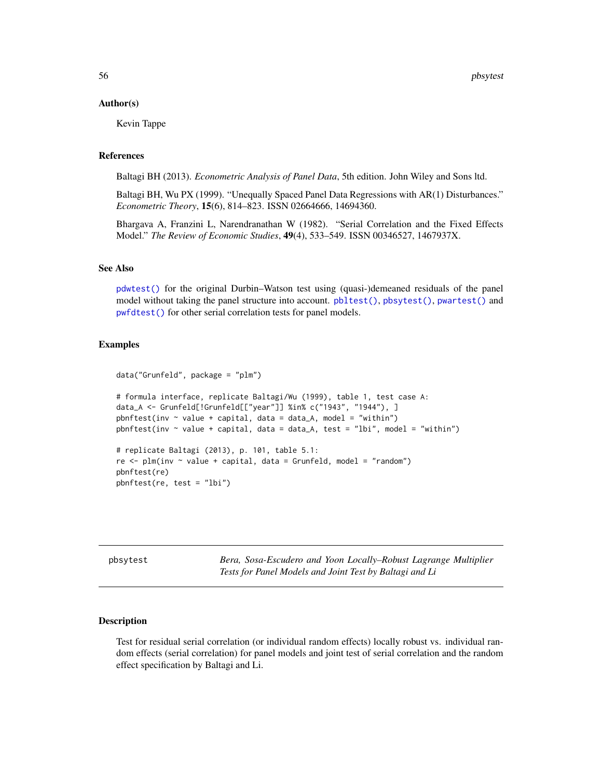#### Author(s)

Kevin Tappe

## References

Baltagi BH (2013). *Econometric Analysis of Panel Data*, 5th edition. John Wiley and Sons ltd.

Baltagi BH, Wu PX (1999). "Unequally Spaced Panel Data Regressions with AR(1) Disturbances." *Econometric Theory*, 15(6), 814–823. ISSN 02664666, 14694360.

Bhargava A, Franzini L, Narendranathan W (1982). "Serial Correlation and the Fixed Effects Model." *The Review of Economic Studies*, 49(4), 533–549. ISSN 00346527, 1467937X.

#### See Also

[pdwtest\(\)](#page-69-0) for the original Durbin–Watson test using (quasi-)demeaned residuals of the panel model without taking the panel structure into account.  $pbltest(),$  $pbltest(),$  [pbsytest\(\)](#page-55-0), [pwartest\(\)](#page-126-0) and [pwfdtest\(\)](#page-127-0) for other serial correlation tests for panel models.

### Examples

```
data("Grunfeld", package = "plm")
# formula interface, replicate Baltagi/Wu (1999), table 1, test case A:
data_A <- Grunfeld[!Grunfeld[["year"]] %in% c("1943", "1944"), ]
pbnftest(inv \sim value + capital, data = data_A, model = "within")
pbnftest(inv \sim value + capital, data = data_A, test = "Ibi", model = "within")# replicate Baltagi (2013), p. 101, table 5.1:
re \le plm(inv \sim value + capital, data = Grunfeld, model = "random")
pbnftest(re)
pbnftest(re, test = "lbi")
```
<span id="page-55-0"></span>

| pbsytest |  |
|----------|--|
|          |  |

**Bera, Sosa-Escudero and Yoon Locally–Robust Lagrange Multiplier** *Tests for Panel Models and Joint Test by Baltagi and Li*

#### Description

Test for residual serial correlation (or individual random effects) locally robust vs. individual random effects (serial correlation) for panel models and joint test of serial correlation and the random effect specification by Baltagi and Li.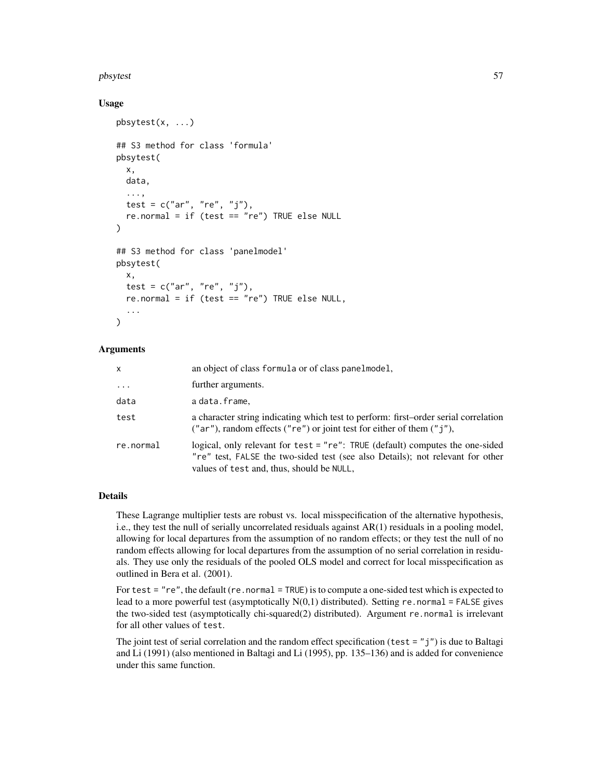#### pbsytest 57

## Usage

```
pbsytest(x, ...)
## S3 method for class 'formula'
pbsytest(
 x,
 data,
  ...,
  test = c("ar", "re", "j"),
  re.normal = if (test == "re") TRUE else NULL
)
## S3 method for class 'panelmodel'
pbsytest(
 x,
  test = c("ar", "re", "j"),
  re.normal = if (test == "re") TRUE else NULL,
  ...
)
```
## Arguments

| x         | an object of class formula or of class panelmodel,                                                                                                                                                           |
|-----------|--------------------------------------------------------------------------------------------------------------------------------------------------------------------------------------------------------------|
| $\cdots$  | further arguments.                                                                                                                                                                                           |
| data      | a data.frame,                                                                                                                                                                                                |
| test      | a character string indicating which test to perform: first-order serial correlation<br>("ar"), random effects ("re") or joint test for either of them $("j")$ ,                                              |
| re.normal | logical, only relevant for test = "re": TRUE (default) computes the one-sided<br>"re" test, FALSE the two-sided test (see also Details); not relevant for other<br>values of test and, thus, should be NULL, |

## Details

These Lagrange multiplier tests are robust vs. local misspecification of the alternative hypothesis, i.e., they test the null of serially uncorrelated residuals against AR(1) residuals in a pooling model, allowing for local departures from the assumption of no random effects; or they test the null of no random effects allowing for local departures from the assumption of no serial correlation in residuals. They use only the residuals of the pooled OLS model and correct for local misspecification as outlined in Bera et al. (2001).

For test = "re", the default (re.normal = TRUE) is to compute a one-sided test which is expected to lead to a more powerful test (asymptotically  $N(0,1)$  distributed). Setting re.normal = FALSE gives the two-sided test (asymptotically chi-squared(2) distributed). Argument re.normal is irrelevant for all other values of test.

The joint test of serial correlation and the random effect specification (test =  $"j"$ ) is due to Baltagi and Li (1991) (also mentioned in Baltagi and Li (1995), pp. 135–136) and is added for convenience under this same function.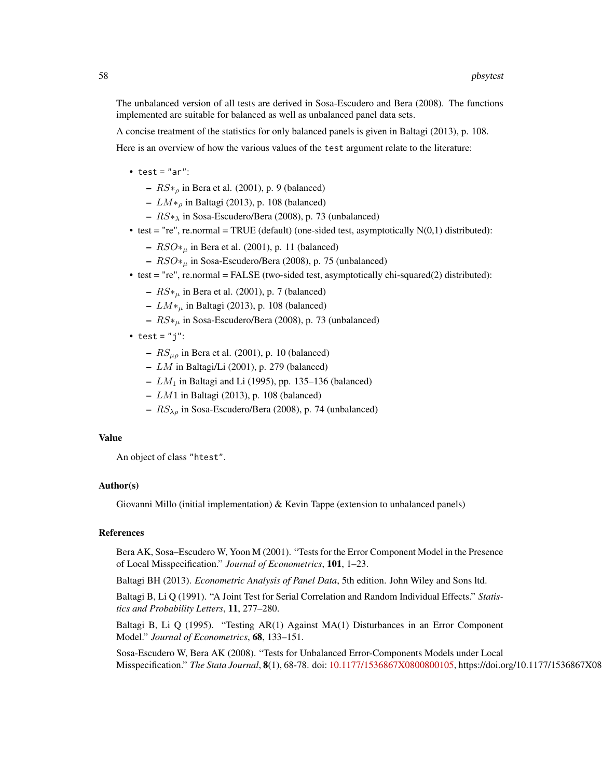The unbalanced version of all tests are derived in Sosa-Escudero and Bera (2008). The functions implemented are suitable for balanced as well as unbalanced panel data sets.

A concise treatment of the statistics for only balanced panels is given in Baltagi (2013), p. 108.

Here is an overview of how the various values of the test argument relate to the literature:

- test =  $"ar":$ 
	- $RS*_{\rho}$  in Bera et al. (2001), p. 9 (balanced)
	- $LM*_{\rho}$  in Baltagi (2013), p. 108 (balanced)
	- $RS*_{\lambda}$  in Sosa-Escudero/Bera (2008), p. 73 (unbalanced)
- test = "re", re.normal = TRUE (default) (one-sided test, asymptotically  $N(0,1)$  distributed):
	- $RSO*_{\mu}$  in Bera et al. (2001), p. 11 (balanced)
	- $RSO*_{\mu}$  in Sosa-Escudero/Bera (2008), p. 75 (unbalanced)
- test = "re", re.normal = FALSE (two-sided test, asymptotically chi-squared(2) distributed):
	- $RS*_{\mu}$  in Bera et al. (2001), p. 7 (balanced)
	- LM∗<sup>µ</sup> in Baltagi (2013), p. 108 (balanced)
	- RS∗<sup>µ</sup> in Sosa-Escudero/Bera (2008), p. 73 (unbalanced)
- test =  $"j"$ :
	- $RS_{\mu\rho}$  in Bera et al. (2001), p. 10 (balanced)
	- LM in Baltagi/Li (2001), p. 279 (balanced)
	- $LM_1$  in Baltagi and Li (1995), pp. 135–136 (balanced)
	- $LM1$  in Baltagi (2013), p. 108 (balanced)
	- $RS_{\lambda\rho}$  in Sosa-Escudero/Bera (2008), p. 74 (unbalanced)

### Value

An object of class "htest".

#### Author(s)

Giovanni Millo (initial implementation) & Kevin Tappe (extension to unbalanced panels)

## References

Bera AK, Sosa–Escudero W, Yoon M (2001). "Tests for the Error Component Model in the Presence of Local Misspecification." *Journal of Econometrics*, 101, 1–23.

Baltagi BH (2013). *Econometric Analysis of Panel Data*, 5th edition. John Wiley and Sons ltd.

Baltagi B, Li Q (1991). "A Joint Test for Serial Correlation and Random Individual Effects." *Statistics and Probability Letters*, 11, 277–280.

Baltagi B, Li Q (1995). "Testing AR(1) Against MA(1) Disturbances in an Error Component Model." *Journal of Econometrics*, 68, 133–151.

Sosa-Escudero W, Bera AK (2008). "Tests for Unbalanced Error-Components Models under Local Misspecification." *The Stata Journal*, 8(1), 68-78. doi: [10.1177/1536867X0800800105,](https://doi.org/10.1177/1536867X0800800105) https://doi.org/10.1177/1536867X0800800105.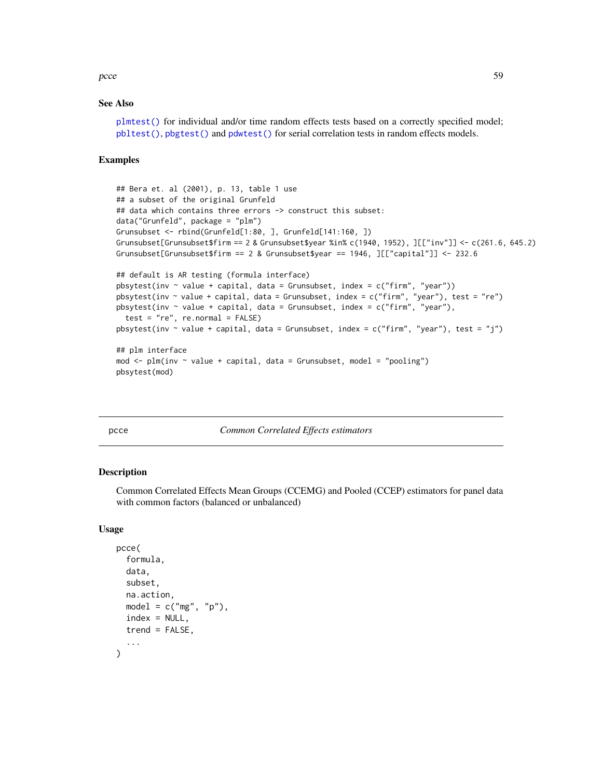pcce 59

### See Also

[plmtest\(\)](#page-100-0) for individual and/or time random effects tests based on a correctly specified model; [pbltest\(\)](#page-52-0), [pbgtest\(\)](#page-50-0) and [pdwtest\(\)](#page-69-0) for serial correlation tests in random effects models.

## Examples

```
## Bera et. al (2001), p. 13, table 1 use
## a subset of the original Grunfeld
## data which contains three errors -> construct this subset:
data("Grunfeld", package = "plm")
Grunsubset <- rbind(Grunfeld[1:80, ], Grunfeld[141:160, ])
Grunsubset[Grunsubset$firm == 2 & Grunsubset$year %in% c(1940, 1952), ][["inv"]] <- c(261.6, 645.2)
Grunsubset[Grunsubset$firm == 2 & Grunsubset$year == 1946, ][["capital"]] <- 232.6
## default is AR testing (formula interface)
pbsytest(inv ~ value + capital, data = Grunsubset, index = c("firm", "year"))
pbsytest(inv ~ value + capital, data = Grunsubset, index = c("firm", "year"), test = "re")
pbsytest(inv \sim value + capital, data = Grunsubset, index = c("firm", "year"),test = "re", re.normal = FALSE)
pbsytest(inv \sim value + capital, data = Grunsubset, index = c("firm", "year"), test = "j")## plm interface
mod \le plm(inv \sim value + capital, data = Grunsubset, model = "pooling")
pbsytest(mod)
```
#### pcce *Common Correlated Effects estimators*

#### **Description**

Common Correlated Effects Mean Groups (CCEMG) and Pooled (CCEP) estimators for panel data with common factors (balanced or unbalanced)

#### Usage

```
pcce(
  formula,
  data,
  subset,
  na.action,
  model = c("mg", "p"),
  index = NULL,
  trend = FALSE,
  ...
\lambda
```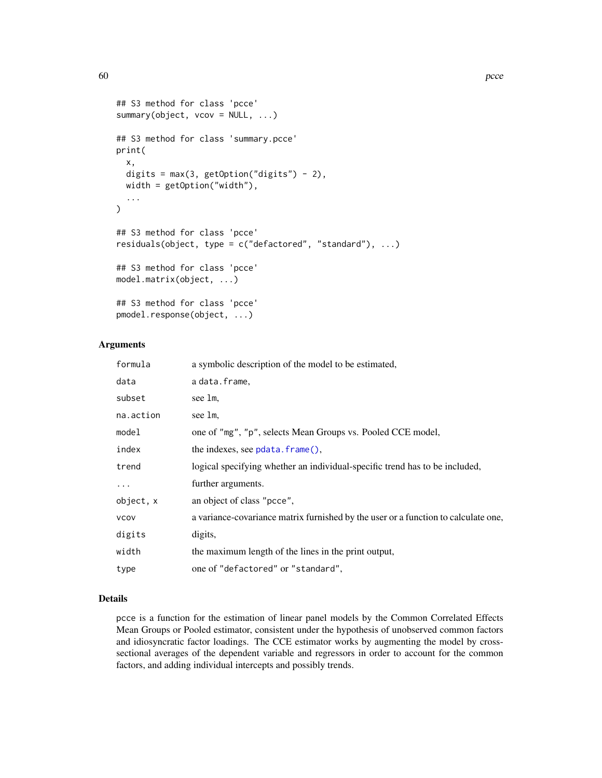```
## S3 method for class 'pcce'
summary(object, vcov = NULL, ...)
## S3 method for class 'summary.pcce'
print(
 x,
 digits = max(3, getOption("digits") - 2),
 width = getOption("width"),
  ...
)
## S3 method for class 'pcce'
residuals(object, type = c("defactored", "standard"), ...)
## S3 method for class 'pcce'
model.matrix(object, ...)
## S3 method for class 'pcce'
pmodel.response(object, ...)
```
## Arguments

| formula     | a symbolic description of the model to be estimated,                               |
|-------------|------------------------------------------------------------------------------------|
| data        | a data.frame,                                                                      |
| subset      | see 1m.                                                                            |
| na.action   | see 1m.                                                                            |
| model       | one of "mg", "p", selects Mean Groups vs. Pooled CCE model,                        |
| index       | the indexes, see $pdata$ . $frame()$ ,                                             |
| trend       | logical specifying whether an individual-specific trend has to be included,        |
| $\cdots$    | further arguments.                                                                 |
| object, x   | an object of class "pcce",                                                         |
| <b>VCOV</b> | a variance-covariance matrix furnished by the user or a function to calculate one, |
| digits      | digits,                                                                            |
| width       | the maximum length of the lines in the print output,                               |
| type        | one of "defactored" or "standard",                                                 |

## Details

pcce is a function for the estimation of linear panel models by the Common Correlated Effects Mean Groups or Pooled estimator, consistent under the hypothesis of unobserved common factors and idiosyncratic factor loadings. The CCE estimator works by augmenting the model by crosssectional averages of the dependent variable and regressors in order to account for the common factors, and adding individual intercepts and possibly trends.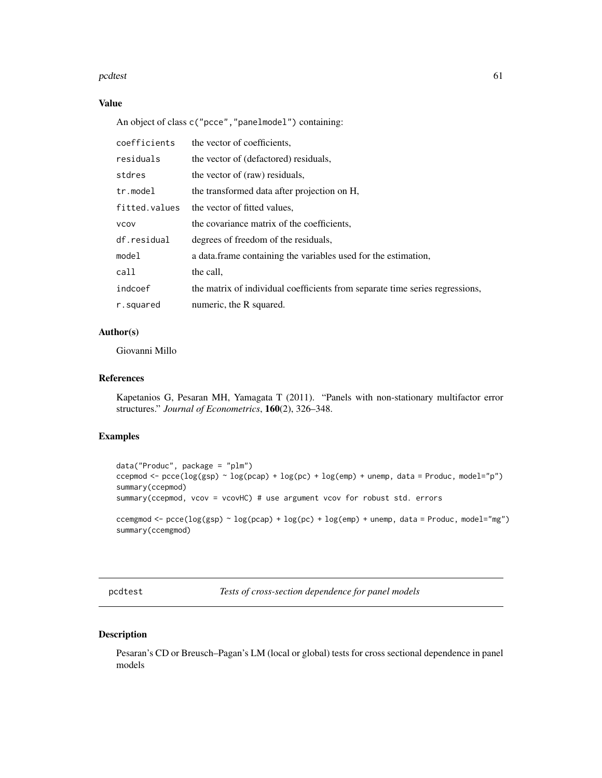#### pcdtest 61

## Value

An object of class c("pcce","panelmodel") containing:

| coefficients  | the vector of coefficients.                                                  |
|---------------|------------------------------------------------------------------------------|
| residuals     | the vector of (defactored) residuals,                                        |
| stdres        | the vector of (raw) residuals,                                               |
| $tr$ . model  | the transformed data after projection on H,                                  |
| fitted.values | the vector of fitted values,                                                 |
| <b>VCOV</b>   | the covariance matrix of the coefficients,                                   |
| df.residual   | degrees of freedom of the residuals,                                         |
| model         | a data frame containing the variables used for the estimation,               |
| call          | the call.                                                                    |
| indcoef       | the matrix of individual coefficients from separate time series regressions, |
| r.squared     | numeric, the R squared.                                                      |

## Author(s)

Giovanni Millo

## References

Kapetanios G, Pesaran MH, Yamagata T (2011). "Panels with non-stationary multifactor error structures." *Journal of Econometrics*, 160(2), 326–348.

## Examples

```
data("Produc", package = "plm")
ccepmod <- pcce(log(gsp) ~ log(pcap) + log(pc) + log(emp) + unemp, data = Produc, model="p")
summary(ccepmod)
summary(ccepmod, vcov = vcovHC) # use argument vcov for robust std. errors
ccemgmod <- p\text{ce}(\log(\text{gsp}) \sim \log(\text{pcap}) + \log(\text{pc}) + \log(\text{emp}) + \text{unemp}, \text{data} = \text{Product}, \text{model} = \text{mg}")
summary(ccemgmod)
```
pcdtest *Tests of cross-section dependence for panel models*

### Description

Pesaran's CD or Breusch–Pagan's LM (local or global) tests for cross sectional dependence in panel models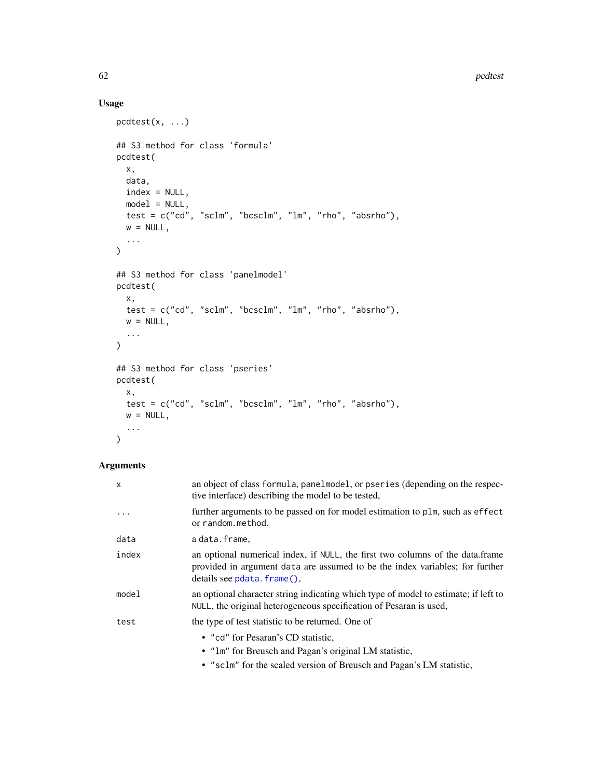# Usage

```
pcdtest(x, ...)
## S3 method for class 'formula'
pcdtest(
  x,
  data,
  index = NULL,model = NULL,test = c("cd", "sclm", "bcsclm", "lm", "rho", "absrho"),
  w = NULL,...
\mathcal{L}## S3 method for class 'panelmodel'
pcdtest(
 x,
  test = c("cd", "sclm", "bcsclm", "lm", "rho", "absrho"),
  w = NULL,...
\lambda## S3 method for class 'pseries'
pcdtest(
  x,
  test = c("cd", "sclm", "bcsclm", "lm", "rho", "absrho"),w = NULL,...
\mathcal{L}
```
# Arguments

| x        | an object of class formula, panelmodel, or pseries (depending on the respec-<br>tive interface) describing the model to be tested,                                                          |
|----------|---------------------------------------------------------------------------------------------------------------------------------------------------------------------------------------------|
| $\cdots$ | further arguments to be passed on for model estimation to plm, such as effect<br>or random.method.                                                                                          |
| data     | a data.frame,                                                                                                                                                                               |
| index    | an optional numerical index, if NULL, the first two columns of the data.frame<br>provided in argument data are assumed to be the index variables; for further<br>details see pdata.frame(). |
| model    | an optional character string indicating which type of model to estimate; if left to<br>NULL, the original heterogeneous specification of Pesaran is used,                                   |
| test     | the type of test statistic to be returned. One of                                                                                                                                           |
|          | • "cd" for Pesaran's CD statistic,                                                                                                                                                          |
|          | • "Im" for Breusch and Pagan's original LM statistic,                                                                                                                                       |
|          | • "sclm" for the scaled version of Breusch and Pagan's LM statistic,                                                                                                                        |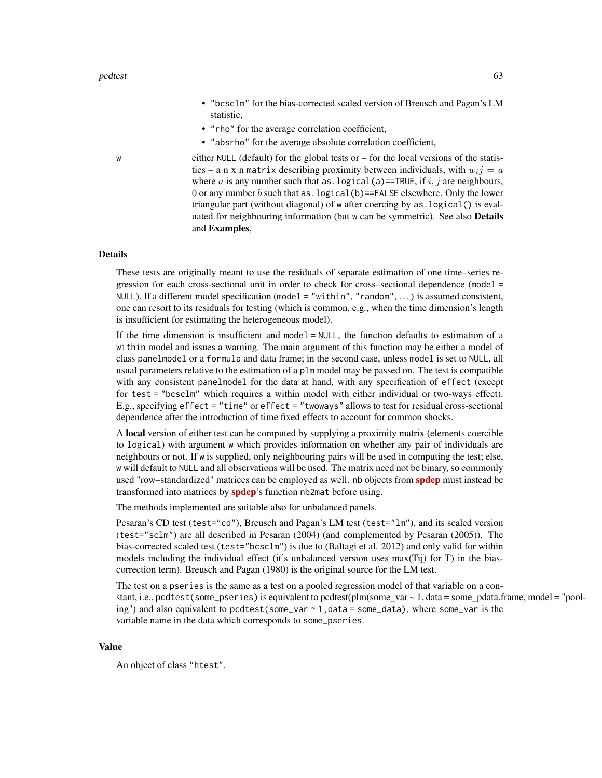- "bcsclm" for the bias-corrected scaled version of Breusch and Pagan's LM statistic,
- "rho" for the average correlation coefficient,
- "absrho" for the average absolute correlation coefficient,

w either NULL (default) for the global tests or – for the local versions of the statistics – a n x n matrix describing proximity between individuals, with  $w_i$  = a where a is any number such that as . logical(a)==TRUE, if i, j are neighbours, 0 or any number  $b$  such that as . logical(b)==FALSE elsewhere. Only the lower triangular part (without diagonal) of w after coercing by as.logical() is evaluated for neighbouring information (but w can be symmetric). See also Details and Examples,

## Details

These tests are originally meant to use the residuals of separate estimation of one time–series regression for each cross-sectional unit in order to check for cross–sectional dependence (model = NULL). If a different model specification (model = "within", "random", . . . ) is assumed consistent, one can resort to its residuals for testing (which is common, e.g., when the time dimension's length is insufficient for estimating the heterogeneous model).

If the time dimension is insufficient and model = NULL, the function defaults to estimation of a within model and issues a warning. The main argument of this function may be either a model of class panelmodel or a formula and data frame; in the second case, unless model is set to NULL, all usual parameters relative to the estimation of a plm model may be passed on. The test is compatible with any consistent panelmodel for the data at hand, with any specification of effect (except for test = "bcsclm" which requires a within model with either individual or two-ways effect). E.g., specifying effect = "time" or effect = "twoways" allows to test for residual cross-sectional dependence after the introduction of time fixed effects to account for common shocks.

A local version of either test can be computed by supplying a proximity matrix (elements coercible to logical) with argument w which provides information on whether any pair of individuals are neighbours or not. If w is supplied, only neighbouring pairs will be used in computing the test; else, w will default to NULL and all observations will be used. The matrix need not be binary, so commonly used "row–standardized" matrices can be employed as well. nb objects from **[spdep](https://CRAN.R-project.org/package=spdep)** must instead be transformed into matrices by **[spdep](https://CRAN.R-project.org/package=spdep)**'s function nb2mat before using.

The methods implemented are suitable also for unbalanced panels.

Pesaran's CD test (test="cd"), Breusch and Pagan's LM test (test="lm"), and its scaled version (test="sclm") are all described in Pesaran (2004) (and complemented by Pesaran (2005)). The bias-corrected scaled test (test="bcsclm") is due to (Baltagi et al. 2012) and only valid for within models including the individual effect (it's unbalanced version uses max(Tij) for T) in the biascorrection term). Breusch and Pagan (1980) is the original source for the LM test.

The test on a pseries is the same as a test on a pooled regression model of that variable on a constant, i.e., pcdtest(some\_pseries) is equivalent to pcdtest(plm(some\_var ~ 1, data = some\_pdata.frame, model = "pooling") and also equivalent to pcdtest(some\_var ~ 1,data = some\_data), where some\_var is the variable name in the data which corresponds to some\_pseries.

#### Value

An object of class "htest".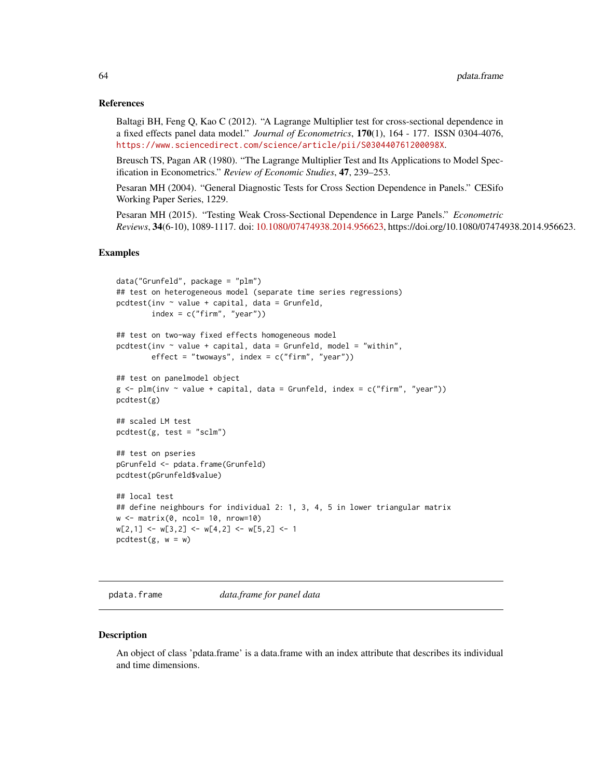### References

Baltagi BH, Feng Q, Kao C (2012). "A Lagrange Multiplier test for cross-sectional dependence in a fixed effects panel data model." *Journal of Econometrics*, 170(1), 164 - 177. ISSN 0304-4076, <https://www.sciencedirect.com/science/article/pii/S030440761200098X>.

Breusch TS, Pagan AR (1980). "The Lagrange Multiplier Test and Its Applications to Model Specification in Econometrics." *Review of Economic Studies*, 47, 239–253.

Pesaran MH (2004). "General Diagnostic Tests for Cross Section Dependence in Panels." CESifo Working Paper Series, 1229.

Pesaran MH (2015). "Testing Weak Cross-Sectional Dependence in Large Panels." *Econometric Reviews*, 34(6-10), 1089-1117. doi: [10.1080/07474938.2014.956623,](https://doi.org/10.1080/07474938.2014.956623) https://doi.org/10.1080/07474938.2014.956623.

### Examples

```
data("Grunfeld", package = "plm")
## test on heterogeneous model (separate time series regressions)
pcdtest(inv \sim value + capital, data = Grunfeld,
        index = c("firm", "year"))
## test on two-way fixed effects homogeneous model
pcdtest(inv ~ value + capital, data = Grunfeld, model = "within",
        effect = "twoways", index = c("firm", "year"))## test on panelmodel object
g \leq plm(inv \sim value + capital, data = Grunfeld, index = c("firm", "year"))pcdtest(g)
## scaled LM test
pcdtest(g, test = "sclm")
## test on pseries
pGrunfeld <- pdata.frame(Grunfeld)
pcdtest(pGrunfeld$value)
## local test
## define neighbours for individual 2: 1, 3, 4, 5 in lower triangular matrix
w <- matrix(0, ncol= 10, nrow=10)
w[2,1] <- w[3,2] <- w[4,2] <- w[5,2] <- 1
pcdtest(g, w = w)
```
<span id="page-63-0"></span>pdata.frame *data.frame for panel data*

#### **Description**

An object of class 'pdata.frame' is a data.frame with an index attribute that describes its individual and time dimensions.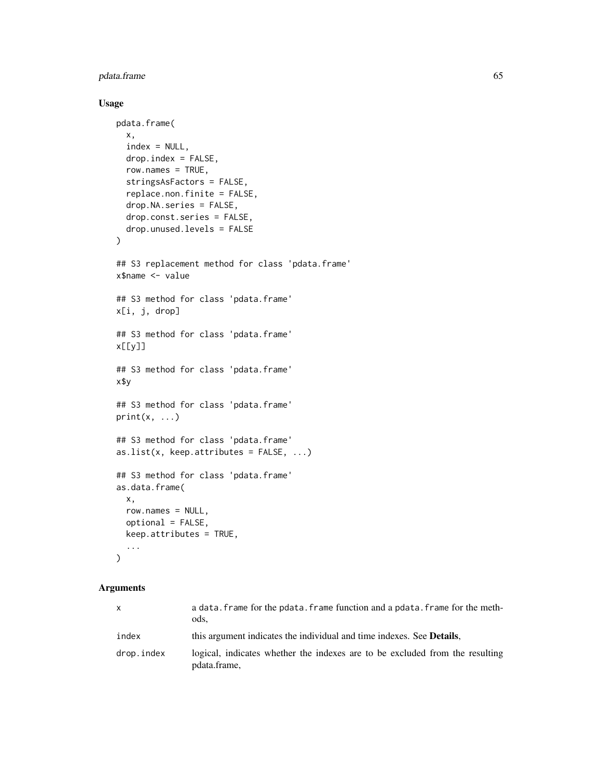# pdata.frame 65

## Usage

```
pdata.frame(
  x,
  index = NULL,
  drop.index = FALSE,
  row.names = TRUE,
  stringsAsFactors = FALSE,
  replace.non.finite = FALSE,
  drop.NA.series = FALSE,
  drop.const.series = FALSE,
  drop.unused.levels = FALSE
)
## S3 replacement method for class 'pdata.frame'
x$name <- value
## S3 method for class 'pdata.frame'
x[i, j, drop]
## S3 method for class 'pdata.frame'
x[[y]]
## S3 method for class 'pdata.frame'
x$y
## S3 method for class 'pdata.frame'
print(x, \ldots)## S3 method for class 'pdata.frame'
as.list(x, keep.attributes = FALSE, ...)
## S3 method for class 'pdata.frame'
as.data.frame(
 x,
  row.names = NULL,
 optional = FALSE,
 keep.attributes = TRUE,
  ...
\mathcal{L}
```
#### Arguments

| X          | a data. frame for the pdata. frame function and a pdata. frame for the meth-<br>ods.         |
|------------|----------------------------------------------------------------------------------------------|
| index      | this argument indicates the individual and time indexes. See <b>Details</b> ,                |
| drop.index | logical, indicates whether the indexes are to be excluded from the resulting<br>pdata.frame, |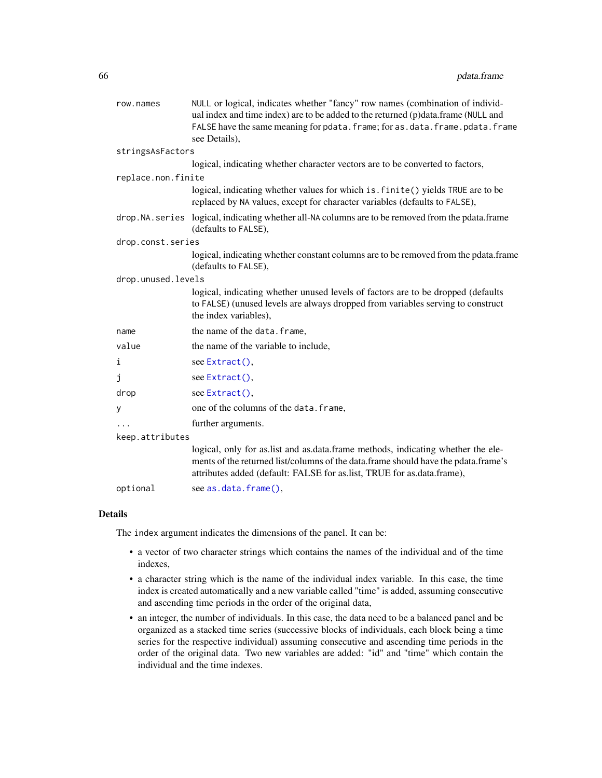| row.names          | NULL or logical, indicates whether "fancy" row names (combination of individ-<br>ual index and time index) are to be added to the returned (p)data.frame (NULL and                                                                               |  |
|--------------------|--------------------------------------------------------------------------------------------------------------------------------------------------------------------------------------------------------------------------------------------------|--|
|                    | FALSE have the same meaning for pdata. frame; for as.data. frame.pdata. frame                                                                                                                                                                    |  |
|                    | see Details),                                                                                                                                                                                                                                    |  |
| stringsAsFactors   |                                                                                                                                                                                                                                                  |  |
|                    | logical, indicating whether character vectors are to be converted to factors,                                                                                                                                                                    |  |
| replace.non.finite |                                                                                                                                                                                                                                                  |  |
|                    | logical, indicating whether values for which is. finite () yields TRUE are to be<br>replaced by NA values, except for character variables (defaults to FALSE),                                                                                   |  |
|                    | drop. NA. series logical, indicating whether all-NA columns are to be removed from the pdata. frame<br>(defaults to FALSE),                                                                                                                      |  |
| drop.const.series  |                                                                                                                                                                                                                                                  |  |
|                    | logical, indicating whether constant columns are to be removed from the pdata.frame<br>(defaults to FALSE),                                                                                                                                      |  |
| drop.unused.levels |                                                                                                                                                                                                                                                  |  |
|                    | logical, indicating whether unused levels of factors are to be dropped (defaults<br>to FALSE) (unused levels are always dropped from variables serving to construct<br>the index variables),                                                     |  |
| name               | the name of the data. frame,                                                                                                                                                                                                                     |  |
| value              | the name of the variable to include,                                                                                                                                                                                                             |  |
| i                  | see Extract(),                                                                                                                                                                                                                                   |  |
| j                  | see Extract(),                                                                                                                                                                                                                                   |  |
| drop               | see Extract(),                                                                                                                                                                                                                                   |  |
| у                  | one of the columns of the data. frame,                                                                                                                                                                                                           |  |
|                    | further arguments.                                                                                                                                                                                                                               |  |
| keep.attributes    |                                                                                                                                                                                                                                                  |  |
|                    | logical, only for as.list and as.data.frame methods, indicating whether the ele-<br>ments of the returned list/columns of the data.frame should have the pdata.frame's<br>attributes added (default: FALSE for as.list, TRUE for as.data.frame), |  |
| optional           | see as.data.frame(),                                                                                                                                                                                                                             |  |

### Details

The index argument indicates the dimensions of the panel. It can be:

- a vector of two character strings which contains the names of the individual and of the time indexes,
- a character string which is the name of the individual index variable. In this case, the time index is created automatically and a new variable called "time" is added, assuming consecutive and ascending time periods in the order of the original data,
- an integer, the number of individuals. In this case, the data need to be a balanced panel and be organized as a stacked time series (successive blocks of individuals, each block being a time series for the respective individual) assuming consecutive and ascending time periods in the order of the original data. Two new variables are added: "id" and "time" which contain the individual and the time indexes.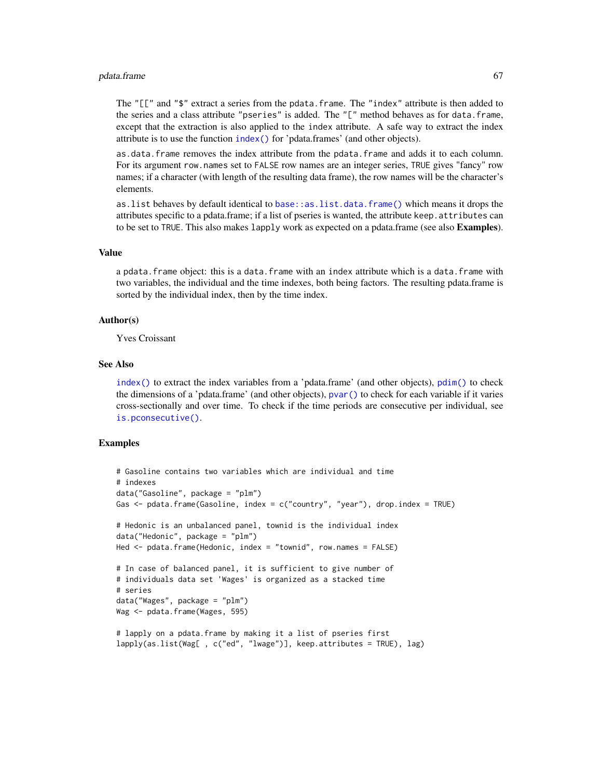#### pdata.frame 67

The " $[$ [" and "\$" extract a series from the pdata.frame. The "index" attribute is then added to the series and a class attribute "pseries" is added. The "[" method behaves as for data.frame, except that the extraction is also applied to the index attribute. A safe way to extract the index attribute is to use the function [index\(\)](#page-25-0) for 'pdata.frames' (and other objects).

as.data.frame removes the index attribute from the pdata.frame and adds it to each column. For its argument row.names set to FALSE row names are an integer series, TRUE gives "fancy" row names; if a character (with length of the resulting data frame), the row names will be the character's elements.

as.list behaves by default identical to [base::as.list.data.frame\(\)](#page-0-0) which means it drops the attributes specific to a pdata.frame; if a list of pseries is wanted, the attribute keep.attributes can to be set to TRUE. This also makes lapply work as expected on a pdata.frame (see also **Examples**).

#### Value

a pdata.frame object: this is a data.frame with an index attribute which is a data.frame with two variables, the individual and the time indexes, both being factors. The resulting pdata.frame is sorted by the individual index, then by the time index.

### Author(s)

Yves Croissant

#### See Also

[index\(\)](#page-25-0) to extract the index variables from a 'pdata.frame' (and other objects), [pdim\(\)](#page-67-0) to check the dimensions of a 'pdata.frame' (and other objects), [pvar\(\)](#page-119-0) to check for each variable if it varies cross-sectionally and over time. To check if the time periods are consecutive per individual, see [is.pconsecutive\(\)](#page-28-0).

## Examples

```
# Gasoline contains two variables which are individual and time
# indexes
data("Gasoline", package = "plm")
Gas \leq pdata.frame(Gasoline, index = c("country", "year"), drop.index = TRUE)
# Hedonic is an unbalanced panel, townid is the individual index
data("Hedonic", package = "plm")
Hed <- pdata.frame(Hedonic, index = "townid", row.names = FALSE)
# In case of balanced panel, it is sufficient to give number of
# individuals data set 'Wages' is organized as a stacked time
# series
data("Wages", package = "plm")
Wag <- pdata.frame(Wages, 595)
# lapply on a pdata.frame by making it a list of pseries first
lapply(as.list(Wag[ , c("ed", "lwage")], keep.attributes = TRUE), lag)
```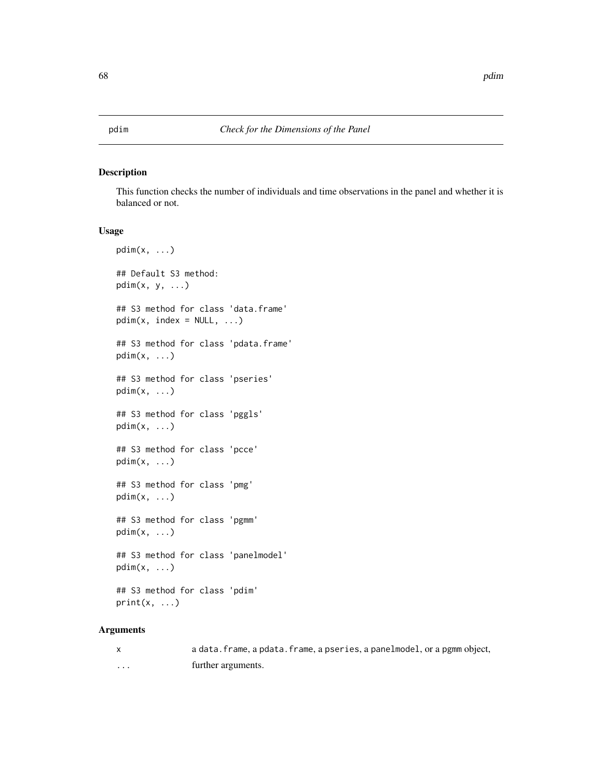<span id="page-67-0"></span>

## Description

This function checks the number of individuals and time observations in the panel and whether it is balanced or not.

### Usage

```
pdim(x, \ldots)## Default S3 method:
pdim(x, y, \ldots)## S3 method for class 'data.frame'
pdim(x, index = NULL, ...)## S3 method for class 'pdata.frame'
pdim(x, ...)
## S3 method for class 'pseries'
pdim(x, \ldots)## S3 method for class 'pggls'
pdim(x, ...)
## S3 method for class 'pcce'
pdim(x, \ldots)## S3 method for class 'pmg'
pdim(x, ...)
## S3 method for class 'pgmm'
pdim(x, ...)
## S3 method for class 'panelmodel'
pdim(x, ...)
## S3 method for class 'pdim'
print(x, \ldots)
```
#### Arguments

|   | a data. frame, a pdata. frame, a pseries, a panelmodel, or a pgmm object, |
|---|---------------------------------------------------------------------------|
| . | further arguments.                                                        |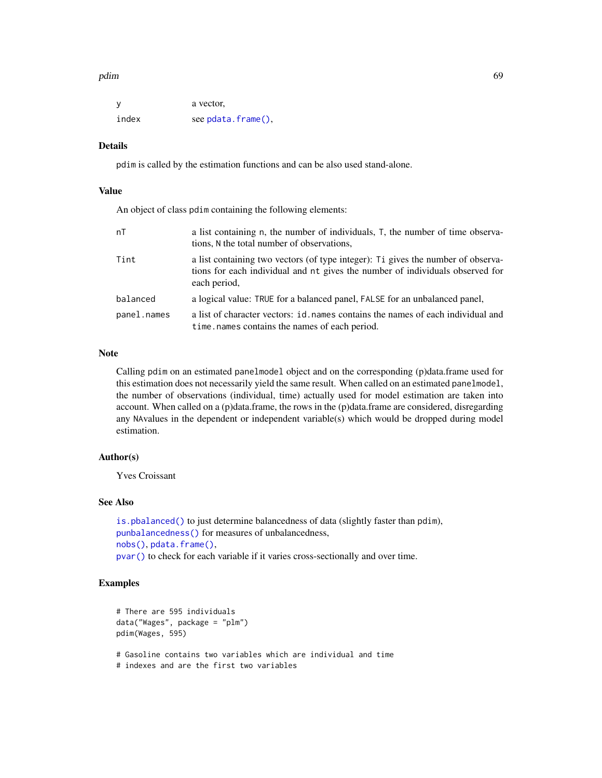#### pdim 69 to 1996 and 1997 and 1997 and 1997 and 1997 and 1997 and 1997 and 1997 and 1997 and 1997 and 1997 and

| y     | a vector,          |
|-------|--------------------|
| index | see pdata.frame(), |

## Details

pdim is called by the estimation functions and can be also used stand-alone.

#### Value

An object of class pdim containing the following elements:

| nT          | a list containing n, the number of individuals, T, the number of time observa-<br>tions, N the total number of observations.                                                      |
|-------------|-----------------------------------------------------------------------------------------------------------------------------------------------------------------------------------|
| Tint        | a list containing two vectors (of type integer): Ti gives the number of observa-<br>tions for each individual and nt gives the number of individuals observed for<br>each period, |
| balanced    | a logical value: TRUE for a balanced panel, FALSE for an unbalanced panel,                                                                                                        |
| panel.names | a list of character vectors: id, names contains the names of each individual and<br>time, names contains the names of each period.                                                |

## Note

Calling pdim on an estimated panelmodel object and on the corresponding (p)data.frame used for this estimation does not necessarily yield the same result. When called on an estimated panelmodel, the number of observations (individual, time) actually used for model estimation are taken into account. When called on a (p)data.frame, the rows in the (p)data.frame are considered, disregarding any NAvalues in the dependent or independent variable(s) which would be dropped during model estimation.

## Author(s)

Yves Croissant

# See Also

[is.pbalanced\(\)](#page-26-0) to just determine balancedness of data (slightly faster than pdim), [punbalancedness\(\)](#page-113-0) for measures of unbalancedness, [nobs\(\)](#page-48-0), [pdata.frame\(\)](#page-63-0), [pvar\(\)](#page-119-0) to check for each variable if it varies cross-sectionally and over time.

## Examples

```
# There are 595 individuals
data("Wages", package = "plm")
pdim(Wages, 595)
# Gasoline contains two variables which are individual and time
```

```
# indexes and are the first two variables
```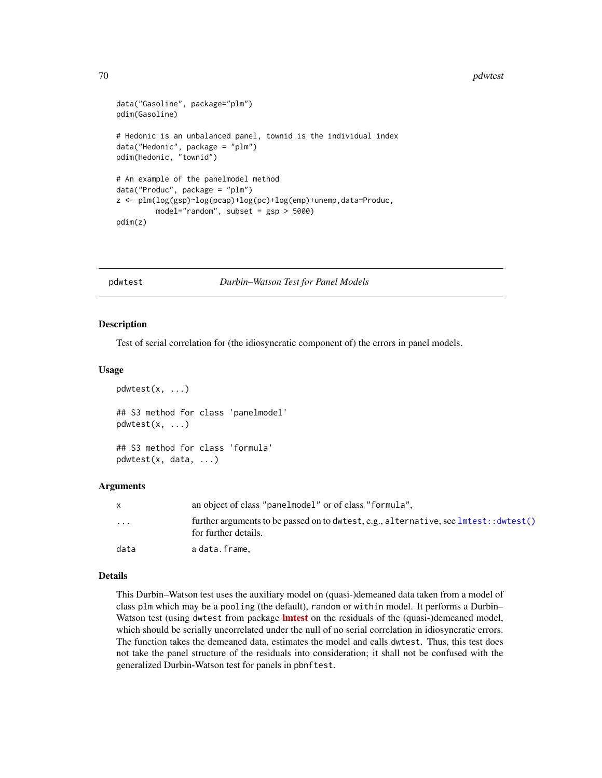#### 70 pdwtest 200 pdwtest 200 pdwtest 200 pdwtest 200 pdwtest 200 pdwtest 200 pdwtest 200 pdwtest 200 pdwtest 200

```
data("Gasoline", package="plm")
pdim(Gasoline)
# Hedonic is an unbalanced panel, townid is the individual index
data("Hedonic", package = "plm")
pdim(Hedonic, "townid")
# An example of the panelmodel method
data("Produc", package = "plm")
z <- plm(log(gsp)~log(pcap)+log(pc)+log(emp)+unemp,data=Produc,
         model="random", subset = gsp > 5000)
pdim(z)
```
<span id="page-69-0"></span>pdwtest *Durbin–Watson Test for Panel Models*

### Description

Test of serial correlation for (the idiosyncratic component of) the errors in panel models.

#### Usage

```
pdwtest(x, ...)
## S3 method for class 'panelmodel'
pdwtest(x, ...)
## S3 method for class 'formula'
pdwtest(x, data, ...)
```
#### **Arguments**

|                         | an object of class "panelmodel" or of class "formula".                                                         |
|-------------------------|----------------------------------------------------------------------------------------------------------------|
| $\cdot$ $\cdot$ $\cdot$ | further arguments to be passed on to dwtest, e.g., alternative, see lmtest: : dwtest()<br>for further details. |
| data                    | adata.frame.                                                                                                   |

#### Details

This Durbin–Watson test uses the auxiliary model on (quasi-)demeaned data taken from a model of class plm which may be a pooling (the default), random or within model. It performs a Durbin– Watson test (using dwtest from package **[lmtest](https://CRAN.R-project.org/package=lmtest)** on the residuals of the (quasi-)demeaned model, which should be serially uncorrelated under the null of no serial correlation in idiosyncratic errors. The function takes the demeaned data, estimates the model and calls dwtest. Thus, this test does not take the panel structure of the residuals into consideration; it shall not be confused with the generalized Durbin-Watson test for panels in pbnftest.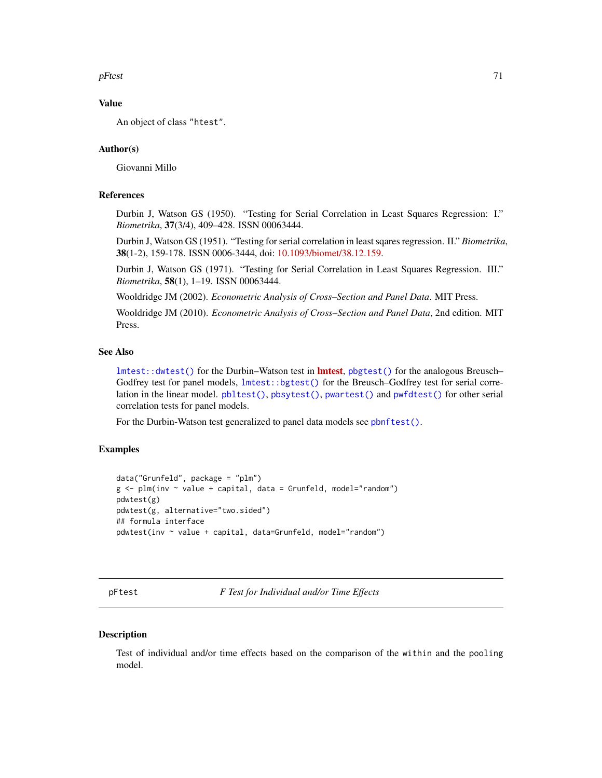$pFtest$  71

## Value

An object of class "htest".

#### Author(s)

Giovanni Millo

# References

Durbin J, Watson GS (1950). "Testing for Serial Correlation in Least Squares Regression: I." *Biometrika*, 37(3/4), 409–428. ISSN 00063444.

Durbin J, Watson GS (1951). "Testing for serial correlation in least sqares regression. II." *Biometrika*, 38(1-2), 159-178. ISSN 0006-3444, doi: [10.1093/biomet/38.12.159.](https://doi.org/10.1093/biomet/38.1-2.159)

Durbin J, Watson GS (1971). "Testing for Serial Correlation in Least Squares Regression. III." *Biometrika*, 58(1), 1–19. ISSN 00063444.

Wooldridge JM (2002). *Econometric Analysis of Cross–Section and Panel Data*. MIT Press.

Wooldridge JM (2010). *Econometric Analysis of Cross–Section and Panel Data*, 2nd edition. MIT Press.

# See Also

[lmtest::dwtest\(\)](#page-0-0) for the Durbin–Watson test in **Imtest**, [pbgtest\(\)](#page-50-0) for the analogous Breusch– Godfrey test for panel models, [lmtest::bgtest\(\)](#page-0-0) for the Breusch–Godfrey test for serial correlation in the linear model. [pbltest\(\)](#page-52-0), [pbsytest\(\)](#page-55-0), [pwartest\(\)](#page-126-0) and [pwfdtest\(\)](#page-127-0) for other serial correlation tests for panel models.

For the Durbin-Watson test generalized to panel data models see [pbnftest\(\)](#page-53-0).

## Examples

```
data("Grunfeld", package = "plm")
g \leftarrow plm(inv \sim value + capital, data = Grunfeld, model="random")pdwtest(g)
pdwtest(g, alternative="two.sided")
## formula interface
pdwtest(inv ~ value + capital, data=Grunfeld, model="random")
```
pFtest *F Test for Individual and/or Time Effects*

#### **Description**

Test of individual and/or time effects based on the comparison of the within and the pooling model.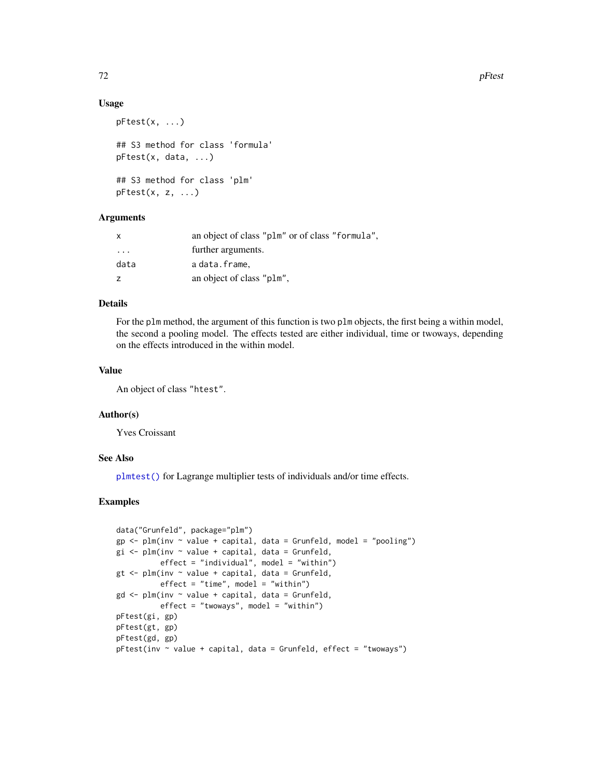#### Usage

```
pFtest(x, ...)
## S3 method for class 'formula'
pFtest(x, data, ...)
## S3 method for class 'plm'
pftest(x, z, ...)
```
## **Arguments**

| X       | an object of class "plm" or of class "formula", |
|---------|-------------------------------------------------|
| $\cdot$ | further arguments.                              |
| data    | a data.frame,                                   |
| z       | an object of class "plm",                       |

## Details

For the plm method, the argument of this function is two plm objects, the first being a within model, the second a pooling model. The effects tested are either individual, time or twoways, depending on the effects introduced in the within model.

### Value

An object of class "htest".

### Author(s)

Yves Croissant

### See Also

[plmtest\(\)](#page-100-0) for Lagrange multiplier tests of individuals and/or time effects.

# Examples

```
data("Grunfeld", package="plm")
gp \leftarrow plm(inv \sim value + capital, data = Grunfeld, model = "pooling")gi \leq plm(inv \sim value + capital, data = Grunfeld,effect = "individual", model = "within")
gt < -\text{plm}(inv \sim value + \text{capital}, \text{ data = Grunfeld},effect = "time", model = "within")gd <- plm(inv ~ value + capital, data = Grunfeld,
          effect = "twoways", model = "within")
pFtest(gi, gp)
pFtest(gt, gp)
pFtest(gd, gp)
pftest(inv ~ value + capital, data = Grunfeld, effect = "twoways")
```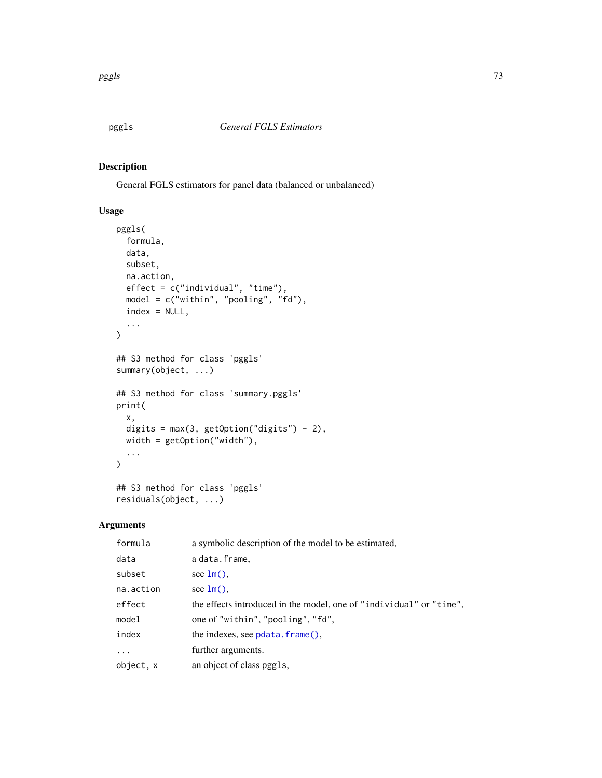# Description

General FGLS estimators for panel data (balanced or unbalanced)

# Usage

```
pggls(
  formula,
 data,
  subset,
 na.action,
 effect = c("individual", "time"),
 model = c("within", "pooling", "fd"),
  index = NULL,...
)
## S3 method for class 'pggls'
summary(object, ...)
## S3 method for class 'summary.pggls'
print(
  x,
 digits = max(3, getOption("digits") - 2),width = getOption("width"),
  ...
\mathcal{L}## S3 method for class 'pggls'
residuals(object, ...)
```
# Arguments

| formula    | a symbolic description of the model to be estimated,                |
|------------|---------------------------------------------------------------------|
| data       | adata.frame.                                                        |
| subset     | see $lm()$ ,                                                        |
| na.action  | see $lm()$ .                                                        |
| effect     | the effects introduced in the model, one of "individual" or "time", |
| model      | one of "within", "pooling", "fd",                                   |
| index      | the indexes, see $pdata$ . $frame()$ .                              |
| $\ddots$ . | further arguments.                                                  |
| object, x  | an object of class pggls,                                           |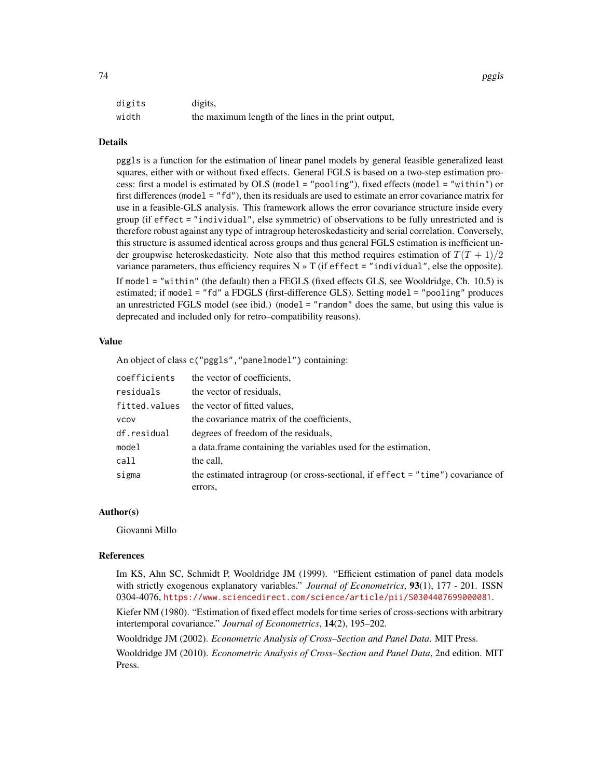| digits | digits,                                              |
|--------|------------------------------------------------------|
| width  | the maximum length of the lines in the print output, |

#### Details

pggls is a function for the estimation of linear panel models by general feasible generalized least squares, either with or without fixed effects. General FGLS is based on a two-step estimation process: first a model is estimated by OLS (model = "pooling"), fixed effects (model = "within") or first differences (model = "fd"), then its residuals are used to estimate an error covariance matrix for use in a feasible-GLS analysis. This framework allows the error covariance structure inside every group (if effect = "individual", else symmetric) of observations to be fully unrestricted and is therefore robust against any type of intragroup heteroskedasticity and serial correlation. Conversely, this structure is assumed identical across groups and thus general FGLS estimation is inefficient under groupwise heteroskedasticity. Note also that this method requires estimation of  $T(T + 1)/2$ variance parameters, thus efficiency requires  $N \times T$  (if effect = "individual", else the opposite). If model = "within" (the default) then a FEGLS (fixed effects GLS, see Wooldridge, Ch. 10.5) is estimated; if model = "fd" a FDGLS (first-difference GLS). Setting model = "pooling" produces an unrestricted FGLS model (see ibid.) (model = "random" does the same, but using this value is

#### Value

An object of class  $c("pggls", "panelmodel")$  containing:

deprecated and included only for retro–compatibility reasons).

| coefficients  | the vector of coefficients,                                                       |
|---------------|-----------------------------------------------------------------------------------|
| residuals     | the vector of residuals.                                                          |
| fitted.values | the vector of fitted values,                                                      |
| <b>VCOV</b>   | the covariance matrix of the coefficients,                                        |
| df.residual   | degrees of freedom of the residuals,                                              |
| model         | a data frame containing the variables used for the estimation,                    |
| call          | the call,                                                                         |
| sigma         | the estimated intragroup (or cross-sectional, if effect $=$ "time") covariance of |
|               | errors,                                                                           |

#### Author(s)

Giovanni Millo

#### References

Im KS, Ahn SC, Schmidt P, Wooldridge JM (1999). "Efficient estimation of panel data models with strictly exogenous explanatory variables." *Journal of Econometrics*, 93(1), 177 - 201. ISSN 0304-4076, <https://www.sciencedirect.com/science/article/pii/S0304407699000081>.

Kiefer NM (1980). "Estimation of fixed effect models for time series of cross-sections with arbitrary intertemporal covariance." *Journal of Econometrics*, 14(2), 195–202.

Wooldridge JM (2002). *Econometric Analysis of Cross–Section and Panel Data*. MIT Press.

Wooldridge JM (2010). *Econometric Analysis of Cross–Section and Panel Data*, 2nd edition. MIT Press.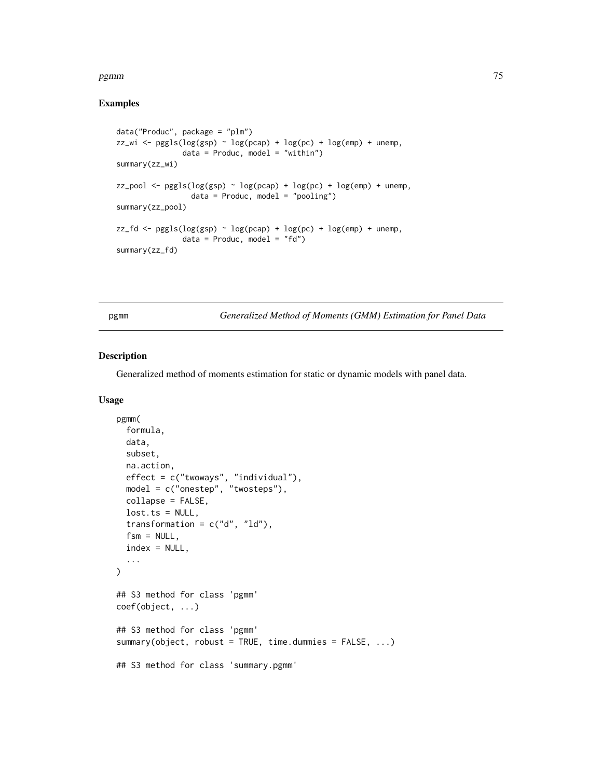### pgmm 35 and 25 and 26 and 26 and 26 and 26 and 26 and 26 and 26 and 26 and 26 and 26 and 26 and 26 and 26 and

# Examples

```
data("Produc", package = "plm")
zz_wi \leftarrow pggls(log(ssp) \sim log(pcap) + log(pc) + log(emp) + unemp,data = Product, model = "within")summary(zz_wi)
zz_pool \leq pggls(log(spp) \sim log(pcap) + log(pc) + log(emp) + unemp,data = Product, model = "pooling")summary(zz_pool)
zz_fd <- pggls(log(gsp) ~ log(pcap) + log(pc) + log(emp) + unemp,
               data = Product, model = "fd")summary(zz_fd)
```
Generalized Method of Moments (GMM) Estimation for Panel Data

# Description

Generalized method of moments estimation for static or dynamic models with panel data.

# Usage

```
pgmm(
  formula,
 data,
  subset,
 na.action,
  effect = c("twoways", "individual"),
 model = c("onestep", "twosteps"),
  collapse = FALSE,
  lost.ts = NULL,transformation = c("d", "ld"),fsm = NULL,
  index = NULL,...
)
## S3 method for class 'pgmm'
coef(object, ...)
## S3 method for class 'pgmm'
summary(object, robust = TRUE, time.dummies = FALSE, ...)
## S3 method for class 'summary.pgmm'
```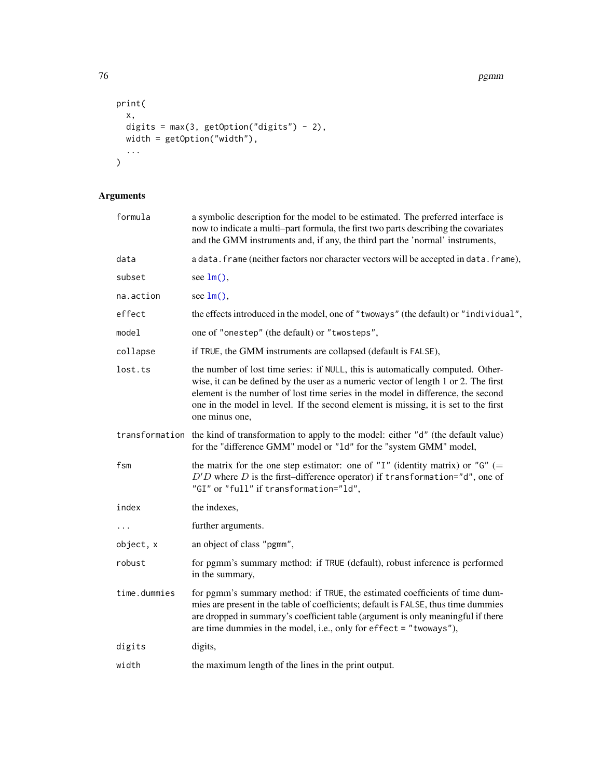76 pgmm

```
print(
  x,
 digits = max(3, getOption("digits") - 2),width = getOption("width"),
 ...
)
```
# Arguments

| formula      | a symbolic description for the model to be estimated. The preferred interface is<br>now to indicate a multi-part formula, the first two parts describing the covariates<br>and the GMM instruments and, if any, the third part the 'normal' instruments,                                                                                                            |
|--------------|---------------------------------------------------------------------------------------------------------------------------------------------------------------------------------------------------------------------------------------------------------------------------------------------------------------------------------------------------------------------|
| data         | a data. frame (neither factors nor character vectors will be accepted in data. frame),                                                                                                                                                                                                                                                                              |
| subset       | see $lm()$ ,                                                                                                                                                                                                                                                                                                                                                        |
| na.action    | see $lm()$ ,                                                                                                                                                                                                                                                                                                                                                        |
| effect       | the effects introduced in the model, one of "twoways" (the default) or "individual",                                                                                                                                                                                                                                                                                |
| model        | one of "onestep" (the default) or "twosteps",                                                                                                                                                                                                                                                                                                                       |
| collapse     | if TRUE, the GMM instruments are collapsed (default is FALSE),                                                                                                                                                                                                                                                                                                      |
| lost.ts      | the number of lost time series: if NULL, this is automatically computed. Other-<br>wise, it can be defined by the user as a numeric vector of length 1 or 2. The first<br>element is the number of lost time series in the model in difference, the second<br>one in the model in level. If the second element is missing, it is set to the first<br>one minus one, |
|              | transformation the kind of transformation to apply to the model: either "d" (the default value)<br>for the "difference GMM" model or "1d" for the "system GMM" model,                                                                                                                                                                                               |
| fsm          | the matrix for the one step estimator: one of "I" (identity matrix) or " $G$ " (=<br>$D'D$ where D is the first-difference operator) if transformation="d", one of<br>"GI" or "full" if transformation="ld",                                                                                                                                                        |
| index        | the indexes,                                                                                                                                                                                                                                                                                                                                                        |
| $\cdots$     | further arguments.                                                                                                                                                                                                                                                                                                                                                  |
| object, x    | an object of class "pgmm",                                                                                                                                                                                                                                                                                                                                          |
| robust       | for pgmm's summary method: if TRUE (default), robust inference is performed<br>in the summary,                                                                                                                                                                                                                                                                      |
| time.dummies | for pgmm's summary method: if TRUE, the estimated coefficients of time dum-<br>mies are present in the table of coefficients; default is FALSE, thus time dummies<br>are dropped in summary's coefficient table (argument is only meaningful if there<br>are time dummies in the model, i.e., only for effect = "twoways"),                                         |
| digits       | digits,                                                                                                                                                                                                                                                                                                                                                             |
| width        | the maximum length of the lines in the print output.                                                                                                                                                                                                                                                                                                                |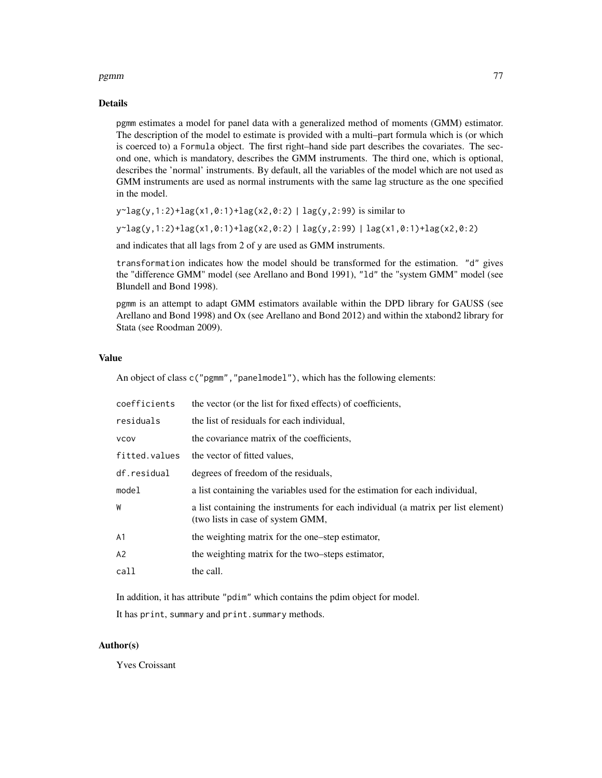#### pgmm 300 mm and 200 mm and 200 mm and 200 mm and 200 mm and 200 mm and 200 mm and 200 mm and 200 mm and 200 mm

#### Details

pgmm estimates a model for panel data with a generalized method of moments (GMM) estimator. The description of the model to estimate is provided with a multi–part formula which is (or which is coerced to) a Formula object. The first right–hand side part describes the covariates. The second one, which is mandatory, describes the GMM instruments. The third one, which is optional, describes the 'normal' instruments. By default, all the variables of the model which are not used as GMM instruments are used as normal instruments with the same lag structure as the one specified in the model.

```
y~lag(y,1:2)+lag(x1,0:1)+lag(x2,0:2) | lag(y,2:99) is similar to
```

```
y \sim \text{lag}(y,1:2) + \text{lag}(x1,0:1) + \text{lag}(x2,0:2) + \text{lag}(y,2:99) + \text{lag}(x1,0:1) + \text{lag}(x2,0:2)
```
and indicates that all lags from 2 of y are used as GMM instruments.

transformation indicates how the model should be transformed for the estimation. "d" gives the "difference GMM" model (see Arellano and Bond 1991), "ld" the "system GMM" model (see Blundell and Bond 1998).

pgmm is an attempt to adapt GMM estimators available within the DPD library for GAUSS (see Arellano and Bond 1998) and Ox (see Arellano and Bond 2012) and within the xtabond2 library for Stata (see Roodman 2009).

#### Value

An object of class c("pgmm","panelmodel"), which has the following elements:

| coefficients  | the vector (or the list for fixed effects) of coefficients,                                                            |
|---------------|------------------------------------------------------------------------------------------------------------------------|
| residuals     | the list of residuals for each individual,                                                                             |
| <b>VCOV</b>   | the covariance matrix of the coefficients,                                                                             |
| fitted.values | the vector of fitted values,                                                                                           |
| df.residual   | degrees of freedom of the residuals.                                                                                   |
| model         | a list containing the variables used for the estimation for each individual,                                           |
| W             | a list containing the instruments for each individual (a matrix per list element)<br>(two lists in case of system GMM, |
| A1            | the weighting matrix for the one-step estimator,                                                                       |
| A2            | the weighting matrix for the two-steps estimator,                                                                      |
| call          | the call.                                                                                                              |

In addition, it has attribute "pdim" which contains the pdim object for model.

It has print, summary and print. summary methods.

#### Author(s)

Yves Croissant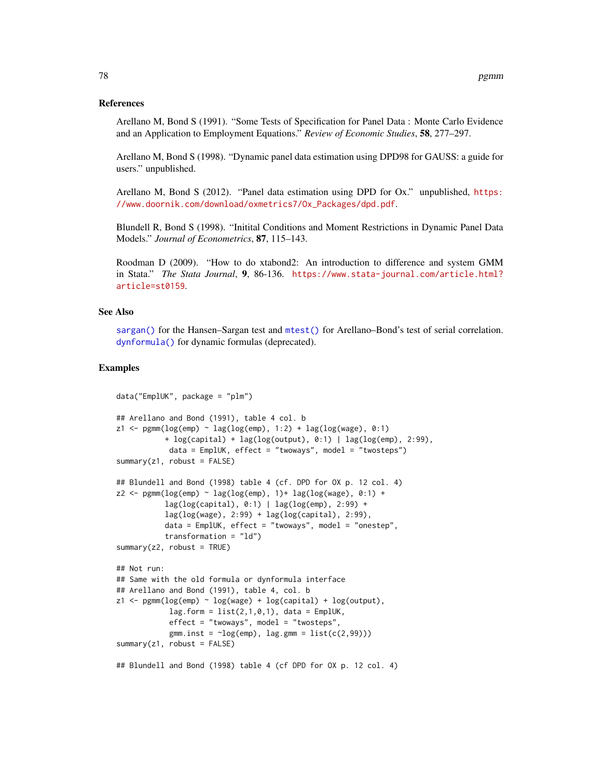#### References

Arellano M, Bond S (1991). "Some Tests of Specification for Panel Data : Monte Carlo Evidence and an Application to Employment Equations." *Review of Economic Studies*, 58, 277–297.

Arellano M, Bond S (1998). "Dynamic panel data estimation using DPD98 for GAUSS: a guide for users." unpublished.

Arellano M, Bond S (2012). "Panel data estimation using DPD for Ox." unpublished, [https:](https://www.doornik.com/download/oxmetrics7/Ox_Packages/dpd.pdf) [//www.doornik.com/download/oxmetrics7/Ox\\_Packages/dpd.pdf](https://www.doornik.com/download/oxmetrics7/Ox_Packages/dpd.pdf).

Blundell R, Bond S (1998). "Initital Conditions and Moment Restrictions in Dynamic Panel Data Models." *Journal of Econometrics*, 87, 115–143.

Roodman D (2009). "How to do xtabond2: An introduction to difference and system GMM in Stata." *The Stata Journal*, 9, 86-136. [https://www.stata-journal.com/article.html?](https://www.stata-journal.com/article.html?article=st0159) [article=st0159](https://www.stata-journal.com/article.html?article=st0159).

#### See Also

[sargan\(\)](#page-134-0) for the Hansen–Sargan test and [mtest\(\)](#page-47-0) for Arellano–Bond's test of serial correlation. [dynformula\(\)](#page-96-0) for dynamic formulas (deprecated).

```
data("EmplUK", package = "plm")
## Arellano and Bond (1991), table 4 col. b
z1 \leftarrow \text{pgmm}(\text{log}(\text{emp}) \sim \text{lag}(\text{log}(\text{emp}), 1:2) + \text{lag}(\text{log}(\text{wage}), 0:1)+ log(capital) + lag(log(output), 0:1) | lag(log(emp), 2:99),
             data = EmplUK, effect = "trows", model = "twosteps")summary(z1, robot = FALSE)## Blundell and Bond (1998) table 4 (cf. DPD for OX p. 12 col. 4)
z2 \leq -\text{pgmm}(\log(\text{emp}) \sim \text{lag}(\log(\text{emp}), 1) + \text{lag}(\log(\text{wage}), 0.1) +lag(log(capital), 0:1) | lag(log(emp), 2:99) +
            lag(log(wage), 2:99) + lag(log(capital), 2:99),
            data = EmplUK, effect = "twoways", model = "onestep",
            transformation = "ld")
summary(z2, robust = TRUE)## Not run:
## Same with the old formula or dynformula interface
## Arellano and Bond (1991), table 4, col. b
z1 \leq pgmm(log(emp) \sim log(wage) + log(capital) + log(output),lag.format = list(2,1,0,1), data = EmplUK,effect = "twoways", model = "twosteps",
             gmm.inst = -log(emp), lag.gmm = list(c(2,99)))summary(z1, robust = FALSE)
## Blundell and Bond (1998) table 4 (cf DPD for OX p. 12 col. 4)
```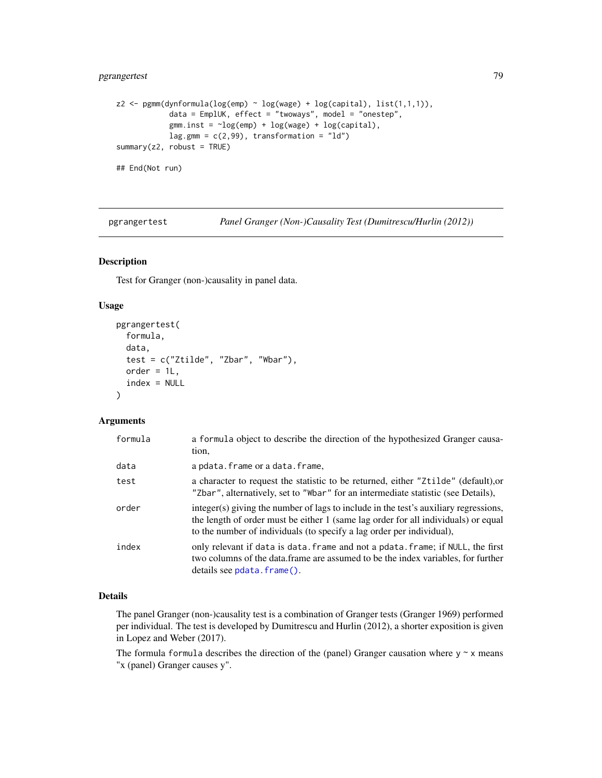# pgrangertest 79

```
z2 \leq -\text{pgmm}(\text{dynformula}(\log(\text{emp}) \sim \log(\text{wage}) + \log(\text{capital}), \text{list}(1,1,1)),data = EmplUK, effect = "twoways", model = "onestep",
              gmm.inst = \neg log(emp) + log(wage) + log(capital),lag.gmm = c(2,99), transformation = "ld")
summary(z2, robust = TRUE)## End(Not run)
```
pgrangertest *Panel Granger (Non-)Causality Test (Dumitrescu/Hurlin (2012))*

# Description

Test for Granger (non-)causality in panel data.

# Usage

```
pgrangertest(
  formula,
  data,
  test = c("Ztilde", "Zbar", "Wbar"),
  order = 1L,
  index = NULL
)
```
# Arguments

| formula | a formula object to describe the direction of the hypothesized Granger causa-<br>tion,                                                                                                                                                              |
|---------|-----------------------------------------------------------------------------------------------------------------------------------------------------------------------------------------------------------------------------------------------------|
| data    | a pdata.frame or a data.frame,                                                                                                                                                                                                                      |
| test    | a character to request the statistic to be returned, either "Ztilde" (default), or<br>"Zbar", alternatively, set to "Wbar" for an intermediate statistic (see Details),                                                                             |
| order   | integer(s) giving the number of lags to include in the test's auxiliary regressions,<br>the length of order must be either 1 (same lag order for all individuals) or equal<br>to the number of individuals (to specify a lag order per individual), |
| index   | only relevant if data is data. frame and not a pdata. frame; if NULL, the first<br>two columns of the data.frame are assumed to be the index variables, for further<br>details see pdata.frame().                                                   |

#### Details

The panel Granger (non-)causality test is a combination of Granger tests (Granger 1969) performed per individual. The test is developed by Dumitrescu and Hurlin (2012), a shorter exposition is given in Lopez and Weber (2017).

The formula formula describes the direction of the (panel) Granger causation where  $y \sim x$  means "x (panel) Granger causes y".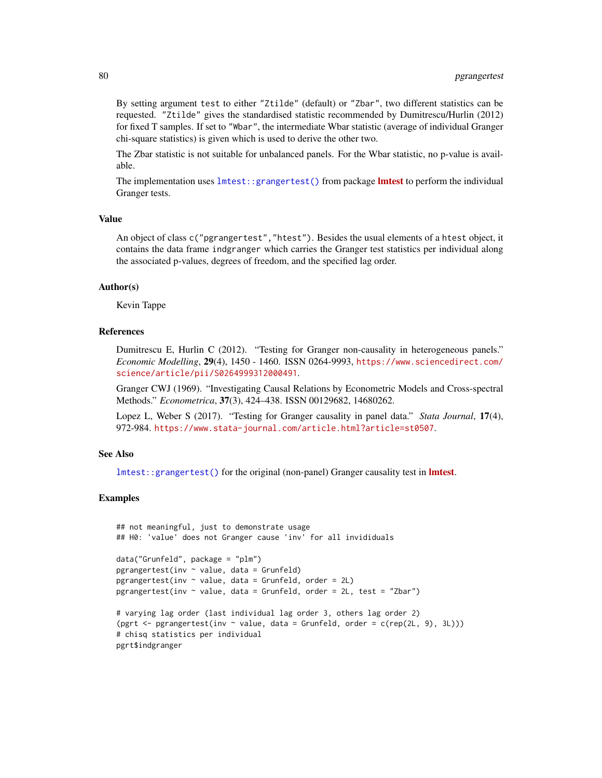By setting argument test to either "Ztilde" (default) or "Zbar", two different statistics can be requested. "Ztilde" gives the standardised statistic recommended by Dumitrescu/Hurlin (2012) for fixed T samples. If set to "Wbar", the intermediate Wbar statistic (average of individual Granger chi-square statistics) is given which is used to derive the other two.

The Zbar statistic is not suitable for unbalanced panels. For the Wbar statistic, no p-value is available.

The implementation uses [lmtest::grangertest\(\)](#page-0-0) from package **Imtest** to perform the individual Granger tests.

#### Value

An object of class c("pgrangertest","htest"). Besides the usual elements of a htest object, it contains the data frame indgranger which carries the Granger test statistics per individual along the associated p-values, degrees of freedom, and the specified lag order.

# Author(s)

Kevin Tappe

#### References

Dumitrescu E, Hurlin C (2012). "Testing for Granger non-causality in heterogeneous panels." *Economic Modelling*, 29(4), 1450 - 1460. ISSN 0264-9993, [https://www.sciencedirect.com/](https://www.sciencedirect.com/science/article/pii/S0264999312000491) [science/article/pii/S0264999312000491](https://www.sciencedirect.com/science/article/pii/S0264999312000491).

Granger CWJ (1969). "Investigating Causal Relations by Econometric Models and Cross-spectral Methods." *Econometrica*, 37(3), 424–438. ISSN 00129682, 14680262.

Lopez L, Weber S (2017). "Testing for Granger causality in panel data." *Stata Journal*, 17(4), 972-984. <https://www.stata-journal.com/article.html?article=st0507>.

#### See Also

 $l$ mtest::grangertest() for the original (non-panel) Granger causality test in **[lmtest](https://CRAN.R-project.org/package=lmtest)**.

```
## not meaningful, just to demonstrate usage
## H0: 'value' does not Granger cause 'inv' for all invididuals
data("Grunfeld", package = "plm")
pgrangertest(inv \sim value, data = Grunfeld)
pgrangertest(inv ~ value, data = Grunfeld, order = 2L)
pgrangertest(inv \sim value, data = Grunfeld, order = 2L, test = "Zbar")
# varying lag order (last individual lag order 3, others lag order 2)
(pgrt \leq- pgrangertest(inv \sim value, data = Grunfeld, order = c(rep(2L, 9), 3L)))
# chisq statistics per individual
pgrt$indgranger
```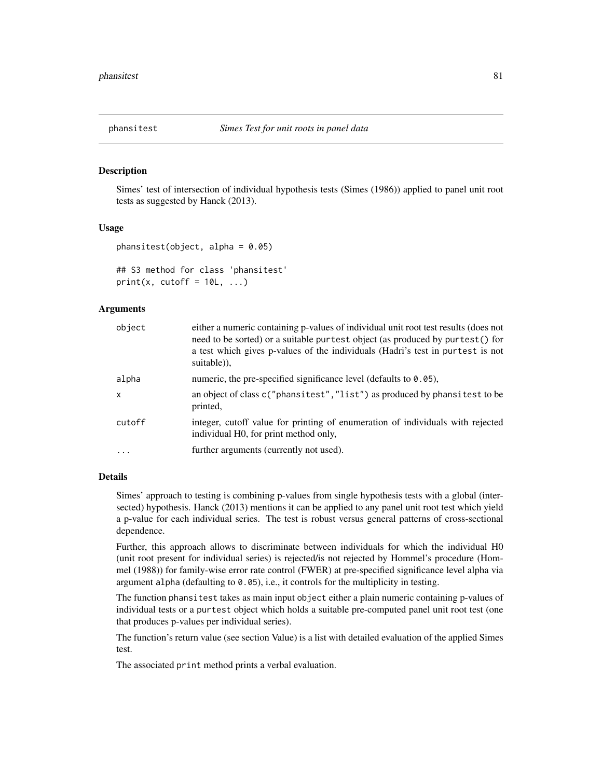# Description

Simes' test of intersection of individual hypothesis tests (Simes (1986)) applied to panel unit root tests as suggested by Hanck (2013).

### Usage

```
phansitest(object, alpha = 0.05)
```

```
## S3 method for class 'phansitest'
print(x, cutoff = 10L, ...)
```
# Arguments

| object  | either a numeric containing p-values of individual unit root test results (does not<br>need to be sorted) or a suitable purtest object (as produced by purtest () for<br>a test which gives p-values of the individuals (Hadri's test in purtest is not<br>suitable)), |
|---------|------------------------------------------------------------------------------------------------------------------------------------------------------------------------------------------------------------------------------------------------------------------------|
| alpha   | numeric, the pre-specified significance level (defaults to $0.05$ ),                                                                                                                                                                                                   |
| X       | an object of class c("phansitest", "list") as produced by phansitest to be<br>printed,                                                                                                                                                                                 |
| cutoff  | integer, cutoff value for printing of enumeration of individuals with rejected<br>individual H0, for print method only,                                                                                                                                                |
| $\cdot$ | further arguments (currently not used).                                                                                                                                                                                                                                |

#### Details

Simes' approach to testing is combining p-values from single hypothesis tests with a global (intersected) hypothesis. Hanck (2013) mentions it can be applied to any panel unit root test which yield a p-value for each individual series. The test is robust versus general patterns of cross-sectional dependence.

Further, this approach allows to discriminate between individuals for which the individual H0 (unit root present for individual series) is rejected/is not rejected by Hommel's procedure (Hommel (1988)) for family-wise error rate control (FWER) at pre-specified significance level alpha via argument alpha (defaulting to 0.05), i.e., it controls for the multiplicity in testing.

The function phansitest takes as main input object either a plain numeric containing p-values of individual tests or a purtest object which holds a suitable pre-computed panel unit root test (one that produces p-values per individual series).

The function's return value (see section Value) is a list with detailed evaluation of the applied Simes test.

The associated print method prints a verbal evaluation.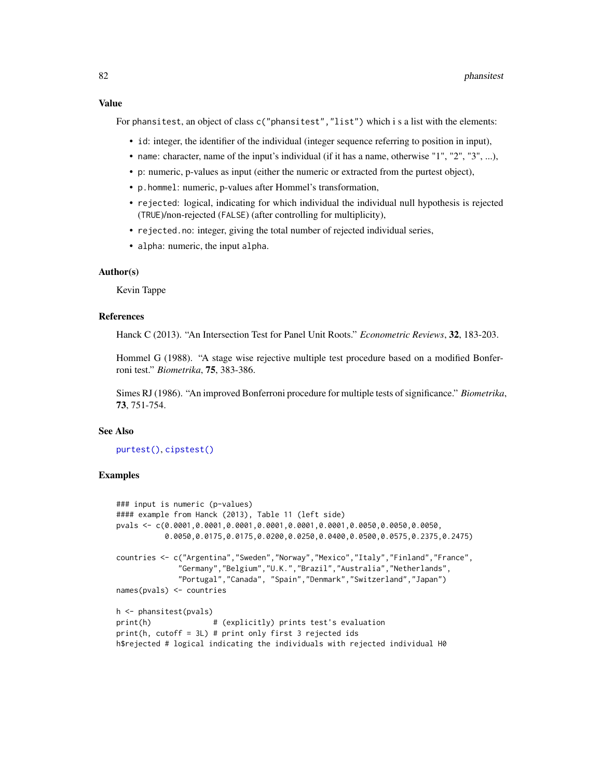#### Value

For phansitest, an object of class c("phansitest", "list") which i s a list with the elements:

- id: integer, the identifier of the individual (integer sequence referring to position in input),
- name: character, name of the input's individual (if it has a name, otherwise "1", "2", "3", ...),
- p: numeric, p-values as input (either the numeric or extracted from the purtest object),
- p.hommel: numeric, p-values after Hommel's transformation,
- rejected: logical, indicating for which individual the individual null hypothesis is rejected (TRUE)/non-rejected (FALSE) (after controlling for multiplicity),
- rejected.no: integer, giving the total number of rejected individual series,
- alpha: numeric, the input alpha.

#### Author(s)

Kevin Tappe

# References

Hanck C (2013). "An Intersection Test for Panel Unit Roots." *Econometric Reviews*, 32, 183-203.

Hommel G (1988). "A stage wise rejective multiple test procedure based on a modified Bonferroni test." *Biometrika*, 75, 383-386.

Simes RJ (1986). "An improved Bonferroni procedure for multiple tests of significance." *Biometrika*, 73, 751-754.

# See Also

[purtest\(\)](#page-115-0), [cipstest\(\)](#page-6-0)

```
### input is numeric (p-values)
#### example from Hanck (2013), Table 11 (left side)
pvals <- c(0.0001,0.0001,0.0001,0.0001,0.0001,0.0001,0.0050,0.0050,0.0050,
          0.0050,0.0175,0.0175,0.0200,0.0250,0.0400,0.0500,0.0575,0.2375,0.2475)
countries <- c("Argentina","Sweden","Norway","Mexico","Italy","Finland","France",
             "Germany","Belgium","U.K.","Brazil","Australia","Netherlands",
             "Portugal","Canada", "Spain","Denmark","Switzerland","Japan")
names(pvals) <- countries
h <- phansitest(pvals)
print(h) # (explicitly) prints test's evaluation
print(h, cutoff = 3L) # print only first 3 rejected ids
h$rejected # logical indicating the individuals with rejected individual H0
```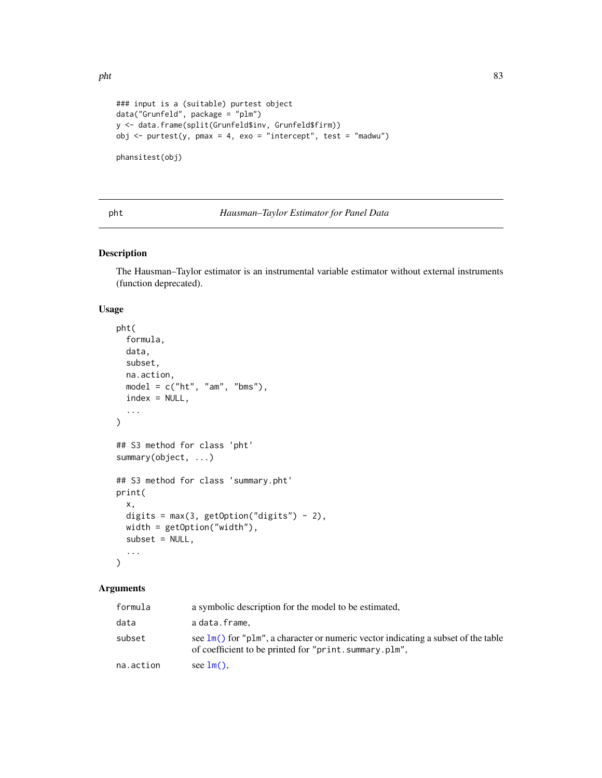```
### input is a (suitable) purtest object
data("Grunfeld", package = "plm")
y <- data.frame(split(Grunfeld$inv, Grunfeld$firm))
obj \le purtest(y, pmax = 4, exo = "intercept", test = "madwu")
phansitest(obj)
```
#### pht *Hausman–Taylor Estimator for Panel Data*

# Description

The Hausman–Taylor estimator is an instrumental variable estimator without external instruments (function deprecated).

# Usage

```
pht(
  formula,
  data,
  subset,
 na.action,
 model = c("ht", "am", "bms"),index = NULL,
  ...
)
## S3 method for class 'pht'
summary(object, ...)
## S3 method for class 'summary.pht'
print(
 x,
  digits = max(3, getOption("digits") - 2),width = getOption("width"),
  subset = NULL,...
\mathcal{L}
```
# Arguments

| formula   | a symbolic description for the model to be estimated,                                                                                                     |
|-----------|-----------------------------------------------------------------------------------------------------------------------------------------------------------|
| data      | adata.frame.                                                                                                                                              |
| subset    | see $\text{Im}(\cdot)$ for "plm", a character or numeric vector indicating a subset of the table<br>of coefficient to be printed for "print.summary.plm", |
| na.action | see $lm()$ .                                                                                                                                              |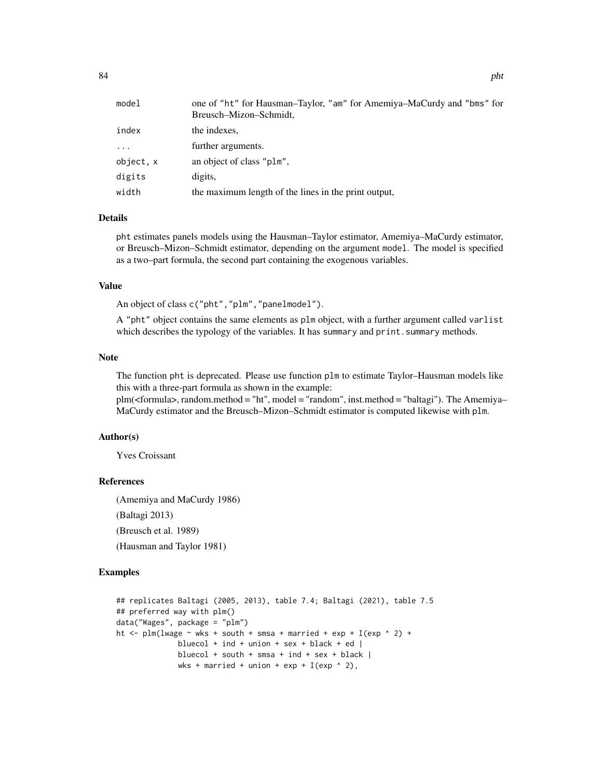| model     | one of "ht" for Hausman–Taylor, "am" for Amemiya–MaCurdy and "bms" for<br>Breusch-Mizon-Schmidt, |
|-----------|--------------------------------------------------------------------------------------------------|
| index     | the indexes.                                                                                     |
| $\cdots$  | further arguments.                                                                               |
| object, x | an object of class "plm",                                                                        |
| digits    | digits,                                                                                          |
| width     | the maximum length of the lines in the print output,                                             |

#### Details

pht estimates panels models using the Hausman–Taylor estimator, Amemiya–MaCurdy estimator, or Breusch–Mizon–Schmidt estimator, depending on the argument model. The model is specified as a two–part formula, the second part containing the exogenous variables.

# Value

An object of class c("pht","plm","panelmodel").

A "pht" object contains the same elements as plm object, with a further argument called varlist which describes the typology of the variables. It has summary and print. summary methods.

#### Note

The function pht is deprecated. Please use function plm to estimate Taylor–Hausman models like this with a three-part formula as shown in the example:

plm(<formula>, random.method = "ht", model = "random", inst.method = "baltagi"). The Amemiya– MaCurdy estimator and the Breusch–Mizon–Schmidt estimator is computed likewise with plm.

# Author(s)

Yves Croissant

#### References

(Amemiya and MaCurdy 1986) (Baltagi 2013) (Breusch et al. 1989) (Hausman and Taylor 1981)

```
## replicates Baltagi (2005, 2013), table 7.4; Baltagi (2021), table 7.5
## preferred way with plm()
data("Wages", package = "plm")
ht \le- plm(lwage \sim wks + south + smsa + married + exp + I(exp \land 2) +
              bluecol + ind + union + sex + black + ed |
              bluecol + south + smsa + ind + sex + black |
              wks + married + union + exp + I(exp \land 2),
```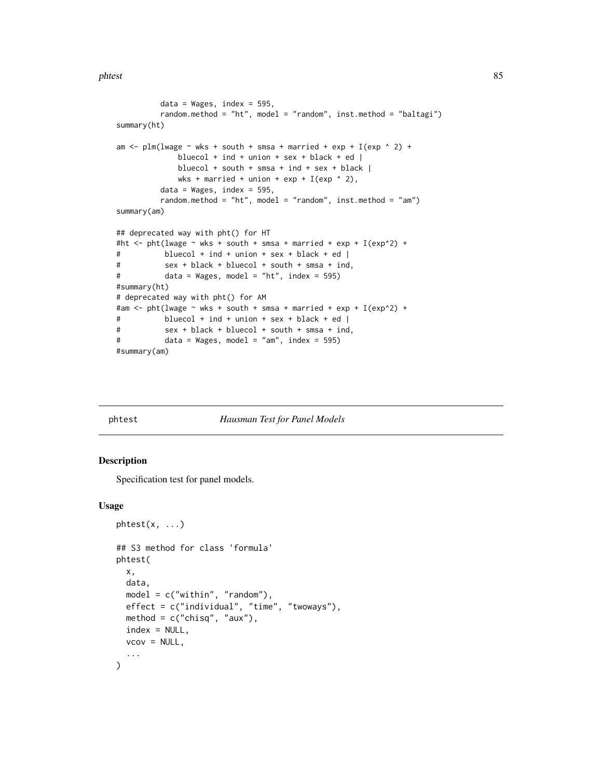phtest 85

```
data = Wages, index = 595,random.method = "ht", model = "random", inst.method = "baltagi")
summary(ht)
am \le plm(lwage \sim wks + south + smsa + married + exp + I(exp \land 2) +
             bluecol + ind + union + sex + black + ed |
             bluecol + south + smsa + ind + sex + black |
             wks + married + union + exp + I(exp \n^2),
         data = Wages, index = 595,random.method = "ht", model = "random", inst.method = "am")
summary(am)
## deprecated way with pht() for HT
#ht <- pht(lwage \sim wks + south + smsa + married + exp + I(exp^2) +
# bluecol + ind + union + sex + black + ed |
# sex + black + bluecol + south + smsa + ind,
# data = Wages, model = "ht", index = 595)
#summary(ht)
# deprecated way with pht() for AM
#am <- pht(lwage \sim wks + south + smsa + married + exp + I(exp^2) +
# bluecol + ind + union + sex + black + ed |
# sex + black + bluecol + south + smsa + ind,
# data = Wages, model = "am", index = 595)
#summary(am)
```
# phtest *Hausman Test for Panel Models*

#### **Description**

Specification test for panel models.

#### Usage

```
phtest(x, \ldots)## S3 method for class 'formula'
phtest(
  x,
  data,
  model = c("within", "random"),
  effect = c("individual", "time", "twoways"),
 method = c("chisq", "aux"),
  index = NULL,vcov = NULL,...
)
```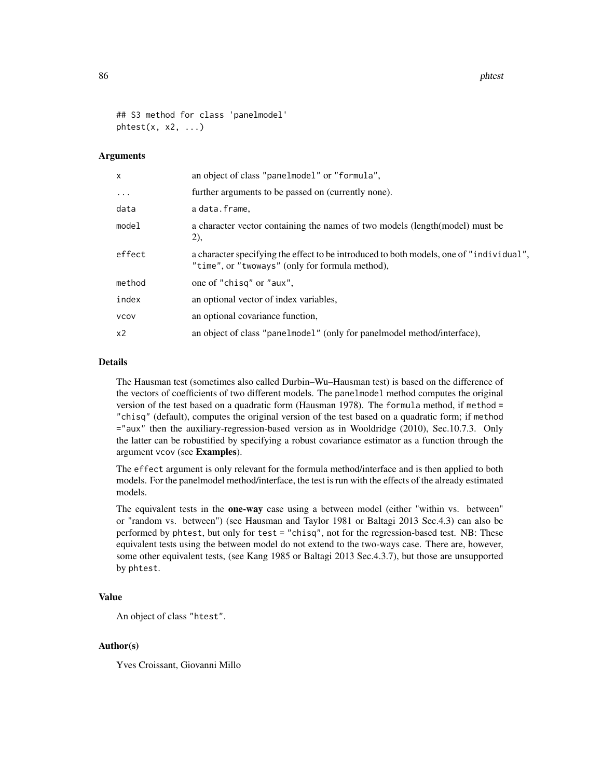86 phtest and the state of the state of the state of the state of the state of the state of the state of the state of the state of the state of the state of the state of the state of the state of the state of the state of

```
## S3 method for class 'panelmodel'
Bhtest(x, x2, \ldots)
```
# **Arguments**

| X              | an object of class "panelmodel" or "formula",                                                                                              |
|----------------|--------------------------------------------------------------------------------------------------------------------------------------------|
| $\ddots$ .     | further arguments to be passed on (currently none).                                                                                        |
| data           | a data.frame,                                                                                                                              |
| model          | a character vector containing the names of two models (length (model) must be<br>2),                                                       |
| effect         | a character specifying the effect to be introduced to both models, one of "individual",<br>"time", or "twoways" (only for formula method), |
| method         | one of "chisq" or "aux",                                                                                                                   |
| index          | an optional vector of index variables,                                                                                                     |
| <b>VCOV</b>    | an optional covariance function,                                                                                                           |
| x <sub>2</sub> | an object of class "panelmodel" (only for panelmodel method/interface),                                                                    |

# Details

The Hausman test (sometimes also called Durbin–Wu–Hausman test) is based on the difference of the vectors of coefficients of two different models. The panelmodel method computes the original version of the test based on a quadratic form (Hausman 1978). The formula method, if method = "chisq" (default), computes the original version of the test based on a quadratic form; if method ="aux" then the auxiliary-regression-based version as in Wooldridge (2010), Sec.10.7.3. Only the latter can be robustified by specifying a robust covariance estimator as a function through the argument vcov (see Examples).

The effect argument is only relevant for the formula method/interface and is then applied to both models. For the panelmodel method/interface, the test is run with the effects of the already estimated models.

The equivalent tests in the **one-way** case using a between model (either "within vs. between" or "random vs. between") (see Hausman and Taylor 1981 or Baltagi 2013 Sec.4.3) can also be performed by phtest, but only for test = "chisq", not for the regression-based test. NB: These equivalent tests using the between model do not extend to the two-ways case. There are, however, some other equivalent tests, (see Kang 1985 or Baltagi 2013 Sec.4.3.7), but those are unsupported by phtest.

# Value

An object of class "htest".

#### Author(s)

Yves Croissant, Giovanni Millo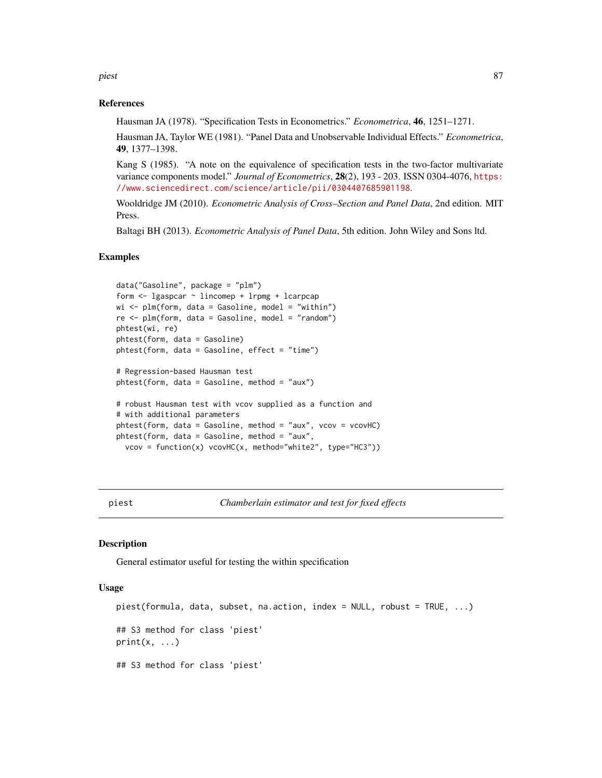piest 87 and 87 and 87 and 87 and 87 and 87 and 87 and 87 and 87 and 87 and 87 and 87 and 87 and 87 and 87 and

# References

Hausman JA (1978). "Specification Tests in Econometrics." *Econometrica*, 46, 1251–1271.

Hausman JA, Taylor WE (1981). "Panel Data and Unobservable Individual Effects." *Econometrica*, 49, 1377–1398.

Kang S (1985). "A note on the equivalence of specification tests in the two-factor multivariate variance components model." *Journal of Econometrics*, 28(2), 193 - 203. ISSN 0304-4076, [https:](https://www.sciencedirect.com/science/article/pii/0304407685901198) [//www.sciencedirect.com/science/article/pii/0304407685901198](https://www.sciencedirect.com/science/article/pii/0304407685901198).

Wooldridge JM (2010). *Econometric Analysis of Cross–Section and Panel Data*, 2nd edition. MIT Press.

Baltagi BH (2013). *Econometric Analysis of Panel Data*, 5th edition. John Wiley and Sons ltd.

# Examples

```
data("Gasoline", package = "plm")
form <- lgaspcar ~ lincomep + lrpmg + lcarpcap
wi <- plm(form, data = Gasoline, model = "within")
re <- plm(form, data = Gasoline, model = "random")
phtest(wi, re)
phtest(form, data = Gasoline)
phtest(form, data = Gasoline, effect = "time")
# Regression-based Hausman test
phtest(form, data = Gasoline, method = "aux")
# robust Hausman test with vcov supplied as a function and
# with additional parameters
phtest(form, data = Gasoline, method = "aux", vcov = vcovHC)phtest(form, data = Gasoline, method = "aux",
 vcov = function(x) vcovHC(x, method="white2", type="HC3"))
```
piest *Chamberlain estimator and test for fixed effects*

#### Description

General estimator useful for testing the within specification

# Usage

```
piest(formula, data, subset, na.action, index = NULL, robust = TRUE, ...)
## S3 method for class 'piest'
print(x, \ldots)## S3 method for class 'piest'
```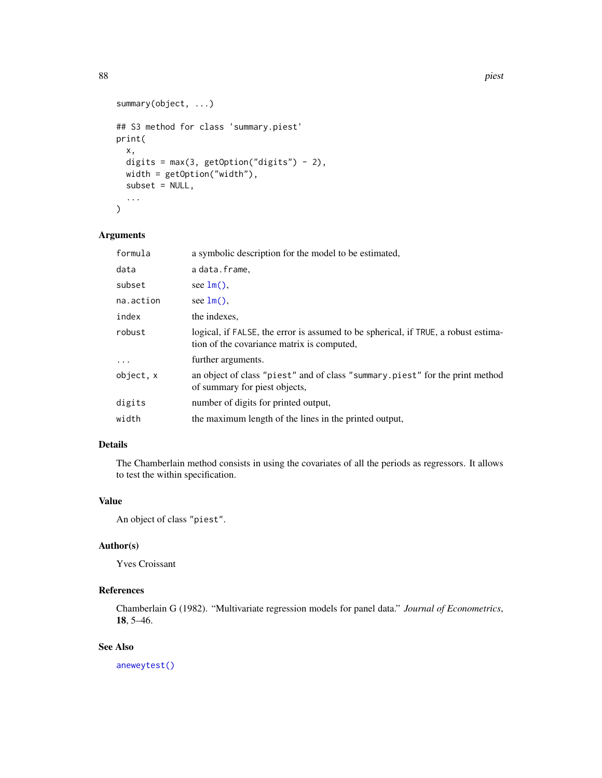```
summary(object, ...)
## S3 method for class 'summary.piest'
print(
  x,
 digits = max(3, getOption("digits") - 2),
 width = getOption("width"),
 subset = NULL,...
\mathcal{L}
```
# Arguments

| formula   | a symbolic description for the model to be estimated,                                                                            |
|-----------|----------------------------------------------------------------------------------------------------------------------------------|
| data      | a data.frame,                                                                                                                    |
| subset    | see $lm()$ .                                                                                                                     |
| na.action | see $lm()$ ,                                                                                                                     |
| index     | the indexes.                                                                                                                     |
| robust    | logical, if FALSE, the error is assumed to be spherical, if TRUE, a robust estima-<br>tion of the covariance matrix is computed, |
|           | further arguments.                                                                                                               |
| object, x | an object of class "piest" and of class "summary.piest" for the print method<br>of summary for piest objects,                    |
| digits    | number of digits for printed output,                                                                                             |
| width     | the maximum length of the lines in the printed output,                                                                           |

# Details

The Chamberlain method consists in using the covariates of all the periods as regressors. It allows to test the within specification.

# Value

An object of class "piest".

# Author(s)

Yves Croissant

# References

Chamberlain G (1982). "Multivariate regression models for panel data." *Journal of Econometrics*, 18, 5–46.

# See Also

[aneweytest\(\)](#page-4-0)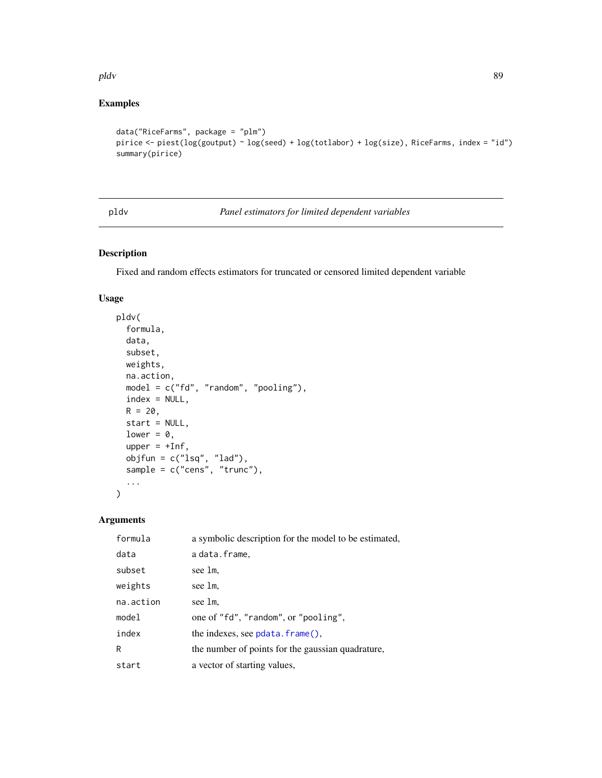pldv 89

# Examples

```
data("RiceFarms", package = "plm")
pirice <- piest(log(goutput) ~ log(seed) + log(totlabor) + log(size), RiceFarms, index = "id")
summary(pirice)
```
pldv *Panel estimators for limited dependent variables*

# Description

Fixed and random effects estimators for truncated or censored limited dependent variable

# Usage

```
pldv(
  formula,
  data,
  subset,
  weights,
  na.action,
  model = c("fd", "random", "pooling"),
  index = NULL,
  R = 20,
  start = NULL,
  lower = 0,
  upper = +Inf,
  objfun = c("lsq", "lad"),sample = c("cens", "trunc"),
  ...
\mathcal{L}
```
# Arguments

| formula   | a symbolic description for the model to be estimated, |
|-----------|-------------------------------------------------------|
| data      | adata.frame.                                          |
| subset    | see lm.                                               |
| weights   | see lm.                                               |
| na.action | see 1m.                                               |
| model     | one of "fd", "random", or "pooling",                  |
| index     | the indexes, see $pdata$ . $frame()$ .                |
| R         | the number of points for the gaussian quadrature,     |
| start     | a vector of starting values,                          |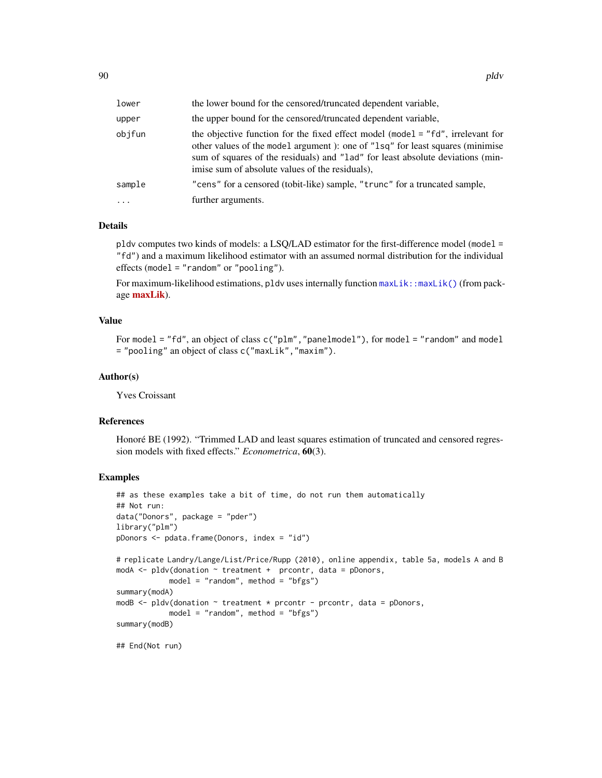| lower     | the lower bound for the censored/truncated dependent variable,                                                                                                                                                                                                                                        |
|-----------|-------------------------------------------------------------------------------------------------------------------------------------------------------------------------------------------------------------------------------------------------------------------------------------------------------|
| upper     | the upper bound for the censored/truncated dependent variable,                                                                                                                                                                                                                                        |
| objfun    | the objective function for the fixed effect model (model = "fd", irrelevant for<br>other values of the model argument): one of "lsq" for least squares (minimise<br>sum of squares of the residuals) and "lad" for least absolute deviations (min-<br>imise sum of absolute values of the residuals). |
| sample    | "cens" for a censored (tobit-like) sample, "trunc" for a truncated sample,                                                                                                                                                                                                                            |
| $\ddotsc$ | further arguments.                                                                                                                                                                                                                                                                                    |

# Details

pldv computes two kinds of models: a LSQ/LAD estimator for the first-difference model (model = "fd") and a maximum likelihood estimator with an assumed normal distribution for the individual effects (model = "random" or "pooling").

For maximum-likelihood estimations, pldv uses internally function  $maxList$ : :maxLik() (from package **[maxLik](https://CRAN.R-project.org/package=maxLik)**).

# Value

For model = "fd", an object of class c("plm","panelmodel"), for model = "random" and model = "pooling" an object of class c("maxLik","maxim").

# Author(s)

Yves Croissant

# References

Honoré BE (1992). "Trimmed LAD and least squares estimation of truncated and censored regression models with fixed effects." *Econometrica*, 60(3).

```
## as these examples take a bit of time, do not run them automatically
## Not run:
data("Donors", package = "pder")
library("plm")
pDonors <- pdata.frame(Donors, index = "id")
# replicate Landry/Lange/List/Price/Rupp (2010), online appendix, table 5a, models A and B
modA \leq pldv(donation \sim treatment + prcontr, data = pDonors,
            model = "random", method = "bfgs")
summary(modA)
modB \leq- pldv(donation \sim treatment * prcontr - prcontr, data = pDonors,
            model = "random", method = "bfgs")summary(modB)
## End(Not run)
```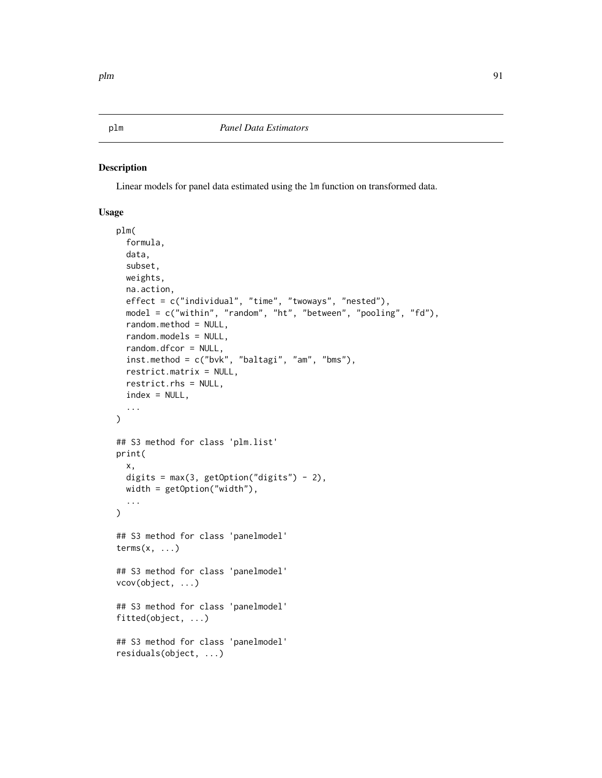# Description

Linear models for panel data estimated using the lm function on transformed data.

# Usage

```
plm(
  formula,
  data,
  subset,
 weights,
  na.action,
  effect = c("individual", "time", "twoways", "nested"),
  model = c("within", "random", "ht", "between", "pooling", "fd"),
  random.method = NULL,
  random.models = NULL,
  random.dfcor = NULL,
  inst.method = c("bvk", "baltagi", "am", "bms"),
  restrict.matrix = NULL,
  restrict.rhs = NULL,
  index = NULL,
  ...
\mathcal{L}## S3 method for class 'plm.list'
print(
  x,
 digits = max(3, getOption("digits") - 2),width = getOption("width"),
  ...
\mathcal{L}## S3 method for class 'panelmodel'
terms(x, \ldots)## S3 method for class 'panelmodel'
vcov(object, ...)
## S3 method for class 'panelmodel'
fitted(object, ...)
## S3 method for class 'panelmodel'
residuals(object, ...)
```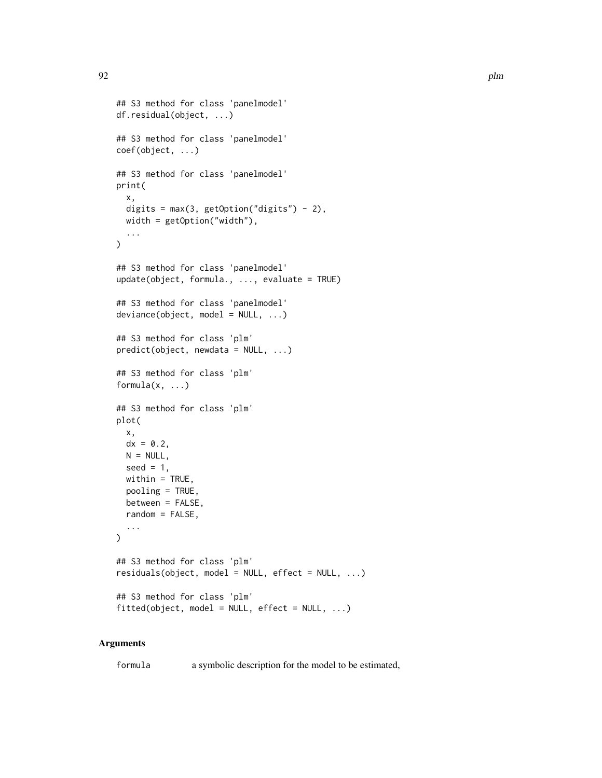```
## S3 method for class 'panelmodel'
df.residual(object, ...)
## S3 method for class 'panelmodel'
coef(object, ...)
## S3 method for class 'panelmodel'
print(
  x,
  digits = max(3, getOption("digits") - 2),width = getOption("width"),
  ...
)
## S3 method for class 'panelmodel'
update(object, formula., ..., evaluate = TRUE)
## S3 method for class 'panelmodel'
deviance(object, model = NULL, ...)## S3 method for class 'plm'
predict(object, new data = NULL, ...)## S3 method for class 'plm'
formula(x, \ldots)## S3 method for class 'plm'
plot(
 x,
  dx = 0.2,
 N = NULL,seed = 1,
 within = TRUE,
 pooling = TRUE,
 between = FALSE,
  random = FALSE,
  ...
\mathcal{L}## S3 method for class 'plm'
residuals(object, model = NULL, effect = NULL, ...)## S3 method for class 'plm'
fitted(object, model = NULL, effect = NULL, ...)
```
# Arguments

formula a symbolic description for the model to be estimated,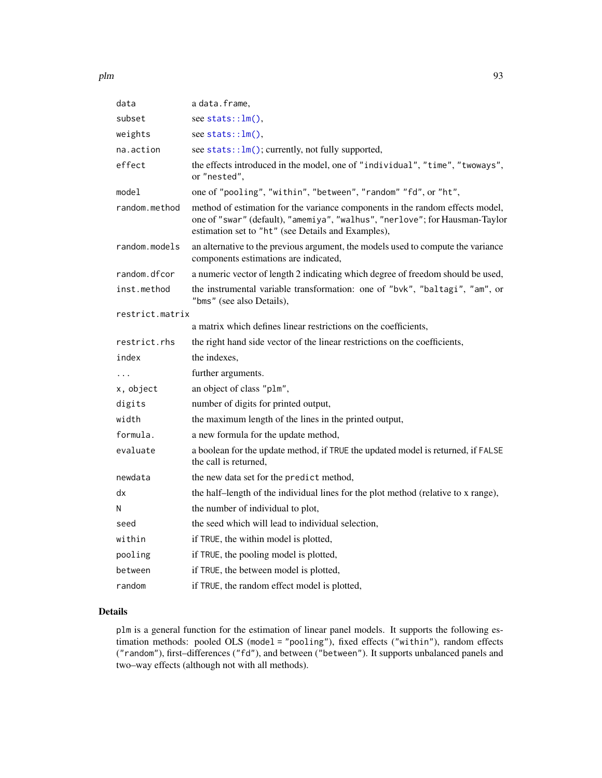| data            | a data.frame,                                                                                                                                                                                                      |
|-----------------|--------------------------------------------------------------------------------------------------------------------------------------------------------------------------------------------------------------------|
| subset          | see stats:: $lm()$ ,                                                                                                                                                                                               |
| weights         | see stats:: $lm(),$                                                                                                                                                                                                |
| na.action       | see stats:: $lm()$ ; currently, not fully supported,                                                                                                                                                               |
| effect          | the effects introduced in the model, one of "individual", "time", "twoways",<br>or "nested".                                                                                                                       |
| model           | one of "pooling", "within", "between", "random" "fd", or "ht",                                                                                                                                                     |
| random.method   | method of estimation for the variance components in the random effects model,<br>one of "swar" (default), "amemiya", "walhus", "nerlove"; for Hausman-Taylor<br>estimation set to "ht" (see Details and Examples), |
| random.models   | an alternative to the previous argument, the models used to compute the variance<br>components estimations are indicated,                                                                                          |
| random.dfcor    | a numeric vector of length 2 indicating which degree of freedom should be used,                                                                                                                                    |
| inst.method     | the instrumental variable transformation: one of "bvk", "baltagi", "am", or<br>"bms" (see also Details),                                                                                                           |
| restrict.matrix |                                                                                                                                                                                                                    |
|                 | a matrix which defines linear restrictions on the coefficients,                                                                                                                                                    |
| restrict.rhs    | the right hand side vector of the linear restrictions on the coefficients,                                                                                                                                         |
| index           | the indexes,                                                                                                                                                                                                       |
| .               | further arguments.                                                                                                                                                                                                 |
| x, object       | an object of class "plm",                                                                                                                                                                                          |
| digits          | number of digits for printed output,                                                                                                                                                                               |
| width           | the maximum length of the lines in the printed output,                                                                                                                                                             |
| formula.        | a new formula for the update method,                                                                                                                                                                               |
| evaluate        | a boolean for the update method, if TRUE the updated model is returned, if FALSE<br>the call is returned,                                                                                                          |
| newdata         | the new data set for the predict method,                                                                                                                                                                           |
| dx              | the half-length of the individual lines for the plot method (relative to x range),                                                                                                                                 |
| Ν               | the number of individual to plot,                                                                                                                                                                                  |
| seed            | the seed which will lead to individual selection,                                                                                                                                                                  |
| within          | if TRUE, the within model is plotted,                                                                                                                                                                              |
| pooling         | if TRUE, the pooling model is plotted,                                                                                                                                                                             |
| between         | if TRUE, the between model is plotted,                                                                                                                                                                             |
| random          | if TRUE, the random effect model is plotted,                                                                                                                                                                       |

# Details

plm is a general function for the estimation of linear panel models. It supports the following estimation methods: pooled OLS (model = "pooling"), fixed effects ("within"), random effects ("random"), first–differences ("fd"), and between ("between"). It supports unbalanced panels and two–way effects (although not with all methods).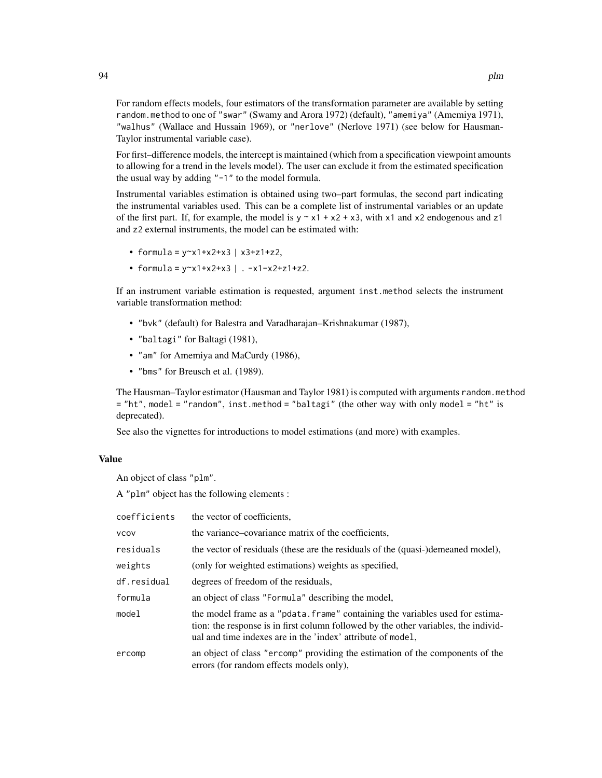For random effects models, four estimators of the transformation parameter are available by setting random.method to one of "swar" (Swamy and Arora 1972) (default), "amemiya" (Amemiya 1971), "walhus" (Wallace and Hussain 1969), or "nerlove" (Nerlove 1971) (see below for Hausman-Taylor instrumental variable case).

For first–difference models, the intercept is maintained (which from a specification viewpoint amounts to allowing for a trend in the levels model). The user can exclude it from the estimated specification the usual way by adding "-1" to the model formula.

Instrumental variables estimation is obtained using two–part formulas, the second part indicating the instrumental variables used. This can be a complete list of instrumental variables or an update of the first part. If, for example, the model is  $y \sim x1 + x2 + x3$ , with x1 and x2 endogenous and z1 and z2 external instruments, the model can be estimated with:

- formula =  $y \sim x1 + x2 + x3$  |  $x3 + z1 + z2$ ,
- formula =  $y \sim x1 + x2 + x3$  | .  $-x1-x2+z1+z2$ .

If an instrument variable estimation is requested, argument inst.method selects the instrument variable transformation method:

- "bvk" (default) for Balestra and Varadharajan–Krishnakumar (1987),
- "baltagi" for Baltagi (1981),
- "am" for Amemiya and MaCurdy (1986),
- "bms" for Breusch et al. (1989).

The Hausman–Taylor estimator (Hausman and Taylor 1981) is computed with arguments random.method = "ht", model = "random", inst.method = "baltagi" (the other way with only model = "ht" is deprecated).

See also the vignettes for introductions to model estimations (and more) with examples.

# Value

An object of class "plm".

A "plm" object has the following elements :

| coefficients | the vector of coefficients,                                                                                                                                                                                                         |
|--------------|-------------------------------------------------------------------------------------------------------------------------------------------------------------------------------------------------------------------------------------|
| <b>VCOV</b>  | the variance–covariance matrix of the coefficients,                                                                                                                                                                                 |
| residuals    | the vector of residuals (these are the residuals of the (quasi-)demeaned model),                                                                                                                                                    |
| weights      | (only for weighted estimations) weights as specified,                                                                                                                                                                               |
| df.residual  | degrees of freedom of the residuals,                                                                                                                                                                                                |
| formula      | an object of class "Formula" describing the model,                                                                                                                                                                                  |
| model        | the model frame as a "pdata. frame" containing the variables used for estima-<br>tion: the response is in first column followed by the other variables, the individ-<br>ual and time indexes are in the 'index' attribute of model, |
| ercomp       | an object of class "ercomp" providing the estimation of the components of the<br>errors (for random effects models only),                                                                                                           |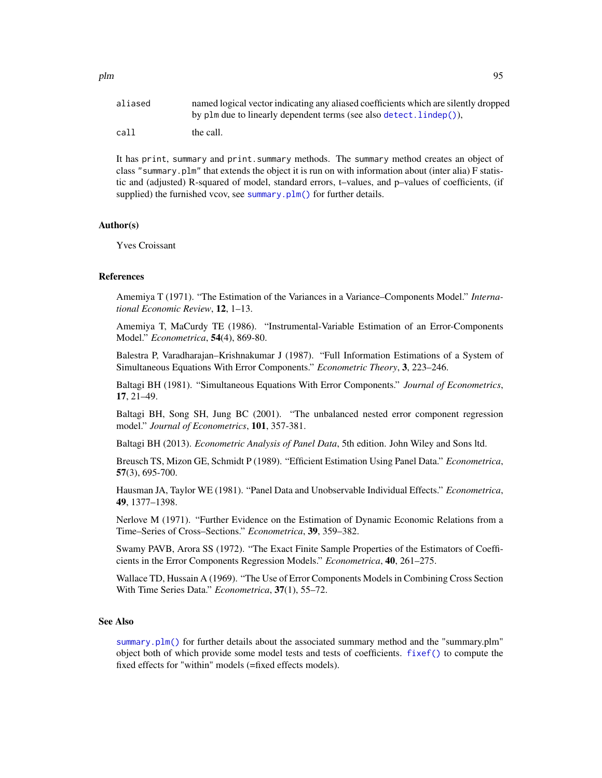| aliased | named logical vector indicating any aliased coefficients which are silently dropped<br>by plm due to linearly dependent terms (see also detect. $line(p)$ ), |
|---------|--------------------------------------------------------------------------------------------------------------------------------------------------------------|
| call    | the call.                                                                                                                                                    |

It has print, summary and print.summary methods. The summary method creates an object of class "summary.plm" that extends the object it is run on with information about (inter alia) F statistic and (adjusted) R-squared of model, standard errors, t–values, and p–values of coefficients, (if supplied) the furnished vcov, see [summary.plm\(\)](#page-137-0) for further details.

# Author(s)

Yves Croissant

#### References

Amemiya T (1971). "The Estimation of the Variances in a Variance–Components Model." *International Economic Review*, 12, 1–13.

Amemiya T, MaCurdy TE (1986). "Instrumental-Variable Estimation of an Error-Components Model." *Econometrica*, 54(4), 869-80.

Balestra P, Varadharajan–Krishnakumar J (1987). "Full Information Estimations of a System of Simultaneous Equations With Error Components." *Econometric Theory*, 3, 223–246.

Baltagi BH (1981). "Simultaneous Equations With Error Components." *Journal of Econometrics*, 17, 21–49.

Baltagi BH, Song SH, Jung BC (2001). "The unbalanced nested error component regression model." *Journal of Econometrics*, 101, 357-381.

Baltagi BH (2013). *Econometric Analysis of Panel Data*, 5th edition. John Wiley and Sons ltd.

Breusch TS, Mizon GE, Schmidt P (1989). "Efficient Estimation Using Panel Data." *Econometrica*, 57(3), 695-700.

Hausman JA, Taylor WE (1981). "Panel Data and Unobservable Individual Effects." *Econometrica*, 49, 1377–1398.

Nerlove M (1971). "Further Evidence on the Estimation of Dynamic Economic Relations from a Time–Series of Cross–Sections." *Econometrica*, 39, 359–382.

Swamy PAVB, Arora SS (1972). "The Exact Finite Sample Properties of the Estimators of Coefficients in the Error Components Regression Models." *Econometrica*, 40, 261–275.

Wallace TD, Hussain A (1969). "The Use of Error Components Models in Combining Cross Section With Time Series Data." *Econometrica*, 37(1), 55–72.

#### See Also

[summary.plm\(\)](#page-137-0) for further details about the associated summary method and the "summary.plm" object both of which provide some model tests and tests of coefficients. [fixef\(\)](#page-17-0) to compute the fixed effects for "within" models (=fixed effects models).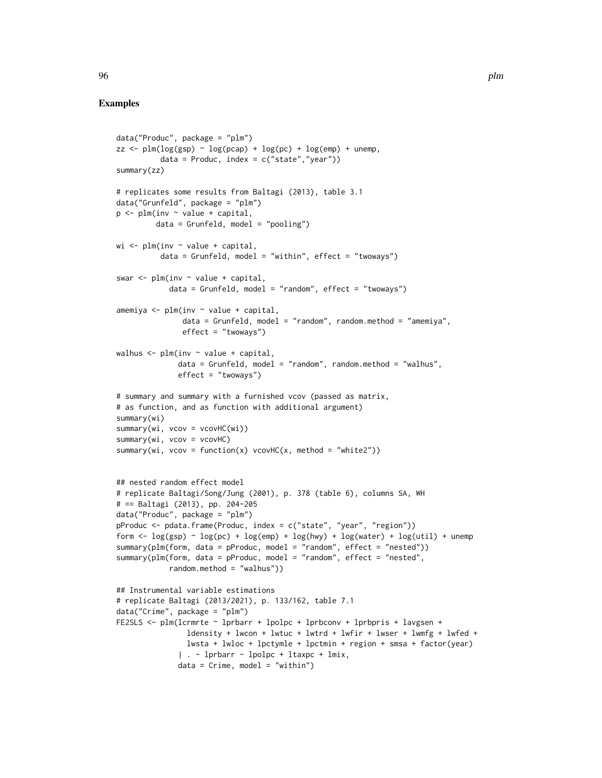```
data("Produc", package = "plm")
zz \le plm(log(gsp) \sim log(pcap) + log(pc) + log(emp) + unemp,
          data = Product, index = c("state", "year"))summary(zz)
# replicates some results from Baltagi (2013), table 3.1
data("Grunfeld", package = "plm")
p <- plm(inv ~ value + capital,
         data = Grunfeld, model = "pooling")
wi \leq plm(inv \sim value + capital,
          data = Grunfeld, model = "within", effect = "twoways")swar \leq plm(inv \sim value + capital,
            data = Grunfeld, model = "random", effect = "twoways")
amemiya \leq plm(inv \sim value + capital,
               data = Grunfeld, model = "random", random.method = "amemiya",effect = "twoways")
walhus \leq plm(inv \sim value + capital,
              data = Grunfeld, model = "random", random.method = "walhus",
              effect = "twoways")
# summary and summary with a furnished vcov (passed as matrix,
# as function, and as function with additional argument)
summary(wi)
summary(wi, vcov = vcovHC(wi))
summary(wi, vcov = vcovHC)
summary(wi, vcov = function(x) vcovHC(x, method = "white2"))
## nested random effect model
# replicate Baltagi/Song/Jung (2001), p. 378 (table 6), columns SA, WH
# == Baltagi (2013), pp. 204-205
data("Produc", package = "plm")
pProduc <- pdata.frame(Produc, index = c("state", "year", "region"))
form \leq log(gsp) \sim log(pc) + log(emp) + log(hwy) + log(water) + log(util) + unemp
summary(plm(form, data = pProduc, model = "random", effect = "nested"))
summary(plm(form, data = pProduc, model = "random", effect = "nested",
            random.method = "walhus"))
## Instrumental variable estimations
# replicate Baltagi (2013/2021), p. 133/162, table 7.1
data("Crime", package = "plm")
FE2SLS <- plm(lcrmrte ~ lprbarr + lpolpc + lprbconv + lprbpris + lavgsen +
                ldensity + lwcon + lwtuc + lwtrd + lwfir + lwser + lwmfg + lwfed +
                lwsta + lwloc + lpctymle + lpctmin + region + smsa + factor(year)
              | . - lprbarr - lpolpc + ltaxpc + lmix,
              data = Crime, model = "within")
```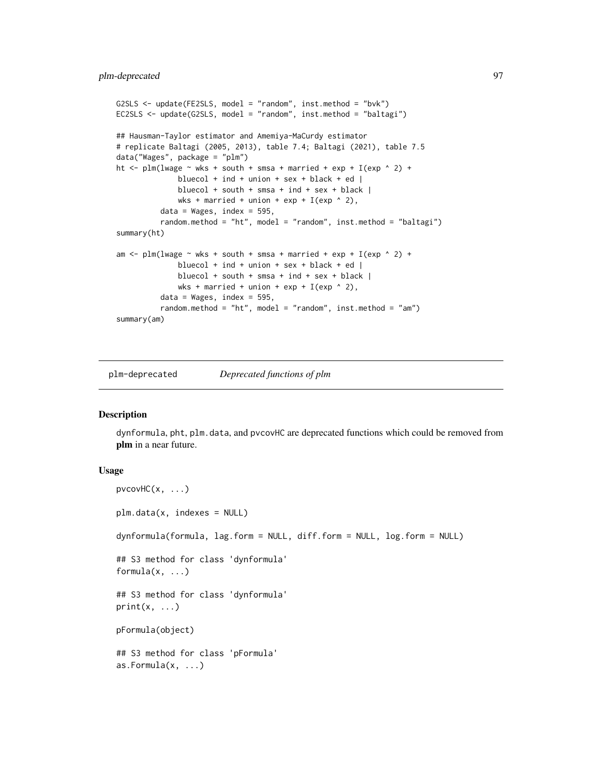```
G2SLS <- update(FE2SLS, model = "random", inst.method = "bvk")
EC2SLS <- update(G2SLS, model = "random", inst.method = "baltagi")
## Hausman-Taylor estimator and Amemiya-MaCurdy estimator
# replicate Baltagi (2005, 2013), table 7.4; Baltagi (2021), table 7.5
data("Wages", package = "plm")
ht \le plm(lwage \sim wks + south + smsa + married + exp + I(exp \land 2) +
              bluecol + ind + union + sex + black + ed |bluecol + south + smsa + ind + sex + black |wks + married + union + exp + I(exp \n^2),
          data = Wages, index = 595,random.method = "ht", model = "random", inst.method = "baltagi")
summary(ht)
am \le plm(lwage \sim wks + south + smsa + married + exp + I(exp \wedge 2) +
              bluecol + ind + union + sex + black + ed |
              bluecol + south + smsa + ind + sex + black |
              wks + married + union + exp + I(exp \land 2),
          data = Wages, index = 595,random.method = "ht", model = "random", inst.method = "am")
summary(am)
```
plm-deprecated *Deprecated functions of plm*

#### <span id="page-96-0"></span>Description

dynformula, pht, plm.data, and pvcovHC are deprecated functions which could be removed from plm in a near future.

#### Usage

```
pvcovHC(x, \ldots)plm.data(x, indexes = NULL)
dynformula(formula, lag.form = NULL, diff.form = NULL, log.form = NULL)
## S3 method for class 'dynformula'
formula(x, \ldots)## S3 method for class 'dynformula'
print(x, \ldots)pFormula(object)
## S3 method for class 'pFormula'
as.Formula(x, ...)
```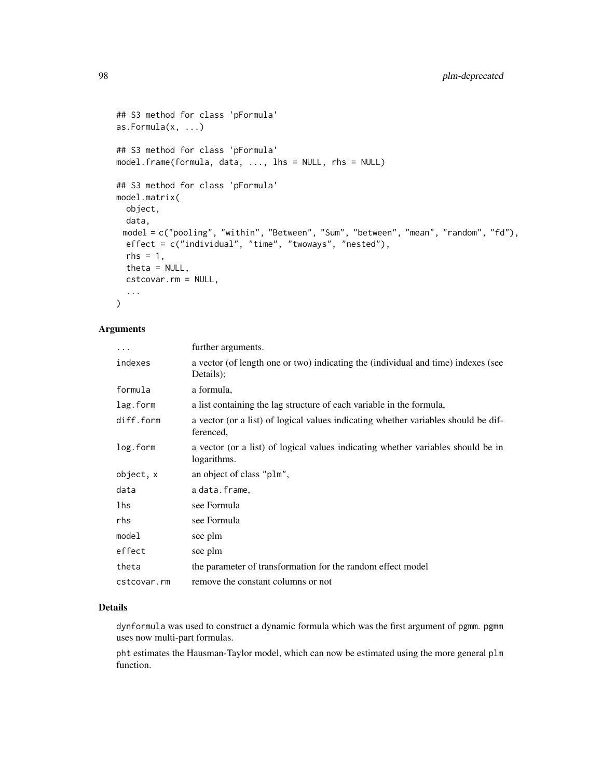```
## S3 method for class 'pFormula'
as.Formula(x, ...)
## S3 method for class 'pFormula'
model.frame(formula, data, ..., lhs = NULL, rhs = NULL)
## S3 method for class 'pFormula'
model.matrix(
 object,
 data,
 model = c("pooling", "within", "Between", "Sum", "between", "mean", "random", "fd"),
 effect = c("individual", "time", "twoways", "nested"),
 rhs = 1,
  theta = NULL,
 cstcovar.rm = NULL,
  ...
\mathcal{L}
```
# Arguments

| $\ddots$    | further arguments.                                                                              |
|-------------|-------------------------------------------------------------------------------------------------|
| indexes     | a vector (of length one or two) indicating the (individual and time) indexes (see<br>Details:   |
| formula     | a formula,                                                                                      |
| lag.form    | a list containing the lag structure of each variable in the formula,                            |
| diff.form   | a vector (or a list) of logical values indicating whether variables should be dif-<br>ferenced, |
| log.form    | a vector (or a list) of logical values indicating whether variables should be in<br>logarithms. |
| object, x   | an object of class "plm",                                                                       |
| data        | adata.frame,                                                                                    |
| lhs         | see Formula                                                                                     |
| rhs         | see Formula                                                                                     |
| model       | see plm                                                                                         |
| effect      | see plm                                                                                         |
| theta       | the parameter of transformation for the random effect model                                     |
| cstcovar.rm | remove the constant columns or not                                                              |

# Details

dynformula was used to construct a dynamic formula which was the first argument of pgmm. pgmm uses now multi-part formulas.

pht estimates the Hausman-Taylor model, which can now be estimated using the more general plm function.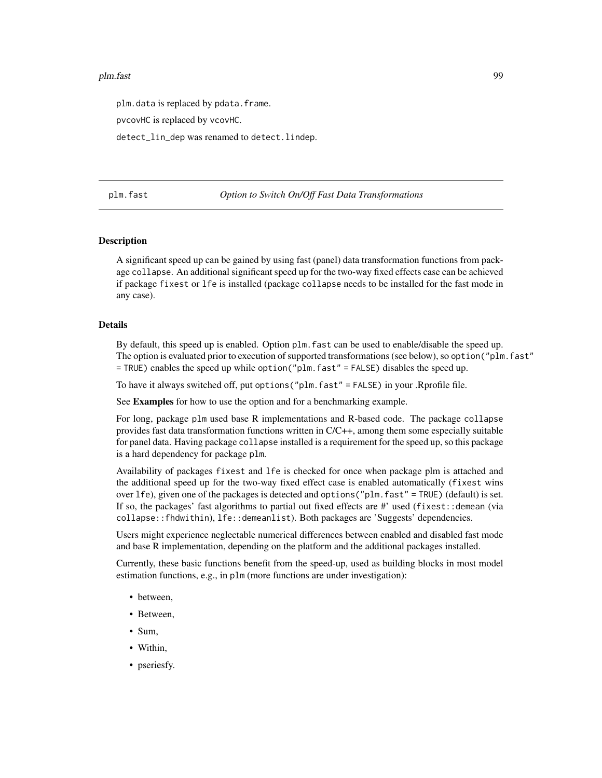#### plm.fast 99

plm.data is replaced by pdata.frame.

pvcovHC is replaced by vcovHC.

detect\_lin\_dep was renamed to detect.lindep.

plm.fast *Option to Switch On/Off Fast Data Transformations*

#### **Description**

A significant speed up can be gained by using fast (panel) data transformation functions from package collapse. An additional significant speed up for the two-way fixed effects case can be achieved if package fixest or lfe is installed (package collapse needs to be installed for the fast mode in any case).

# Details

By default, this speed up is enabled. Option plm.fast can be used to enable/disable the speed up. The option is evaluated prior to execution of supported transformations (see below), so option("plm.fast" = TRUE) enables the speed up while option("plm.fast" = FALSE) disables the speed up.

To have it always switched off, put options("plm.fast" = FALSE) in your .Rprofile file.

See Examples for how to use the option and for a benchmarking example.

For long, package plm used base R implementations and R-based code. The package collapse provides fast data transformation functions written in C/C++, among them some especially suitable for panel data. Having package collapse installed is a requirement for the speed up, so this package is a hard dependency for package plm.

Availability of packages fixest and lfe is checked for once when package plm is attached and the additional speed up for the two-way fixed effect case is enabled automatically (fixest wins over lfe), given one of the packages is detected and options("plm.fast" = TRUE) (default) is set. If so, the packages' fast algorithms to partial out fixed effects are  $\#$ ' used (fixest::demean (via collapse::fhdwithin), lfe::demeanlist). Both packages are 'Suggests' dependencies.

Users might experience neglectable numerical differences between enabled and disabled fast mode and base R implementation, depending on the platform and the additional packages installed.

Currently, these basic functions benefit from the speed-up, used as building blocks in most model estimation functions, e.g., in plm (more functions are under investigation):

- between.
- Between,
- Sum,
- Within,
- pseriesfy.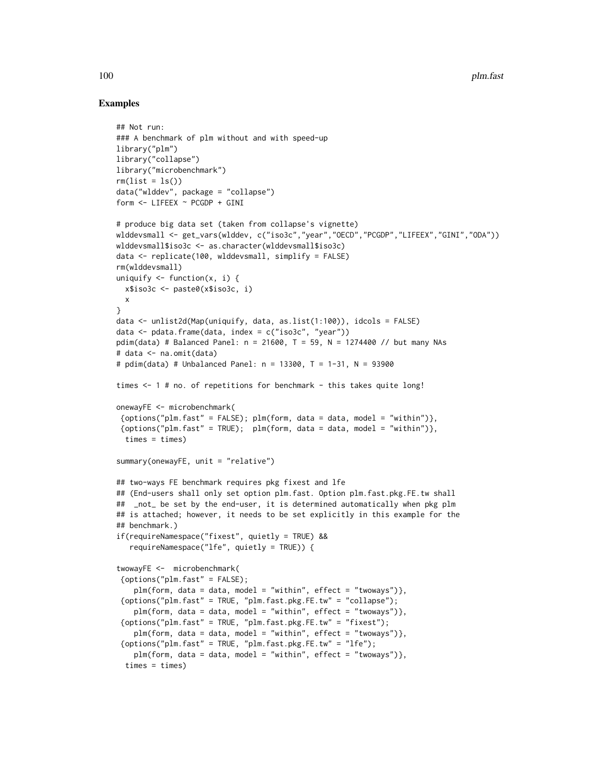```
## Not run:
### A benchmark of plm without and with speed-up
library("plm")
library("collapse")
library("microbenchmark")
rm(list = ls())data("wlddev", package = "collapse")
form <- LIFEEX ~ PCGDP + GINI
# produce big data set (taken from collapse's vignette)
wlddevsmall <- get_vars(wlddev, c("iso3c","year","OECD","PCGDP","LIFEEX","GINI","ODA"))
wlddevsmall$iso3c <- as.character(wlddevsmall$iso3c)
data <- replicate(100, wlddevsmall, simplify = FALSE)
rm(wlddevsmall)
uniquify \leq function(x, i) {
 x$iso3c <- paste0(x$iso3c, i)
 x
}
data <- unlist2d(Map(uniquify, data, as.list(1:100)), idcols = FALSE)
data <- pdata.frame(data, index = c("iso3c", "year"))
pdim(data) # Balanced Panel: n = 21600, T = 59, N = 1274400 // but many NAs
# data <- na.omit(data)
# pdim(data) # Unbalanced Panel: n = 13300, T = 1-31, N = 93900
times <- 1 # no. of repetitions for benchmark - this takes quite long!
onewayFE <- microbenchmark(
\{{options("plm.fast" = TRUE)}; plm(form, data = data, model = "within")},times = times)
summary(onewayFE, unit = "relative")
## two-ways FE benchmark requires pkg fixest and lfe
## (End-users shall only set option plm.fast. Option plm.fast.pkg.FE.tw shall
## _not_ be set by the end-user, it is determined automatically when pkg plm
## is attached; however, it needs to be set explicitly in this example for the
## benchmark.)
if(requireNamespace("fixest", quietly = TRUE) &&
   requireNamespace("lfe", quietly = TRUE)) {
twowayFE <- microbenchmark(
 {options("plm.fast" = FALSE);
    plm(form, data = data, model = "within", effect = "twoways")},
 {options("plm.fast" = TRUE, "plm.fast.pkg.FE.tw" = "collapse");
    plm(from, data = data, model = "within", effect = "twoways");{options("plm.fast" = TRUE, "plm.fast.pkg.FE.tw" = "fixest");
   plm(form, data = data, model = "within", effect = "twoways");{options("plm.fast" = TRUE, "plm.fast.pkg.FE.tw" = "lfe");
   plm(form, data = data, model = "within", effect = "twoways");times = times)
```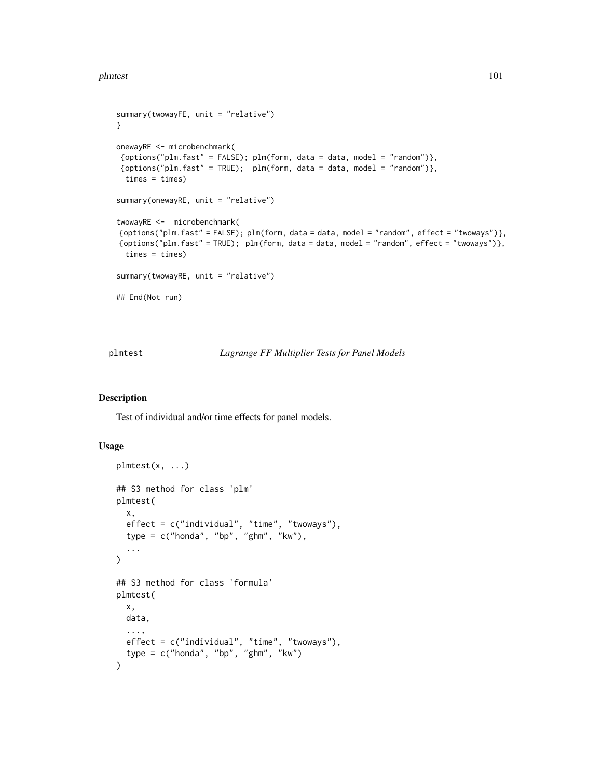#### plmtest 101

```
summary(twowayFE, unit = "relative")
}
onewayRE <- microbenchmark(
{options("plm.fast" = FALSE); plm(form, data = data, model = "random")},
{options("plm.fast" = TRUE)}; plm(form, data = data, model = "random")},times = times)
summary(onewayRE, unit = "relative")
twowayRE <- microbenchmark(
{options("plm.fast" = FALSE); plm(form, data = data, model = "random", effect = "twoways")},
{options("plm.fast" = TRUE); plm(form, data = data, model = "random", effect = "twoways")},
 times = times)
summary(twowayRE, unit = "relative")
## End(Not run)
```
plmtest *Lagrange FF Multiplier Tests for Panel Models*

# Description

Test of individual and/or time effects for panel models.

#### Usage

```
plmtest(x, ...)
## S3 method for class 'plm'
plmtest(
  x,
 effect = c("individual", "time", "twoways"),
  type = c("honda", "bp", "ghm", "kw"),
  ...
)
## S3 method for class 'formula'
plmtest(
 x,
 data,
  ...,
 effect = c("individual", "time", "twoways"),
  type = c("honda", "bp", "ghm", "kw")
\mathcal{E}
```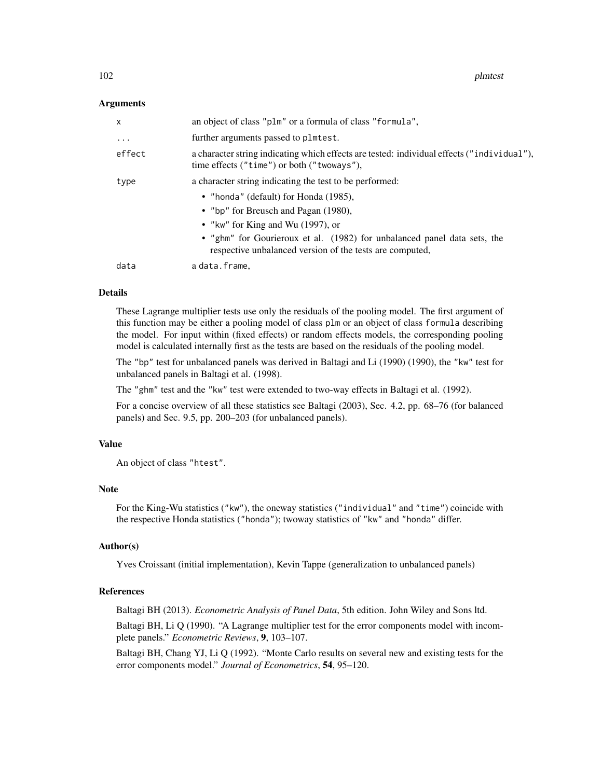#### Arguments

| $\mathsf{x}$ | an object of class "plm" or a formula of class "formula",                                                                                                                                                                                                                                                                |
|--------------|--------------------------------------------------------------------------------------------------------------------------------------------------------------------------------------------------------------------------------------------------------------------------------------------------------------------------|
| $\cdot$      | further arguments passed to plmtest.                                                                                                                                                                                                                                                                                     |
| effect       | a character string indicating which effects are tested: individual effects ("individual"),<br>time effects ("time") or both ("twoways"),                                                                                                                                                                                 |
| type         | a character string indicating the test to be performed:<br>• "honda" (default) for Honda (1985),<br>• "bp" for Breusch and Pagan (1980),<br>• "kw" for King and Wu $(1997)$ , or<br>• "ghm" for Gourieroux et al. (1982) for unbalanced panel data sets, the<br>respective unbalanced version of the tests are computed, |
| data         | a data.frame,                                                                                                                                                                                                                                                                                                            |

#### Details

These Lagrange multiplier tests use only the residuals of the pooling model. The first argument of this function may be either a pooling model of class plm or an object of class formula describing the model. For input within (fixed effects) or random effects models, the corresponding pooling model is calculated internally first as the tests are based on the residuals of the pooling model.

The "bp" test for unbalanced panels was derived in Baltagi and Li (1990) (1990), the "kw" test for unbalanced panels in Baltagi et al. (1998).

The "ghm" test and the "kw" test were extended to two-way effects in Baltagi et al. (1992).

For a concise overview of all these statistics see Baltagi (2003), Sec. 4.2, pp. 68–76 (for balanced panels) and Sec. 9.5, pp. 200–203 (for unbalanced panels).

# Value

An object of class "htest".

#### Note

For the King-Wu statistics ("kw"), the oneway statistics ("individual" and "time") coincide with the respective Honda statistics ("honda"); twoway statistics of "kw" and "honda" differ.

#### Author(s)

Yves Croissant (initial implementation), Kevin Tappe (generalization to unbalanced panels)

# References

Baltagi BH (2013). *Econometric Analysis of Panel Data*, 5th edition. John Wiley and Sons ltd.

Baltagi BH, Li Q (1990). "A Lagrange multiplier test for the error components model with incomplete panels." *Econometric Reviews*, 9, 103–107.

Baltagi BH, Chang YJ, Li Q (1992). "Monte Carlo results on several new and existing tests for the error components model." *Journal of Econometrics*, 54, 95–120.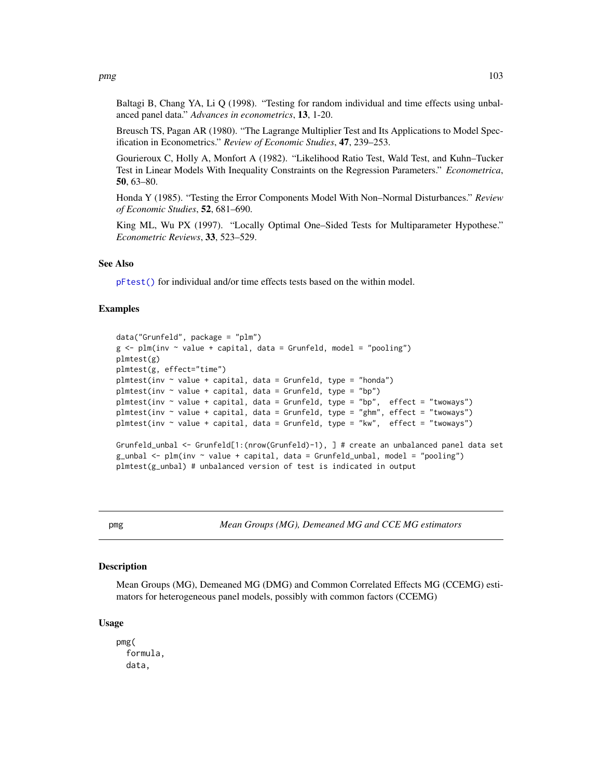Baltagi B, Chang YA, Li Q (1998). "Testing for random individual and time effects using unbalanced panel data." *Advances in econometrics*, 13, 1-20.

Breusch TS, Pagan AR (1980). "The Lagrange Multiplier Test and Its Applications to Model Specification in Econometrics." *Review of Economic Studies*, 47, 239–253.

Gourieroux C, Holly A, Monfort A (1982). "Likelihood Ratio Test, Wald Test, and Kuhn–Tucker Test in Linear Models With Inequality Constraints on the Regression Parameters." *Econometrica*, 50, 63–80.

Honda Y (1985). "Testing the Error Components Model With Non–Normal Disturbances." *Review of Economic Studies*, 52, 681–690.

King ML, Wu PX (1997). "Locally Optimal One–Sided Tests for Multiparameter Hypothese." *Econometric Reviews*, 33, 523–529.

#### See Also

[pFtest\(\)](#page-70-0) for individual and/or time effects tests based on the within model.

# Examples

```
data("Grunfeld", package = "plm")
g \leq plm(inv \sim value + capital, data = Grunfeld, model = "pooling")plmtest(g)
plmtest(g, effect="time")
plmtest(inv \sim value + capital, data = Grunfeld, type = "honda")
plmtest(inv \sim value + capital, data = Grunfeld, type = "bp")
plmtest(inv \sim value + capital, data = Grunfeld, type = "bp", effect = "twoways")
plmtest(inv \sim value + capital, data = Grunfeld, type = "ghm", effect = "twoways")
plmtest(inv \sim value + capital, data = Grunfeld, type = "kw", effect = "twoways")
Grunfeld_unbal <- Grunfeld[1:(nrow(Grunfeld)-1), ] # create an unbalanced panel data set
g_{\text{unball}} \leq p \ln(\text{inv} \leq \text{value} + \text{capital}, \text{ data} = \text{Grunfeld\_unbal}, \text{ model} = \text{"pooling"}plmtest(g_unbal) # unbalanced version of test is indicated in output
```
pmg *Mean Groups (MG), Demeaned MG and CCE MG estimators*

# Description

Mean Groups (MG), Demeaned MG (DMG) and Common Correlated Effects MG (CCEMG) estimators for heterogeneous panel models, possibly with common factors (CCEMG)

#### Usage

pmg( formula, data,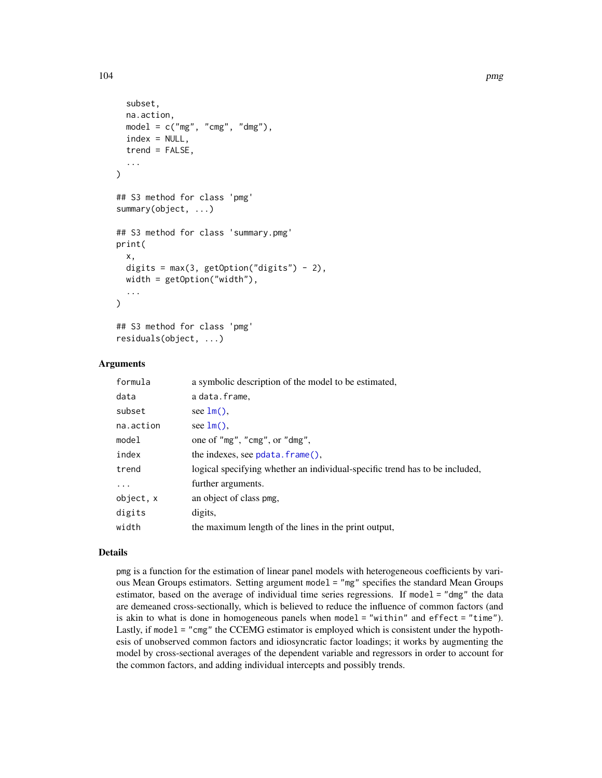```
subset,
  na.action,
 model = c("mg", "cmg", "dmg"),
  index = NULL,trend = FALSE,...
)
## S3 method for class 'pmg'
summary(object, ...)
## S3 method for class 'summary.pmg'
print(
  x,
  digits = max(3, getOption("digits") - 2),width = getOption("width"),
  ...
\mathcal{L}## S3 method for class 'pmg'
```
# residuals(object, ...)

# Arguments

| formula   | a symbolic description of the model to be estimated,                        |
|-----------|-----------------------------------------------------------------------------|
| data      | a data.frame,                                                               |
| subset    | see $lm()$ .                                                                |
| na.action | see $lm()$ .                                                                |
| model     | one of "mg", "cmg", or "dmg",                                               |
| index     | the indexes, see $pdata$ . $frame()$ .                                      |
| trend     | logical specifying whether an individual-specific trend has to be included, |
| $\cdots$  | further arguments.                                                          |
| object, x | an object of class pmg,                                                     |
| digits    | digits,                                                                     |
| width     | the maximum length of the lines in the print output,                        |

#### Details

pmg is a function for the estimation of linear panel models with heterogeneous coefficients by various Mean Groups estimators. Setting argument model = "mg" specifies the standard Mean Groups estimator, based on the average of individual time series regressions. If model = "dmg" the data are demeaned cross-sectionally, which is believed to reduce the influence of common factors (and is akin to what is done in homogeneous panels when model = "within" and effect = "time"). Lastly, if model = "cmg" the CCEMG estimator is employed which is consistent under the hypothesis of unobserved common factors and idiosyncratic factor loadings; it works by augmenting the model by cross-sectional averages of the dependent variable and regressors in order to account for the common factors, and adding individual intercepts and possibly trends.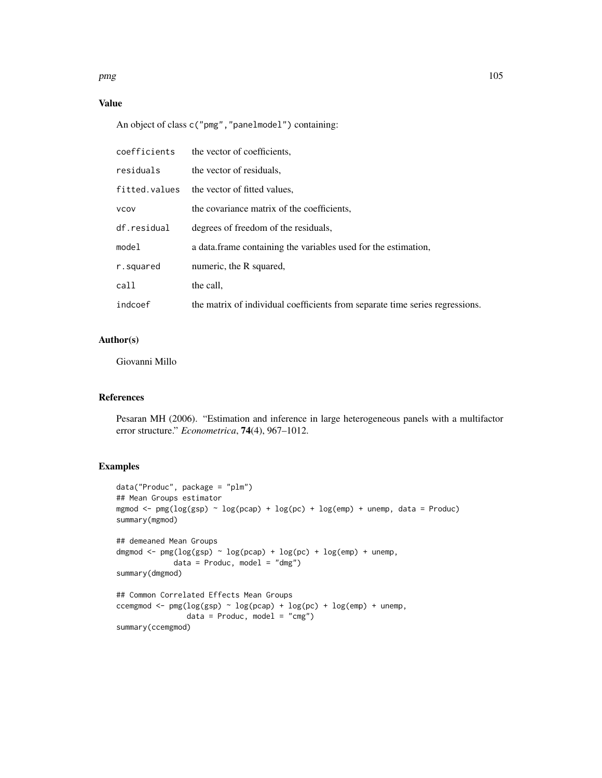$pmg$  and the set of the set of the set of the set of the set of the set of the set of the set of the set of the set of the set of the set of the set of the set of the set of the set of the set of the set of the set of the

# Value

An object of class c("pmg","panelmodel") containing:

| coefficients  | the vector of coefficients.                                                  |
|---------------|------------------------------------------------------------------------------|
| residuals     | the vector of residuals.                                                     |
| fitted.values | the vector of fitted values,                                                 |
| <b>VCOV</b>   | the covariance matrix of the coefficients.                                   |
| df.residual   | degrees of freedom of the residuals,                                         |
| model         | a data frame containing the variables used for the estimation,               |
| r.squared     | numeric, the R squared,                                                      |
| call          | the call.                                                                    |
| indcoef       | the matrix of individual coefficients from separate time series regressions. |

# Author(s)

Giovanni Millo

# References

Pesaran MH (2006). "Estimation and inference in large heterogeneous panels with a multifactor error structure." *Econometrica*, 74(4), 967–1012.

```
data("Produc", package = "plm")
## Mean Groups estimator
mgmod \leq pmg(log(gsp) \sim log(pcap) + log(pc) + log(emp) + unemp, data = Produc)
summary(mgmod)
## demeaned Mean Groups
dmgmod \leq pmg(\log(\text{gsp}) \leq \log(\text{pcap}) + \log(\text{pc}) + \log(\text{emp}) + \text{unemp},
              data = Product, model = "dmg")summary(dmgmod)
## Common Correlated Effects Mean Groups
ccemgmod <- pmg(logsp) \sim log(pcap) + log(pc) + log(emp) + unemp,data = Product, model = "cmg")summary(ccemgmod)
```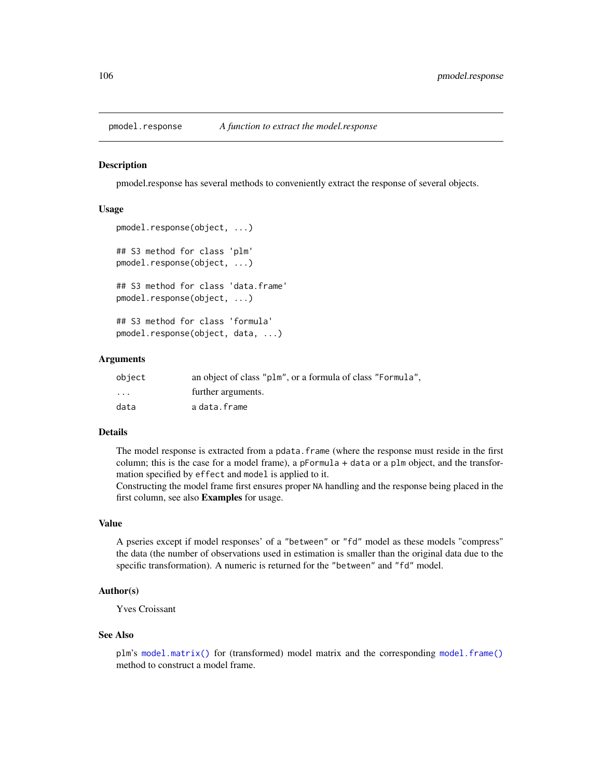#### Description

pmodel.response has several methods to conveniently extract the response of several objects.

# Usage

```
pmodel.response(object, ...)
## S3 method for class 'plm'
pmodel.response(object, ...)
## S3 method for class 'data.frame'
pmodel.response(object, ...)
## S3 method for class 'formula'
pmodel.response(object, data, ...)
```
# Arguments

| object   | an object of class "plm", or a formula of class "Formula". |
|----------|------------------------------------------------------------|
| $\cdots$ | further arguments.                                         |
| data     | adata.frame                                                |

# Details

The model response is extracted from a pdata.frame (where the response must reside in the first column; this is the case for a model frame), a pFormula + data or a plm object, and the transformation specified by effect and model is applied to it.

Constructing the model frame first ensures proper NA handling and the response being placed in the first column, see also Examples for usage.

#### Value

A pseries except if model responses' of a "between" or "fd" model as these models "compress" the data (the number of observations used in estimation is smaller than the original data due to the specific transformation). A numeric is returned for the "between" and "fd" model.

# Author(s)

Yves Croissant

#### See Also

plm's [model.matrix\(\)](#page-0-0) for (transformed) model matrix and the corresponding [model.frame\(\)](#page-0-0) method to construct a model frame.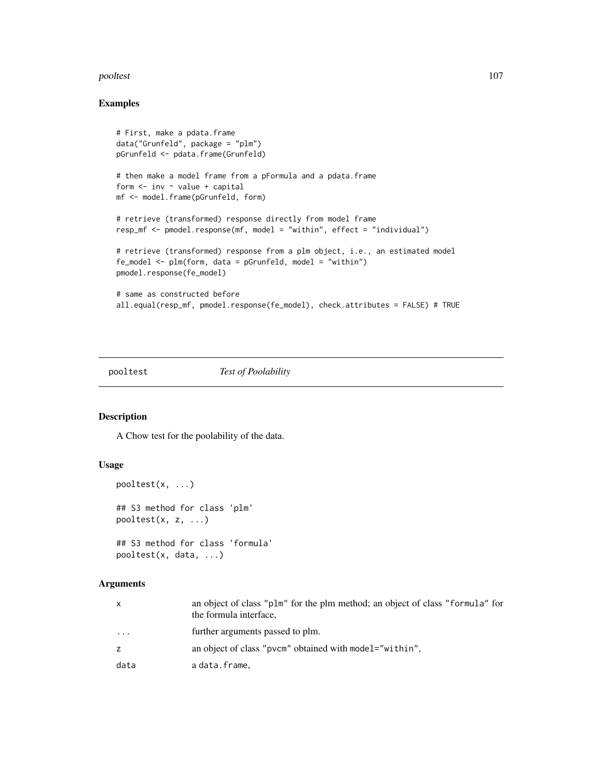#### pooltest the contract of the contract of the contract of the contract of the contract of the contract of the contract of the contract of the contract of the contract of the contract of the contract of the contract of the c

# Examples

```
# First, make a pdata.frame
data("Grunfeld", package = "plm")
pGrunfeld <- pdata.frame(Grunfeld)
# then make a model frame from a pFormula and a pdata.frame
form \le inv \sim value + capital
mf <- model.frame(pGrunfeld, form)
# retrieve (transformed) response directly from model frame
resp_mf <- pmodel.response(mf, model = "within", effect = "individual")
# retrieve (transformed) response from a plm object, i.e., an estimated model
fe_model \leq plm(form, data = pGrunfeld, model = "within")pmodel.response(fe_model)
# same as constructed before
all.equal(resp_mf, pmodel.response(fe_model), check.attributes = FALSE) # TRUE
```
# pooltest *Test of Poolability*

# Description

A Chow test for the poolability of the data.

# Usage

```
pooltest(x, ...)
## S3 method for class 'plm'
pooltest(x, z, ...)
## S3 method for class 'formula'
pooltest(x, data, ...)
```
# Arguments

| X       | an object of class "plm" for the plm method; an object of class "formula" for<br>the formula interface, |
|---------|---------------------------------------------------------------------------------------------------------|
| $\cdot$ | further arguments passed to plm.                                                                        |
| z       | an object of class "pvcm" obtained with model="within",                                                 |
| data    | adata.frame.                                                                                            |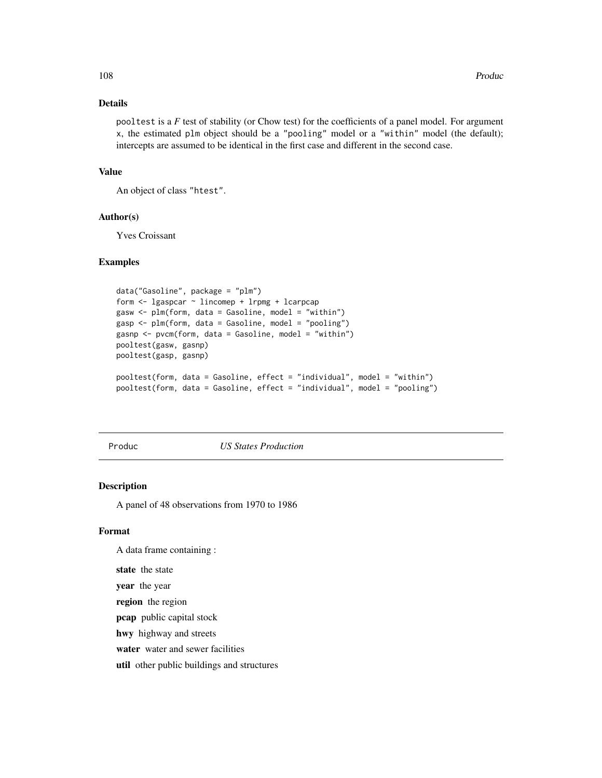# Details

pooltest is a *F* test of stability (or Chow test) for the coefficients of a panel model. For argument x, the estimated plm object should be a "pooling" model or a "within" model (the default); intercepts are assumed to be identical in the first case and different in the second case.

# Value

An object of class "htest".

# Author(s)

Yves Croissant

# Examples

```
data("Gasoline", package = "plm")
form <- lgaspcar ~ lincomep + lrpmg + lcarpcap
gasw <- plm(form, data = Gasoline, model = "within")
gasp <- plm(form, data = Gasoline, model = "pooling")
gasnp <- pvcm(form, data = Gasoline, model = "within")
pooltest(gasw, gasnp)
pooltest(gasp, gasnp)
pooltest(form, data = Gasoline, effect = "individual", model = "within")
pooltest(form, data = Gasoline, effect = "individual", model = "pooling")
```
Produc *US States Production*

# Description

A panel of 48 observations from 1970 to 1986

#### Format

A data frame containing :

state the state

year the year

region the region

pcap public capital stock

hwy highway and streets

water water and sewer facilities

util other public buildings and structures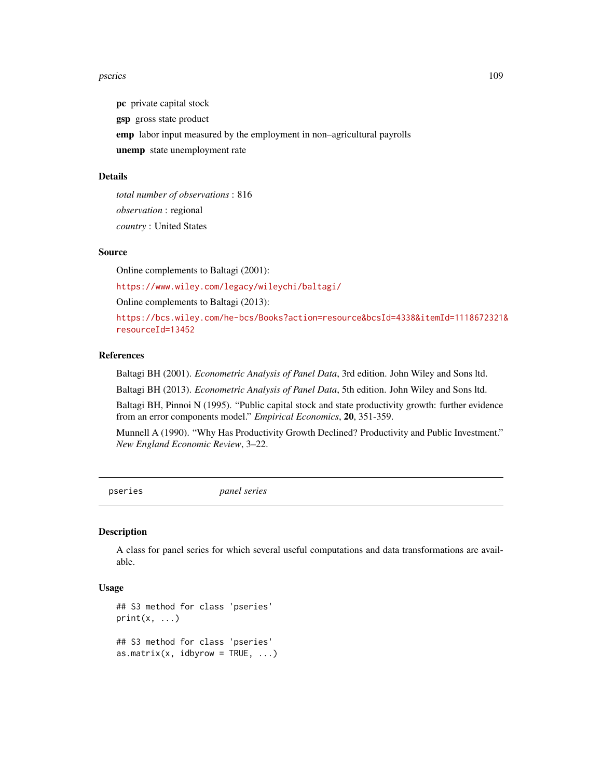#### pseries that the contract of the contract of the contract of the contract of the contract of the contract of the contract of the contract of the contract of the contract of the contract of the contract of the contract of t

pc private capital stock gsp gross state product emp labor input measured by the employment in non–agricultural payrolls unemp state unemployment rate

#### Details

*total number of observations* : 816 *observation* : regional *country* : United States

### Source

Online complements to Baltagi (2001):

<https://www.wiley.com/legacy/wileychi/baltagi/>

Online complements to Baltagi (2013):

[https://bcs.wiley.com/he-bcs/Books?action=resource&bcsId=4338&itemId=1118672321&](https://bcs.wiley.com/he-bcs/Books?action=resource&bcsId=4338&itemId=1118672321&resourceId=13452) [resourceId=13452](https://bcs.wiley.com/he-bcs/Books?action=resource&bcsId=4338&itemId=1118672321&resourceId=13452)

# References

Baltagi BH (2001). *Econometric Analysis of Panel Data*, 3rd edition. John Wiley and Sons ltd.

Baltagi BH (2013). *Econometric Analysis of Panel Data*, 5th edition. John Wiley and Sons ltd.

Baltagi BH, Pinnoi N (1995). "Public capital stock and state productivity growth: further evidence from an error components model." *Empirical Economics*, 20, 351-359.

Munnell A (1990). "Why Has Productivity Growth Declined? Productivity and Public Investment." *New England Economic Review*, 3–22.

pseries *panel series*

#### Description

A class for panel series for which several useful computations and data transformations are available.

### Usage

```
## S3 method for class 'pseries'
print(x, \ldots)## S3 method for class 'pseries'
as.matrix(x, idbyrow = TRUE, ...)
```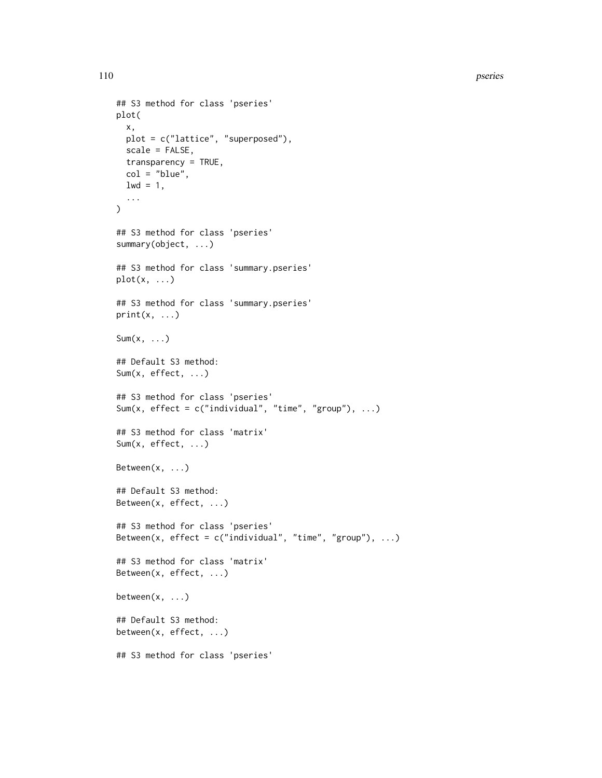```
## S3 method for class 'pseries'
plot(
  x,
 plot = c("lattice", "superposed"),
  scale = FALSE,
 transparency = TRUE,
 col = "blue",1wd = 1,
  ...
\mathcal{L}## S3 method for class 'pseries'
summary(object, ...)
## S3 method for class 'summary.pseries'
plot(x, \ldots)## S3 method for class 'summary.pseries'
print(x, \ldots)Sum(x, \ldots)## Default S3 method:
Sum(x, effect, ...)
## S3 method for class 'pseries'
Sum(x, effect = c("individual", "time", "group"), ...)
## S3 method for class 'matrix'
Sum(x, effect, ...)
Between(x, ...)
## Default S3 method:
Between(x, effect, ...)
## S3 method for class 'pseries'
Between(x, effect = c("individual", "time", "group"), ...)
## S3 method for class 'matrix'
Between(x, effect, ...)
between(x, \ldots)## Default S3 method:
between(x, effect, ...)
## S3 method for class 'pseries'
```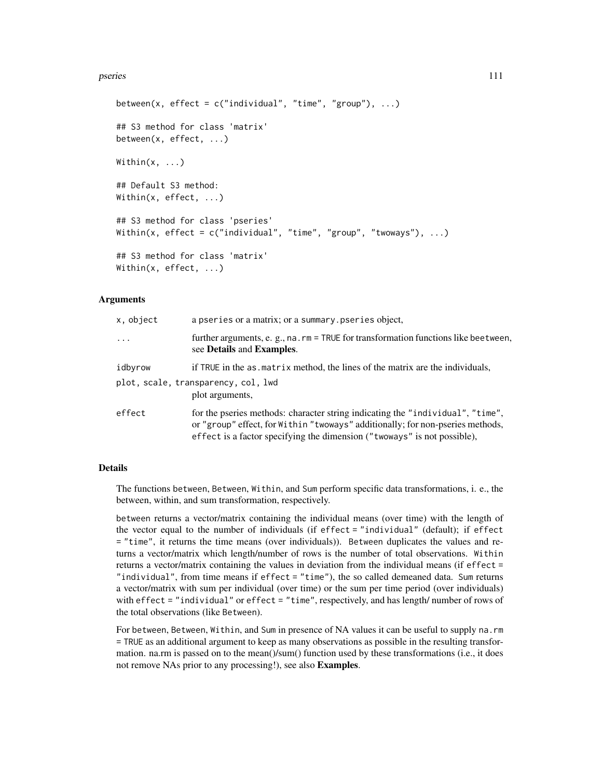#### pseries that the second contract of the second contract of the second contract of the second contract of the second contract of the second contract of the second contract of the second contract of the second contract of th

```
between(x, effect = c("individual", "time", "group"), ...)## S3 method for class 'matrix'
between(x, effect, ...)
Within(x, \ldots)## Default S3 method:
Within(x, effect, ...)
## S3 method for class 'pseries'
Within(x, effect = c("individual", "time", "group", "twoways"), ...)## S3 method for class 'matrix'
Within(x, effect, ...)
```
### Arguments

| x, object  | a pseries or a matrix; or a summary pseries object,                                                                                                                                                                                          |  |
|------------|----------------------------------------------------------------------------------------------------------------------------------------------------------------------------------------------------------------------------------------------|--|
| $\ddots$ . | further arguments, e. g., na. rm = TRUE for transformation functions like beetween,<br>see Details and Examples.                                                                                                                             |  |
| idbyrow    | if TRUE in the as matrix method, the lines of the matrix are the individuals,                                                                                                                                                                |  |
|            | plot, scale, transparency, col, lwd<br>plot arguments,                                                                                                                                                                                       |  |
| effect     | for the pseries methods: character string indicating the "individual", "time",<br>or "group" effect, for Within "twoways" additionally; for non-pseries methods,<br>effect is a factor specifying the dimension ("twoways" is not possible), |  |

### Details

The functions between, Between, Within, and Sum perform specific data transformations, i. e., the between, within, and sum transformation, respectively.

between returns a vector/matrix containing the individual means (over time) with the length of the vector equal to the number of individuals (if effect = "individual" (default); if effect = "time", it returns the time means (over individuals)). Between duplicates the values and returns a vector/matrix which length/number of rows is the number of total observations. Within returns a vector/matrix containing the values in deviation from the individual means (if effect = "individual", from time means if effect = "time"), the so called demeaned data. Sum returns a vector/matrix with sum per individual (over time) or the sum per time period (over individuals) with effect = "individual" or effect = "time", respectively, and has length/number of rows of the total observations (like Between).

For between, Between, Within, and Sum in presence of NA values it can be useful to supply na.rm = TRUE as an additional argument to keep as many observations as possible in the resulting transformation. na.rm is passed on to the mean()/sum() function used by these transformations (i.e., it does not remove NAs prior to any processing!), see also Examples.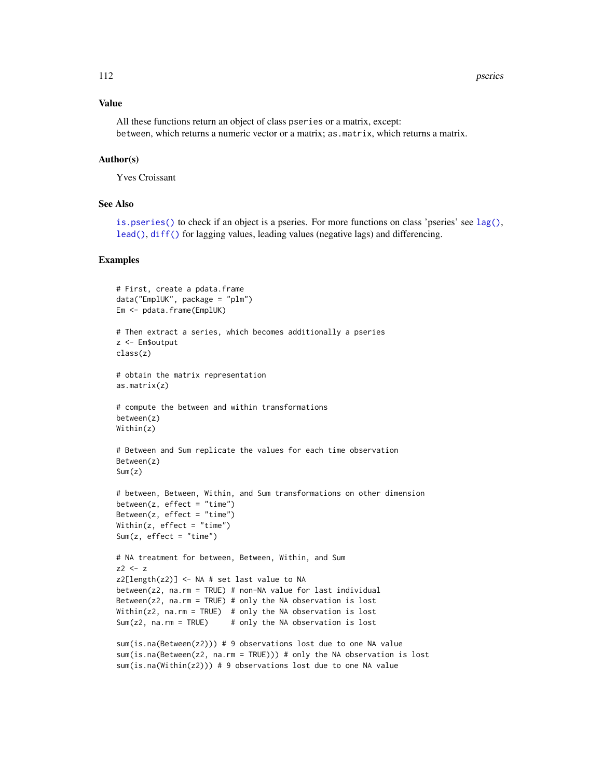### Value

All these functions return an object of class pseries or a matrix, except: between, which returns a numeric vector or a matrix; as.matrix, which returns a matrix.

### Author(s)

Yves Croissant

### See Also

[is.pseries\(\)](#page-31-0) to check if an object is a pseries. For more functions on class 'pseries' see [lag\(\)](#page-33-0), [lead\(\)](#page-33-0), [diff\(\)](#page-33-0) for lagging values, leading values (negative lags) and differencing.

```
# First, create a pdata.frame
data("EmplUK", package = "plm")
Em <- pdata.frame(EmplUK)
# Then extract a series, which becomes additionally a pseries
z <- Em$output
class(z)
# obtain the matrix representation
as.matrix(z)
# compute the between and within transformations
between(z)
Within(z)
# Between and Sum replicate the values for each time observation
Between(z)
Sum(z)
# between, Between, Within, and Sum transformations on other dimension
between(z, effect = "time")Between(z, effect = "time")
Within(z, effect = "time")
Sum(z, effect = "time")
# NA treatment for between, Between, Within, and Sum
z^2 < -zz2[length(z2)] <- NA # set last value to NA
between(z2, na.rm = TRUE) # non-NA value for last individual
Between(z2, na.rm = TRUE) # only the NA observation is lost
Within(z2, na.rm = TRUE) # only the NA observation is lost
Sum(z2, na.rm = TRUE) # only the NA observation is lost
sum(is.na(Between(z2))) # 9 observations lost due to one NA value
sum(is.na(Between(z2, na.rm = TRUE))) # only the NA observation is lost
sum(is.na(Within(z2))) # 9 observations lost due to one NA value
```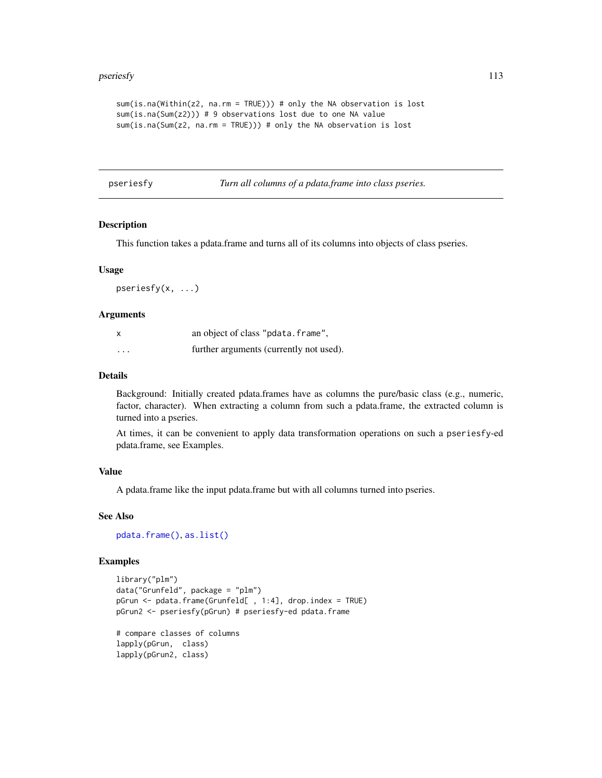#### pseriesfy the contract of the contract of the contract of the contract of the contract of the contract of the contract of the contract of the contract of the contract of the contract of the contract of the contract of the

```
sum(is.na(Within(z2, na.rm = TRUE))) # only the NA observation is lost
sum(is.na(Sum(z2))) # 9 observations lost due to one NA value
sum(is.na(Sum(z2, na.rm = TRUE))) # only the NA observation is lost
```
pseriesfy *Turn all columns of a pdata.frame into class pseries.*

### Description

This function takes a pdata.frame and turns all of its columns into objects of class pseries.

#### Usage

pseriesfy(x, ...)

#### **Arguments**

| x        | an object of class "pdata.frame",       |
|----------|-----------------------------------------|
| $\cdots$ | further arguments (currently not used). |

#### Details

Background: Initially created pdata.frames have as columns the pure/basic class (e.g., numeric, factor, character). When extracting a column from such a pdata.frame, the extracted column is turned into a pseries.

At times, it can be convenient to apply data transformation operations on such a pseriesfy-ed pdata.frame, see Examples.

#### Value

A pdata.frame like the input pdata.frame but with all columns turned into pseries.

### See Also

[pdata.frame\(\)](#page-63-0), [as.list\(\)](#page-0-0)

### Examples

```
library("plm")
data("Grunfeld", package = "plm")
pGrun <- pdata.frame(Grunfeld[ , 1:4], drop.index = TRUE)
pGrun2 <- pseriesfy(pGrun) # pseriesfy-ed pdata.frame
```
# compare classes of columns lapply(pGrun, class) lapply(pGrun2, class)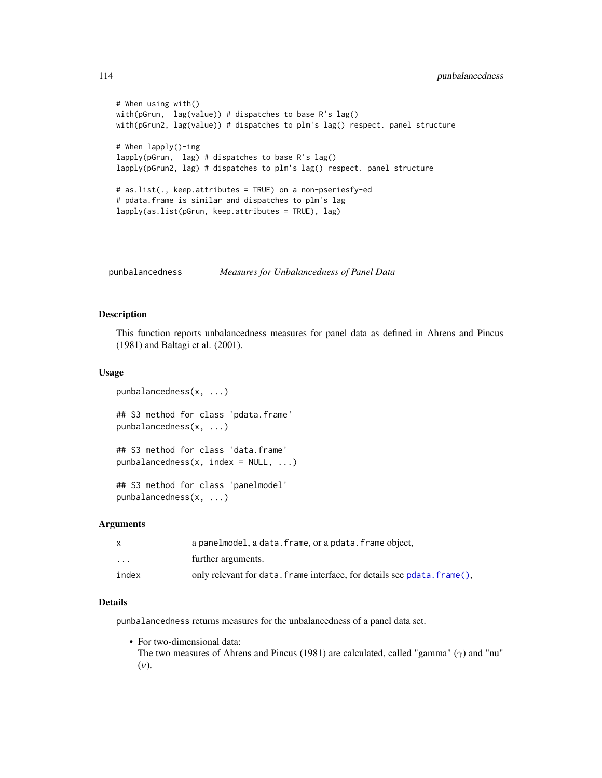```
# When using with()
with(pGrun, lag(value)) # dispatches to base R's lag()
with(pGrun2, lag(value)) # dispatches to plm's lag() respect. panel structure
# When lapply()-ing
lapply(pGrun, lag) # dispatches to base R's lag()
lapply(pGrun2, lag) # dispatches to plm's lag() respect. panel structure
# as.list(., keep.attributes = TRUE) on a non-pseriesfy-ed
# pdata.frame is similar and dispatches to plm's lag
lapply(as.list(pGrun, keep.attributes = TRUE), lag)
```
punbalancedness *Measures for Unbalancedness of Panel Data*

### Description

This function reports unbalancedness measures for panel data as defined in Ahrens and Pincus (1981) and Baltagi et al. (2001).

### Usage

```
punbalancedness(x, ...)
## S3 method for class 'pdata.frame'
punbalancedness(x, ...)
## S3 method for class 'data.frame'
punbalancedness(x, index = NULL, \ldots)
## S3 method for class 'panelmodel'
punbalancedness(x, ...)
```
#### Arguments

|                         | a panelmodel, a data. frame, or a pdata. frame object,                   |  |
|-------------------------|--------------------------------------------------------------------------|--|
| $\cdot$ $\cdot$ $\cdot$ | further arguments.                                                       |  |
| index                   | only relevant for data. frame interface, for details see pdata. frame(), |  |

# Details

punbalancedness returns measures for the unbalancedness of a panel data set.

• For two-dimensional data: The two measures of Ahrens and Pincus (1981) are calculated, called "gamma"  $(\gamma)$  and "nu"

 $(\nu)$ .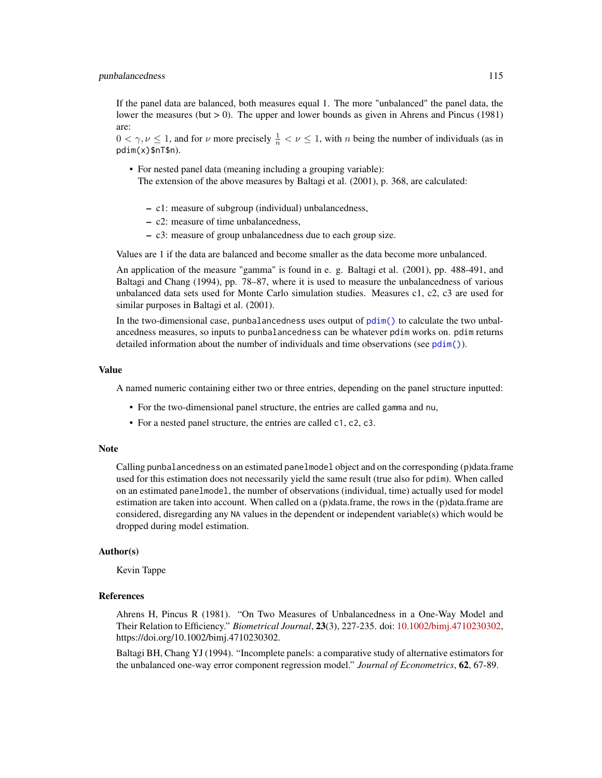If the panel data are balanced, both measures equal 1. The more "unbalanced" the panel data, the lower the measures (but  $> 0$ ). The upper and lower bounds as given in Ahrens and Pincus (1981) are:

 $0 < \gamma, \nu \le 1$ , and for  $\nu$  more precisely  $\frac{1}{n} < \nu \le 1$ , with *n* being the number of individuals (as in pdim(x)\$nT\$n).

- For nested panel data (meaning including a grouping variable): The extension of the above measures by Baltagi et al. (2001), p. 368, are calculated:
	- c1: measure of subgroup (individual) unbalancedness,
	- c2: measure of time unbalancedness,
	- c3: measure of group unbalancedness due to each group size.

Values are 1 if the data are balanced and become smaller as the data become more unbalanced.

An application of the measure "gamma" is found in e. g. Baltagi et al. (2001), pp. 488-491, and Baltagi and Chang (1994), pp. 78–87, where it is used to measure the unbalancedness of various unbalanced data sets used for Monte Carlo simulation studies. Measures c1, c2, c3 are used for similar purposes in Baltagi et al. (2001).

In the two-dimensional case, punbalancedness uses output of  $\text{pdim}(\cdot)$  to calculate the two unbalancedness measures, so inputs to punbalancedness can be whatever pdim works on. pdim returns detailed information about the number of individuals and time observations (see  $pdim()$ ).

#### Value

A named numeric containing either two or three entries, depending on the panel structure inputted:

- For the two-dimensional panel structure, the entries are called gamma and nu,
- For a nested panel structure, the entries are called c1, c2, c3.

#### Note

Calling punbalancedness on an estimated panelmodel object and on the corresponding (p)data.frame used for this estimation does not necessarily yield the same result (true also for pdim). When called on an estimated panelmodel, the number of observations (individual, time) actually used for model estimation are taken into account. When called on a (p)data.frame, the rows in the (p)data.frame are considered, disregarding any NA values in the dependent or independent variable(s) which would be dropped during model estimation.

#### Author(s)

Kevin Tappe

#### References

Ahrens H, Pincus R (1981). "On Two Measures of Unbalancedness in a One-Way Model and Their Relation to Efficiency." *Biometrical Journal*, 23(3), 227-235. doi: [10.1002/bimj.4710230302,](https://doi.org/10.1002/bimj.4710230302) https://doi.org/10.1002/bimj.4710230302.

Baltagi BH, Chang YJ (1994). "Incomplete panels: a comparative study of alternative estimators for the unbalanced one-way error component regression model." *Journal of Econometrics*, 62, 67-89.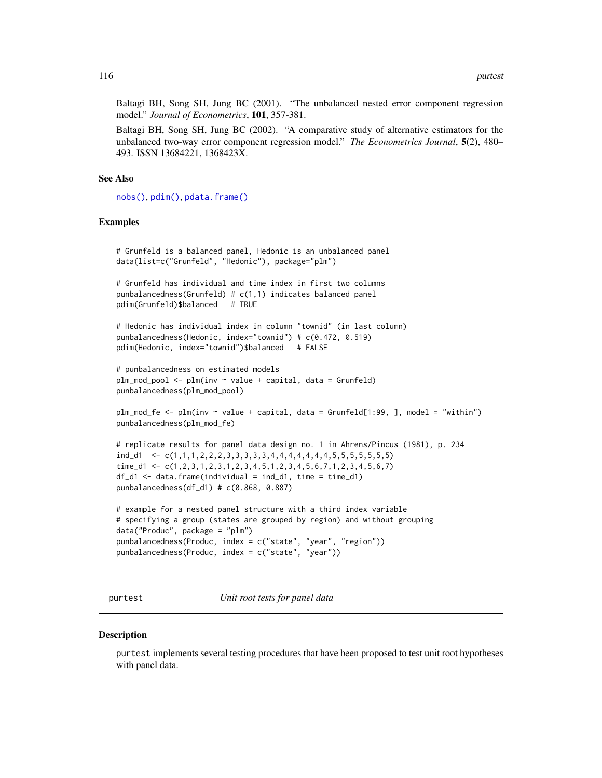Baltagi BH, Song SH, Jung BC (2001). "The unbalanced nested error component regression model." *Journal of Econometrics*, 101, 357-381.

Baltagi BH, Song SH, Jung BC (2002). "A comparative study of alternative estimators for the unbalanced two-way error component regression model." *The Econometrics Journal*, 5(2), 480– 493. ISSN 13684221, 1368423X.

### See Also

[nobs\(\)](#page-48-0), [pdim\(\)](#page-67-0), [pdata.frame\(\)](#page-63-0)

#### Examples

```
# Grunfeld is a balanced panel, Hedonic is an unbalanced panel
data(list=c("Grunfeld", "Hedonic"), package="plm")
# Grunfeld has individual and time index in first two columns
punbalancedness(Grunfeld) # c(1,1) indicates balanced panel
pdim(Grunfeld)$balanced # TRUE
# Hedonic has individual index in column "townid" (in last column)
punbalancedness(Hedonic, index="townid") # c(0.472, 0.519)
pdim(Hedonic, index="townid")$balanced # FALSE
# punbalancedness on estimated models
plm_mod_pool <- plm(inv ~ value + capital, data = Grunfeld)
punbalancedness(plm_mod_pool)
plm_mod_fe <- plm(inv ~ value + capital, data = Grunfeld[1:99, ], model = "within")
punbalancedness(plm_mod_fe)
# replicate results for panel data design no. 1 in Ahrens/Pincus (1981), p. 234
ind_d1 <- c(1,1,1,2,2,2,3,3,3,3,3,4,4,4,4,4,4,4,5,5,5,5,5,5,5)
time_d1 <- c(1,2,3,1,2,3,1,2,3,4,5,1,2,3,4,5,6,7,1,2,3,4,5,6,7)
df_d1 \leftarrow data . frame (individual = ind_d1, time = time_d1)punbalancedness(df_d1) # c(0.868, 0.887)
# example for a nested panel structure with a third index variable
# specifying a group (states are grouped by region) and without grouping
data("Produc", package = "plm")
punbalancedness(Produc, index = c("state", "year", "region"))
punbalancedness(Produc, index = c("state", "year"))
```
purtest *Unit root tests for panel data*

#### **Description**

purtest implements several testing procedures that have been proposed to test unit root hypotheses with panel data.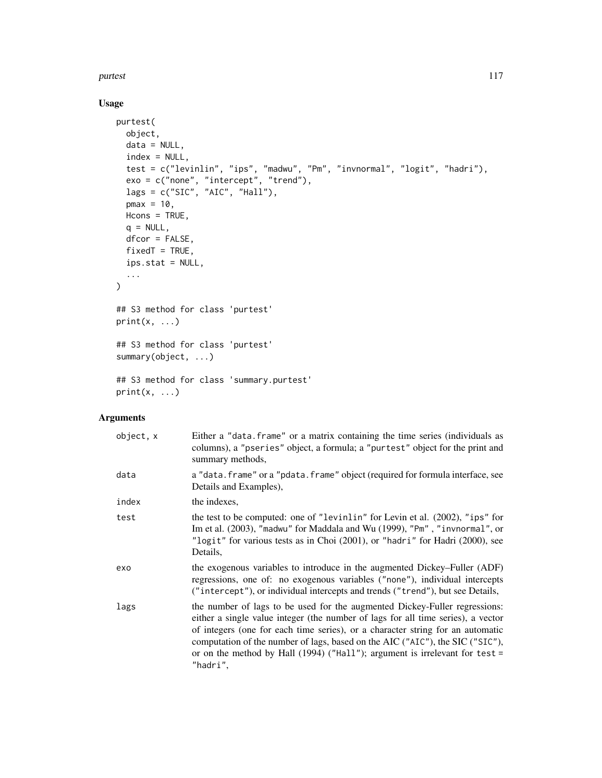#### purtest the contract of the contract of the contract of the contract of the contract of the contract of the contract of the contract of the contract of the contract of the contract of the contract of the contract of the co

# Usage

```
purtest(
  object,
  data = NULL,
  index = NULL,
  test = c("levinlin", "ips", "madwu", "Pm", "invnormal", "logit", "hadri"),
  exo = c("none", "intercept", "trend"),
  lags = c("SIC", "AIC", "Hall"),
  pmax = 10,
  Hcons = TRUE,
  q = NULL,dfcor = FALSE,
  fixedT = TRUE,ips.stat = NULL,
  ...
\mathcal{L}## S3 method for class 'purtest'
print(x, \ldots)## S3 method for class 'purtest'
summary(object, ...)
## S3 method for class 'summary.purtest'
print(x, \ldots)
```
### Arguments

| object, x | Either a "data. frame" or a matrix containing the time series (individuals as<br>columns), a "pseries" object, a formula; a "purtest" object for the print and<br>summary methods,                                                                                                                                                                                                                                             |
|-----------|--------------------------------------------------------------------------------------------------------------------------------------------------------------------------------------------------------------------------------------------------------------------------------------------------------------------------------------------------------------------------------------------------------------------------------|
| data      | a "data. frame" or a "pdata. frame" object (required for formula interface, see<br>Details and Examples),                                                                                                                                                                                                                                                                                                                      |
| index     | the indexes.                                                                                                                                                                                                                                                                                                                                                                                                                   |
| test      | the test to be computed: one of "levinlin" for Levin et al. $(2002)$ , "ips" for<br>Im et al. (2003), "madwu" for Maddala and Wu (1999), "Pm", "invnormal", or<br>"logit" for various tests as in Choi (2001), or "hadri" for Hadri (2000), see<br>Details.                                                                                                                                                                    |
| exo       | the exogenous variables to introduce in the augmented Dickey–Fuller (ADF)<br>regressions, one of: no exogenous variables ("none"), individual intercepts<br>("intercept"), or individual intercepts and trends ("trend"), but see Details,                                                                                                                                                                                     |
| lags      | the number of lags to be used for the augmented Dickey-Fuller regressions:<br>either a single value integer (the number of lags for all time series), a vector<br>of integers (one for each time series), or a character string for an automatic<br>computation of the number of lags, based on the AIC ("AIC"), the SIC ("SIC"),<br>or on the method by Hall $(1994)$ ("Hall"); argument is irrelevant for test =<br>"hadri", |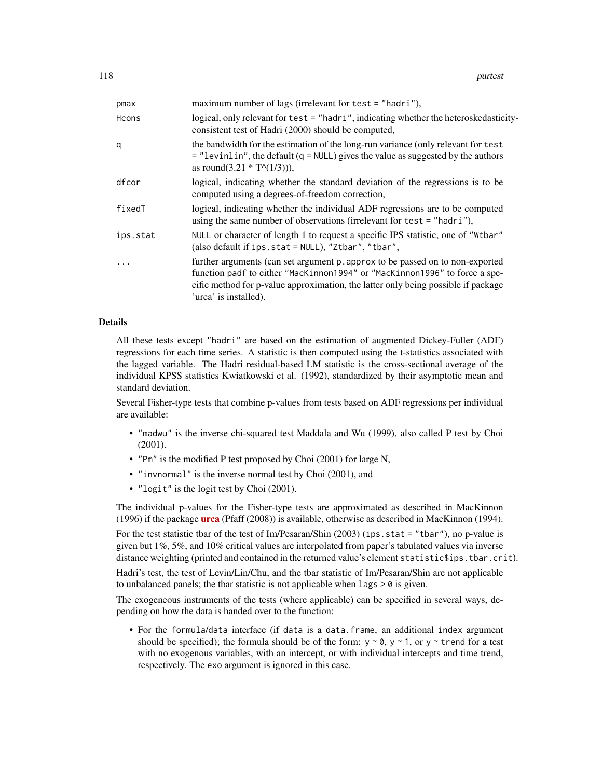| pmax     | maximum number of lags (irrelevant for test = "hadri"),                                                                                                                                                                                                                   |  |
|----------|---------------------------------------------------------------------------------------------------------------------------------------------------------------------------------------------------------------------------------------------------------------------------|--|
| Hcons    | logical, only relevant for test = "hadri", indicating whether the heteroskedasticity-<br>consistent test of Hadri (2000) should be computed,                                                                                                                              |  |
| q        | the bandwidth for the estimation of the long-run variance (only relevant for test<br>$=$ "levinlin", the default (q = NULL) gives the value as suggested by the authors<br>as round(3.21 $* T^(1/3)$ ),                                                                   |  |
| dfcor    | logical, indicating whether the standard deviation of the regressions is to be<br>computed using a degrees-of-freedom correction,                                                                                                                                         |  |
| fixedT   | logical, indicating whether the individual ADF regressions are to be computed<br>using the same number of observations (irrelevant for test = "hadri"),                                                                                                                   |  |
| ips.stat | NULL or character of length 1 to request a specific IPS statistic, one of "Wtbar"<br>(also default if ips.stat = NULL), "Ztbar", "tbar",                                                                                                                                  |  |
| .        | further arguments (can set argument p. approx to be passed on to non-exported<br>function padf to either "MacKinnon1994" or "MacKinnon1996" to force a spe-<br>cific method for p-value approximation, the latter only being possible if package<br>'urca' is installed). |  |

### Details

All these tests except "hadri" are based on the estimation of augmented Dickey-Fuller (ADF) regressions for each time series. A statistic is then computed using the t-statistics associated with the lagged variable. The Hadri residual-based LM statistic is the cross-sectional average of the individual KPSS statistics Kwiatkowski et al. (1992), standardized by their asymptotic mean and standard deviation.

Several Fisher-type tests that combine p-values from tests based on ADF regressions per individual are available:

- "madwu" is the inverse chi-squared test Maddala and Wu (1999), also called P test by Choi (2001).
- "Pm" is the modified P test proposed by Choi (2001) for large N,
- "invnormal" is the inverse normal test by Choi (2001), and
- "logit" is the logit test by Choi (2001).

The individual p-values for the Fisher-type tests are approximated as described in MacKinnon (1996) if the package **[urca](https://CRAN.R-project.org/package=urca)** (Pfaff (2008)) is available, otherwise as described in MacKinnon (1994).

For the test statistic tbar of the test of Im/Pesaran/Shin (2003) (ips. stat  $=$  "tbar"), no p-value is given but 1%, 5%, and 10% critical values are interpolated from paper's tabulated values via inverse distance weighting (printed and contained in the returned value's element statistic\$ips.tbar.crit).

Hadri's test, the test of Levin/Lin/Chu, and the tbar statistic of Im/Pesaran/Shin are not applicable to unbalanced panels; the tbar statistic is not applicable when  $\text{lags} > 0$  is given.

The exogeneous instruments of the tests (where applicable) can be specified in several ways, depending on how the data is handed over to the function:

• For the formula/data interface (if data is a data.frame, an additional index argument should be specified); the formula should be of the form:  $y \sim 0$ ,  $y \sim 1$ , or  $y \sim$  trend for a test with no exogenous variables, with an intercept, or with individual intercepts and time trend, respectively. The exo argument is ignored in this case.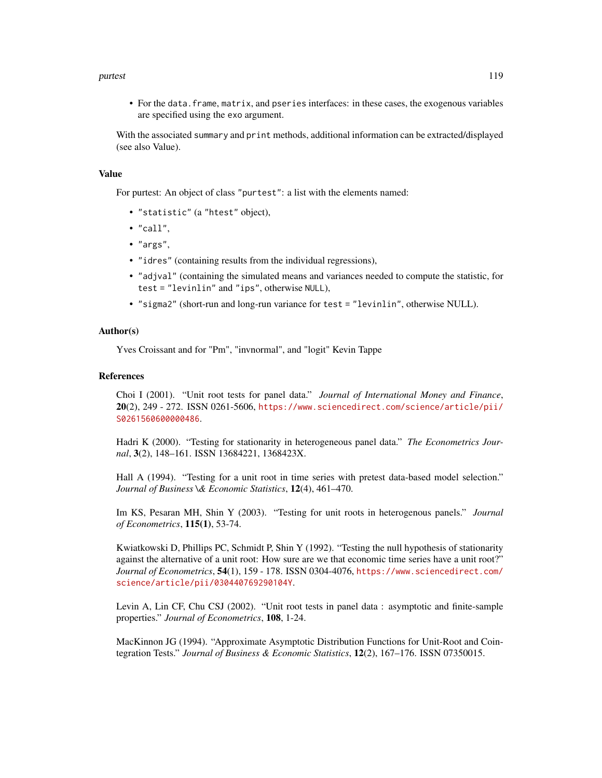#### purtest the contract of the contract of the contract of the contract of the contract of the contract of the contract of the contract of the contract of the contract of the contract of the contract of the contract of the co

• For the data.frame, matrix, and pseries interfaces: in these cases, the exogenous variables are specified using the exo argument.

With the associated summary and print methods, additional information can be extracted/displayed (see also Value).

#### Value

For purtest: An object of class "purtest": a list with the elements named:

- "statistic" (a "htest" object),
- "call",
- "args",
- "idres" (containing results from the individual regressions),
- "adjval" (containing the simulated means and variances needed to compute the statistic, for test = "levinlin" and "ips", otherwise NULL),
- "sigma2" (short-run and long-run variance for test = "levinlin", otherwise NULL).

### Author(s)

Yves Croissant and for "Pm", "invnormal", and "logit" Kevin Tappe

#### References

Choi I (2001). "Unit root tests for panel data." *Journal of International Money and Finance*,  $20(2)$ ,  $249 - 272$ . ISSN 0261-5606, [https://www.sciencedirect.com/science/article/pii/](https://www.sciencedirect.com/science/article/pii/S0261560600000486) [S0261560600000486](https://www.sciencedirect.com/science/article/pii/S0261560600000486).

Hadri K (2000). "Testing for stationarity in heterogeneous panel data." *The Econometrics Journal*, 3(2), 148–161. ISSN 13684221, 1368423X.

Hall A (1994). "Testing for a unit root in time series with pretest data-based model selection." *Journal of Business \& Economic Statistics*, 12(4), 461–470.

Im KS, Pesaran MH, Shin Y (2003). "Testing for unit roots in heterogenous panels." *Journal of Econometrics*, 115(1), 53-74.

Kwiatkowski D, Phillips PC, Schmidt P, Shin Y (1992). "Testing the null hypothesis of stationarity against the alternative of a unit root: How sure are we that economic time series have a unit root?" *Journal of Econometrics*, 54(1), 159 - 178. ISSN 0304-4076, [https://www.sciencedirect.com/](https://www.sciencedirect.com/science/article/pii/030440769290104Y) [science/article/pii/030440769290104Y](https://www.sciencedirect.com/science/article/pii/030440769290104Y).

Levin A, Lin CF, Chu CSJ (2002). "Unit root tests in panel data : asymptotic and finite-sample properties." *Journal of Econometrics*, 108, 1-24.

MacKinnon JG (1994). "Approximate Asymptotic Distribution Functions for Unit-Root and Cointegration Tests." *Journal of Business & Economic Statistics*, 12(2), 167–176. ISSN 07350015.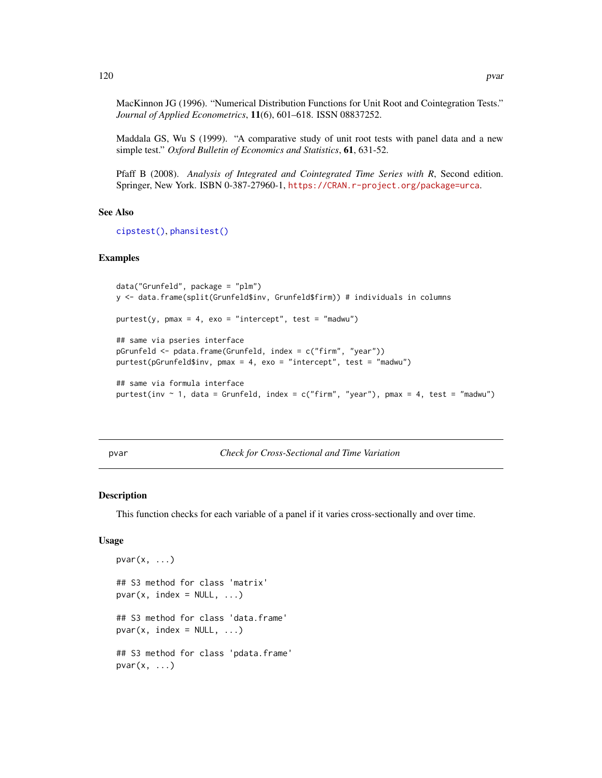MacKinnon JG (1996). "Numerical Distribution Functions for Unit Root and Cointegration Tests." *Journal of Applied Econometrics*, 11(6), 601–618. ISSN 08837252.

Maddala GS, Wu S (1999). "A comparative study of unit root tests with panel data and a new simple test." *Oxford Bulletin of Economics and Statistics*, 61, 631-52.

Pfaff B (2008). *Analysis of Integrated and Cointegrated Time Series with R*, Second edition. Springer, New York. ISBN 0-387-27960-1, <https://CRAN.r-project.org/package=urca>.

#### See Also

[cipstest\(\)](#page-6-0), [phansitest\(\)](#page-80-0)

### Examples

```
data("Grunfeld", package = "plm")
y <- data.frame(split(Grunfeld$inv, Grunfeld$firm)) # individuals in columns
purtest(y, pmax = 4, exo = "intercept", test = "madwu")## same via pseries interface
pGrunfeld <- pdata.frame(Grunfeld, index = c("firm", "year"))
purtest(pGrunfeld$inv, pmax = 4, exo = "intercept", test = "madwu")
## same via formula interface
purtest(inv \sim 1, data = Grunfeld, index = c("firm", "year"), pmax = 4, test = "madwu")
```
pvar *Check for Cross-Sectional and Time Variation*

#### Description

This function checks for each variable of a panel if it varies cross-sectionally and over time.

### Usage

```
pvar(x, \ldots)## S3 method for class 'matrix'
pvar(x, index = NULL, ...)## S3 method for class 'data.frame'
pvar(x, index = NULL, ...)## S3 method for class 'pdata.frame'
pvar(x, \ldots)
```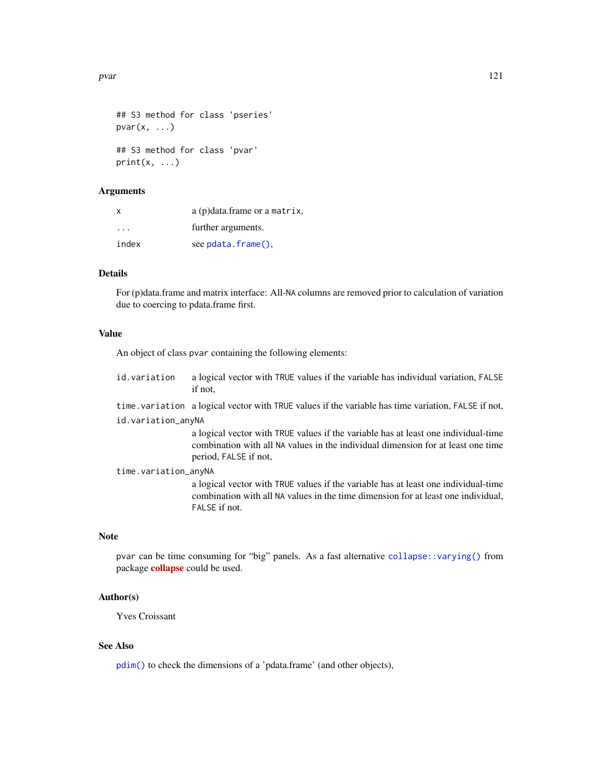pvar 121

```
## S3 method for class 'pseries'
pvar(x, \ldots)## S3 method for class 'pvar'
print(x, \ldots)
```
### Arguments

| x                       | $a$ (p) data. frame or a matrix, |
|-------------------------|----------------------------------|
| $\cdot$ $\cdot$ $\cdot$ | further arguments.               |
| index                   | see pdata.frame(),               |

# **Details**

For (p)data.frame and matrix interface: All-NA columns are removed prior to calculation of variation due to coercing to pdata.frame first.

#### Value

An object of class pvar containing the following elements:

id.variation a logical vector with TRUE values if the variable has individual variation, FALSE if not,

time.variation a logical vector with TRUE values if the variable has time variation, FALSE if not, id.variation\_anyNA

> a logical vector with TRUE values if the variable has at least one individual-time combination with all NA values in the individual dimension for at least one time period, FALSE if not,

time.variation\_anyNA

a logical vector with TRUE values if the variable has at least one individual-time combination with all NA values in the time dimension for at least one individual, FALSE if not.

### Note

pvar can be time consuming for "big" panels. As a fast alternative [collapse::varying\(\)](#page-0-0) from package [collapse](https://CRAN.R-project.org/package=collapse) could be used.

### Author(s)

Yves Croissant

### See Also

[pdim\(\)](#page-67-0) to check the dimensions of a 'pdata.frame' (and other objects),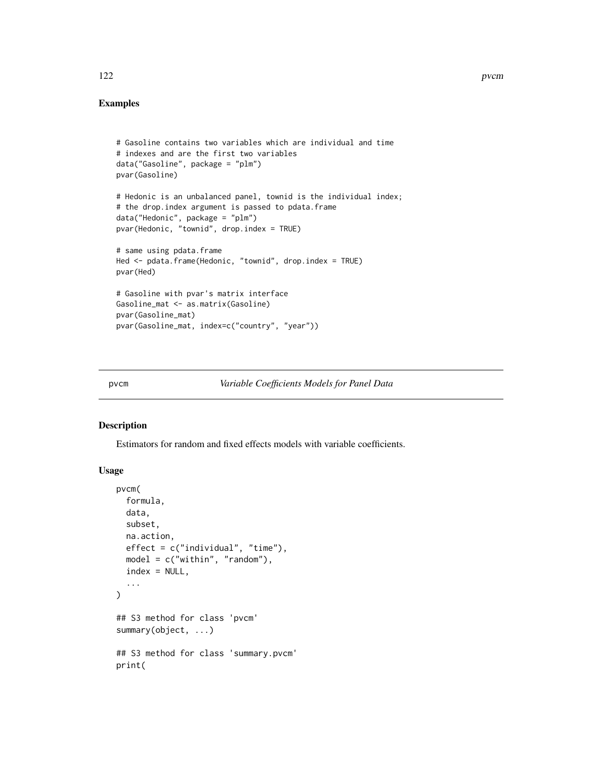# Examples

```
# Gasoline contains two variables which are individual and time
# indexes and are the first two variables
data("Gasoline", package = "plm")
pvar(Gasoline)
# Hedonic is an unbalanced panel, townid is the individual index;
# the drop.index argument is passed to pdata.frame
data("Hedonic", package = "plm")
pvar(Hedonic, "townid", drop.index = TRUE)
# same using pdata.frame
Hed <- pdata.frame(Hedonic, "townid", drop.index = TRUE)
pvar(Hed)
# Gasoline with pvar's matrix interface
Gasoline_mat <- as.matrix(Gasoline)
pvar(Gasoline_mat)
pvar(Gasoline_mat, index=c("country", "year"))
```
pvcm *Variable Coefficients Models for Panel Data*

#### Description

Estimators for random and fixed effects models with variable coefficients.

# Usage

```
pvcm(
  formula,
  data,
  subset,
  na.action,
 effect = c("individual", "time"),
  model = c("within", "random"),
  index = NULL,...
\mathcal{L}## S3 method for class 'pvcm'
summary(object, ...)
## S3 method for class 'summary.pvcm'
print(
```
122 pvcm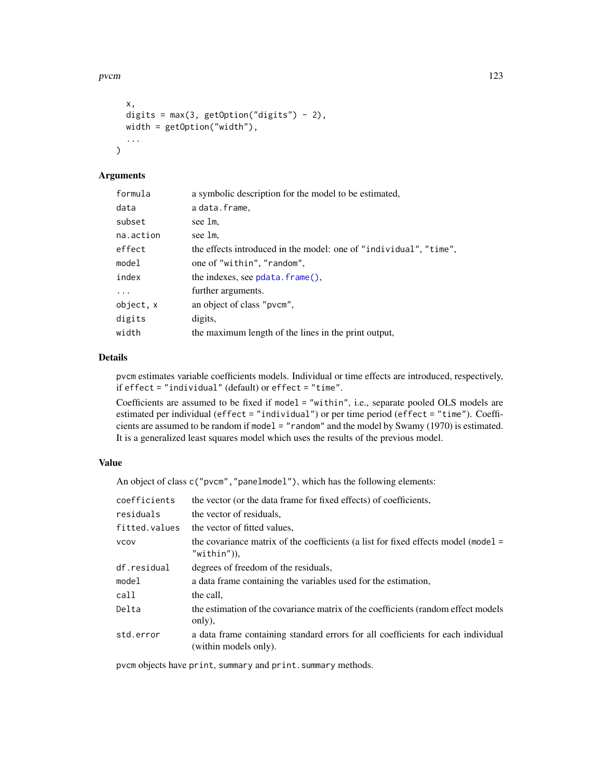pvcm and the state of the state of the state of the state of the state of the state of the state of the state of the state of the state of the state of the state of the state of the state of the state of the state of the s

```
x,
 digits = max(3, getOption("digits") - 2),
 width = getOption("width"),
  ...
)
```
# Arguments

| formula   | a symbolic description for the model to be estimated,             |
|-----------|-------------------------------------------------------------------|
| data      | a data.frame,                                                     |
| subset    | see 1m.                                                           |
| na.action | see 1m.                                                           |
| effect    | the effects introduced in the model: one of "individual", "time", |
| model     | one of "within", "random",                                        |
| index     | the indexes, see $pdata$ . $frame()$ ,                            |
| $\ddots$  | further arguments.                                                |
| object, x | an object of class "pvcm",                                        |
| digits    | digits,                                                           |
| width     | the maximum length of the lines in the print output,              |

# Details

pvcm estimates variable coefficients models. Individual or time effects are introduced, respectively, if effect = "individual" (default) or effect = "time".

Coefficients are assumed to be fixed if model = "within", i.e., separate pooled OLS models are estimated per individual (effect = "individual") or per time period (effect = "time"). Coefficients are assumed to be random if model = "random" and the model by Swamy (1970) is estimated. It is a generalized least squares model which uses the results of the previous model.

### Value

An object of class c("pvcm","panelmodel"), which has the following elements:

| coefficients  | the vector (or the data frame for fixed effects) of coefficients,                                         |  |
|---------------|-----------------------------------------------------------------------------------------------------------|--|
| residuals     | the vector of residuals,                                                                                  |  |
| fitted.values | the vector of fitted values.                                                                              |  |
| VCOV          | the covariance matrix of the coefficients (a list for fixed effects model (model $=$<br>$"$ within")),    |  |
| df.residual   | degrees of freedom of the residuals,                                                                      |  |
| model         | a data frame containing the variables used for the estimation,                                            |  |
| call          | the call.                                                                                                 |  |
| Delta         | the estimation of the covariance matrix of the coefficients (random effect models<br>only),               |  |
| std.error     | a data frame containing standard errors for all coefficients for each individual<br>(within models only). |  |
|               |                                                                                                           |  |

pvcm objects have print, summary and print.summary methods.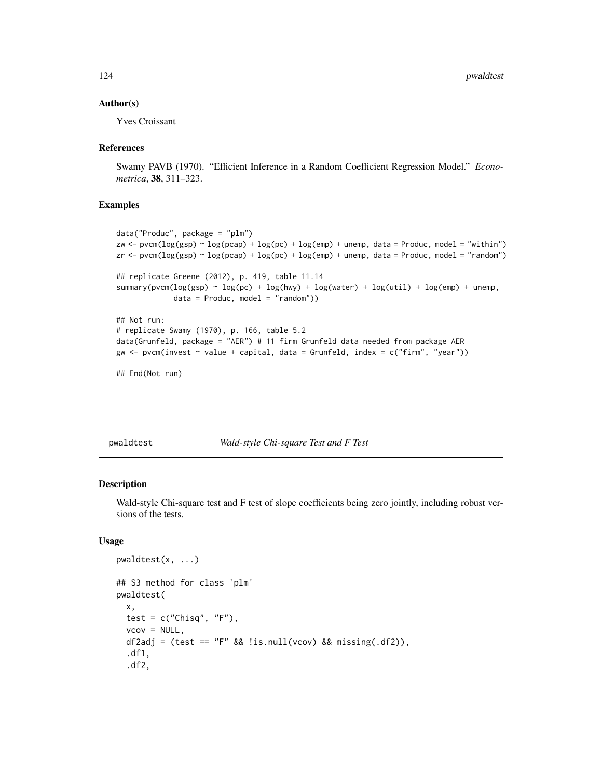### Author(s)

Yves Croissant

#### References

Swamy PAVB (1970). "Efficient Inference in a Random Coefficient Regression Model." *Econometrica*, 38, 311–323.

# Examples

```
data("Produc", package = "plm")
zw <- pvcm(\log(gsp) \sim \log(pcap) + \log(pc) + \log(em) + unemp, data = Product, model = "within")zr <- pvcm(log(gsp) ~ log(pcap) + log(pc) + log(emp) + unemp, data = Produc, model = "random")
## replicate Greene (2012), p. 419, table 11.14
summary(pvcm(log(gsp) \sim log(pc) + log(hwy) + log(water) + log(ttil) + log(em) + unewp,
             data = Product, model = "random")## Not run:
# replicate Swamy (1970), p. 166, table 5.2
data(Grunfeld, package = "AER") # 11 firm Grunfeld data needed from package AER
gw \leq pvcm(invest \sim value + capital, data = Grunfeld, index = c("firm", "year"))
```

```
## End(Not run)
```
<span id="page-123-0"></span>pwaldtest *Wald-style Chi-square Test and F Test*

### Description

Wald-style Chi-square test and F test of slope coefficients being zero jointly, including robust versions of the tests.

### Usage

```
pwaldtest(x, ...)
## S3 method for class 'plm'
pwaldtest(
  x,
 test = c("Chisq", "F"),
 vcov = NULL,
  df2adj = (test == "F" 88 !is.null(vcov) 88 missing(.df2)),
  .df1,
  .df2,
```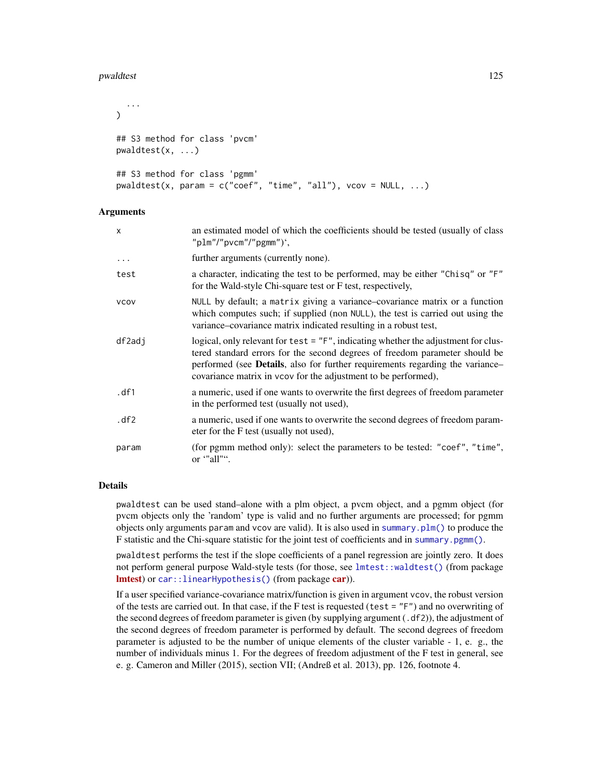#### pwaldtest 125

```
...
\lambda## S3 method for class 'pvcm'
pwaldtest(x, ...)
## S3 method for class 'pgmm'
pwaldtest(x, param = c("coef", "time", "all"), vcov = NULL, ...)
```
### Arguments

| x        | an estimated model of which the coefficients should be tested (usually of class)<br>"plm"/"pvcm"/"pgmm")',                                                                                                                                                                                                           |  |
|----------|----------------------------------------------------------------------------------------------------------------------------------------------------------------------------------------------------------------------------------------------------------------------------------------------------------------------|--|
| $\ddots$ | further arguments (currently none).                                                                                                                                                                                                                                                                                  |  |
| test     | a character, indicating the test to be performed, may be either "Chisq" or "F"<br>for the Wald-style Chi-square test or F test, respectively,                                                                                                                                                                        |  |
| vcov     | NULL by default; a matrix giving a variance–covariance matrix or a function<br>which computes such; if supplied (non NULL), the test is carried out using the<br>variance–covariance matrix indicated resulting in a robust test,                                                                                    |  |
| df2adi   | logical, only relevant for test = "F", indicating whether the adjustment for clus-<br>tered standard errors for the second degrees of freedom parameter should be<br>performed (see Details, also for further requirements regarding the variance-<br>covariance matrix in vcov for the adjustment to be performed), |  |
| .df1     | a numeric, used if one wants to overwrite the first degrees of freedom parameter<br>in the performed test (usually not used),                                                                                                                                                                                        |  |
| .df2     | a numeric, used if one wants to overwrite the second degrees of freedom param-<br>eter for the F test (usually not used),                                                                                                                                                                                            |  |
| param    | (for pgmm method only): select the parameters to be tested: "coef", "time",<br>or ""all"".                                                                                                                                                                                                                           |  |

# Details

pwaldtest can be used stand–alone with a plm object, a pvcm object, and a pgmm object (for pvcm objects only the 'random' type is valid and no further arguments are processed; for pgmm objects only arguments param and vcov are valid). It is also used in [summary.plm\(\)](#page-137-0) to produce the F statistic and the Chi-square statistic for the joint test of coefficients and in [summary.pgmm\(\)](#page-74-0).

pwaldtest performs the test if the slope coefficients of a panel regression are jointly zero. It does not perform general purpose Wald-style tests (for those, see [lmtest::waldtest\(\)](#page-0-0) (from package Imtest) or [car::linearHypothesis\(\)](#page-0-0) (from package [car](https://CRAN.R-project.org/package=car))).

If a user specified variance-covariance matrix/function is given in argument vcov, the robust version of the tests are carried out. In that case, if the F test is requested (test  $=$  "F") and no overwriting of the second degrees of freedom parameter is given (by supplying argument  $(.df2)$ ), the adjustment of the second degrees of freedom parameter is performed by default. The second degrees of freedom parameter is adjusted to be the number of unique elements of the cluster variable - 1, e. g., the number of individuals minus 1. For the degrees of freedom adjustment of the F test in general, see e. g. Cameron and Miller (2015), section VII; (Andreß et al. 2013), pp. 126, footnote 4.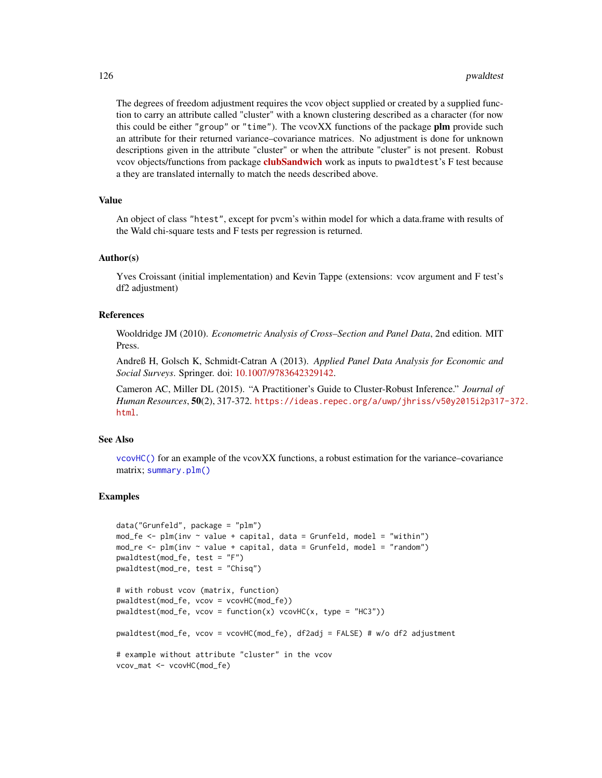The degrees of freedom adjustment requires the vcov object supplied or created by a supplied function to carry an attribute called "cluster" with a known clustering described as a character (for now this could be either "group" or "time"). The vcov $XX$  functions of the package plm provide such an attribute for their returned variance–covariance matrices. No adjustment is done for unknown descriptions given in the attribute "cluster" or when the attribute "cluster" is not present. Robust vcov objects/functions from package **[clubSandwich](https://CRAN.R-project.org/package=clubSandwich)** work as inputs to pwaldtest's F test because a they are translated internally to match the needs described above.

#### Value

An object of class "htest", except for pvcm's within model for which a data.frame with results of the Wald chi-square tests and F tests per regression is returned.

### Author(s)

Yves Croissant (initial implementation) and Kevin Tappe (extensions: vcov argument and F test's df2 adjustment)

# References

Wooldridge JM (2010). *Econometric Analysis of Cross–Section and Panel Data*, 2nd edition. MIT Press.

Andreß H, Golsch K, Schmidt-Catran A (2013). *Applied Panel Data Analysis for Economic and Social Surveys*. Springer. doi: [10.1007/9783642329142.](https://doi.org/10.1007/978-3-642-32914-2)

Cameron AC, Miller DL (2015). "A Practitioner's Guide to Cluster-Robust Inference." *Journal of Human Resources*, 50(2), 317-372. [https://ideas.repec.org/a/uwp/jhriss/v50y2015i2p317](https://ideas.repec.org/a/uwp/jhriss/v50y2015i2p317-372.html)-372. [html](https://ideas.repec.org/a/uwp/jhriss/v50y2015i2p317-372.html).

### See Also

[vcovHC\(\)](#page-145-0) for an example of the vcovXX functions, a robust estimation for the variance–covariance matrix; [summary.plm\(\)](#page-137-0)

```
data("Grunfeld", package = "plm")
mod_fe \leq plm(inv \sim value + capital, data = Grunfeld, model = "within")
mod_re \leftarrow plm(inv \sim value + capital, data = Grunfeld, model = "random")pwaldtest(mod_fe, test = "F")
pwaldtest(mod_re, test = "Chisq")
# with robust vcov (matrix, function)
pwaldtest(mod_fe, vcov = vcovHC(mod_fe))
pwaldest(mod_f e, vcov = function(x) vcovHC(x, type = "HC3"))pwaldtest(mod_fe, vcov = vcovHC(mod_fe), df2adj = FALSE) # w/o df2 adjustment
# example without attribute "cluster" in the vcov
vcov_mat <- vcovHC(mod_fe)
```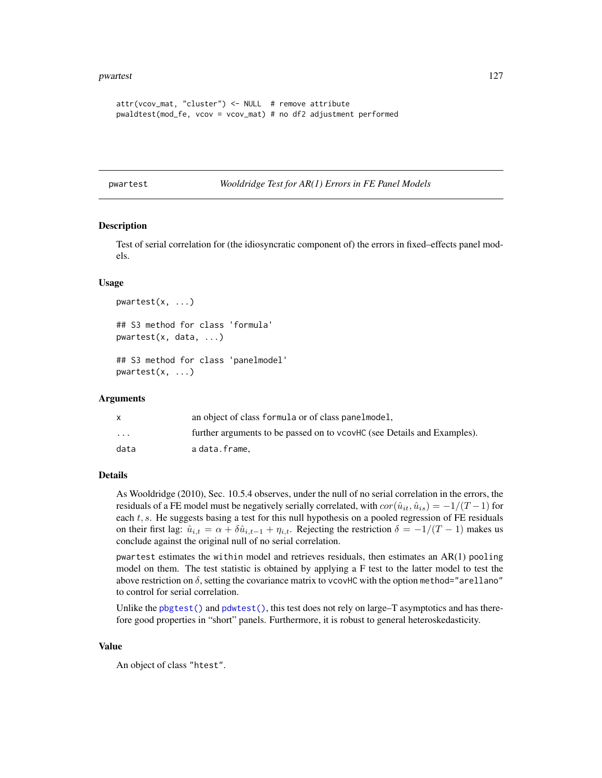```
attr(vcov_mat, "cluster") <- NULL # remove attribute
pwaldtest(mod_fe, vcov = vcov_mat) # no df2 adjustment performed
```
<span id="page-126-0"></span>pwartest *Wooldridge Test for AR(1) Errors in FE Panel Models*

### Description

Test of serial correlation for (the idiosyncratic component of) the errors in fixed–effects panel models.

### Usage

```
pwartest(x, ...)
## S3 method for class 'formula'
pwartest(x, data, ...)
## S3 method for class 'panelmodel'
pwartest(x, ...)
```
#### Arguments

|                         | an object of class formula or of class panelmodel,                      |  |
|-------------------------|-------------------------------------------------------------------------|--|
| $\cdot$ $\cdot$ $\cdot$ | further arguments to be passed on to vcovHC (see Details and Examples). |  |
| data                    | a data.frame.                                                           |  |

# Details

As Wooldridge (2010), Sec. 10.5.4 observes, under the null of no serial correlation in the errors, the residuals of a FE model must be negatively serially correlated, with  $cor(\hat{u}_{it}, \hat{u}_{is}) = -1/(T-1)$  for each  $t$ ,  $s$ . He suggests basing a test for this null hypothesis on a pooled regression of FE residuals on their first lag:  $\hat{u}_{i,t} = \alpha + \delta \hat{u}_{i,t-1} + \eta_{i,t}$ . Rejecting the restriction  $\delta = -1/(T-1)$  makes us conclude against the original null of no serial correlation.

pwartest estimates the within model and retrieves residuals, then estimates an AR(1) pooling model on them. The test statistic is obtained by applying a F test to the latter model to test the above restriction on  $\delta$ , setting the covariance matrix to vcovHC with the option method="arellano" to control for serial correlation.

Unlike the [pbgtest\(\)](#page-50-0) and [pdwtest\(\)](#page-69-0), this test does not rely on large–T asymptotics and has therefore good properties in "short" panels. Furthermore, it is robust to general heteroskedasticity.

#### Value

An object of class "htest".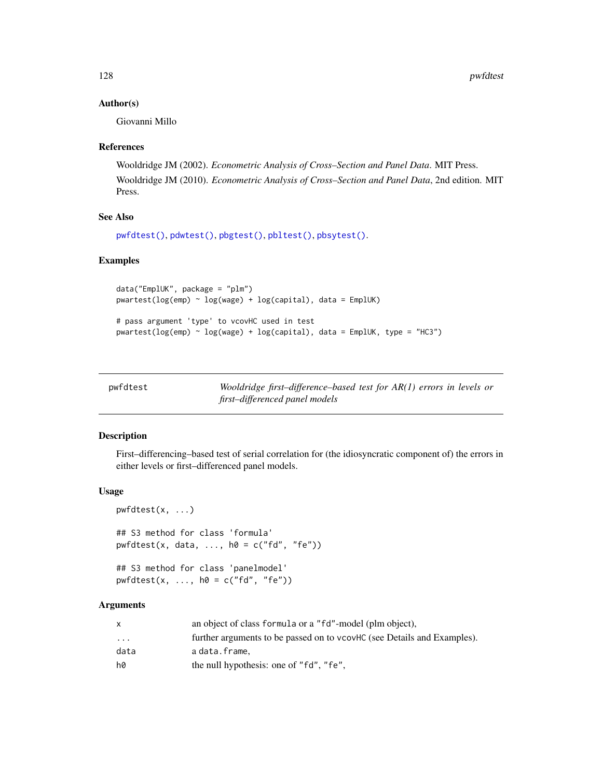### Author(s)

Giovanni Millo

### References

Wooldridge JM (2002). *Econometric Analysis of Cross–Section and Panel Data*. MIT Press. Wooldridge JM (2010). *Econometric Analysis of Cross–Section and Panel Data*, 2nd edition. MIT Press.

# See Also

```
pwfdtest(), pdwtest(), pbgtest(), pbltest(), pbsytest().
```
# Examples

```
data("EmplUK", package = "plm")
pwartest(log(emp) ~ log(wage) + log(capital), data = EmplUK)# pass argument 'type' to vcovHC used in test
pwartest(log(emp) ~ log(wage) + log(capital), data = EmplUK, type = "HC3")
```
<span id="page-127-0"></span>

| pwfdtest | Wooldridge first-difference-based test for $AR(1)$ errors in levels or |
|----------|------------------------------------------------------------------------|
|          | first-differenced panel models                                         |

# Description

First–differencing–based test of serial correlation for (the idiosyncratic component of) the errors in either levels or first–differenced panel models.

## Usage

```
pwfdtest(x, ...)
## S3 method for class 'formula'
pwfdtest(x, data, ..., h0 = c("fd", "fe"))## S3 method for class 'panelmodel'
pwfdtest(x, ..., h0 = c("fd", "fe"))
```
# Arguments

|                                               | an object of class formula or a "fd"-model (plm object),                |  |
|-----------------------------------------------|-------------------------------------------------------------------------|--|
| $\ddotsc$                                     | further arguments to be passed on to vcovHC (see Details and Examples). |  |
| data<br>adata.frame.                          |                                                                         |  |
| hØ<br>the null hypothesis: one of "fd", "fe", |                                                                         |  |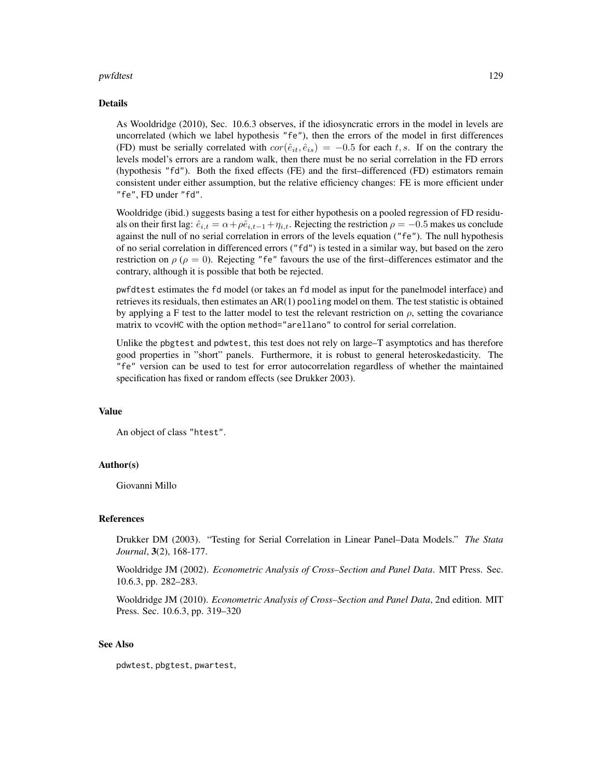#### pwfdtest 129

#### Details

As Wooldridge (2010), Sec. 10.6.3 observes, if the idiosyncratic errors in the model in levels are uncorrelated (which we label hypothesis "fe"), then the errors of the model in first differences (FD) must be serially correlated with  $cor(\hat{e}_{it}, \hat{e}_{is}) = -0.5$  for each t, s. If on the contrary the levels model's errors are a random walk, then there must be no serial correlation in the FD errors (hypothesis "fd"). Both the fixed effects (FE) and the first–differenced (FD) estimators remain consistent under either assumption, but the relative efficiency changes: FE is more efficient under "fe", FD under "fd".

Wooldridge (ibid.) suggests basing a test for either hypothesis on a pooled regression of FD residuals on their first lag:  $\hat{e}_{i,t} = \alpha + \rho \hat{e}_{i,t-1} + \eta_{i,t}$ . Rejecting the restriction  $\rho = -0.5$  makes us conclude against the null of no serial correlation in errors of the levels equation ("fe"). The null hypothesis of no serial correlation in differenced errors ("fd") is tested in a similar way, but based on the zero restriction on  $\rho$  ( $\rho = 0$ ). Rejecting "fe" favours the use of the first–differences estimator and the contrary, although it is possible that both be rejected.

pwfdtest estimates the fd model (or takes an fd model as input for the panelmodel interface) and retrieves its residuals, then estimates an AR(1) pooling model on them. The test statistic is obtained by applying a F test to the latter model to test the relevant restriction on  $\rho$ , setting the covariance matrix to vcovHC with the option method="arellano" to control for serial correlation.

Unlike the pbgtest and pdwtest, this test does not rely on large–T asymptotics and has therefore good properties in "short" panels. Furthermore, it is robust to general heteroskedasticity. The "fe" version can be used to test for error autocorrelation regardless of whether the maintained specification has fixed or random effects (see Drukker 2003).

#### Value

An object of class "htest".

### Author(s)

Giovanni Millo

#### References

Drukker DM (2003). "Testing for Serial Correlation in Linear Panel–Data Models." *The Stata Journal*, 3(2), 168-177.

Wooldridge JM (2002). *Econometric Analysis of Cross–Section and Panel Data*. MIT Press. Sec. 10.6.3, pp. 282–283.

Wooldridge JM (2010). *Econometric Analysis of Cross–Section and Panel Data*, 2nd edition. MIT Press. Sec. 10.6.3, pp. 319–320

### See Also

pdwtest, pbgtest, pwartest,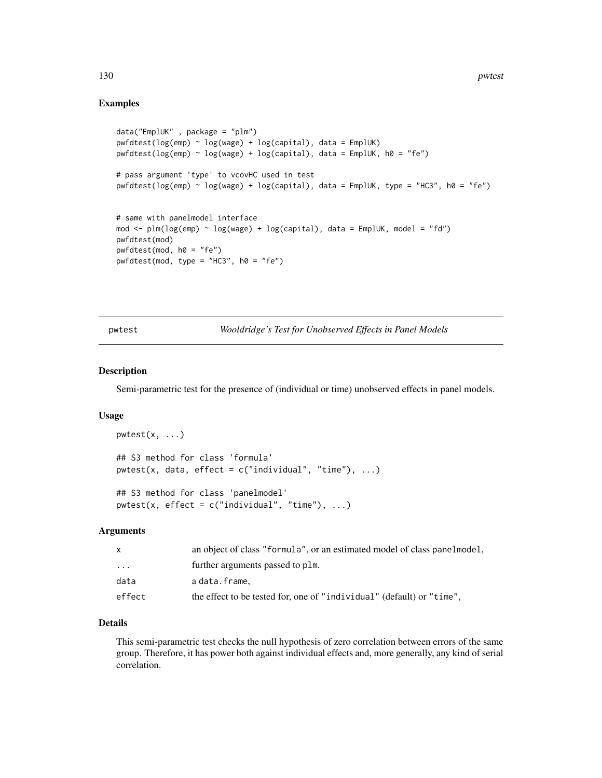# Examples

```
data("EmplUK" , package = "plm")
pwfdtest(log(emp) ~ log(wage) + log(capital), data = EmplUK)pwfdtest(log(emp) ~ log(wage) + log(capital), data = EmplUK, h0 = "fe")
# pass argument 'type' to vcovHC used in test
pwfdtest(log(emp) ~ log(wage) + log(capital), data = EmplUK, type = "HC3", h0 = "fe")
# same with panelmodel interface
mod <- plm(log(emp) ~ log(wage) + log(capital), data = EmplUK, model = "fd")
pwfdtest(mod)
pwfdtest(mod, h0 = "fe")
pwfdtest(mod, type = "HC3", h0 = "fe")
```
pwtest *Wooldridge's Test for Unobserved Effects in Panel Models*

# Description

Semi-parametric test for the presence of (individual or time) unobserved effects in panel models.

### Usage

```
pwtest(x, ...)
## S3 method for class 'formula'
pwtest(x, data, effect = c("individual", "time"), ...)
## S3 method for class 'panelmodel'
pwtest(x, effect = c("individual", "time"), ...)
```
#### Arguments

| X      | an object of class "formula", or an estimated model of class panelmodel, |
|--------|--------------------------------------------------------------------------|
| .      | further arguments passed to plm.                                         |
| data   | adata.frame.                                                             |
| effect | the effect to be tested for, one of "individual" (default) or "time",    |

# Details

This semi-parametric test checks the null hypothesis of zero correlation between errors of the same group. Therefore, it has power both against individual effects and, more generally, any kind of serial correlation.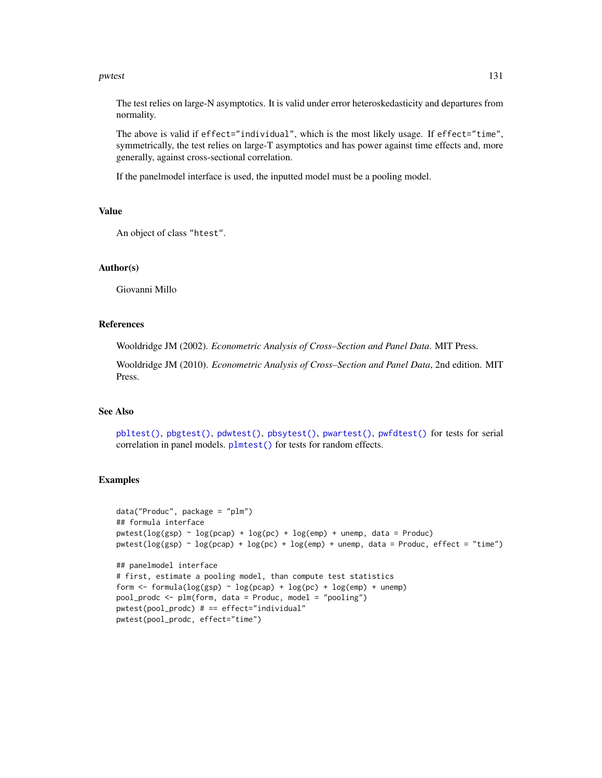#### pwtest 131

The test relies on large-N asymptotics. It is valid under error heteroskedasticity and departures from normality.

The above is valid if effect="individual", which is the most likely usage. If effect="time", symmetrically, the test relies on large-T asymptotics and has power against time effects and, more generally, against cross-sectional correlation.

If the panelmodel interface is used, the inputted model must be a pooling model.

### Value

An object of class "htest".

### Author(s)

Giovanni Millo

# References

Wooldridge JM (2002). *Econometric Analysis of Cross–Section and Panel Data*. MIT Press.

Wooldridge JM (2010). *Econometric Analysis of Cross–Section and Panel Data*, 2nd edition. MIT Press.

### See Also

[pbltest\(\)](#page-52-0), [pbgtest\(\)](#page-50-0), [pdwtest\(\)](#page-69-0), [pbsytest\(\)](#page-55-0), [pwartest\(\)](#page-126-0), [pwfdtest\(\)](#page-127-0) for tests for serial correlation in panel models. [plmtest\(\)](#page-100-0) for tests for random effects.

```
data("Produc", package = "plm")
## formula interface
pwtest(log(ssp) \sim log(pcap) + log(pc) + log(emp) + unemp, data = Product)pwtest(log(gsp) ~ log(pcap) + log(pc) + log(emp) + unemp, data = Produc, effect = "time")
## panelmodel interface
# first, estimate a pooling model, than compute test statistics
form \le formula(log(gsp) \sim log(pcap) + log(pc) + log(emp) + unemp)
pool_prodc <- plm(form, data = Produc, model = "pooling")
pwtest(pool_prodc) # == effect="individual"
pwtest(pool_prodc, effect="time")
```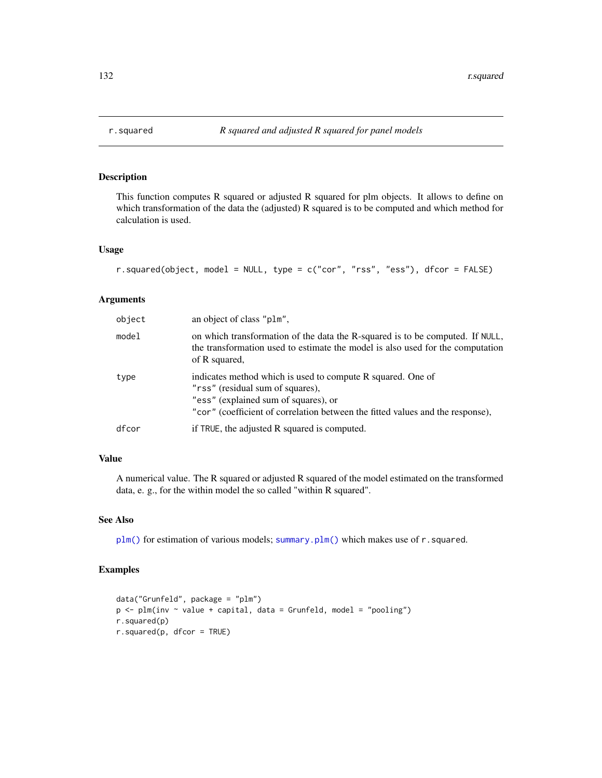<span id="page-131-0"></span>

# Description

This function computes R squared or adjusted R squared for plm objects. It allows to define on which transformation of the data the (adjusted) R squared is to be computed and which method for calculation is used.

### Usage

```
r.squared(object, model = NULL, type = c("cor", "rss", "ess"), dfcor = FALSE)
```
# Arguments

| object | an object of class "plm",                                                                                                                                                                                                 |
|--------|---------------------------------------------------------------------------------------------------------------------------------------------------------------------------------------------------------------------------|
| model  | on which transformation of the data the R-squared is to be computed. If NULL,<br>the transformation used to estimate the model is also used for the computation<br>of R squared,                                          |
| type   | indicates method which is used to compute R squared. One of<br>"rss" (residual sum of squares),<br>"ess" (explained sum of squares), or<br>"cor" (coefficient of correlation between the fitted values and the response), |
| dfcor  | if TRUE, the adjusted R squared is computed.                                                                                                                                                                              |

# Value

A numerical value. The R squared or adjusted R squared of the model estimated on the transformed data, e. g., for the within model the so called "within R squared".

#### See Also

[plm\(\)](#page-90-0) for estimation of various models; [summary.plm\(\)](#page-137-0) which makes use of r.squared.

```
data("Grunfeld", package = "plm")
p <- plm(inv ~ value + capital, data = Grunfeld, model = "pooling")
r.squared(p)
r.squared(p, dfcor = TRUE)
```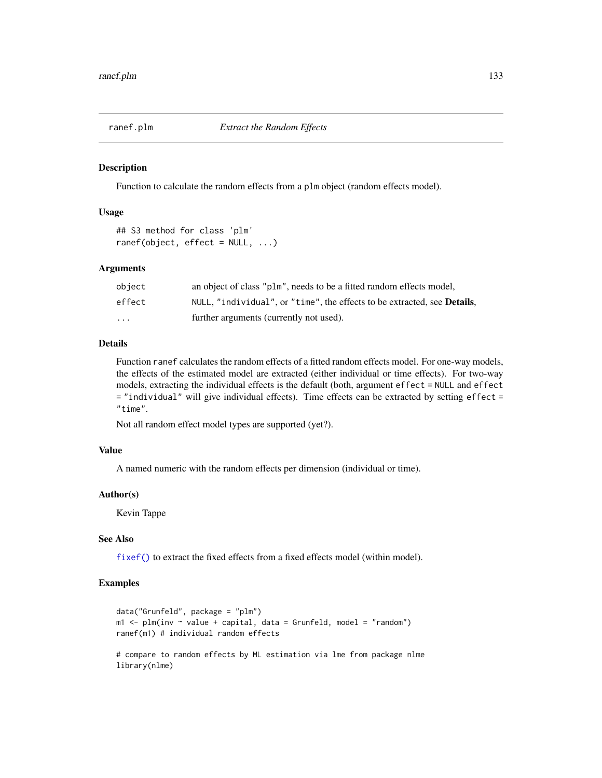### Description

Function to calculate the random effects from a plm object (random effects model).

### Usage

```
## S3 method for class 'plm'
ranef(object, effect = NULL, ...)
```
### **Arguments**

| object  | an object of class "plm", needs to be a fitted random effects model,             |
|---------|----------------------------------------------------------------------------------|
| effect  | NULL, "individual", or "time", the effects to be extracted, see <b>Details</b> , |
| $\cdot$ | further arguments (currently not used).                                          |

# Details

Function ranef calculates the random effects of a fitted random effects model. For one-way models, the effects of the estimated model are extracted (either individual or time effects). For two-way models, extracting the individual effects is the default (both, argument effect = NULL and effect = "individual" will give individual effects). Time effects can be extracted by setting effect = "time".

Not all random effect model types are supported (yet?).

#### Value

A named numeric with the random effects per dimension (individual or time).

#### Author(s)

Kevin Tappe

## See Also

[fixef\(\)](#page-17-0) to extract the fixed effects from a fixed effects model (within model).

```
data("Grunfeld", package = "plm")
m1 < - plm(inv \sim value + capital, data = Grunfeld, model = "random")
ranef(m1) # individual random effects
# compare to random effects by ML estimation via lme from package nlme
library(nlme)
```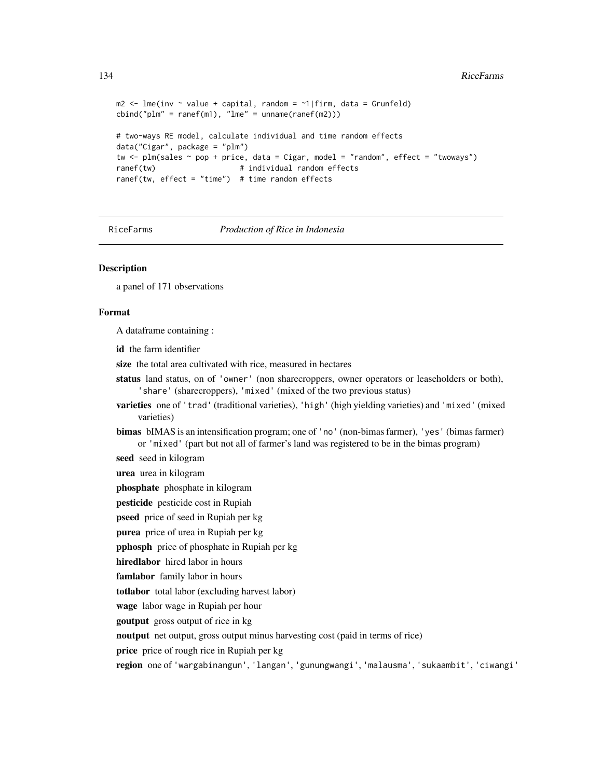```
m2 \leq Ime(i) \leq m value + capital, random = \sim 1|firm, data = Grunfeld)
cbind("plm" = ranef(m1), "lme" = unname(range(m2)))# two-ways RE model, calculate individual and time random effects
data("Cigar", package = "plm")
tw <- plm(sales ~ pop + price, data = Cigar, model = "random", effect = "twoways")
ranef(tw) \qquad \qquad # individual random effectsranef(tw, effect = "time") # time random effects
```
#### RiceFarms *Production of Rice in Indonesia*

### Description

a panel of 171 observations

#### Format

A dataframe containing :

id the farm identifier

size the total area cultivated with rice, measured in hectares

- status land status, on of 'owner' (non sharecroppers, owner operators or leaseholders or both), 'share' (sharecroppers), 'mixed' (mixed of the two previous status)
- varieties one of 'trad' (traditional varieties), 'high' (high yielding varieties) and 'mixed' (mixed varieties)
- bimas bIMAS is an intensification program; one of 'no' (non-bimas farmer), 'yes' (bimas farmer) or 'mixed' (part but not all of farmer's land was registered to be in the bimas program)

seed seed in kilogram

urea urea in kilogram

phosphate phosphate in kilogram

pesticide pesticide cost in Rupiah

pseed price of seed in Rupiah per kg

purea price of urea in Rupiah per kg

pphosph price of phosphate in Rupiah per kg

hiredlabor hired labor in hours

famlabor family labor in hours

totlabor total labor (excluding harvest labor)

wage labor wage in Rupiah per hour

goutput gross output of rice in kg

noutput net output, gross output minus harvesting cost (paid in terms of rice)

price price of rough rice in Rupiah per kg

region one of 'wargabinangun', 'langan', 'gunungwangi', 'malausma', 'sukaambit', 'ciwangi'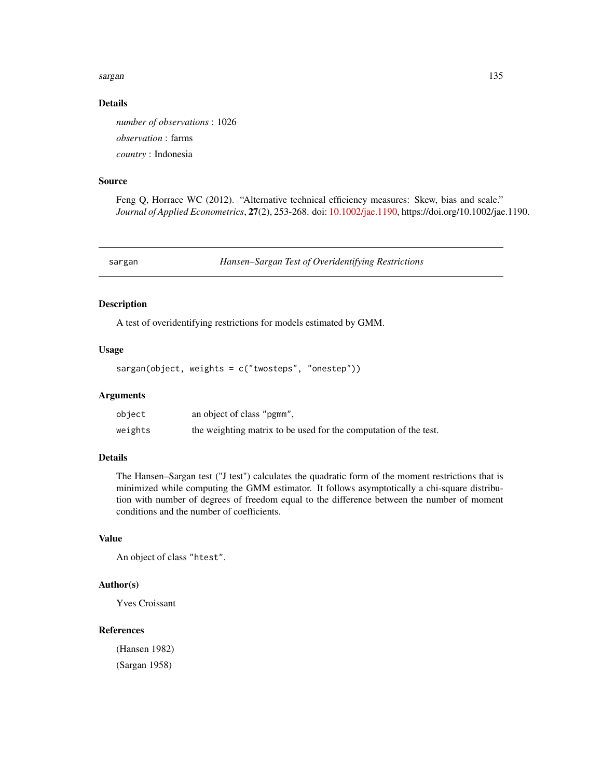#### sargan terdirik di kabupatèn Kabupatèn Kabupatèn Kabupatèn Kabupatèn Kabupatèn Kabupatèn Kabupatèn Kabupatèn K

# Details

*number of observations* : 1026 *observation* : farms *country* : Indonesia

### Source

Feng Q, Horrace WC (2012). "Alternative technical efficiency measures: Skew, bias and scale." *Journal of Applied Econometrics*, 27(2), 253-268. doi: [10.1002/jae.1190,](https://doi.org/10.1002/jae.1190) https://doi.org/10.1002/jae.1190.

sargan *Hansen–Sargan Test of Overidentifying Restrictions*

# Description

A test of overidentifying restrictions for models estimated by GMM.

### Usage

sargan(object, weights = c("twosteps", "onestep"))

# Arguments

| object  | an object of class "pgmm",                                       |
|---------|------------------------------------------------------------------|
| weights | the weighting matrix to be used for the computation of the test. |

# Details

The Hansen–Sargan test ("J test") calculates the quadratic form of the moment restrictions that is minimized while computing the GMM estimator. It follows asymptotically a chi-square distribution with number of degrees of freedom equal to the difference between the number of moment conditions and the number of coefficients.

# Value

An object of class "htest".

# Author(s)

Yves Croissant

#### References

(Hansen 1982) (Sargan 1958)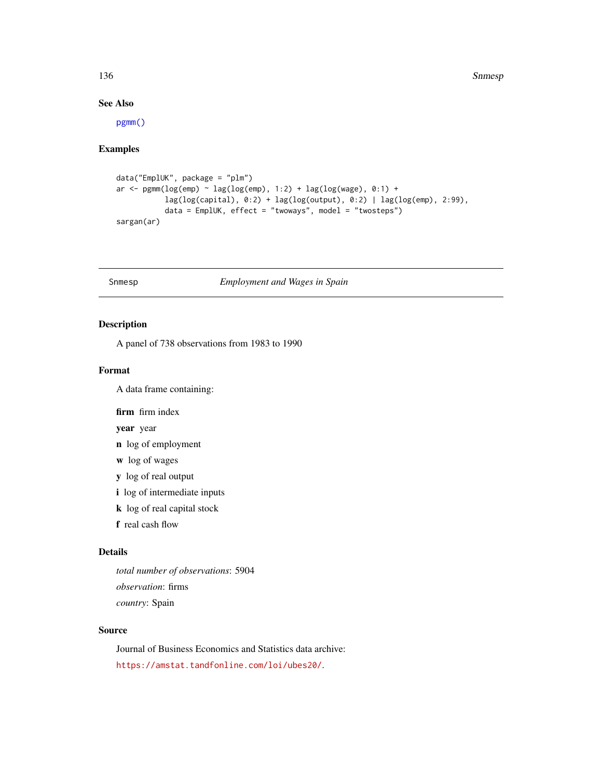136 Snmesp

# See Also

[pgmm\(\)](#page-74-1)

# Examples

```
data("EmplUK", package = "plm")
ar \leq pgmm(log(emp) \sim lag(log(emp), 1:2) + lag(log(wage), 0:1) +
           lag(log(capital), 0:2) + lag(log(output), 0:2) | lag(log(emp), 2:99),
           data = EmplUK, effect = "twoways", model = "twosteps")
sargan(ar)
```
# Snmesp *Employment and Wages in Spain*

# Description

A panel of 738 observations from 1983 to 1990

### Format

A data frame containing:

firm firm index

year year

- n log of employment
- w log of wages
- y log of real output
- i log of intermediate inputs
- k log of real capital stock
- f real cash flow

### Details

*total number of observations*: 5904 *observation*: firms *country*: Spain

### Source

Journal of Business Economics and Statistics data archive: <https://amstat.tandfonline.com/loi/ubes20/>.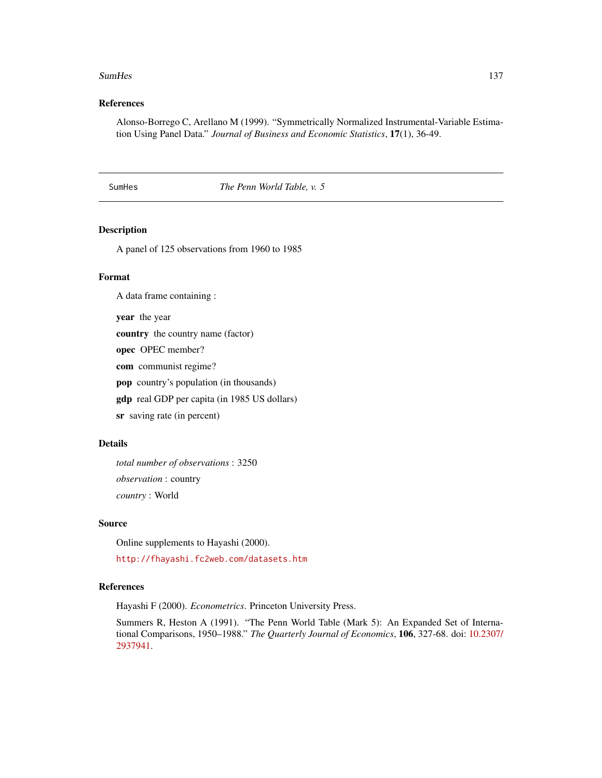#### SumHes 137

# References

Alonso-Borrego C, Arellano M (1999). "Symmetrically Normalized Instrumental-Variable Estimation Using Panel Data." *Journal of Business and Economic Statistics*, 17(1), 36-49.

SumHes *The Penn World Table, v. 5*

#### Description

A panel of 125 observations from 1960 to 1985

# Format

A data frame containing :

year the year

country the country name (factor)

opec OPEC member?

com communist regime?

pop country's population (in thousands)

gdp real GDP per capita (in 1985 US dollars)

sr saving rate (in percent)

# Details

*total number of observations* : 3250 *observation* : country *country* : World

### Source

Online supplements to Hayashi (2000).

<http://fhayashi.fc2web.com/datasets.htm>

# References

Hayashi F (2000). *Econometrics*. Princeton University Press.

Summers R, Heston A (1991). "The Penn World Table (Mark 5): An Expanded Set of International Comparisons, 1950–1988." *The Quarterly Journal of Economics*, 106, 327-68. doi: [10.2307/](https://doi.org/10.2307/2937941) [2937941.](https://doi.org/10.2307/2937941)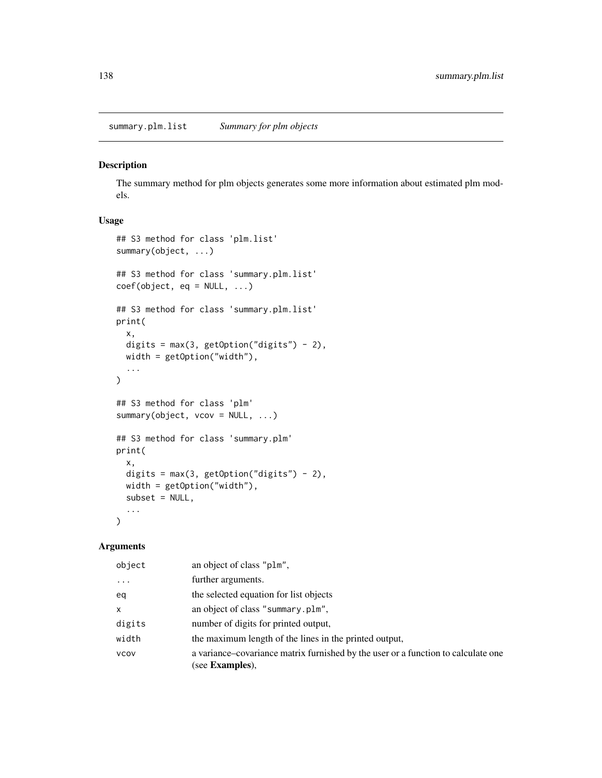summary.plm.list *Summary for plm objects*

#### <span id="page-137-0"></span>Description

The summary method for plm objects generates some more information about estimated plm models.

# Usage

```
## S3 method for class 'plm.list'
summary(object, ...)
## S3 method for class 'summary.plm.list'
coef(object, eq = NULL, ...)## S3 method for class 'summary.plm.list'
print(
 x,
 digits = max(3, getOption("digits") - 2),width = getOption("width"),
  ...
\mathcal{L}## S3 method for class 'plm'
summary(object, vcov = NULL, ...)
## S3 method for class 'summary.plm'
print(
 x,
 digits = max(3, getOption("digits") - 2),
 width = getOption("width"),
  subset = NULL,...
\mathcal{L}
```
### Arguments

| object       | an object of class "plm",                                                                                    |
|--------------|--------------------------------------------------------------------------------------------------------------|
| $\ddotsc$    | further arguments.                                                                                           |
| eq           | the selected equation for list objects                                                                       |
| $\mathsf{x}$ | an object of class "summary.plm",                                                                            |
| digits       | number of digits for printed output,                                                                         |
| width        | the maximum length of the lines in the printed output,                                                       |
| <b>VCOV</b>  | a variance-covariance matrix furnished by the user or a function to calculate one<br>(see <b>Examples</b> ), |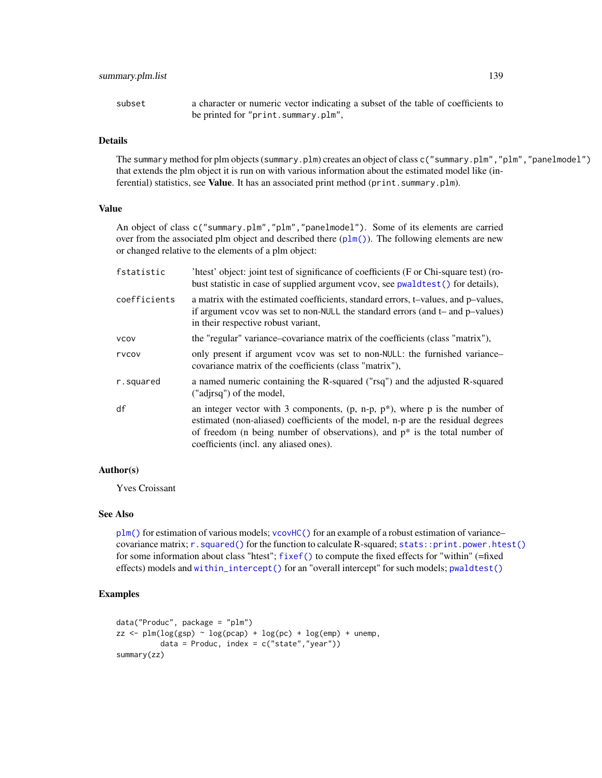# summary.plm.list 139

subset a character or numeric vector indicating a subset of the table of coefficients to be printed for "print.summary.plm",

# Details

The summary method for plm objects (summary.plm) creates an object of class c("summary.plm","plm","panelmodel") that extends the plm object it is run on with various information about the estimated model like (inferential) statistics, see Value. It has an associated print method (print. summary.plm).

#### Value

An object of class c("summary.plm","plm","panelmodel"). Some of its elements are carried over from the associated plm object and described there  $(plm()$  $(plm()$ . The following elements are new or changed relative to the elements of a plm object:

| fstatistic   | 'htest' object: joint test of significance of coefficients (F or Chi-square test) (ro-<br>bust statistic in case of supplied argument vcov, see pwaldtest () for details),                                                                                                                    |
|--------------|-----------------------------------------------------------------------------------------------------------------------------------------------------------------------------------------------------------------------------------------------------------------------------------------------|
| coefficients | a matrix with the estimated coefficients, standard errors, t-values, and p-values,<br>if argument vcov was set to non-NULL the standard errors (and t- and p-values)<br>in their respective robust variant,                                                                                   |
| <b>VCOV</b>  | the "regular" variance-covariance matrix of the coefficients (class "matrix"),                                                                                                                                                                                                                |
| rvcov        | only present if argument vcov was set to non-NULL: the furnished variance-<br>covariance matrix of the coefficients (class "matrix"),                                                                                                                                                         |
| r.squared    | a named numeric containing the R-squared ("rsq") and the adjusted R-squared<br>("adjrsq") of the model,                                                                                                                                                                                       |
| df           | an integer vector with 3 components, $(p, n-p, p^*)$ , where p is the number of<br>estimated (non-aliased) coefficients of the model, n-p are the residual degrees<br>of freedom (n being number of observations), and $p^*$ is the total number of<br>coefficients (incl. any aliased ones). |

### Author(s)

Yves Croissant

### See Also

[plm\(\)](#page-90-0) for estimation of various models; [vcovHC\(\)](#page-145-0) for an example of a robust estimation of variance– covariance matrix; [r.squared\(\)](#page-131-0) for the function to calculate R-squared; [stats::print.power.htest\(\)](#page-0-0) for some information about class "htest"; [fixef\(\)](#page-17-0) to compute the fixed effects for "within" (=fixed effects) models and [within\\_intercept\(\)](#page-154-0) for an "overall intercept" for such models; [pwaldtest\(\)](#page-123-0)

```
data("Produc", package = "plm")
zz \le plm(log(gsp) \sim log(pcap) + log(pc) + log(emp) + unemp,
          data = Produc, index = c("state", "year")summary(zz)
```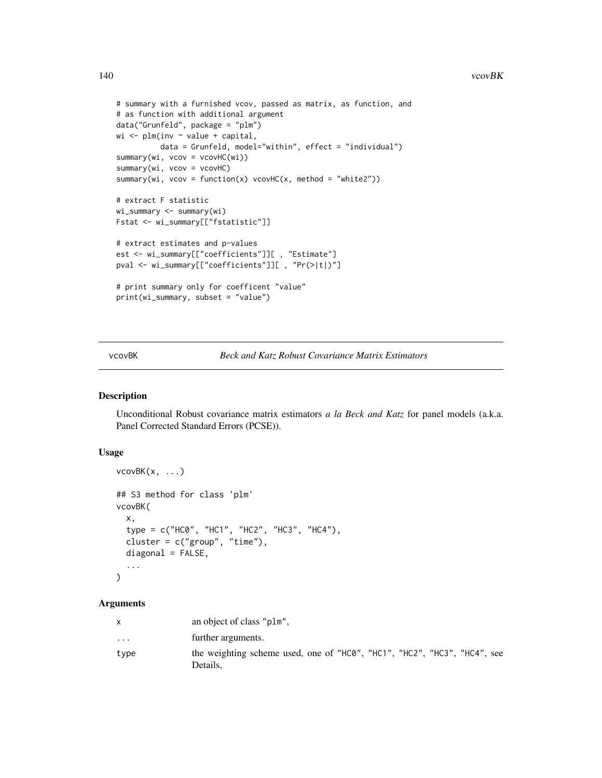#### 140 vcovBK

```
# summary with a furnished vcov, passed as matrix, as function, and
# as function with additional argument
data("Grunfeld", package = "plm")
wi <- plm(inv ~ value + capital,
         data = Grunfeld, model="within", effect = "individual")
summary(wi, vcov = vcovHC(wi))
summary(wi, vcov = vcovHC)
summary(wi, vcov = function(x) vcovHC(x, method = "white2"))
# extract F statistic
wi_summary <- summary(wi)
Fstat <- wi_summary[["fstatistic"]]
# extract estimates and p-values
est <- wi_summary[["coefficients"]][ , "Estimate"]
pval <- wi_summary[["coefficients"]][ , "Pr(>|t|)"]
# print summary only for coefficent "value"
print(wi_summary, subset = "value")
```
vcovBK *Beck and Katz Robust Covariance Matrix Estimators*

#### Description

Unconditional Robust covariance matrix estimators *a la Beck and Katz* for panel models (a.k.a. Panel Corrected Standard Errors (PCSE)).

#### Usage

```
vcovBK(x, \ldots)## S3 method for class 'plm'
vcovBK(
  x,
  type = c("HC0", "HC1", "HC2", "HC3", "HC4"),
  cluster = c("group", "time"),
  diagonal = FALSE,
  ...
)
```
#### Arguments

|           | an object of class "plm",                                                            |
|-----------|--------------------------------------------------------------------------------------|
| $\ddotsc$ | further arguments.                                                                   |
| type      | the weighting scheme used, one of "HC0", "HC1", "HC2", "HC3", "HC4", see<br>Details. |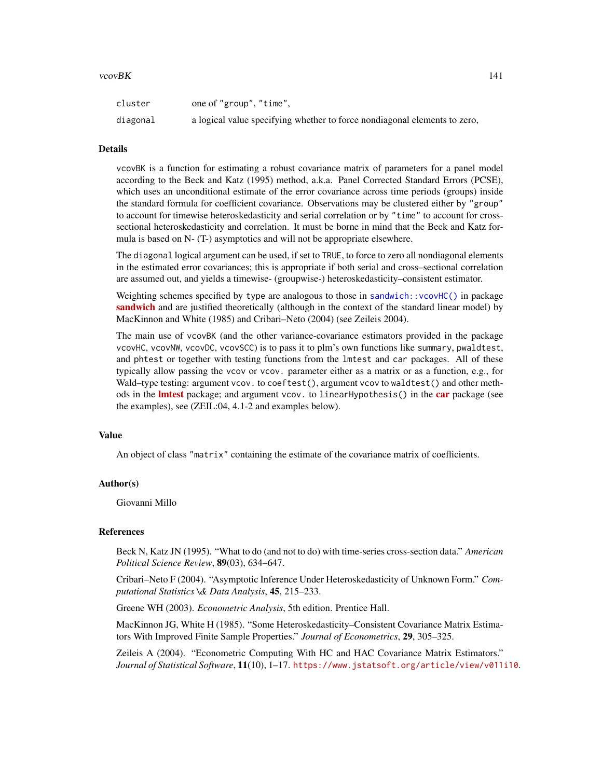#### vcovBK 141

| cluster  | one of "group", "time",                                                   |
|----------|---------------------------------------------------------------------------|
| diagonal | a logical value specifying whether to force nondiagonal elements to zero, |

### **Details**

vcovBK is a function for estimating a robust covariance matrix of parameters for a panel model according to the Beck and Katz (1995) method, a.k.a. Panel Corrected Standard Errors (PCSE), which uses an unconditional estimate of the error covariance across time periods (groups) inside the standard formula for coefficient covariance. Observations may be clustered either by "group" to account for timewise heteroskedasticity and serial correlation or by "time" to account for crosssectional heteroskedasticity and correlation. It must be borne in mind that the Beck and Katz formula is based on N- (T-) asymptotics and will not be appropriate elsewhere.

The diagonal logical argument can be used, if set to TRUE, to force to zero all nondiagonal elements in the estimated error covariances; this is appropriate if both serial and cross–sectional correlation are assumed out, and yields a timewise- (groupwise-) heteroskedasticity–consistent estimator.

Weighting schemes specified by type are analogous to those in [sandwich::vcovHC\(\)](#page-0-0) in package [sandwich](https://CRAN.R-project.org/package=sandwich) and are justified theoretically (although in the context of the standard linear model) by MacKinnon and White (1985) and Cribari–Neto (2004) (see Zeileis 2004).

The main use of vcovBK (and the other variance-covariance estimators provided in the package vcovHC, vcovNW, vcovDC, vcovSCC) is to pass it to plm's own functions like summary, pwaldtest, and phtest or together with testing functions from the lmtest and car packages. All of these typically allow passing the vcov or vcov. parameter either as a matrix or as a function, e.g., for Wald–type testing: argument vcov. to coeftest(), argument vcov to waldtest() and other methods in the **[lmtest](https://CRAN.R-project.org/package=lmtest)** package; and argument vcov. to linearHypothesis() in the **[car](https://CRAN.R-project.org/package=car)** package (see the examples), see (ZEIL:04, 4.1-2 and examples below).

#### Value

An object of class "matrix" containing the estimate of the covariance matrix of coefficients.

#### Author(s)

Giovanni Millo

#### References

Beck N, Katz JN (1995). "What to do (and not to do) with time-series cross-section data." *American Political Science Review*, 89(03), 634–647.

Cribari–Neto F (2004). "Asymptotic Inference Under Heteroskedasticity of Unknown Form." *Computational Statistics \& Data Analysis*, 45, 215–233.

Greene WH (2003). *Econometric Analysis*, 5th edition. Prentice Hall.

MacKinnon JG, White H (1985). "Some Heteroskedasticity–Consistent Covariance Matrix Estimators With Improved Finite Sample Properties." *Journal of Econometrics*, 29, 305–325.

Zeileis A (2004). "Econometric Computing With HC and HAC Covariance Matrix Estimators." *Journal of Statistical Software*, 11(10), 1–17. <https://www.jstatsoft.org/article/view/v011i10>.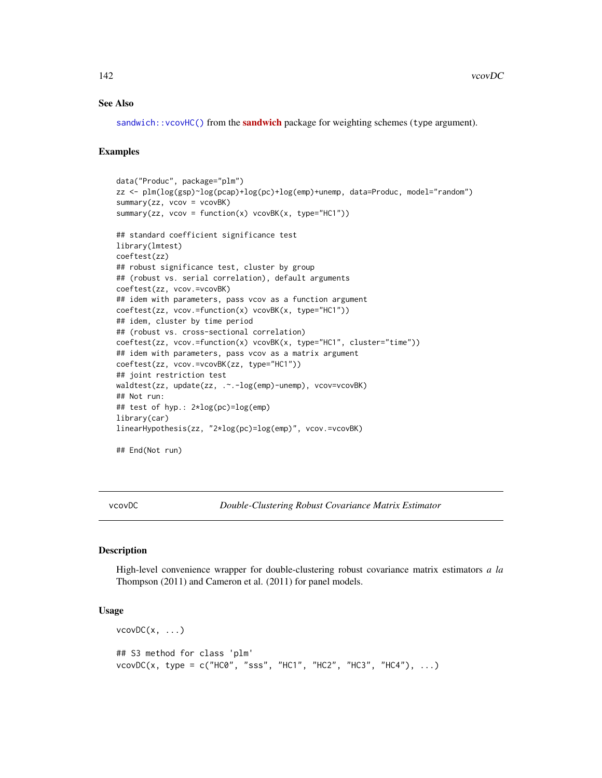### See Also

[sandwich::vcovHC\(\)](#page-0-0) from the **[sandwich](https://CRAN.R-project.org/package=sandwich)** package for weighting schemes (type argument).

### Examples

```
data("Produc", package="plm")
zz <- plm(log(gsp)~log(pcap)+log(pc)+log(emp)+unemp, data=Produc, model="random")
summary(zz, vcov = vcovBK)
summary(zz, vcov = function(x) vcovBK(x, type="HC1"))
## standard coefficient significance test
library(lmtest)
coeftest(zz)
## robust significance test, cluster by group
## (robust vs. serial correlation), default arguments
coeftest(zz, vcov.=vcovBK)
## idem with parameters, pass vcov as a function argument
coeftest(zz, vcov.=function(x) vcovBK(x, type="HC1"))
## idem, cluster by time period
## (robust vs. cross-sectional correlation)
coeftest(zz, vcov.=function(x) vcovBK(x, type="HC1", cluster="time"))
## idem with parameters, pass vcov as a matrix argument
coeftest(zz, vcov.=vcovBK(zz, type="HC1"))
## joint restriction test
waldtest(zz, update(zz, .~.-log(emp)-unemp), vcov=vcovBK)
## Not run:
## test of hyp.: 2*log(pc)=log(emp)
library(car)
linearHypothesis(zz, "2*log(pc)=log(emp)", vcov.=vcovBK)
## End(Not run)
```
vcovDC *Double-Clustering Robust Covariance Matrix Estimator*

### **Description**

High-level convenience wrapper for double-clustering robust covariance matrix estimators *a la* Thompson (2011) and Cameron et al. (2011) for panel models.

### Usage

```
vcovDC(x, \ldots)## S3 method for class 'plm'
vcovDC(x, type = c("HC0", "sss", "HC1", "HC2", "HC3", "HC4"), ...)
```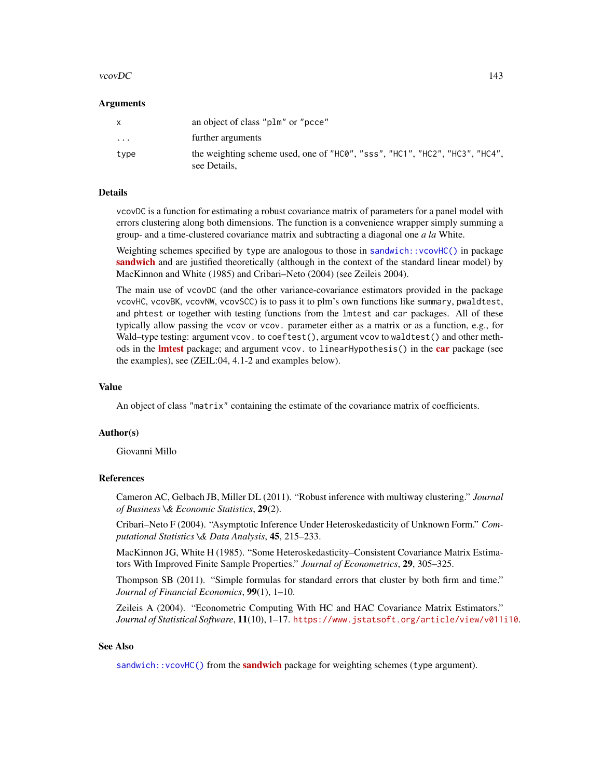#### vcovDC and the set of the set of the set of the set of the set of the set of the set of the set of the set of the set of the set of the set of the set of the set of the set of the set of the set of the set of the set of th

#### Arguments

| $\mathsf{x}$      | an object of class "plm" or "pcce"                                                          |
|-------------------|---------------------------------------------------------------------------------------------|
| $\cdot\cdot\cdot$ | further arguments                                                                           |
| type              | the weighting scheme used, one of "HC0", "sss", "HC1", "HC2", "HC3", "HC4",<br>see Details, |

#### Details

vcovDC is a function for estimating a robust covariance matrix of parameters for a panel model with errors clustering along both dimensions. The function is a convenience wrapper simply summing a group- and a time-clustered covariance matrix and subtracting a diagonal one *a la* White.

Weighting schemes specified by type are analogous to those in [sandwich::vcovHC\(\)](#page-0-0) in package [sandwich](https://CRAN.R-project.org/package=sandwich) and are justified theoretically (although in the context of the standard linear model) by MacKinnon and White (1985) and Cribari–Neto (2004) (see Zeileis 2004).

The main use of vcovDC (and the other variance-covariance estimators provided in the package vcovHC, vcovBK, vcovNW, vcovSCC) is to pass it to plm's own functions like summary, pwaldtest, and phtest or together with testing functions from the lmtest and car packages. All of these typically allow passing the vcov or vcov. parameter either as a matrix or as a function, e.g., for Wald–type testing: argument vcov. to coeftest(), argument vcov to waldtest() and other methods in the **[lmtest](https://CRAN.R-project.org/package=lmtest)** package; and argument vcov. to linearHypothesis() in the **[car](https://CRAN.R-project.org/package=car)** package (see the examples), see (ZEIL:04, 4.1-2 and examples below).

#### Value

An object of class "matrix" containing the estimate of the covariance matrix of coefficients.

### Author(s)

Giovanni Millo

### References

Cameron AC, Gelbach JB, Miller DL (2011). "Robust inference with multiway clustering." *Journal of Business \& Economic Statistics*, 29(2).

Cribari–Neto F (2004). "Asymptotic Inference Under Heteroskedasticity of Unknown Form." *Computational Statistics \& Data Analysis*, 45, 215–233.

MacKinnon JG, White H (1985). "Some Heteroskedasticity–Consistent Covariance Matrix Estimators With Improved Finite Sample Properties." *Journal of Econometrics*, 29, 305–325.

Thompson SB (2011). "Simple formulas for standard errors that cluster by both firm and time." *Journal of Financial Economics*, 99(1), 1–10.

Zeileis A (2004). "Econometric Computing With HC and HAC Covariance Matrix Estimators." *Journal of Statistical Software*, 11(10), 1–17. <https://www.jstatsoft.org/article/view/v011i10>.

# See Also

[sandwich::vcovHC\(\)](#page-0-0) from the **[sandwich](https://CRAN.R-project.org/package=sandwich)** package for weighting schemes (type argument).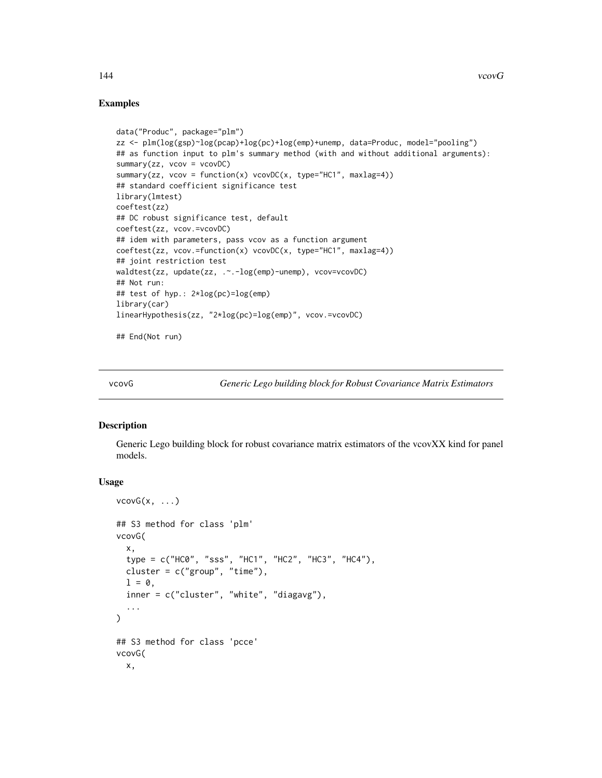### Examples

```
data("Produc", package="plm")
zz <- plm(log(gsp)~log(pcap)+log(pc)+log(emp)+unemp, data=Produc, model="pooling")
## as function input to plm's summary method (with and without additional arguments):
summary(zz, vcov = vcovDC)
summary(zz, vcov = function(x) vcovDC(x, type="HC1", maxlag=4))
## standard coefficient significance test
library(lmtest)
coeftest(zz)
## DC robust significance test, default
coeftest(zz, vcov.=vcovDC)
## idem with parameters, pass vcov as a function argument
coeftest(zz, vcov.=function(x) vcovDC(x, type="HC1", maxlag=4))
## joint restriction test
waldtest(zz, update(zz, .~.-log(emp)-unemp), vcov=vcovDC)
## Not run:
## test of hyp.: 2*log(pc)=log(emp)
library(car)
linearHypothesis(zz, "2*log(pc)=log(emp)", vcov.=vcovDC)
## End(Not run)
```
vcovG *Generic Lego building block for Robust Covariance Matrix Estimators*

#### Description

Generic Lego building block for robust covariance matrix estimators of the vcovXX kind for panel models.

### Usage

```
vcovG(x, \ldots)## S3 method for class 'plm'
vcovG(
  x,
  type = c("HC0", "sss", "HC1", "HC2", "HC3", "HC4"),
  cluster = c("group", "time"),
  l = 0,
  inner = c("cluster", "white", "diagavg"),
  ...
\lambda## S3 method for class 'pcce'
vcovG(
  x,
```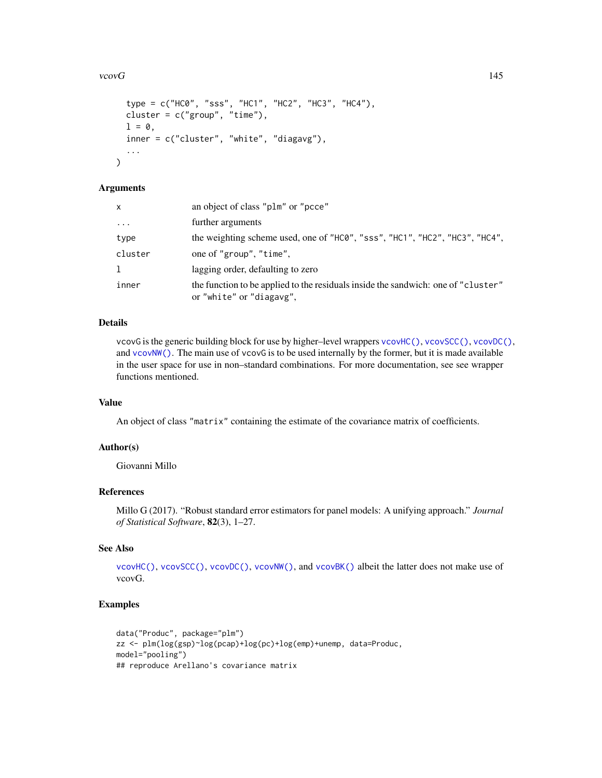#### <span id="page-144-0"></span>vcov $G$  and  $145$

```
type = c("HC0", "sss", "HC1", "HC2", "HC3", "HC4"),
cluster = c("group", "time"),
1 = 0,
inner = c("cluster", "white", "diagavg"),
...
```
# Arguments

 $\mathcal{L}$ 

| X        | an object of class "plm" or "pcce"                                                                            |
|----------|---------------------------------------------------------------------------------------------------------------|
| $\cdots$ | further arguments                                                                                             |
| type     | the weighting scheme used, one of "HCO", "sss", "HC1", "HC2", "HC3", "HC4",                                   |
| cluster  | one of "group", "time",                                                                                       |
| 1        | lagging order, defaulting to zero                                                                             |
| inner    | the function to be applied to the residuals inside the sandwich: one of "cluster"<br>or "white" or "diagavg", |

# Details

vcovG is the generic building block for use by higher–level wrappers [vcovHC\(\)](#page-145-0), [vcovSCC\(\)](#page-150-0), [vcovDC\(\)](#page-141-0), and [vcovNW\(\)](#page-148-0). The main use of vcovG is to be used internally by the former, but it is made available in the user space for use in non–standard combinations. For more documentation, see see wrapper functions mentioned.

# Value

An object of class "matrix" containing the estimate of the covariance matrix of coefficients.

# Author(s)

Giovanni Millo

#### References

Millo G (2017). "Robust standard error estimators for panel models: A unifying approach." *Journal of Statistical Software*, 82(3), 1–27.

# See Also

[vcovHC\(\)](#page-145-0), [vcovSCC\(\)](#page-150-0), [vcovDC\(\)](#page-141-0), [vcovNW\(\)](#page-148-0), and [vcovBK\(\)](#page-139-0) albeit the latter does not make use of vcovG.

# Examples

```
data("Produc", package="plm")
zz <- plm(log(gsp)~log(pcap)+log(pc)+log(emp)+unemp, data=Produc,
model="pooling")
## reproduce Arellano's covariance matrix
```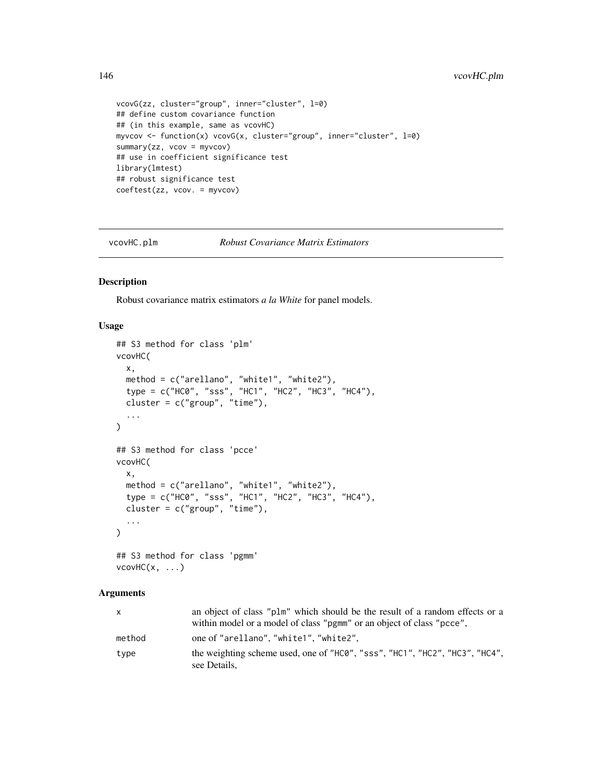```
vcovG(zz, cluster="group", inner="cluster", l=0)
## define custom covariance function
## (in this example, same as vcovHC)
myvcov <- function(x) vcovG(x, cluster="group", inner="cluster", l=0)
summary(zz, vcov = myvcov)
## use in coefficient significance test
library(lmtest)
## robust significance test
coeftest(zz, vcov. = myvcov)
```
vcovHC.plm *Robust Covariance Matrix Estimators*

# <span id="page-145-0"></span>Description

Robust covariance matrix estimators *a la White* for panel models.

#### Usage

```
## S3 method for class 'plm'
vcovHC(
  x,
 method = c("arellano", "white1", "white2"),
  type = c("HC0", "sss", "HC1", "HC2", "HC3", "HC4"),
 cluster = c("group", "time"),
  ...
\mathcal{L}## S3 method for class 'pcce'
vcovHC(
 x,
 method = c("arellano", "white1", "white2"),
 type = c("HC0", "sss", "HC1", "HC2", "HC3", "HC4"),
  cluster = c("group", "time"),
  ...
\mathcal{L}## S3 method for class 'pgmm'
```

```
vcovHC(x, \ldots)
```
#### Arguments

| X      | an object of class "plm" which should be the result of a random effects or a<br>within model or a model of class "pgmm" or an object of class "pcce", |
|--------|-------------------------------------------------------------------------------------------------------------------------------------------------------|
| method | one of "arellano", "white1", "white2",                                                                                                                |
| type   | the weighting scheme used, one of "HCO", "sss", "HC1", "HC2", "HC3", "HC4",<br>see Details.                                                           |

<span id="page-145-1"></span>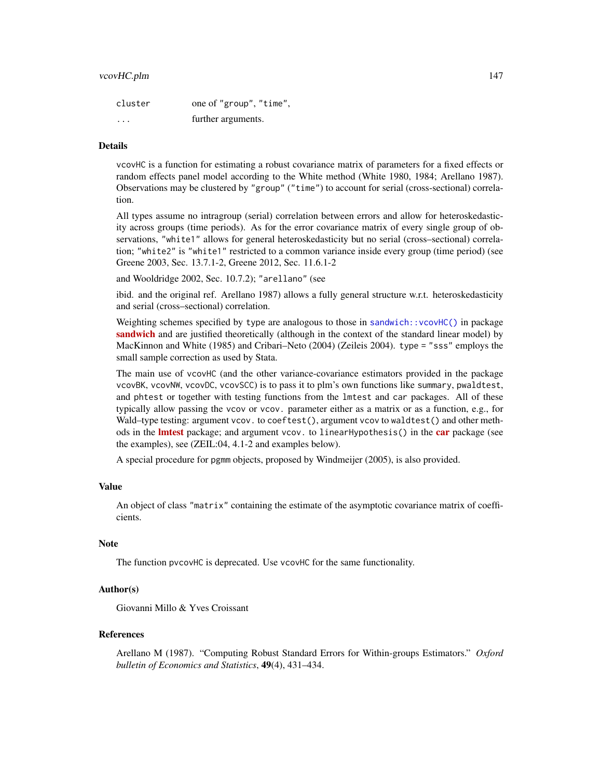#### <span id="page-146-0"></span>vcovHC.plm 147

| cluster  | one of "group", "time", |
|----------|-------------------------|
| $\cdots$ | further arguments.      |

# Details

vcovHC is a function for estimating a robust covariance matrix of parameters for a fixed effects or random effects panel model according to the White method (White 1980, 1984; Arellano 1987). Observations may be clustered by "group" ("time") to account for serial (cross-sectional) correlation.

All types assume no intragroup (serial) correlation between errors and allow for heteroskedasticity across groups (time periods). As for the error covariance matrix of every single group of observations, "white1" allows for general heteroskedasticity but no serial (cross–sectional) correlation; "white2" is "white1" restricted to a common variance inside every group (time period) (see Greene 2003, Sec. 13.7.1-2, Greene 2012, Sec. 11.6.1-2

and Wooldridge 2002, Sec. 10.7.2); "arellano" (see

ibid. and the original ref. Arellano 1987) allows a fully general structure w.r.t. heteroskedasticity and serial (cross–sectional) correlation.

Weighting schemes specified by type are analogous to those in [sandwich::vcovHC\(\)](#page-0-0) in package [sandwich](https://CRAN.R-project.org/package=sandwich) and are justified theoretically (although in the context of the standard linear model) by MacKinnon and White (1985) and Cribari–Neto (2004) (Zeileis 2004). type = "sss" employs the small sample correction as used by Stata.

The main use of vcovHC (and the other variance-covariance estimators provided in the package vcovBK, vcovNW, vcovDC, vcovSCC) is to pass it to plm's own functions like summary, pwaldtest, and phtest or together with testing functions from the lmtest and car packages. All of these typically allow passing the vcov or vcov. parameter either as a matrix or as a function, e.g., for Wald–type testing: argument vcov. to coeftest(), argument vcov to waldtest() and other methods in the **[lmtest](https://CRAN.R-project.org/package=lmtest)** package; and argument vcov. to linearHypothesis() in the **[car](https://CRAN.R-project.org/package=car)** package (see the examples), see (ZEIL:04, 4.1-2 and examples below).

A special procedure for pgmm objects, proposed by Windmeijer (2005), is also provided.

#### Value

An object of class "matrix" containing the estimate of the asymptotic covariance matrix of coefficients.

#### Note

The function pvcovHC is deprecated. Use vcovHC for the same functionality.

# Author(s)

Giovanni Millo & Yves Croissant

#### References

Arellano M (1987). "Computing Robust Standard Errors for Within-groups Estimators." *Oxford bulletin of Economics and Statistics*, 49(4), 431–434.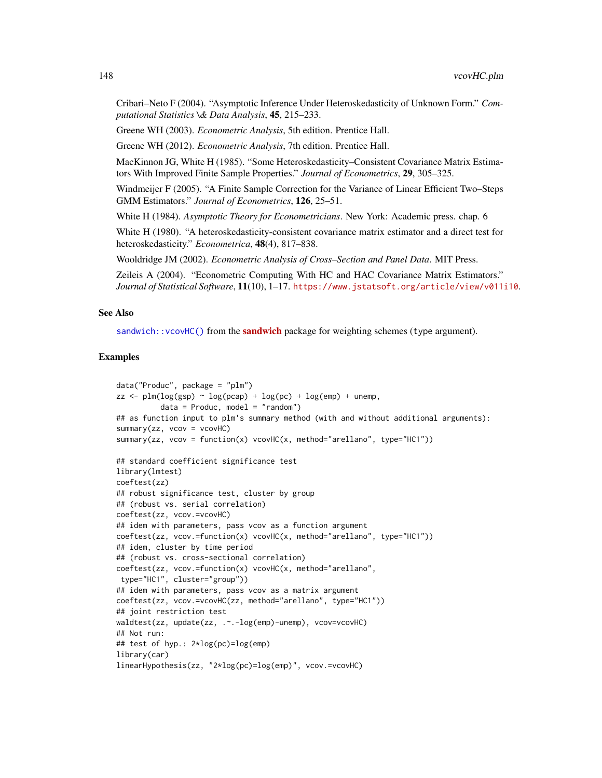<span id="page-147-0"></span>Cribari–Neto F (2004). "Asymptotic Inference Under Heteroskedasticity of Unknown Form." *Computational Statistics \& Data Analysis*, 45, 215–233.

Greene WH (2003). *Econometric Analysis*, 5th edition. Prentice Hall.

Greene WH (2012). *Econometric Analysis*, 7th edition. Prentice Hall.

MacKinnon JG, White H (1985). "Some Heteroskedasticity–Consistent Covariance Matrix Estimators With Improved Finite Sample Properties." *Journal of Econometrics*, 29, 305–325.

Windmeijer F (2005). "A Finite Sample Correction for the Variance of Linear Efficient Two–Steps GMM Estimators." *Journal of Econometrics*, 126, 25–51.

White H (1984). *Asymptotic Theory for Econometricians*. New York: Academic press. chap. 6

White H (1980). "A heteroskedasticity-consistent covariance matrix estimator and a direct test for heteroskedasticity." *Econometrica*, 48(4), 817–838.

Wooldridge JM (2002). *Econometric Analysis of Cross–Section and Panel Data*. MIT Press.

Zeileis A (2004). "Econometric Computing With HC and HAC Covariance Matrix Estimators." *Journal of Statistical Software*, 11(10), 1–17. <https://www.jstatsoft.org/article/view/v011i10>.

#### See Also

[sandwich](https://CRAN.R-project.org/package=sandwich):: $v \text{covHC}()$  from the **sandwich** package for weighting schemes (type argument).

### Examples

```
data("Produc", package = "plm")
zz \le plm(log(gsp) \sim log(pcap) + log(pc) + log(emp) + unemp,
         data = Product, model = "random")## as function input to plm's summary method (with and without additional arguments):
summary(zz, vcov = vcovHC)summary(zz, vcov = function(x) vcovHC(x, method="arellano", type="HC1"))
## standard coefficient significance test
library(lmtest)
coeftest(zz)
## robust significance test, cluster by group
## (robust vs. serial correlation)
coeftest(zz, vcov.=vcovHC)
## idem with parameters, pass vcov as a function argument
coeftest(zz, vcov.=function(x) vcovHC(x, method="arellano", type="HC1"))
## idem, cluster by time period
## (robust vs. cross-sectional correlation)
coeftest(zz, vcov.=function(x) vcovHC(x, method="arellano",
type="HC1", cluster="group"))
## idem with parameters, pass vcov as a matrix argument
coeftest(zz, vcov.=vcovHC(zz, method="arellano", type="HC1"))
## joint restriction test
waldtest(zz, update(zz, .~.-log(emp)-unemp), vcov=vcovHC)
## Not run:
## test of hyp.: 2*log(pc)=log(emp)
library(car)
linearHypothesis(zz, "2*log(pc)=log(emp)", vcov.=vcovHC)
```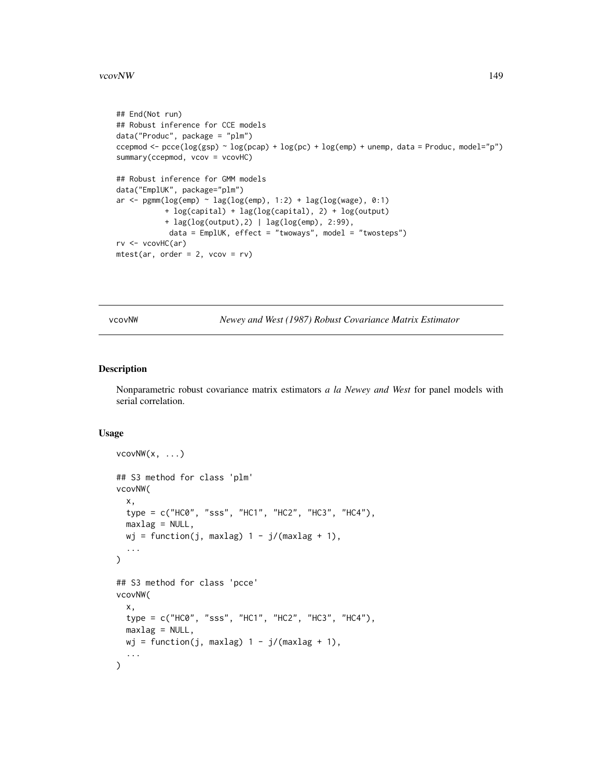#### <span id="page-148-1"></span>vcovNW 149

```
## End(Not run)
## Robust inference for CCE models
data("Produc", package = "plm")
ccepmod <- pcce(log(gsp) \sim log(pcap) + log(pc) + log(emp) + unemp, data = Produc, model="p")
summary(ccepmod, vcov = vcovHC)
## Robust inference for GMM models
data("EmplUK", package="plm")
ar \leq pgmm(log(emp) \sim lag(log(emp), 1:2) + lag(log(wage), 0:1)
           + log(capital) + lag(log(capital), 2) + log(output)
           + lag(log(output),2) | lag(log(emp), 2:99),
            data = EmplUK, effect = "twoways", model = "twosteps")
rv <- vcovHC(ar)
mtest(ar, order = 2, vcov = rv)
```
<span id="page-148-0"></span>vcovNW *Newey and West (1987) Robust Covariance Matrix Estimator*

# Description

Nonparametric robust covariance matrix estimators *a la Newey and West* for panel models with serial correlation.

#### Usage

```
vcovNW(x, \ldots)## S3 method for class 'plm'
vcovNW(
  x,
  type = c("HC0", "sss", "HC1", "HC2", "HC3", "HC4"),
  maxlag = NULL,wj = function(j, maxlag) 1 - j/(maxlag + 1),
  ...
\mathcal{L}## S3 method for class 'pcce'
vcovNW(
  x,
  type = c("HC0", "sss", "HC1", "HC2", "HC3", "HC4"),
 maxlag = NULL,
 wj = function(j, maxlag) 1 - j/(maxlag + 1),
  ...
\mathcal{L}
```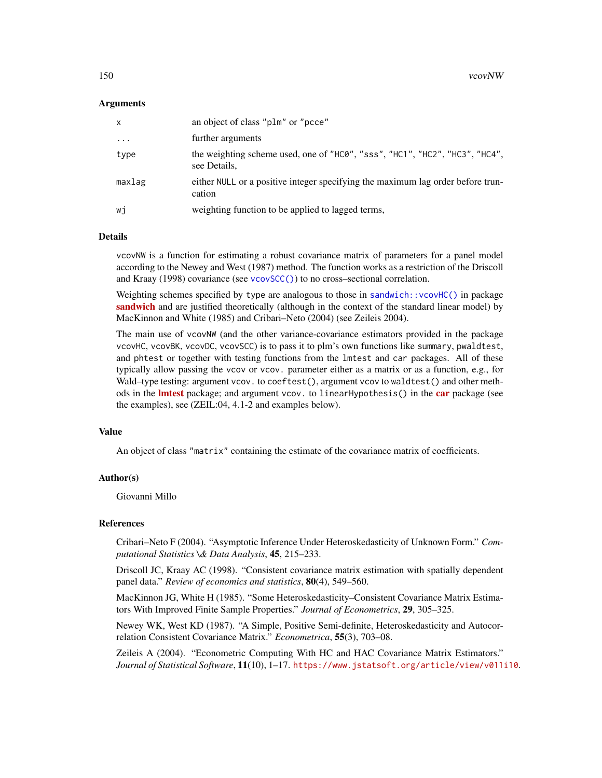### <span id="page-149-0"></span>Arguments

| x        | an object of class "plm" or "pcce"                                                          |
|----------|---------------------------------------------------------------------------------------------|
| $\cdots$ | further arguments                                                                           |
| type     | the weighting scheme used, one of "HC0", "sss", "HC1", "HC2", "HC3", "HC4",<br>see Details, |
| maxlag   | either NULL or a positive integer specifying the maximum lag order before trun-<br>cation   |
| wi       | weighting function to be applied to lagged terms,                                           |

# Details

vcovNW is a function for estimating a robust covariance matrix of parameters for a panel model according to the Newey and West (1987) method. The function works as a restriction of the Driscoll and Kraay (1998) covariance (see [vcovSCC\(\)](#page-150-0)) to no cross–sectional correlation.

Weighting schemes specified by type are analogous to those in [sandwich::vcovHC\(\)](#page-0-0) in package [sandwich](https://CRAN.R-project.org/package=sandwich) and are justified theoretically (although in the context of the standard linear model) by MacKinnon and White (1985) and Cribari–Neto (2004) (see Zeileis 2004).

The main use of vcovNW (and the other variance-covariance estimators provided in the package vcovHC, vcovBK, vcovDC, vcovSCC) is to pass it to plm's own functions like summary, pwaldtest, and phtest or together with testing functions from the lmtest and car packages. All of these typically allow passing the vcov or vcov. parameter either as a matrix or as a function, e.g., for Wald–type testing: argument vcov. to coeftest(), argument vcov to waldtest() and other methods in the **[lmtest](https://CRAN.R-project.org/package=lmtest)** package; and argument vcov. to linearHypothesis() in the **[car](https://CRAN.R-project.org/package=car)** package (see the examples), see (ZEIL:04, 4.1-2 and examples below).

#### Value

An object of class "matrix" containing the estimate of the covariance matrix of coefficients.

#### Author(s)

Giovanni Millo

#### References

Cribari–Neto F (2004). "Asymptotic Inference Under Heteroskedasticity of Unknown Form." *Computational Statistics \& Data Analysis*, 45, 215–233.

Driscoll JC, Kraay AC (1998). "Consistent covariance matrix estimation with spatially dependent panel data." *Review of economics and statistics*, 80(4), 549–560.

MacKinnon JG, White H (1985). "Some Heteroskedasticity–Consistent Covariance Matrix Estimators With Improved Finite Sample Properties." *Journal of Econometrics*, 29, 305–325.

Newey WK, West KD (1987). "A Simple, Positive Semi-definite, Heteroskedasticity and Autocorrelation Consistent Covariance Matrix." *Econometrica*, 55(3), 703–08.

Zeileis A (2004). "Econometric Computing With HC and HAC Covariance Matrix Estimators." *Journal of Statistical Software*, 11(10), 1–17. <https://www.jstatsoft.org/article/view/v011i10>.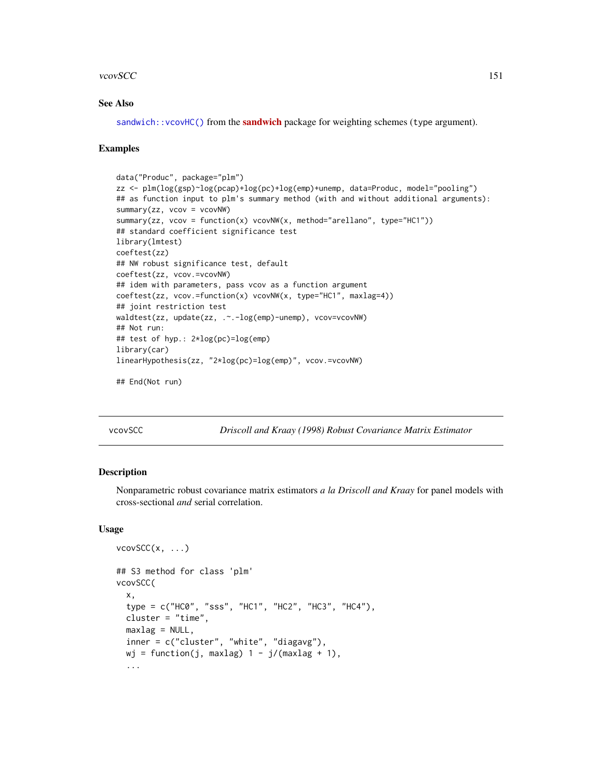#### <span id="page-150-1"></span>vcovSCC 151

### See Also

[sandwich::vcovHC\(\)](#page-0-0) from the [sandwich](https://CRAN.R-project.org/package=sandwich) package for weighting schemes (type argument).

#### Examples

```
data("Produc", package="plm")
zz <- plm(log(gsp)~log(pcap)+log(pc)+log(emp)+unemp, data=Produc, model="pooling")
## as function input to plm's summary method (with and without additional arguments):
summary(zz, vcov = vcovNW)
summary(zz, vcov = function(x) vcovNW(x, method="arellano", type="HC1"))
## standard coefficient significance test
library(lmtest)
coeftest(zz)
## NW robust significance test, default
coeftest(zz, vcov.=vcovNW)
## idem with parameters, pass vcov as a function argument
coeftest(zz, vcov.=function(x) vcovNW(x, type="HC1", maxlag=4))
## joint restriction test
waldtest(zz, update(zz, .~.-log(emp)-unemp), vcov=vcovNW)
## Not run:
## test of hyp.: 2*log(pc)=log(emp)
library(car)
linearHypothesis(zz, "2*log(pc)=log(emp)", vcov.=vcovNW)
## End(Not run)
```
<span id="page-150-0"></span>

vcovSCC *Driscoll and Kraay (1998) Robust Covariance Matrix Estimator*

#### **Description**

Nonparametric robust covariance matrix estimators *a la Driscoll and Kraay* for panel models with cross-sectional *and* serial correlation.

#### Usage

```
vcovSCC(x, \ldots)## S3 method for class 'plm'
vcovSCC(
  x,
  type = c("HC0", "sss", "HC1", "HC2", "HC3", "HC4"),
  cluster = "time",
  maxlag = NULL,
  inner = c("cluster", "white", "diagavg"),
  wj = function(j, maxlag) 1 - j/(maxlag + 1),...
```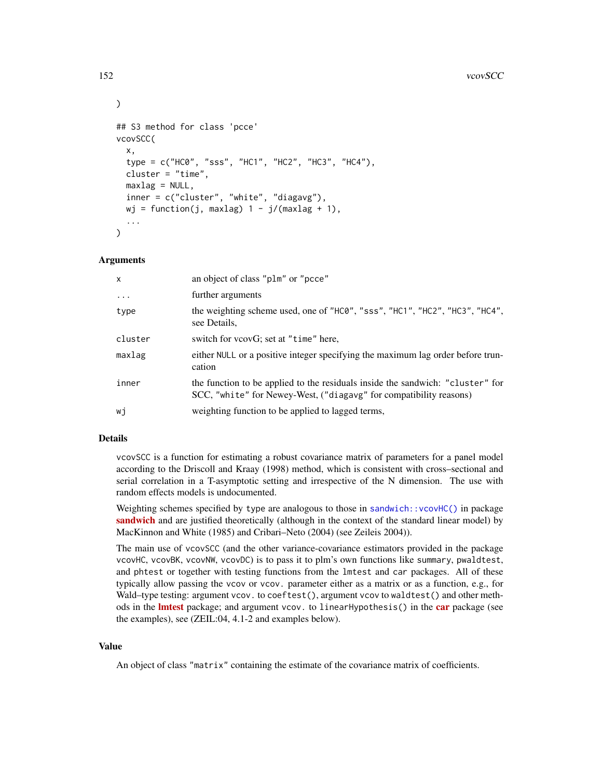#### 152 vcovSCC

```
)
## S3 method for class 'pcce'
vcovSCC(
  x,
  type = c("HC0", "sss", "HC1", "HC2", "HC3", "HC4"),
  cluster = "time",
 maxlag = NULL,inner = c("cluster", "white", "diagavg"),
 wj = function(j, maxlag) 1 - j/(maxlag + 1),
  ...
\mathcal{L}
```
#### Arguments

| $\mathsf{x}$ | an object of class "plm" or "pcce"                                                                                                                   |
|--------------|------------------------------------------------------------------------------------------------------------------------------------------------------|
| $\ddots$     | further arguments                                                                                                                                    |
| type         | the weighting scheme used, one of "HC0", "sss", "HC1", "HC2", "HC3", "HC4",<br>see Details,                                                          |
| cluster      | switch for vcovG; set at "time" here,                                                                                                                |
| maxlag       | either NULL or a positive integer specifying the maximum lag order before trun-<br>cation                                                            |
| inner        | the function to be applied to the residuals inside the sandwich: "cluster" for<br>SCC, "white" for Newey-West, ("diagavg" for compatibility reasons) |
| wi           | weighting function to be applied to lagged terms,                                                                                                    |

#### Details

vcovSCC is a function for estimating a robust covariance matrix of parameters for a panel model according to the Driscoll and Kraay (1998) method, which is consistent with cross–sectional and serial correlation in a T-asymptotic setting and irrespective of the N dimension. The use with random effects models is undocumented.

Weighting schemes specified by type are analogous to those in [sandwich::vcovHC\(\)](#page-0-0) in package [sandwich](https://CRAN.R-project.org/package=sandwich) and are justified theoretically (although in the context of the standard linear model) by MacKinnon and White (1985) and Cribari–Neto (2004) (see Zeileis 2004)).

The main use of vcovSCC (and the other variance-covariance estimators provided in the package vcovHC, vcovBK, vcovNW, vcovDC) is to pass it to plm's own functions like summary, pwaldtest, and phtest or together with testing functions from the lmtest and car packages. All of these typically allow passing the vcov or vcov. parameter either as a matrix or as a function, e.g., for Wald–type testing: argument vcov. to coeftest(), argument vcov to waldtest() and other methods in the **[lmtest](https://CRAN.R-project.org/package=lmtest)** package; and argument vcov. to linearHypothesis() in the **[car](https://CRAN.R-project.org/package=car)** package (see the examples), see (ZEIL:04, 4.1-2 and examples below).

#### Value

An object of class "matrix" containing the estimate of the covariance matrix of coefficients.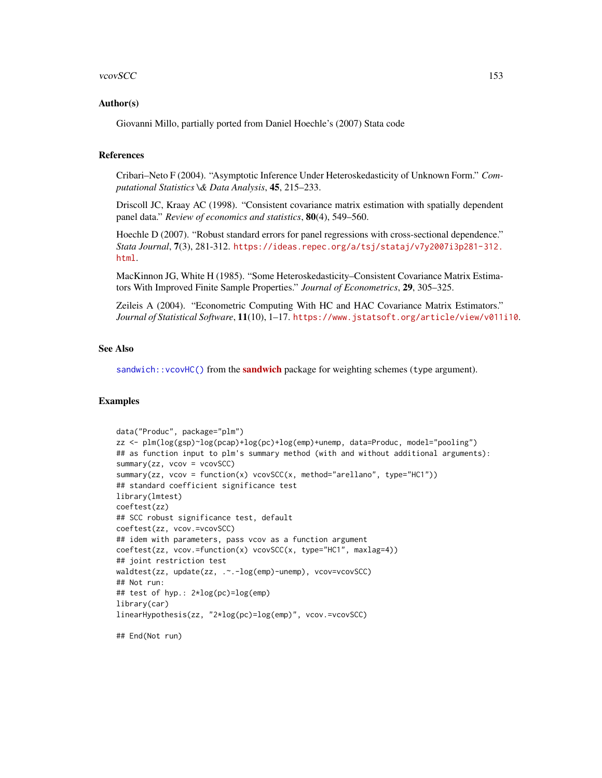#### <span id="page-152-0"></span>vcovSCC 153

#### Author(s)

Giovanni Millo, partially ported from Daniel Hoechle's (2007) Stata code

#### References

Cribari–Neto F (2004). "Asymptotic Inference Under Heteroskedasticity of Unknown Form." *Computational Statistics \& Data Analysis*, 45, 215–233.

Driscoll JC, Kraay AC (1998). "Consistent covariance matrix estimation with spatially dependent panel data." *Review of economics and statistics*, 80(4), 549–560.

Hoechle D (2007). "Robust standard errors for panel regressions with cross-sectional dependence." *Stata Journal*, 7(3), 281-312. [https://ideas.repec.org/a/tsj/stataj/v7y2007i3p281-312.](https://ideas.repec.org/a/tsj/stataj/v7y2007i3p281-312.html) [html](https://ideas.repec.org/a/tsj/stataj/v7y2007i3p281-312.html).

MacKinnon JG, White H (1985). "Some Heteroskedasticity–Consistent Covariance Matrix Estimators With Improved Finite Sample Properties." *Journal of Econometrics*, 29, 305–325.

Zeileis A (2004). "Econometric Computing With HC and HAC Covariance Matrix Estimators." *Journal of Statistical Software*, 11(10), 1–17. <https://www.jstatsoft.org/article/view/v011i10>.

#### See Also

[sandwich::vcovHC\(\)](#page-0-0) from the [sandwich](https://CRAN.R-project.org/package=sandwich) package for weighting schemes (type argument).

#### Examples

```
data("Produc", package="plm")
zz <- plm(log(gsp)~log(pcap)+log(pc)+log(emp)+unemp, data=Produc, model="pooling")
## as function input to plm's summary method (with and without additional arguments):
summary(zz, vcov = vcovSCC)
summary(zz, vcov = function(x) vcovSCC(x, method="arellano", type="HC1"))
## standard coefficient significance test
library(lmtest)
coeftest(zz)
## SCC robust significance test, default
coeftest(zz, vcov.=vcovSCC)
## idem with parameters, pass vcov as a function argument
coeftest(zz, vcov.=function(x) vcovSCC(x, type="HC1", maxlag=4))
## joint restriction test
waldtest(zz, update(zz, .~.-log(emp)-unemp), vcov=vcovSCC)
## Not run:
## test of hyp.: 2*log(pc)=log(emp)
library(car)
linearHypothesis(zz, "2*log(pc)=log(emp)", vcov.=vcovSCC)
```
## End(Not run)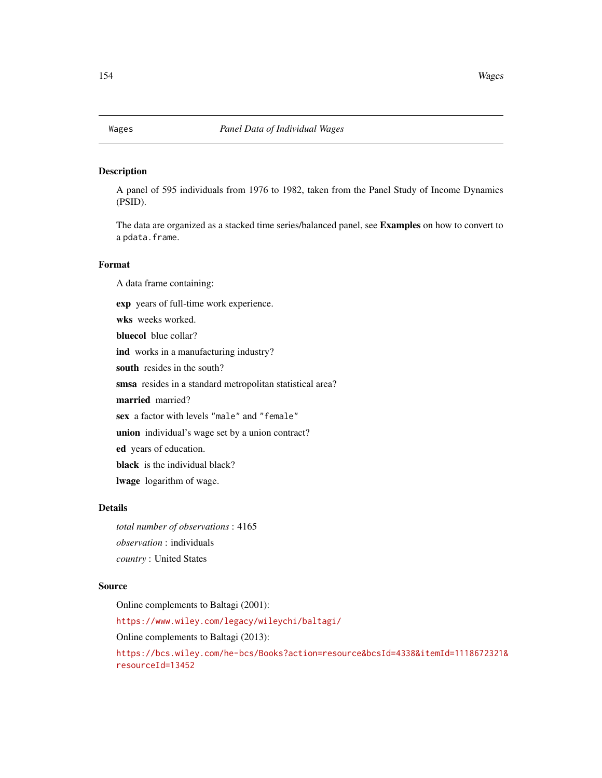<span id="page-153-0"></span>

#### Description

A panel of 595 individuals from 1976 to 1982, taken from the Panel Study of Income Dynamics (PSID).

The data are organized as a stacked time series/balanced panel, see Examples on how to convert to a pdata.frame.

# Format

A data frame containing: exp years of full-time work experience.

wks weeks worked. bluecol blue collar? ind works in a manufacturing industry? south resides in the south? smsa resides in a standard metropolitan statistical area? married married? sex a factor with levels "male" and "female" union individual's wage set by a union contract? ed years of education. black is the individual black?

lwage logarithm of wage.

### Details

*total number of observations* : 4165 *observation* : individuals *country* : United States

#### Source

Online complements to Baltagi (2001): <https://www.wiley.com/legacy/wileychi/baltagi/> Online complements to Baltagi (2013): [https://bcs.wiley.com/he-bcs/Books?action=resource&bcsId=4338&itemId=1118672321&](https://bcs.wiley.com/he-bcs/Books?action=resource&bcsId=4338&itemId=1118672321&resourceId=13452) [resourceId=13452](https://bcs.wiley.com/he-bcs/Books?action=resource&bcsId=4338&itemId=1118672321&resourceId=13452)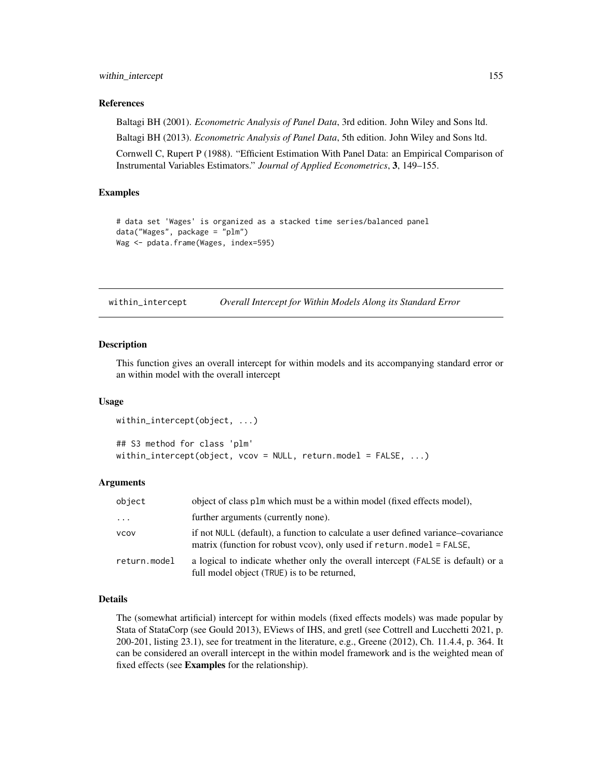#### <span id="page-154-0"></span>within\_intercept 155

#### References

Baltagi BH (2001). *Econometric Analysis of Panel Data*, 3rd edition. John Wiley and Sons ltd. Baltagi BH (2013). *Econometric Analysis of Panel Data*, 5th edition. John Wiley and Sons ltd.

Cornwell C, Rupert P (1988). "Efficient Estimation With Panel Data: an Empirical Comparison of Instrumental Variables Estimators." *Journal of Applied Econometrics*, 3, 149–155.

# Examples

```
# data set 'Wages' is organized as a stacked time series/balanced panel
data("Wages", package = "plm")
Wag <- pdata.frame(Wages, index=595)
```
within\_intercept *Overall Intercept for Within Models Along its Standard Error*

#### Description

This function gives an overall intercept for within models and its accompanying standard error or an within model with the overall intercept

#### Usage

```
within_intercept(object, ...)
## S3 method for class 'plm'
within_intercept(object, vcov = NULL, return.model = FALSE, ...)
```
#### Arguments

| object       | object of class plm which must be a within model (fixed effects model),                                                                                        |
|--------------|----------------------------------------------------------------------------------------------------------------------------------------------------------------|
| $\cdot$      | further arguments (currently none).                                                                                                                            |
| <b>VCOV</b>  | if not NULL (default), a function to calculate a user defined variance–covariance<br>matrix (function for robust vcov), only used if $return .model = FALSE$ , |
| return.model | a logical to indicate whether only the overall intercept (FALSE is default) or a<br>full model object (TRUE) is to be returned,                                |

# Details

The (somewhat artificial) intercept for within models (fixed effects models) was made popular by Stata of StataCorp (see Gould 2013), EViews of IHS, and gretl (see Cottrell and Lucchetti 2021, p. 200-201, listing 23.1), see for treatment in the literature, e.g., Greene (2012), Ch. 11.4.4, p. 364. It can be considered an overall intercept in the within model framework and is the weighted mean of fixed effects (see Examples for the relationship).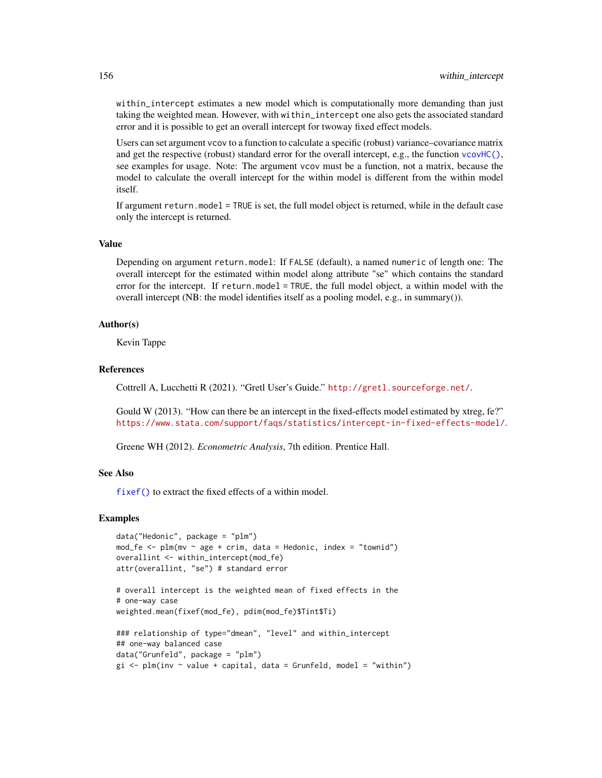within\_intercept estimates a new model which is computationally more demanding than just taking the weighted mean. However, with within\_intercept one also gets the associated standard error and it is possible to get an overall intercept for twoway fixed effect models.

Users can set argument vcov to a function to calculate a specific (robust) variance–covariance matrix and get the respective (robust) standard error for the overall intercept, e.g., the function [vcovHC\(\)](#page-145-0), see examples for usage. Note: The argument vcov must be a function, not a matrix, because the model to calculate the overall intercept for the within model is different from the within model itself.

If argument return.model = TRUE is set, the full model object is returned, while in the default case only the intercept is returned.

#### Value

Depending on argument return.model: If FALSE (default), a named numeric of length one: The overall intercept for the estimated within model along attribute "se" which contains the standard error for the intercept. If return.model = TRUE, the full model object, a within model with the overall intercept (NB: the model identifies itself as a pooling model, e.g., in summary()).

#### Author(s)

Kevin Tappe

#### References

Cottrell A, Lucchetti R (2021). "Gretl User's Guide." <http://gretl.sourceforge.net/>.

Gould W (2013). "How can there be an intercept in the fixed-effects model estimated by xtreg, fe?" <https://www.stata.com/support/faqs/statistics/intercept-in-fixed-effects-model/>.

Greene WH (2012). *Econometric Analysis*, 7th edition. Prentice Hall.

#### See Also

[fixef\(\)](#page-17-0) to extract the fixed effects of a within model.

### Examples

```
data("Hedonic", package = "plm")
mod_f e \leq plm(mv \sim age + crim, data = Hedonic, index = "townid")overallint <- within_intercept(mod_fe)
attr(overallint, "se") # standard error
```

```
# overall intercept is the weighted mean of fixed effects in the
# one-way case
weighted.mean(fixef(mod_fe), pdim(mod_fe)$Tint$Ti)
```

```
### relationship of type="dmean", "level" and within_intercept
## one-way balanced case
data("Grunfeld", package = "plm")
gi \leq plm(inv \sim value + capital, data = Grunfeld, model = "within")
```
<span id="page-155-0"></span>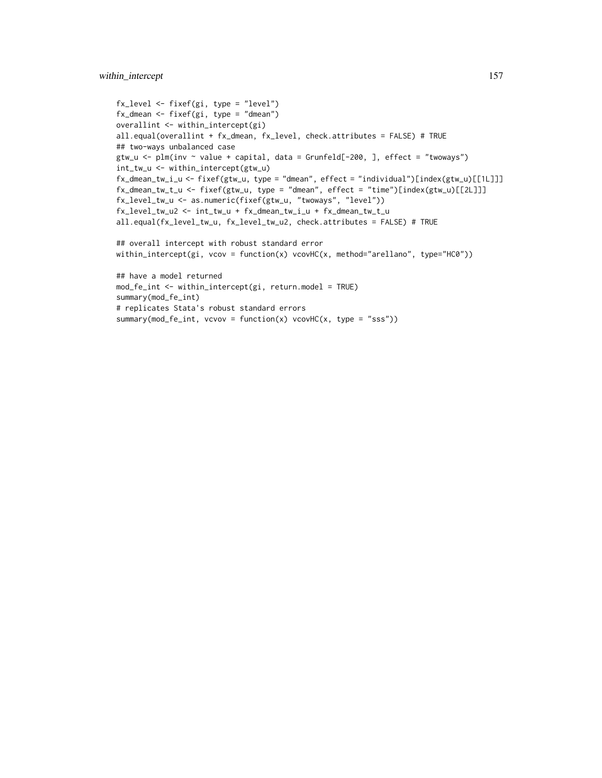# within\_intercept 157

```
fx_level <- fixef(gi, type = "level")
fx_dmean <- fixef(gi, type = "dmean")
overallint <- within_intercept(gi)
all.equal(overallint + fx_dmean, fx_level, check.attributes = FALSE) # TRUE
## two-ways unbalanced case
gtw_u <- plm(inv ~ value + capital, data = Grunfeld[-200, ], effect = "twoways")
int_tw_u <- within_intercept(gtw_u)
fx_dmean_tw_i_u <- fixef(gtw_u, type = "dmean", effect = "individual")[index(gtw_u)[[1L]]]
fx_dmean_tw_t_u <- fixef(gtw_u, type = "dmean", effect = "time")[index(gtw_u)[[2L]]]
fx_level_tw_u <- as.numeric(fixef(gtw_u, "twoways", "level"))
fx_level_tw_u2 <- int_tw_u + fx_dmean_tw_i_u + fx_dmean_tw_t_u
all.equal(fx_level_tw_u, fx_level_tw_u2, check.attributes = FALSE) # TRUE
## overall intercept with robust standard error
within_intercept(gi, vcov = function(x) vcovHC(x, method="arellano", type="HC0"))
## have a model returned
mod_fe_int <- within_intercept(gi, return.model = TRUE)
summary(mod_fe_int)
# replicates Stata's robust standard errors
summary(mod_fe_int, vcvov = function(x) vcovHC(x, type = "sss"))
```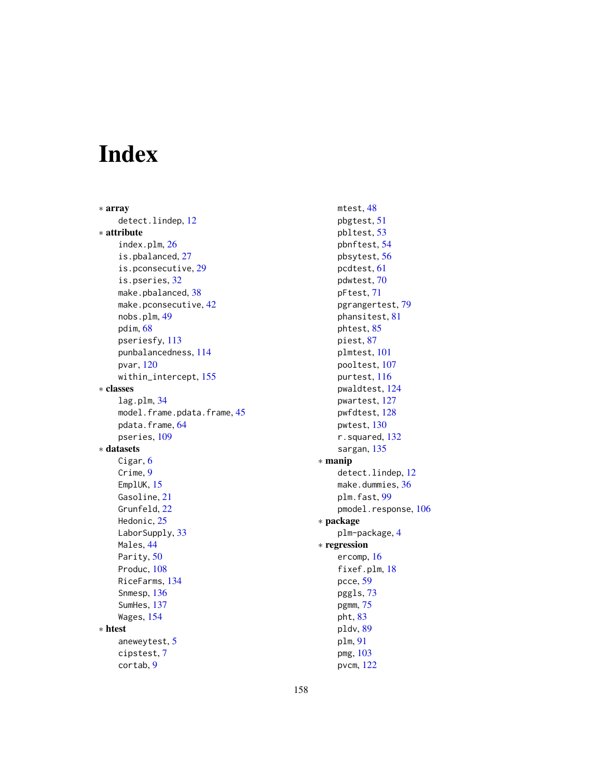# Index

∗ array detect.lindep, [12](#page-11-0) ∗ attribute index.plm, [26](#page-25-0) is.pbalanced, [27](#page-26-0) is.pconsecutive, [29](#page-28-0) is.pseries, [32](#page-31-0) make.pbalanced, [38](#page-37-0) make.pconsecutive, [42](#page-41-0) nobs.plm, [49](#page-48-0) pdim, [68](#page-67-0) pseriesfy, [113](#page-112-0) punbalancedness, [114](#page-113-0) pvar, [120](#page-119-0) within\_intercept, [155](#page-154-0) ∗ classes lag.plm, [34](#page-33-0) model.frame.pdata.frame, [45](#page-44-0) pdata.frame, [64](#page-63-0) pseries, [109](#page-108-0) ∗ datasets Cigar, [6](#page-5-0) Crime, [9](#page-8-0) EmplUK, [15](#page-14-0) Gasoline, [21](#page-20-0) Grunfeld, [22](#page-21-0) Hedonic, [25](#page-24-0) LaborSupply, [33](#page-32-0) Males, [44](#page-43-0) Parity, [50](#page-49-0) Produc, [108](#page-107-0) RiceFarms, [134](#page-133-0) Snmesp, [136](#page-135-0) SumHes, [137](#page-136-0) Wages, [154](#page-153-0) ∗ htest aneweytest, [5](#page-4-0) cipstest, [7](#page-6-0) cortab, [9](#page-8-0)

mtest, [48](#page-47-0) pbgtest, [51](#page-50-0) pbltest, [53](#page-52-0) pbnftest, [54](#page-53-0) pbsytest, [56](#page-55-0) pcdtest, [61](#page-60-0) pdwtest, [70](#page-69-0) pFtest, [71](#page-70-0) pgrangertest, [79](#page-78-0) phansitest, [81](#page-80-0) phtest, [85](#page-84-0) piest, [87](#page-86-0) plmtest, [101](#page-100-0) pooltest, [107](#page-106-0) purtest, [116](#page-115-0) pwaldtest, [124](#page-123-0) pwartest, [127](#page-126-0) pwfdtest, [128](#page-127-0) pwtest, [130](#page-129-0) r.squared, [132](#page-131-0) sargan, [135](#page-134-0) ∗ manip detect.lindep, [12](#page-11-0) make.dummies, [36](#page-35-0) plm.fast, [99](#page-98-0) pmodel.response, [106](#page-105-0) ∗ package plm-package, [4](#page-3-0) ∗ regression ercomp, [16](#page-15-0) fixef.plm, [18](#page-17-1) pcce, [59](#page-58-0) pggls, [73](#page-72-0) pgmm, [75](#page-74-0) pht, [83](#page-82-0) pldv, [89](#page-88-0) plm, [91](#page-90-0) pmg, [103](#page-102-0)

pvcm, [122](#page-121-0)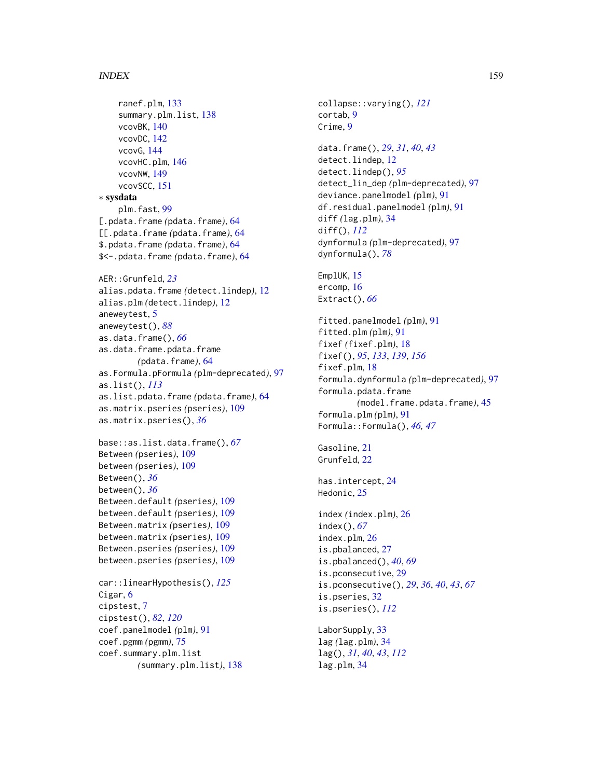#### INDEX 159

```
ranef.plm, 133
    summary.plm.list, 138
    vcovBK, 140
    vcovDC, 142
    vcovG, 144
    vcovHC.plm, 146
    vcovNW, 149
    vcovSCC, 151
∗ sysdata
    plm.fast, 99
[.pdata.frame (pdata.frame), 64
[[.pdata.frame (pdata.frame), 64
$.pdata.frame (pdata.frame), 64
$<-.pdata.frame (pdata.frame), 64
AER::Grunfeld, 23
alias.pdata.frame (detect.lindep), 12
alias.plm (detect.lindep), 12
aneweytest, 5
aneweytest(), 88
as.data.frame(), 66
as.data.frame.pdata.frame
        (pdata.frame), 64
as.Formula.pFormula (plm-deprecated), 97
as.list(), 113
as.list.pdata.frame (pdata.frame), 64
as.matrix.pseries (pseries), 109
as.matrix.pseries(), 36
base::as.list.data.frame(), 67
Between (pseries), 109
between (pseries), 109
Between(), 36
between(), 36
Between.default (pseries), 109
between.default (pseries), 109
Between.matrix (pseries), 109
between.matrix (pseries), 109
Between.pseries (pseries), 109
between.pseries (pseries), 109
car::linearHypothesis(), 125
Cigar, 6
cipstest, 7
cipstest(), 82, 120
coef.panelmodel (plm), 91
coef.pgmm (pgmm), 75
coef.summary.plm.list
        (summary.plm.list), 138
```
collapse::varying(), *[121](#page-120-0)* cortab, [9](#page-8-0) Crime, [9](#page-8-0) data.frame(), *[29](#page-28-0)*, *[31](#page-30-0)*, *[40](#page-39-0)*, *[43](#page-42-0)* detect.lindep, [12](#page-11-0) detect.lindep(), *[95](#page-94-0)* detect\_lin\_dep *(*plm-deprecated*)*, [97](#page-96-0) deviance.panelmodel *(*plm*)*, [91](#page-90-0) df.residual.panelmodel *(*plm*)*, [91](#page-90-0) diff *(*lag.plm*)*, [34](#page-33-0) diff(), *[112](#page-111-0)* dynformula *(*plm-deprecated*)*, [97](#page-96-0) dynformula(), *[78](#page-77-0)* EmplUK, [15](#page-14-0) ercomp, [16](#page-15-0) Extract(), *[66](#page-65-0)* fitted.panelmodel *(*plm*)*, [91](#page-90-0) fitted.plm *(*plm*)*, [91](#page-90-0) fixef *(*fixef.plm*)*, [18](#page-17-1) fixef(), *[95](#page-94-0)*, *[133](#page-132-0)*, *[139](#page-138-0)*, *[156](#page-155-0)* fixef.plm, [18](#page-17-1) formula.dynformula *(*plm-deprecated*)*, [97](#page-96-0) formula.pdata.frame *(*model.frame.pdata.frame*)*, [45](#page-44-0) formula.plm *(*plm*)*, [91](#page-90-0) Formula::Formula(), *[46,](#page-45-0) [47](#page-46-0)* Gasoline, [21](#page-20-0) Grunfeld, [22](#page-21-0) has.intercept, [24](#page-23-0) Hedonic, [25](#page-24-0) index *(*index.plm*)*, [26](#page-25-0) index(), *[67](#page-66-0)* index.plm, [26](#page-25-0) is.pbalanced, [27](#page-26-0) is.pbalanced(), *[40](#page-39-0)*, *[69](#page-68-0)* is.pconsecutive, [29](#page-28-0) is.pconsecutive(), *[29](#page-28-0)*, *[36](#page-35-0)*, *[40](#page-39-0)*, *[43](#page-42-0)*, *[67](#page-66-0)* is.pseries, [32](#page-31-0) is.pseries(), *[112](#page-111-0)* LaborSupply, [33](#page-32-0) lag *(*lag.plm*)*, [34](#page-33-0) lag(), *[31](#page-30-0)*, *[40](#page-39-0)*, *[43](#page-42-0)*, *[112](#page-111-0)* lag.plm, [34](#page-33-0)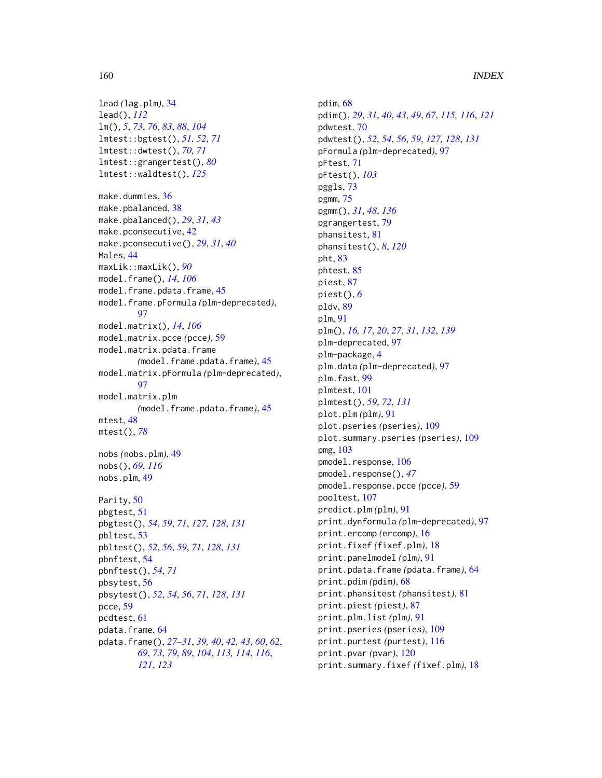```
lead (lag.plm), 34
lead(), 112
lm(), 5, 73, 76, 83, 88, 104
lmtest::bgtest(), 51, 52, 71
lmtest::dwtest(), 70, 71
lmtest::grangertest(), 80
lmtest::waldtest(), 125
make.dummies, 36
make.pbalanced, 38
make.pbalanced(), 29, 31, 43
make.pconsecutive, 42
make.pconsecutive(), 29, 31, 40
Males, 44
maxLik::maxLik(), 90
model.frame(), 14, 106
model.frame.pdata.frame, 45
model.frame.pFormula (plm-deprecated),
         97
model.matrix(), 14, 106
model.matrix.pcce (pcce), 59
model.matrix.pdata.frame
         (model.frame.pdata.frame), 45
model.matrix.pFormula (plm-deprecated),
         97
model.matrix.plm
         (model.frame.pdata.frame), 45
mtest, 48
mtest(), 78
nobs (nobs.plm), 49
nobs(), 69, 116
nobs.plm, 49
Parity, 50
pbgtest, 51
pbgtest(), 54, 59, 71, 127, 128, 131
pbltest, 53
pbltest(), 52, 56, 59, 71, 128, 131
pbnftest, 54
pbnftest(), 54, 71
pbsytest, 56
pbsytest(), 52, 54, 56, 71, 128, 131
pcce, 59
pcdtest, 61
pdata.frame, 64
pdata.frame(), 27–31, 39, 40, 42, 43, 60, 62,
         69, 73, 79, 89, 104, 113, 114, 116,
         121, 123
```
pdim, [68](#page-67-0) pdim(), *[29](#page-28-0)*, *[31](#page-30-0)*, *[40](#page-39-0)*, *[43](#page-42-0)*, *[49](#page-48-0)*, *[67](#page-66-0)*, *[115,](#page-114-0) [116](#page-115-0)*, *[121](#page-120-0)* pdwtest, [70](#page-69-0) pdwtest(), *[52](#page-51-0)*, *[54](#page-53-0)*, *[56](#page-55-0)*, *[59](#page-58-0)*, *[127,](#page-126-0) [128](#page-127-0)*, *[131](#page-130-0)* pFormula *(*plm-deprecated*)*, [97](#page-96-0) pFtest, [71](#page-70-0) pFtest(), *[103](#page-102-0)* pggls, [73](#page-72-0) pgmm, [75](#page-74-0) pgmm(), *[31](#page-30-0)*, *[48](#page-47-0)*, *[136](#page-135-0)* pgrangertest, [79](#page-78-0) phansitest, [81](#page-80-0) phansitest(), *[8](#page-7-0)*, *[120](#page-119-0)* pht, [83](#page-82-0) phtest, [85](#page-84-0) piest, [87](#page-86-0) piest(), *[6](#page-5-0)* pldv, [89](#page-88-0) plm, [91](#page-90-0) plm(), *[16,](#page-15-0) [17](#page-16-0)*, *[20](#page-19-0)*, *[27](#page-26-0)*, *[31](#page-30-0)*, *[132](#page-131-0)*, *[139](#page-138-0)* plm-deprecated, [97](#page-96-0) plm-package, [4](#page-3-0) plm.data *(*plm-deprecated*)*, [97](#page-96-0) plm.fast, [99](#page-98-0) plmtest, [101](#page-100-0) plmtest(), *[59](#page-58-0)*, *[72](#page-71-0)*, *[131](#page-130-0)* plot.plm *(*plm*)*, [91](#page-90-0) plot.pseries *(*pseries*)*, [109](#page-108-0) plot.summary.pseries *(*pseries*)*, [109](#page-108-0) pmg, [103](#page-102-0) pmodel.response, [106](#page-105-0) pmodel.response(), *[47](#page-46-0)* pmodel.response.pcce *(*pcce*)*, [59](#page-58-0) pooltest, [107](#page-106-0) predict.plm *(*plm*)*, [91](#page-90-0) print.dynformula *(*plm-deprecated*)*, [97](#page-96-0) print.ercomp *(*ercomp*)*, [16](#page-15-0) print.fixef *(*fixef.plm*)*, [18](#page-17-1) print.panelmodel *(*plm*)*, [91](#page-90-0) print.pdata.frame *(*pdata.frame*)*, [64](#page-63-0) print.pdim *(*pdim*)*, [68](#page-67-0) print.phansitest *(*phansitest*)*, [81](#page-80-0) print.piest *(*piest*)*, [87](#page-86-0) print.plm.list *(*plm*)*, [91](#page-90-0) print.pseries *(*pseries*)*, [109](#page-108-0) print.purtest *(*purtest*)*, [116](#page-115-0) print.pvar *(*pvar*)*, [120](#page-119-0) print.summary.fixef *(*fixef.plm*)*, [18](#page-17-1)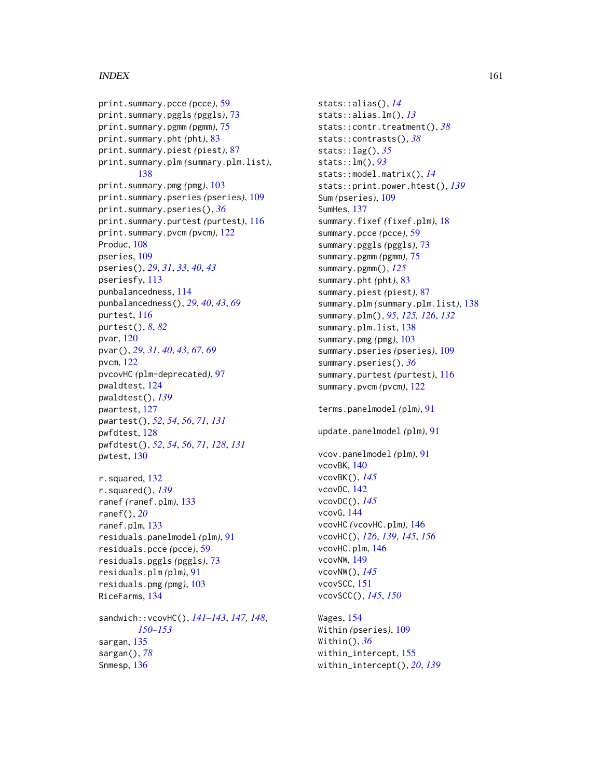### $I$ NDEX  $161$

```
print.summary.pcce (pcce), 59
print.summary.pggls (pggls), 73
print.summary.pgmm (pgmm), 75
print.summary.pht (pht), 83
print.summary.piest (piest), 87
print.summary.plm (summary.plm.list),
        138
print.summary.pmg (pmg), 103
print.summary.pseries (pseries), 109
print.summary.pseries(), 36
print.summary.purtest (purtest), 116
print.summary.pvcm (pvcm), 122
Produc, 108
pseries, 109
pseries(), 29, 31, 33, 40, 43
pseriesfy, 113
punbalancedness, 114
punbalancedness(), 29, 40, 43, 69
purtest, 116
purtest(), 8, 82
pvar, 120
pvar(), 29, 31, 40, 43, 67, 69
pvcm, 122
pvcovHC (plm-deprecated), 97
pwaldtest, 124
pwaldtest(), 139
pwartest, 127
pwartest(), 52, 54, 56, 71, 131
pwfdtest, 128
pwfdtest(), 52, 54, 56, 71, 128, 131
pwtest, 130
r.squared, 132
r.squared(), 139
ranef (ranef.plm), 133
ranef(), 20
ranef.plm, 133
residuals.panelmodel (plm), 91
residuals.pcce (pcce), 59
residuals.pggls (pggls), 73
residuals.plm (plm), 91
residuals.pmg (pmg), 103
RiceFarms, 134
sandwich::vcovHC(), 141–143, 147, 148,
        150–153
sargan, 135
sargan(), 78
Snmesp, 136
```
stats::alias(), *[14](#page-13-0)* stats::alias.lm(), *[13](#page-12-0)* stats::contr.treatment(), *[38](#page-37-0)* stats::contrasts(), *[38](#page-37-0)* stats::lag(), *[35](#page-34-0)* stats::lm(), *[93](#page-92-0)* stats::model.matrix(), *[14](#page-13-0)* stats::print.power.htest(), *[139](#page-138-0)* Sum *(*pseries*)*, [109](#page-108-0) SumHes, [137](#page-136-0) summary.fixef *(*fixef.plm*)*, [18](#page-17-1) summary.pcce *(*pcce*)*, [59](#page-58-0) summary.pggls *(*pggls*)*, [73](#page-72-0) summary.pgmm *(*pgmm*)*, [75](#page-74-0) summary.pgmm(), *[125](#page-124-0)* summary.pht *(*pht*)*, [83](#page-82-0) summary.piest *(*piest*)*, [87](#page-86-0) summary.plm *(*summary.plm.list*)*, [138](#page-137-0) summary.plm(), *[95](#page-94-0)*, *[125,](#page-124-0) [126](#page-125-0)*, *[132](#page-131-0)* summary.plm.list, [138](#page-137-0) summary.pmg *(*pmg*)*, [103](#page-102-0) summary.pseries *(*pseries*)*, [109](#page-108-0) summary.pseries(), *[36](#page-35-0)* summary.purtest *(*purtest*)*, [116](#page-115-0) summary.pvcm *(*pvcm*)*, [122](#page-121-0) terms.panelmodel *(*plm*)*, [91](#page-90-0) update.panelmodel *(*plm*)*, [91](#page-90-0) vcov.panelmodel *(*plm*)*, [91](#page-90-0) vcovBK, [140](#page-139-1) vcovBK(), *[145](#page-144-0)* vcovDC, [142](#page-141-1) vcovDC(), *[145](#page-144-0)* vcovG, [144](#page-143-0) vcovHC *(*vcovHC.plm*)*, [146](#page-145-1) vcovHC(), *[126](#page-125-0)*, *[139](#page-138-0)*, *[145](#page-144-0)*, *[156](#page-155-0)* vcovHC.plm, [146](#page-145-1) vcovNW, [149](#page-148-1) vcovNW(), *[145](#page-144-0)* vcovSCC, [151](#page-150-1) vcovSCC(), *[145](#page-144-0)*, *[150](#page-149-0)* Wages, [154](#page-153-0) Within *(*pseries*)*, [109](#page-108-0)

Within(), *[36](#page-35-0)* within\_intercept, [155](#page-154-0) within\_intercept(), *[20](#page-19-0)*, *[139](#page-138-0)*